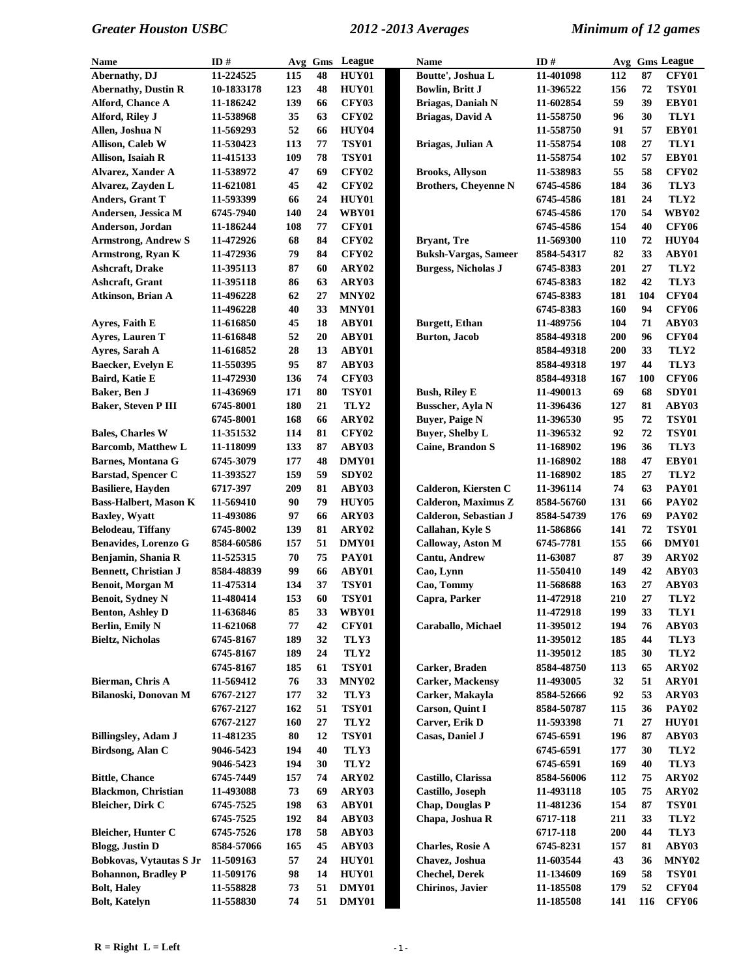| Name                         | ID#        | Avg       | Gms      | League                | <b>Name</b>                 | ID#                      |            |     | Avg Gms League    |
|------------------------------|------------|-----------|----------|-----------------------|-----------------------------|--------------------------|------------|-----|-------------------|
| Abernathy, DJ                | 11-224525  | 115       | 48       | HUY01                 | Boutte', Joshua L           | 11-401098                | 112        | 87  | <b>CFY01</b>      |
| <b>Abernathy, Dustin R</b>   | 10-1833178 | 123       | 48       | HUY01                 | <b>Bowlin, Britt J</b>      | 11-396522                | 156        | 72  | <b>TSY01</b>      |
| Alford, Chance A             | 11-186242  | 139       | 66       | <b>CFY03</b>          | <b>Briagas, Daniah N</b>    | 11-602854                | 59         | 39  | EBY01             |
| Alford, Riley J              | 11-538968  | 35        | 63       | <b>CFY02</b>          | Briagas, David A            | 11-558750                | 96         | 30  | TLY1              |
| Allen, Joshua N              | 11-569293  | 52        | 66       | <b>HUY04</b>          |                             | 11-558750                | 91         | 57  | EBY01             |
| Allison, Caleb W             | 11-530423  | 113       | 77       | TSY01                 | Briagas, Julian A           | 11-558754                | 108        | 27  | TLY1              |
| Allison, Isaiah R            | 11-415133  | 109       | 78       | <b>TSY01</b>          |                             | 11-558754                | 102        | 57  | EBY01             |
| <b>Alvarez, Xander A</b>     | 11-538972  | 47        | 69       | <b>CFY02</b>          | <b>Brooks, Allyson</b>      | 11-538983                | 55         | 58  | <b>CFY02</b>      |
| Alvarez, Zayden L            | 11-621081  | 45        | 42       | <b>CFY02</b>          | <b>Brothers, Cheyenne N</b> | 6745-4586                | 184        | 36  | TLY3              |
| Anders, Grant T              | 11-593399  | 66        | 24       | HUY01                 |                             | 6745-4586                | 181        | 24  | TLY2              |
| Andersen, Jessica M          | 6745-7940  | 140       | 24       | <b>WBY01</b>          |                             | 6745-4586                | 170        | 54  | <b>WBY02</b>      |
| Anderson, Jordan             | 11-186244  | 108       | 77       | <b>CFY01</b>          |                             | 6745-4586                | 154        | 40  | <b>CFY06</b>      |
| <b>Armstrong, Andrew S</b>   | 11-472926  | 68        | 84       | <b>CFY02</b>          | <b>Bryant</b> , Tre         | 11-569300                | 110        | 72  | <b>HUY04</b>      |
| Armstrong, Ryan K            | 11-472936  | 79        | 84       | <b>CFY02</b>          | <b>Buksh-Vargas, Sameer</b> | 8584-54317               | 82         | 33  | ABY01             |
| Ashcraft, Drake              | 11-395113  | 87        | 60       | ARY02                 | <b>Burgess, Nicholas J</b>  | 6745-8383                | 201        | 27  | TLY2              |
| Ashcraft, Grant              | 11-395118  | 86        | 63       | ARY03                 |                             | 6745-8383                | 182        | 42  | TLY3              |
| Atkinson, Brian A            | 11-496228  | 62        | $27\,$   | MNY <sub>02</sub>     |                             | 6745-8383                | 181        | 104 | <b>CFY04</b>      |
|                              | 11-496228  | 40        | 33       | MNY01                 |                             | 6745-8383                | 160        | 94  | <b>CFY06</b>      |
| Ayres, Faith E               | 11-616850  | 45        | 18       | ABY01                 | <b>Burgett</b> , Ethan      | 11-489756                | 104        | 71  | ABY03             |
| Ayres, Lauren T              | 11-616848  | 52        | 20       | ABY01                 | <b>Burton, Jacob</b>        | 8584-49318               | 200        | 96  | <b>CFY04</b>      |
| Ayres, Sarah A               |            | 28        | 13       | ABY01                 |                             |                          | 200        | 33  | TLY2              |
|                              | 11-616852  |           |          |                       |                             | 8584-49318               |            | 44  | TLY3              |
| <b>Baecker, Evelyn E</b>     | 11-550395  | 95<br>136 | 87<br>74 | ABY03<br><b>CFY03</b> |                             | 8584-49318<br>8584-49318 | 197<br>167 | 100 | <b>CFY06</b>      |
| Baird, Katie E               | 11-472930  |           |          |                       |                             |                          | 69         |     |                   |
| Baker, Ben J                 | 11-436969  | 171       | 80       | <b>TSY01</b>          | <b>Bush, Riley E</b>        | 11-490013                |            | 68  | SDY01             |
| <b>Baker, Steven P III</b>   | 6745-8001  | 180       | 21       | TLY2                  | Busscher, Ayla N            | 11-396436                | 127        | 81  | ABY03             |
|                              | 6745-8001  | 168       | 66       | ARY02                 | <b>Buyer, Paige N</b>       | 11-396530                | 95         | 72  | <b>TSY01</b>      |
| <b>Bales, Charles W</b>      | 11-351532  | 114       | 81       | <b>CFY02</b>          | <b>Buyer, Shelby L</b>      | 11-396532                | 92         | 72  | <b>TSY01</b>      |
| <b>Barcomb, Matthew L</b>    | 11-118099  | 133       | 87       | ABY03                 | <b>Caine, Brandon S</b>     | 11-168902                | 196        | 36  | TLY3              |
| <b>Barnes, Montana G</b>     | 6745-3079  | 177       | 48       | DMY01                 |                             | 11-168902                | 188        | 47  | EBY01             |
| <b>Barstad, Spencer C</b>    | 11-393527  | 159       | 59       | ${\bf SDY02}$         |                             | 11-168902                | 185        | 27  | TLY2              |
| <b>Basiliere, Hayden</b>     | 6717-397   | 209       | 81       | ABY03                 | Calderon, Kiersten C        | 11-396114                | 74         | 63  | <b>PAY01</b>      |
| <b>Bass-Halbert, Mason K</b> | 11-569410  | 90        | 79       | <b>HUY05</b>          | Calderon, Maximus Z         | 8584-56760               | 131        | 66  | <b>PAY02</b>      |
| <b>Baxley, Wyatt</b>         | 11-493086  | 97        | 66       | ARY03                 | Calderon, Sebastian J       | 8584-54739               | 176        | 69  | <b>PAY02</b>      |
| Belodeau, Tiffany            | 6745-8002  | 139       | 81       | ARY02                 | Callahan, Kyle S            | 11-586866                | 141        | 72  | <b>TSY01</b>      |
| <b>Benavides, Lorenzo G</b>  | 8584-60586 | 157       | 51       | DMY01                 | Calloway, Aston M           | 6745-7781                | 155        | 66  | DMY01             |
| Benjamin, Shania R           | 11-525315  | 70        | 75       | <b>PAY01</b>          | <b>Cantu, Andrew</b>        | 11-63087                 | 87         | 39  | ARY02             |
| <b>Bennett, Christian J</b>  | 8584-48839 | 99        | 66       | ABY01                 | Cao, Lynn                   | 11-550410                | 149        | 42  | ABY03             |
| Benoit, Morgan M             | 11-475314  | 134       | 37       | <b>TSY01</b>          | Cao, Tommy                  | 11-568688                | 163        | 27  | ABY03             |
| <b>Benoit, Sydney N</b>      | 11-480414  | 153       | 60       | <b>TSY01</b>          | Capra, Parker               | 11-472918                | 210        | 27  | TLY2              |
| <b>Benton, Ashley D</b>      | 11-636846  | 85        | 33       | <b>WBY01</b>          |                             | 11-472918                | 199        | 33  | TLY1              |
| Berlin, Emily N              | 11-621068  | 77        | 42       | <b>CFY01</b>          | Caraballo, Michael          | 11-395012                | 194        | 76  | ABY03             |
| Bieltz, Nicholas             | 6745-8167  | 189       | 32       | TLY3                  |                             | 11-395012                | 185        | 44  | TLY3              |
|                              | 6745-8167  | 189       | 24       | TLY2                  |                             | 11-395012                | 185        | 30  | TLY2              |
|                              | 6745-8167  | 185       | 61       | <b>TSY01</b>          | Carker, Braden              | 8584-48750               | 113        | 65  | ARY02             |
| Bierman, Chris A             | 11-569412  | 76        | 33       | MNY <sub>02</sub>     | <b>Carker, Mackensy</b>     | 11-493005                | 32         | 51  | ARY01             |
| Bilanoski, Donovan M         | 6767-2127  | 177       | 32       | TLY3                  | Carker, Makayla             | 8584-52666               | 92         | 53  | ARY03             |
|                              | 6767-2127  | 162       | 51       | <b>TSY01</b>          | Carson, Quint I             | 8584-50787               | 115        | 36  | <b>PAY02</b>      |
|                              | 6767-2127  | 160       | 27       | TLY2                  | Carver, Erik D              | 11-593398                | 71         | 27  | <b>HUY01</b>      |
| <b>Billingsley, Adam J</b>   | 11-481235  | 80        | 12       | <b>TSY01</b>          | Casas, Daniel J             | 6745-6591                | 196        | 87  | ABY03             |
| <b>Birdsong, Alan C</b>      | 9046-5423  | 194       | 40       | TLY3                  |                             | 6745-6591                | 177        | 30  | TLY <sub>2</sub>  |
|                              | 9046-5423  | 194       | 30       | TLY2                  |                             | 6745-6591                | 169        | 40  | TLY3              |
| <b>Bittle, Chance</b>        | 6745-7449  | 157       | 74       | ARY02                 | Castillo, Clarissa          | 8584-56006               | 112        | 75  | ARY02             |
| <b>Blackmon, Christian</b>   | 11-493088  | 73        | 69       | ARY03                 | Castillo, Joseph            | 11-493118                | 105        | 75  | ARY02             |
| <b>Bleicher, Dirk C</b>      | 6745-7525  | 198       | 63       | ABY01                 | <b>Chap, Douglas P</b>      | 11-481236                | 154        | 87  | <b>TSY01</b>      |
|                              | 6745-7525  | 192       | 84       | ABY03                 | Chapa, Joshua R             | 6717-118                 | 211        | 33  | TLY2              |
| Bleicher, Hunter C           | 6745-7526  | 178       | 58       | ABY03                 |                             | 6717-118                 | 200        | 44  | TLY3              |
| <b>Blogg, Justin D</b>       | 8584-57066 | 165       | 45       | ABY03                 | <b>Charles, Rosie A</b>     | 6745-8231                | 157        | 81  | ABY03             |
| Bobkovas, Vytautas S Jr      | 11-509163  | 57        | 24       | <b>HUY01</b>          | Chavez, Joshua              | 11-603544                | 43         | 36  | MNY <sub>02</sub> |
|                              |            | 98        | 14       | <b>HUY01</b>          | <b>Chechel, Derek</b>       |                          | 169        | 58  | <b>TSY01</b>      |
| <b>Bohannon, Bradley P</b>   | 11-509176  | 73        | 51       | DMY01                 | Chirinos, Javier            | 11-134609                | 179        | 52  | <b>CFY04</b>      |
| <b>Bolt, Haley</b>           | 11-558828  |           |          |                       |                             | 11-185508                |            |     |                   |
| <b>Bolt, Katelyn</b>         | 11-558830  | 74        | 51       | DMY01                 |                             | 11-185508                | 141        | 116 | <b>CFY06</b>      |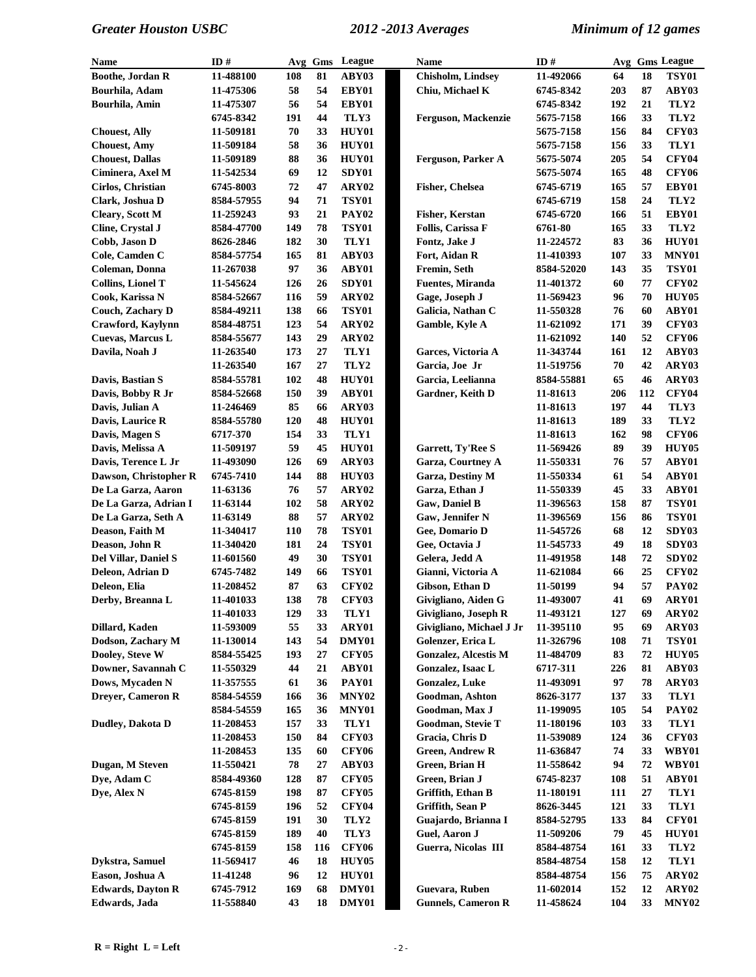| <b>Name</b>              | ID#                     | Avg        | Gms      | League                       | ID#<br><b>Name</b> |                                      | Avg Gms League          |            |          |                      |
|--------------------------|-------------------------|------------|----------|------------------------------|--------------------|--------------------------------------|-------------------------|------------|----------|----------------------|
| <b>Boothe, Jordan R</b>  | 11-488100               | 108        | 81       | ABY03                        |                    | Chisholm, Lindsey                    | 11-492066               | 64         | 18       | <b>TSY01</b>         |
| Bourhila, Adam           | 11-475306               | 58         | 54       | EBY01                        |                    | Chiu, Michael K                      | 6745-8342               | 203        | 87       | ABY03                |
| Bourhila, Amin           | 11-475307               | 56         | 54       | EBY01                        |                    |                                      | 6745-8342               | 192        | 21       | TLY2                 |
|                          | 6745-8342               | 191        | 44       | TLY3                         |                    | Ferguson, Mackenzie                  | 5675-7158               | 166        | 33       | TLY2                 |
| <b>Chouest, Ally</b>     | 11-509181               | 70         | 33       | <b>HUY01</b>                 |                    |                                      | 5675-7158               | 156        | 84       | <b>CFY03</b>         |
| <b>Chouest, Amy</b>      | 11-509184               | 58         | 36       | HUY01                        |                    |                                      | 5675-7158               | 156        | 33       | TLY1                 |
| <b>Chouest, Dallas</b>   | 11-509189               | 88         | 36       | HUY01                        |                    | Ferguson, Parker A                   | 5675-5074               | 205        | 54       | <b>CFY04</b>         |
| Ciminera, Axel M         | 11-542534               | 69         | 12       | SDY01                        |                    |                                      | 5675-5074               | 165        | 48       | <b>CFY06</b>         |
| Cirlos, Christian        | 6745-8003               | 72         | 47       | ARY02                        |                    | Fisher, Chelsea                      | 6745-6719               | 165        | 57       | EBY01                |
| Clark, Joshua D          | 8584-57955              | 94         | 71       | <b>TSY01</b>                 |                    |                                      | 6745-6719               | 158        | 24       | TLY2                 |
| <b>Cleary, Scott M</b>   | 11-259243               | 93         | 21       | PAY <sub>02</sub>            |                    | Fisher, Kerstan                      | 6745-6720               | 166        | 51       | EBY01                |
| Cline, Crystal J         | 8584-47700              | 149        | 78       | <b>TSY01</b>                 |                    | Follis, Carissa F                    | 6761-80                 | 165        | 33       | TLY <sub>2</sub>     |
| Cobb, Jason D            | 8626-2846               | 182        | 30       | TLY1                         |                    | Fontz, Jake J                        | 11-224572               | 83         | 36       | HUY01                |
| Cole, Camden C           | 8584-57754              | 165        | 81       | ABY03                        |                    | Fort, Aidan R                        | 11-410393               | 107        | 33       | MNY01                |
| Coleman, Donna           | 11-267038               | 97         | 36       | ABY01                        |                    | Fremin, Seth                         | 8584-52020              | 143        | 35       | <b>TSY01</b>         |
| <b>Collins, Lionel T</b> | 11-545624               | 126        | 26       | SDY01                        |                    | <b>Fuentes, Miranda</b>              | 11-401372               | 60         | 77       | <b>CFY02</b>         |
| Cook, Karissa N          | 8584-52667              | 116        | 59       | ARY02                        |                    | Gage, Joseph J                       | 11-569423               | 96         | 70       | <b>HUY05</b>         |
| Couch, Zachary D         | 8584-49211              | 138        | 66       | <b>TSY01</b>                 |                    | Galicia, Nathan C                    | 11-550328               | 76         | 60       | ABY01                |
| Crawford, Kaylynn        | 8584-48751              | 123        | 54       | ARY02                        |                    | Gamble, Kyle A                       | 11-621092               | 171        | 39       | <b>CFY03</b>         |
| Cuevas, Marcus L         | 8584-55677              | 143        | 29       | ARY02                        |                    |                                      | 11-621092               | 140        | 52       | <b>CFY06</b>         |
| Davila, Noah J           | 11-263540               | 173        | 27       | TLY1                         |                    | Garces, Victoria A                   | 11-343744               | 161        | 12       | ABY03                |
|                          | 11-263540               | 167        | 27       | TLY2                         |                    | Garcia, Joe Jr                       | 11-519756               | 70         | 42       | ARY03                |
| Davis, Bastian S         | 8584-55781              | 102        | 48       | HUY01                        |                    | Garcia, Leelianna                    | 8584-55881              | 65         | 46       | ARY03                |
| Davis, Bobby R Jr        | 8584-52668              | 150        | 39       | ABY01                        |                    | Gardner, Keith D                     | 11-81613                | 206        | 112      | <b>CFY04</b>         |
| Davis, Julian A          | 11-246469               | 85         | 66       | ARY03                        |                    |                                      | 11-81613                | 197        | 44       | TLY3                 |
| Davis, Laurice R         | 8584-55780              | 120        | 48       | HUY01                        |                    |                                      | 11-81613                | 189        | 33       | TLY2                 |
| Davis, Magen S           | 6717-370                | 154        | 33       | TLY1                         |                    |                                      | 11-81613                | 162        | 98       | <b>CFY06</b>         |
| Davis, Melissa A         | 11-509197               | 59         | 45       | <b>HUY01</b>                 |                    | Garrett, Ty'Ree S                    | 11-569426               | 89         | 39       | <b>HUY05</b>         |
| Davis, Terence L Jr      | 11-493090               | 126        | 69       | ARY03                        |                    | <b>Garza, Courtney A</b>             | 11-550331               | 76         | 57       | ABY01                |
| Dawson, Christopher R    | 6745-7410               | 144        | 88       | HUY03                        |                    | Garza, Destiny M                     | 11-550334               | 61         | 54       | ABY01                |
| De La Garza, Aaron       | 11-63136                | 76         | 57       | ARY02                        |                    | Garza, Ethan J                       | 11-550339               | 45         | 33       | ABY01                |
| De La Garza, Adrian I    | 11-63144                | 102        | 58       | ARY02                        |                    | Gaw, Daniel B                        | 11-396563               | 158        | 87       | TSY01                |
| De La Garza, Seth A      | 11-63149                | 88         | 57       | ARY02                        |                    | Gaw, Jennifer N                      | 11-396569               | 156        | 86       | <b>TSY01</b>         |
| Deason, Faith M          | 11-340417               | 110        | 78       | <b>TSY01</b>                 |                    | Gee, Domario D                       | 11-545726               | 68         | 12       | SDY03                |
| Deason, John R           | 11-340420               | 181        | 24       | <b>TSY01</b>                 |                    | Gee, Octavia J                       | 11-545733               | 49         | 18       | SDY03                |
| Del Villar, Daniel S     | 11-601560               | 49         | 30       | <b>TSY01</b>                 |                    | Gelera, Jedd A                       | 11-491958               | 148        | 72       | SDY <sub>02</sub>    |
| Deleon, Adrian D         | 6745-7482               | 149        | 66       | <b>TSY01</b>                 |                    | Gianni, Victoria A                   | 11-621084               | 66         | 25       | <b>CFY02</b>         |
| Deleon, Elia             | 11-208452               | 87         | 63       | <b>CFY02</b>                 |                    | Gibson, Ethan D                      | 11-50199                | 94         | 57       | <b>PAY02</b>         |
| Derby, Breanna L         | 11-401033               | 138        | 78       | <b>CFY03</b>                 |                    | Givigliano, Aiden G                  | 11-493007               | 41         | 69       | ARY01                |
|                          | 11-401033               | 129        | 33       | TLY1                         |                    | Givigliano, Joseph R                 | 11-493121               | 127        | 69       | ARY02                |
| Dillard, Kaden           | 11-593009               | 55         | 33       | ARY01                        |                    | Givigliano, Michael J Jr             | 11-395110               | 95         | 69       | ARY03                |
| Dodson, Zachary M        | 11-130014               | 143        | 54       | DMY01                        |                    | Golenzer, Erica L                    | 11-326796               | 108        | 71       | <b>TSY01</b>         |
| Dooley, Steve W          | 8584-55425              | 193        | 27       | <b>CFY05</b>                 |                    | <b>Gonzalez, Alcestis M</b>          | 11-484709               | 83         | 72       | HUY05                |
| Downer, Savannah C       | 11-550329               | 44         | 21       | ABY01                        |                    | Gonzalez, Isaac L                    | 6717-311                | 226        | 81       | ABY03                |
| Dows, Mycaden N          | 11-357555               | 61         | 36       | <b>PAY01</b><br><b>MNY02</b> |                    | Gonzalez, Luke                       | 11-493091               | 97         | 78       | ARY03                |
| Dreyer, Cameron R        | 8584-54559              | 166<br>165 | 36       |                              |                    | Goodman, Ashton                      | 8626-3177               | 137<br>105 | 33<br>54 | TLY1<br><b>PAY02</b> |
| Dudley, Dakota D         | 8584-54559<br>11-208453 | 157        | 36<br>33 | MNY01<br>TLY1                |                    | Goodman, Max J                       | 11-199095               | 103        | 33       | TLY1                 |
|                          | 11-208453               | 150        |          | <b>CFY03</b>                 |                    | Goodman, Stevie T<br>Gracia, Chris D | 11-180196               | 124        |          | <b>CFY03</b>         |
|                          | 11-208453               |            | 84       |                              |                    | <b>Green, Andrew R</b>               | 11-539089               | 74         | 36       | WBY01                |
| Dugan, M Steven          | 11-550421               | 135<br>78  | 60<br>27 | <b>CFY06</b><br>ABY03        |                    | Green, Brian H                       | 11-636847<br>11-558642  | 94         | 33<br>72 | WBY01                |
| Dye, Adam C              | 8584-49360              | 128        | 87       | <b>CFY05</b>                 |                    | Green, Brian J                       | 6745-8237               | 108        | 51       | ABY01                |
| Dye, Alex N              | 6745-8159               | 198        | 87       | <b>CFY05</b>                 |                    | Griffith, Ethan B                    | 11-180191               | 111        | 27       | TLY1                 |
|                          |                         | 196        | 52       | <b>CFY04</b>                 |                    | Griffith, Sean P                     |                         | 121        | 33       | TLY1                 |
|                          | 6745-8159<br>6745-8159  | 191        | 30       | TLY2                         |                    | Guajardo, Brianna I                  | 8626-3445<br>8584-52795 | 133        | 84       | <b>CFY01</b>         |
|                          | 6745-8159               | 189        | 40       | TLY3                         |                    | Guel, Aaron J                        | 11-509206               | 79         | 45       | HUY01                |
|                          | 6745-8159               | 158        | 116      | <b>CFY06</b>                 |                    | Guerra, Nicolas III                  | 8584-48754              | 161        | 33       | TLY2                 |
| Dykstra, Samuel          | 11-569417               | 46         | 18       | <b>HUY05</b>                 |                    |                                      | 8584-48754              | 158        | 12       | TLY1                 |
| Eason, Joshua A          | 11-41248                | 96         | 12       | <b>HUY01</b>                 |                    |                                      | 8584-48754              | 156        | 75       | ARY02                |
| <b>Edwards, Dayton R</b> | 6745-7912               | 169        | 68       | DMY01                        |                    | Guevara, Ruben                       | 11-602014               | 152        | 12       | ARY02                |
| Edwards, Jada            | 11-558840               | 43         | 18       | DMY01                        |                    | <b>Gunnels, Cameron R</b>            | 11-458624               | 104        | 33       | MNY <sub>02</sub>    |
|                          |                         |            |          |                              |                    |                                      |                         |            |          |                      |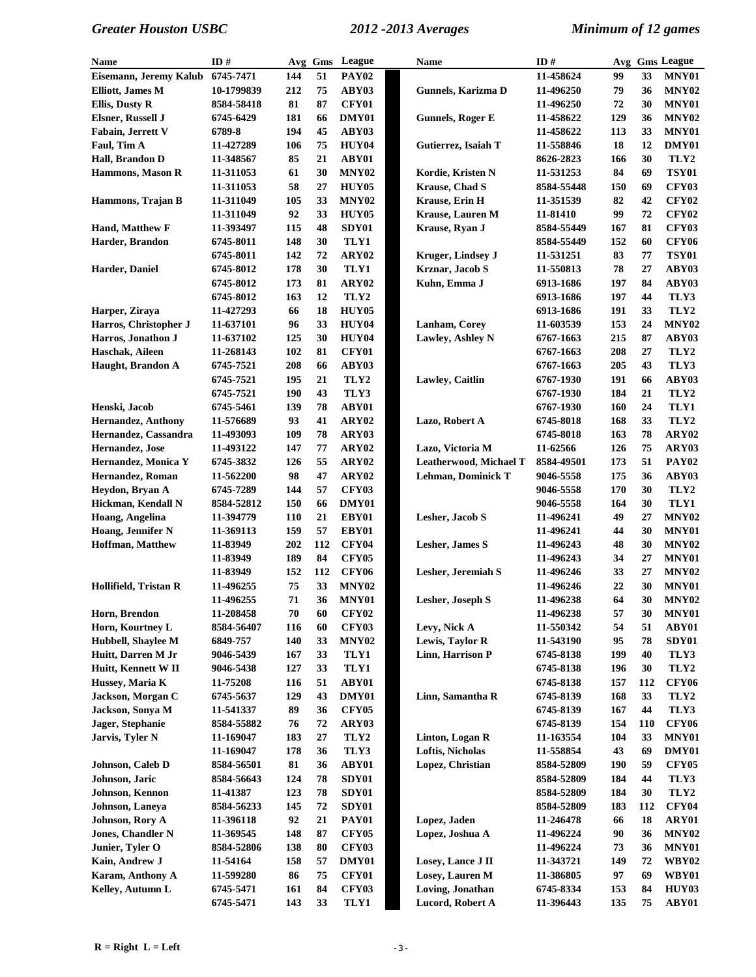| Name                      | ID $#$     |     | Avg Gms | League            | Name |                           | ID#        | Avg |            | <b>Gms League</b> |  |
|---------------------------|------------|-----|---------|-------------------|------|---------------------------|------------|-----|------------|-------------------|--|
| Eisemann, Jeremy Kalub    | 6745-7471  | 144 | 51      | <b>PAY02</b>      |      |                           | 11-458624  | 99  | 33         | MNY01             |  |
| <b>Elliott, James M</b>   | 10-1799839 | 212 | 75      | ABY03             |      | Gunnels, Karizma D        | 11-496250  | 79  | 36         | MNY <sub>02</sub> |  |
| <b>Ellis, Dusty R</b>     | 8584-58418 | 81  | 87      | <b>CFY01</b>      |      |                           | 11-496250  | 72  | 30         | MNY01             |  |
| Elsner, Russell J         | 6745-6429  | 181 | 66      | DMY01             |      | <b>Gunnels, Roger E</b>   | 11-458622  | 129 | 36         | MNY <sub>02</sub> |  |
| Fabain, Jerrett V         | 6789-8     | 194 | 45      | ABY03             |      |                           | 11-458622  | 113 | 33         | MNY01             |  |
| Faul, Tim A               | 11-427289  | 106 | 75      | <b>HUY04</b>      |      | Gutierrez, Isaiah T       | 11-558846  | 18  | 12         | DMY01             |  |
| Hall, Brandon D           | 11-348567  | 85  | 21      | ABY01             |      |                           | 8626-2823  | 166 | 30         | TLY <sub>2</sub>  |  |
| Hammons, Mason R          | 11-311053  | 61  | 30      | <b>MNY02</b>      |      | Kordie, Kristen N         | 11-531253  | 84  | 69         | <b>TSY01</b>      |  |
|                           | 11-311053  | 58  | 27      | HUY05             |      | <b>Krause</b> , Chad S    | 8584-55448 | 150 | 69         | <b>CFY03</b>      |  |
| Hammons, Trajan B         | 11-311049  | 105 | 33      | MNY <sub>02</sub> |      | Krause, Erin H            | 11-351539  | 82  | 42         | <b>CFY02</b>      |  |
|                           | 11-311049  | 92  | 33      | HUY05             |      | <b>Krause, Lauren M</b>   | 11-81410   | 99  | 72         | <b>CFY02</b>      |  |
| Hand, Matthew F           | 11-393497  | 115 | 48      | SDY01             |      | Krause, Ryan J            | 8584-55449 | 167 | 81         | <b>CFY03</b>      |  |
| Harder, Brandon           | 6745-8011  | 148 | 30      | TLY1              |      |                           | 8584-55449 | 152 | 60         | <b>CFY06</b>      |  |
|                           | 6745-8011  | 142 | 72      | ARY02             |      | Kruger, Lindsey J         | 11-531251  | 83  | 77         | <b>TSY01</b>      |  |
| Harder, Daniel            | 6745-8012  | 178 | 30      | TLY1              |      | Krznar, Jacob S           | 11-550813  | 78  | 27         | ABY03             |  |
|                           | 6745-8012  | 173 | 81      | ARY02             |      | Kuhn, Emma J              | 6913-1686  | 197 | 84         | ABY03             |  |
|                           | 6745-8012  | 163 | 12      | TLY <sub>2</sub>  |      |                           | 6913-1686  | 197 | 44         | TLY3              |  |
| Harper, Ziraya            | 11-427293  | 66  | 18      | HUY05             |      |                           | 6913-1686  | 191 | 33         | TLY2              |  |
| Harros, Christopher J     | 11-637101  | 96  | 33      | <b>HUY04</b>      |      | Lanham, Corey             | 11-603539  | 153 | 24         | MNY <sub>02</sub> |  |
| Harros, Jonathon J        | 11-637102  | 125 | 30      | <b>HUY04</b>      |      | Lawley, Ashley N          | 6767-1663  | 215 | 87         | ABY03             |  |
| Haschak, Aileen           | 11-268143  | 102 | 81      | <b>CFY01</b>      |      |                           | 6767-1663  | 208 | 27         | TLY <sub>2</sub>  |  |
| Haught, Brandon A         | 6745-7521  | 208 | 66      | ABY03             |      |                           | 6767-1663  | 205 | 43         | TLY3              |  |
|                           | 6745-7521  | 195 | 21      | TLY <sub>2</sub>  |      | Lawley, Caitlin           | 6767-1930  | 191 | 66         | ABY03             |  |
|                           | 6745-7521  | 190 | 43      | TLY3              |      |                           | 6767-1930  | 184 | 21         | TLY2              |  |
| Henski, Jacob             | 6745-5461  | 139 | 78      | ABY01             |      |                           | 6767-1930  | 160 | 24         | TLY1              |  |
| <b>Hernandez, Anthony</b> | 11-576689  | 93  | 41      | ARY02             |      | Lazo, Robert A            | 6745-8018  | 168 | 33         | TLY2              |  |
| Hernandez, Cassandra      | 11-493093  | 109 | 78      | ARY03             |      |                           | 6745-8018  | 163 | 78         | ARY02             |  |
| Hernandez, Jose           | 11-493122  | 147 | 77      | ARY02             |      | Lazo, Victoria M          | 11-62566   | 126 | 75         | ARY03             |  |
| Hernandez, Monica Y       | 6745-3832  | 126 | 55      | ARY02             |      | Leatherwood, Michael T    | 8584-49501 | 173 | 51         | <b>PAY02</b>      |  |
| Hernandez, Roman          | 11-562200  | 98  | 47      | ARY02             |      | <b>Lehman, Dominick T</b> | 9046-5558  | 175 | 36         | ABY03             |  |
| Heydon, Bryan A           | 6745-7289  | 144 | 57      | <b>CFY03</b>      |      |                           | 9046-5558  | 170 | 30         | TLY2              |  |
| Hickman, Kendall N        | 8584-52812 | 150 | 66      | DMY01             |      |                           | 9046-5558  | 164 | 30         | TLY1              |  |
| Hoang, Angelina           | 11-394779  | 110 | 21      | EBY01             |      | Lesher, Jacob S           | 11-496241  | 49  | 27         | MNY <sub>02</sub> |  |
| Hoang, Jennifer N         | 11-369113  | 159 | 57      | EBY01             |      |                           | 11-496241  | 44  | 30         | MNY01             |  |
| <b>Hoffman, Matthew</b>   | 11-83949   | 202 | 112     | <b>CFY04</b>      |      | <b>Lesher</b> , James S   | 11-496243  | 48  | 30         | MNY <sub>02</sub> |  |
|                           | 11-83949   | 189 | 84      | <b>CFY05</b>      |      |                           | 11-496243  | 34  | 27         | MNY01             |  |
|                           | 11-83949   | 152 | 112     | <b>CFY06</b>      |      | Lesher, Jeremiah S        | 11-496246  | 33  | 27         | MNY <sub>02</sub> |  |
| Hollifield, Tristan R     | 11-496255  | 75  | 33      | MNY <sub>02</sub> |      |                           | 11-496246  | 22  | 30         | MNY01             |  |
|                           | 11-496255  | 71  | 36      | MNY01             |      | Lesher, Joseph S          | 11-496238  | 64  | 30         | MNY <sub>02</sub> |  |
| Horn, Brendon             | 11-208458  | 70  | 60      | <b>CFY02</b>      |      |                           | 11-496238  | 57  | 30         | MNY01             |  |
| Horn, Kourtney L          | 8584-56407 | 116 | 60      | <b>CFY03</b>      |      | Levy, Nick A              | 11-550342  | 54  | 51         | ABY01             |  |
| Hubbell, Shaylee M        | 6849-757   | 140 | 33      | <b>MNY02</b>      |      | Lewis, Taylor R           | 11-543190  | 95  | 78         | SDY01             |  |
| Huitt, Darren M Jr        | 9046-5439  | 167 | 33      | TLY1              |      | Linn, Harrison P          | 6745-8138  | 199 | 40         | TLY3              |  |
| Huitt, Kennett W II       | 9046-5438  | 127 | 33      | TLY1              |      |                           | 6745-8138  | 196 | 30         | TLY <sub>2</sub>  |  |
| Hussey, Maria K           | 11-75208   | 116 | 51      | ABY01             |      |                           | 6745-8138  | 157 | 112        | <b>CFY06</b>      |  |
| Jackson, Morgan C         | 6745-5637  | 129 | 43      | DMY01             |      | Linn, Samantha R          | 6745-8139  | 168 | 33         | TLY2              |  |
| Jackson, Sonya M          | 11-541337  | 89  | 36      | <b>CFY05</b>      |      |                           | 6745-8139  | 167 | 44         | TLY3              |  |
| Jager, Stephanie          | 8584-55882 | 76  | 72      | ARY03             |      |                           | 6745-8139  | 154 | <b>110</b> | <b>CFY06</b>      |  |
| Jarvis, Tyler N           | 11-169047  | 183 | 27      | TLY <sub>2</sub>  |      | Linton, Logan R           | 11-163554  | 104 | 33         | <b>MNY01</b>      |  |
|                           | 11-169047  | 178 | 36      | TLY3              |      | Loftis, Nicholas          | 11-558854  | 43  | 69         | DMY01             |  |
| Johnson, Caleb D          | 8584-56501 | 81  | 36      | ABY01             |      | Lopez, Christian          | 8584-52809 | 190 | 59         | <b>CFY05</b>      |  |
| Johnson, Jaric            | 8584-56643 | 124 | 78      | SDY01             |      |                           | 8584-52809 | 184 | 44         | TLY3              |  |
| Johnson, Kennon           | 11-41387   | 123 | 78      | SDY01             |      |                           | 8584-52809 | 184 | 30         | TLY2              |  |
| Johnson, Laneya           | 8584-56233 | 145 | 72      | SDY01             |      |                           | 8584-52809 | 183 | 112        | <b>CFY04</b>      |  |
| Johnson, Rory A           | 11-396118  | 92  | 21      | <b>PAY01</b>      |      | Lopez, Jaden              | 11-246478  | 66  | 18         | ARY01             |  |
| Jones, Chandler N         | 11-369545  | 148 | 87      | <b>CFY05</b>      |      | Lopez, Joshua A           | 11-496224  | 90  | 36         | MNY <sub>02</sub> |  |
| Junier, Tyler O           | 8584-52806 | 138 | 80      | <b>CFY03</b>      |      |                           | 11-496224  | 73  | 36         | MNY01             |  |
| Kain, Andrew J            | 11-54164   | 158 | 57      | DMY01             |      | Losey, Lance J II         | 11-343721  | 149 | 72         | <b>WBY02</b>      |  |
| Karam, Anthony A          | 11-599280  | 86  | 75      | <b>CFY01</b>      |      | Losey, Lauren M           | 11-386805  | 97  | 69         | <b>WBY01</b>      |  |
| Kelley, Autumn L          | 6745-5471  | 161 | 84      | <b>CFY03</b>      |      | Loving, Jonathan          | 6745-8334  | 153 | 84         | HUY03             |  |
|                           | 6745-5471  | 143 | 33      | TLY1              |      | Lucord, Robert A          | 11-396443  | 135 | 75         | ABY01             |  |
|                           |            |     |         |                   |      |                           |            |     |            |                   |  |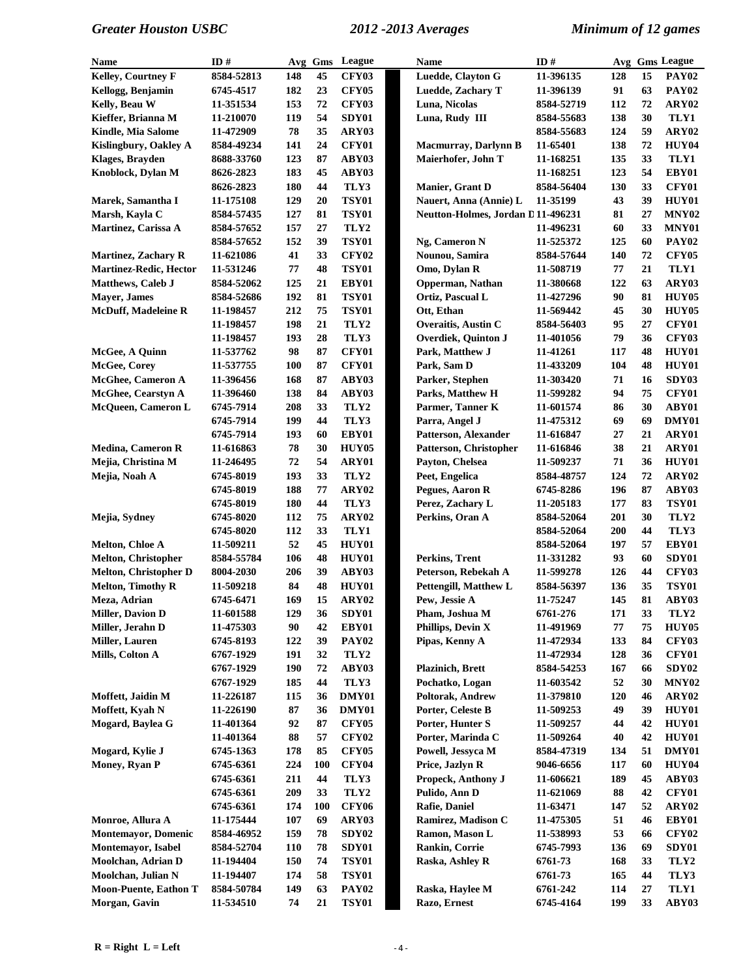| Name                          | ID#              |            |            | Avg Gms League    | <b>Name</b>                       | ID#        |     |    | Avg Gms League    |
|-------------------------------|------------------|------------|------------|-------------------|-----------------------------------|------------|-----|----|-------------------|
| Kelley, Courtney F            | 8584-52813       | 148        | 45         | <b>CFY03</b>      | Luedde, Clayton G                 | 11-396135  | 128 | 15 | <b>PAY02</b>      |
| Kellogg, Benjamin             | 6745-4517        | 182        | 23         | <b>CFY05</b>      | <b>Luedde, Zachary T</b>          | 11-396139  | 91  | 63 | <b>PAY02</b>      |
| Kelly, Beau W                 | 11-351534        | 153        | 72         | <b>CFY03</b>      | Luna, Nicolas                     | 8584-52719 | 112 | 72 | ARY02             |
| Kieffer, Brianna M            | 11-210070        | 119        | 54         | SDY01             | Luna, Rudy III                    | 8584-55683 | 138 | 30 | TLY1              |
| Kindle, Mia Salome            | 11-472909        | 78         | 35         | ARY03             |                                   | 8584-55683 | 124 | 59 | ARY02             |
| Kislingbury, Oakley A         | 8584-49234       | 141        | 24         | <b>CFY01</b>      | Macmurray, Darlynn B              | 11-65401   | 138 | 72 | HUY04             |
| <b>Klages, Brayden</b>        | 8688-33760       | 123        | 87         | ABY03             | Maierhofer, John T                | 11-168251  | 135 | 33 | TLY1              |
| Knoblock, Dylan M             | 8626-2823        | 183        | 45         | ABY03             |                                   | 11-168251  | 123 | 54 | EBY01             |
|                               | 8626-2823        | 180        | 44         | TLY3              | Manier, Grant D                   | 8584-56404 | 130 | 33 | <b>CFY01</b>      |
| Marek, Samantha I             | 11-175108        | 129        | 20         | <b>TSY01</b>      | Nauert, Anna (Annie) L            | 11-35199   | 43  | 39 | HUY01             |
| Marsh, Kayla C                | 8584-57435       | 127        | 81         | <b>TSY01</b>      | Neutton-Holmes, Jordan D11-496231 |            | 81  | 27 | MNY <sub>02</sub> |
| Martinez, Carissa A           | 8584-57652       | 157        | 27         | TLY2              |                                   | 11-496231  | 60  | 33 | MNY01             |
|                               | 8584-57652       | 152        | 39         | <b>TSY01</b>      | Ng, Cameron N                     | 11-525372  | 125 | 60 | <b>PAY02</b>      |
| <b>Martinez, Zachary R</b>    | 11-621086        | 41         | 33         | <b>CFY02</b>      | Nounou, Samira                    | 8584-57644 | 140 | 72 | <b>CFY05</b>      |
| <b>Martinez-Redic, Hector</b> | 11-531246        | ${\bf 77}$ | 48         | <b>TSY01</b>      | Omo, Dylan R                      | 11-508719  | 77  | 21 | TLY1              |
| <b>Matthews, Caleb J</b>      | 8584-52062       | 125        | 21         | EBY01             | Opperman, Nathan                  | 11-380668  | 122 | 63 | ARY03             |
| <b>Mayer</b> , James          | 8584-52686       | 192        | 81         | <b>TSY01</b>      | Ortiz, Pascual L                  | 11-427296  | 90  | 81 | HUY05             |
| <b>McDuff, Madeleine R</b>    | 11-198457        | 212        | 75         | <b>TSY01</b>      | Ott, Ethan                        | 11-569442  | 45  | 30 | HUY05             |
|                               | 11-198457        | 198        | 21         | TLY2              | Overaitis, Austin C               | 8584-56403 | 95  | 27 | <b>CFY01</b>      |
|                               | 11-198457        | 193        | 28         | TLY3              |                                   |            | 79  | 36 | <b>CFY03</b>      |
| McGee, A Quinn                |                  | 98         | 87         |                   | Overdiek, Quinton J               | 11-401056  | 117 | 48 | <b>HUY01</b>      |
|                               | 11-537762        |            | 87         | <b>CFY01</b>      | Park, Matthew J                   | 11-41261   |     | 48 |                   |
| McGee, Corey                  | 11-537755        | <b>100</b> |            | <b>CFY01</b>      | Park, Sam D<br>Parker, Stephen    | 11-433209  | 104 |    | <b>HUY01</b>      |
| <b>McGhee, Cameron A</b>      | 11-396456        | 168        | 87         | ABY03             |                                   | 11-303420  | 71  | 16 | SDY03             |
| <b>McGhee, Cearstyn A</b>     | 11-396460        | 138        | 84         | ABY03             | <b>Parks, Matthew H</b>           | 11-599282  | 94  | 75 | <b>CFY01</b>      |
| McQueen, Cameron L            | 6745-7914        | 208        | 33         | TLY <sub>2</sub>  | Parmer, Tanner K                  | 11-601574  | 86  | 30 | ABY01             |
|                               | 6745-7914        | 199        | 44         | TLY3              | Parra, Angel J                    | 11-475312  | 69  | 69 | DMY01             |
|                               | 6745-7914        | 193        | 60         | EBY01             | Patterson, Alexander              | 11-616847  | 27  | 21 | ARY01             |
| <b>Medina, Cameron R</b>      | 11-616863        | 78         | 30         | <b>HUY05</b>      | Patterson, Christopher            | 11-616846  | 38  | 21 | ARY01             |
| Mejia, Christina M            | 11-246495        | 72         | 54         | ARY01             | Payton, Chelsea                   | 11-509237  | 71  | 36 | HUY01             |
| Mejia, Noah A                 | 6745-8019        | 193        | 33         | TLY <sub>2</sub>  | Peet, Engelica                    | 8584-48757 | 124 | 72 | ARY02             |
|                               | 6745-8019        | 188        | 77         | ARY02             | Pegues, Aaron R                   | 6745-8286  | 196 | 87 | ABY03             |
|                               | 6745-8019        | 180        | 44         | TLY3              | Perez, Zachary L                  | 11-205183  | 177 | 83 | <b>TSY01</b>      |
| Mejia, Sydney                 | <b>6745-8020</b> | 112        | 75         | ARY02             | Perkins, Oran A                   | 8584-52064 | 201 | 30 | TLY2              |
|                               | 6745-8020        | 112        | 33         | TLY1              |                                   | 8584-52064 | 200 | 44 | TLY3              |
| Melton, Chloe A               | 11-509211        | 52         | 45         | <b>HUY01</b>      |                                   | 8584-52064 | 197 | 57 | EBY01             |
| <b>Melton, Christopher</b>    | 8584-55784       | 106        | 48         | <b>HUY01</b>      | Perkins, Trent                    | 11-331282  | 93  | 60 | SDY01             |
| Melton, Christopher D         | 8004-2030        | 206        | 39         | ABY03             | Peterson, Rebekah A               | 11-599278  | 126 | 44 | <b>CFY03</b>      |
| <b>Melton, Timothy R</b>      | 11-509218        | 84         | 48         | <b>HUY01</b>      | <b>Pettengill, Matthew L</b>      | 8584-56397 | 136 | 35 | <b>TSY01</b>      |
| Meza, Adrian                  | 6745-6471        | 169        | 15         | ARY02             | Pew, Jessie A                     | 11-75247   | 145 | 81 | ABY03             |
| <b>Miller, Davion D</b>       | 11-601588        | 129        | 36         | SDY01             | Pham, Joshua M                    | 6761-276   | 171 | 33 | TLY2              |
| Miller, Jerahn D              | 11-475303        | 90         | 42         | EBY01             | Phillips, Devin X                 | 11-491969  | 77  | 75 | HUY05             |
| <b>Miller, Lauren</b>         | 6745-8193        | 122        | 39         | <b>PAY02</b>      | Pipas, Kenny A                    | 11-472934  | 133 | 84 | <b>CFY03</b>      |
| Mills, Colton A               | 6767-1929        | 191        | 32         | TLY2              |                                   | 11-472934  | 128 | 36 | <b>CFY01</b>      |
|                               | 6767-1929        | <b>190</b> | 72         | ABY03             | <b>Plazinich</b> , Brett          | 8584-54253 | 167 | 66 | SDY02             |
|                               | 6767-1929        | 185        | 44         | TLY3              | Pochatko, Logan                   | 11-603542  | 52  | 30 | MNY <sub>02</sub> |
| Moffett, Jaidin M             | 11-226187        | 115        | 36         | DMY01             | Poltorak, Andrew                  | 11-379810  | 120 | 46 | ARY02             |
| Moffett, Kyah N               | 11-226190        | 87         | 36         | DMY01             | Porter, Celeste B                 | 11-509253  | 49  | 39 | HUY01             |
| Mogard, Baylea G              | 11-401364        | 92         | 87         | <b>CFY05</b>      | Porter, Hunter S                  | 11-509257  | 44  | 42 | HUY01             |
|                               | 11-401364        | 88         | 57         | <b>CFY02</b>      | Porter, Marinda C                 | 11-509264  | 40  | 42 | HUY01             |
| Mogard, Kylie J               | 6745-1363        | 178        | 85         | CFY05             | Powell, Jessyca M                 | 8584-47319 | 134 | 51 | DMY01             |
| Money, Ryan P                 | 6745-6361        | 224        | <b>100</b> | <b>CFY04</b>      | Price, Jazlyn R                   | 9046-6656  | 117 | 60 | HUY04             |
|                               | 6745-6361        | 211        | 44         | TLY3              | Propeck, Anthony J                | 11-606621  | 189 | 45 | ABY03             |
|                               | 6745-6361        | 209        | 33         | TLY2              | Pulido, Ann D                     | 11-621069  | 88  | 42 | <b>CFY01</b>      |
|                               | 6745-6361        | 174        | <b>100</b> | <b>CFY06</b>      | Rafie, Daniel                     | 11-63471   | 147 | 52 | ARY02             |
| Monroe, Allura A              | 11-175444        | 107        | 69         | ARY03             | Ramirez, Madison C                | 11-475305  | 51  | 46 | EBY01             |
| <b>Montemayor, Domenic</b>    | 8584-46952       | 159        | 78         | SDY <sub>02</sub> | Ramon, Mason L                    | 11-538993  | 53  | 66 | <b>CFY02</b>      |
|                               |                  |            |            |                   |                                   |            |     |    |                   |
| Montemayor, Isabel            | 8584-52704       | <b>110</b> | 78         | SDY01             | Rankin, Corrie                    | 6745-7993  | 136 | 69 | SDY01             |
| Moolchan, Adrian D            | 11-194404        | 150        | 74         | <b>TSY01</b>      | Raska, Ashley R                   | 6761-73    | 168 | 33 | TLY2              |
| Moolchan, Julian N            | 11-194407        | 174        | 58         | <b>TSY01</b>      |                                   | 6761-73    | 165 | 44 | TLY3              |
| <b>Moon-Puente, Eathon T</b>  | 8584-50784       | 149        | 63         | <b>PAY02</b>      | Raska, Haylee M                   | 6761-242   | 114 | 27 | TLY1              |
| Morgan, Gavin                 | 11-534510        | 74         | 21         | <b>TSY01</b>      | Razo, Ernest                      | 6745-4164  | 199 | 33 | ABY03             |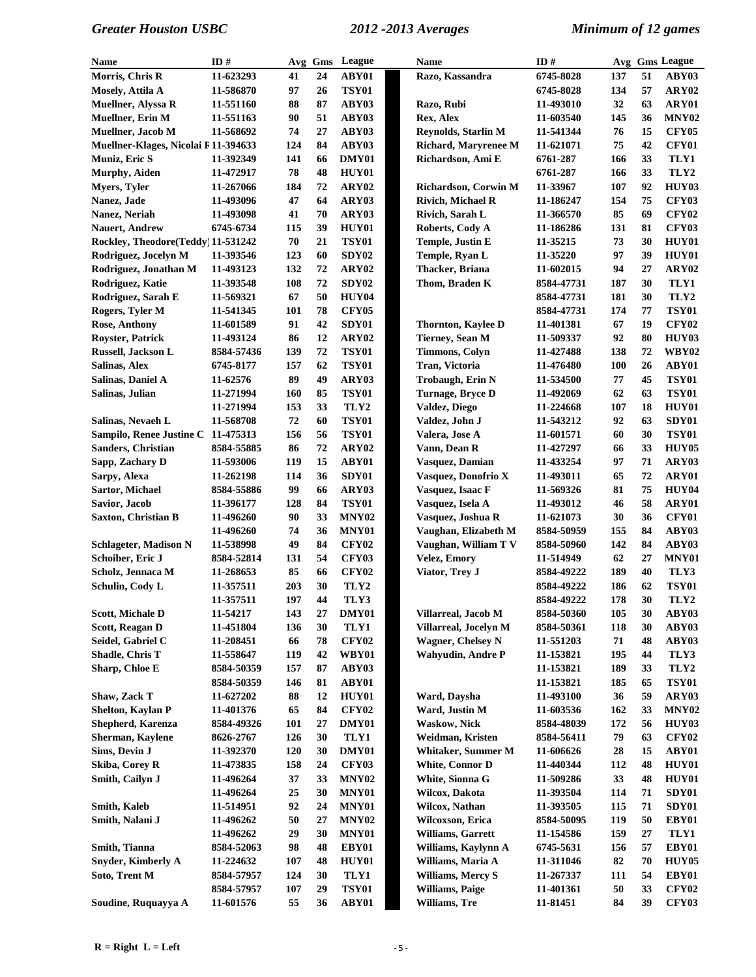| Name                                | ID#        |     |    | Avg Gms League    | <b>Name</b>                 | ID#        |     |    | Avg Gms League    |
|-------------------------------------|------------|-----|----|-------------------|-----------------------------|------------|-----|----|-------------------|
| Morris, Chris R                     | 11-623293  | 41  | 24 | ABY01             | Razo, Kassandra             | 6745-8028  | 137 | 51 | ABY03             |
| Mosely, Attila A                    | 11-586870  | 97  | 26 | <b>TSY01</b>      |                             | 6745-8028  | 134 | 57 | ARY02             |
| Muellner, Alyssa R                  | 11-551160  | 88  | 87 | ABY03             | Razo, Rubi                  | 11-493010  | 32  | 63 | ARY01             |
|                                     |            | 90  | 51 | ABY03             | Rex, Alex                   | 11-603540  | 145 | 36 | MNY <sub>02</sub> |
| Muellner, Erin M                    | 11-551163  |     |    |                   |                             |            |     |    |                   |
| Muellner, Jacob M                   | 11-568692  | 74  | 27 | ABY03             | Reynolds, Starlin M         | 11-541344  | 76  | 15 | CFY05             |
| Muellner-Klages, Nicolai F11-394633 |            | 124 | 84 | ABY03             | <b>Richard, Maryrenee M</b> | 11-621071  | 75  | 42 | <b>CFY01</b>      |
| Muniz, Eric S                       | 11-392349  | 141 | 66 | DMY01             | Richardson, Ami E           | 6761-287   | 166 | 33 | TLY1              |
| Murphy, Aiden                       | 11-472917  | 78  | 48 | HUY01             |                             | 6761-287   | 166 | 33 | TLY2              |
| <b>Myers, Tyler</b>                 | 11-267066  | 184 | 72 | ARY02             | Richardson, Corwin M        | 11-33967   | 107 | 92 | HUY03             |
| Nanez, Jade                         | 11-493096  | 47  | 64 | ARY03             | <b>Rivich, Michael R</b>    | 11-186247  | 154 | 75 | <b>CFY03</b>      |
| Nanez, Neriah                       | 11-493098  | 41  | 70 | ARY03             | Rivich, Sarah L             | 11-366570  | 85  | 69 | <b>CFY02</b>      |
| <b>Nauert, Andrew</b>               | 6745-6734  | 115 | 39 | <b>HUY01</b>      | Roberts, Cody A             | 11-186286  | 131 | 81 | <b>CFY03</b>      |
| Rockley, Theodore(Teddy) 11-531242  |            | 70  | 21 | <b>TSY01</b>      | <b>Temple, Justin E</b>     | 11-35215   | 73  | 30 | HUY01             |
| Rodriguez, Jocelyn M                | 11-393546  | 123 | 60 | SDY <sub>02</sub> | Temple, Ryan L              | 11-35220   | 97  | 39 | HUY01             |
| Rodriguez, Jonathan M               | 11-493123  | 132 | 72 | ARY02             | Thacker, Briana             | 11-602015  | 94  | 27 | ARY02             |
| Rodriguez, Katie                    | 11-393548  | 108 | 72 | SDY02             | Thom, Braden K              | 8584-47731 | 187 | 30 | TLY1              |
| Rodriguez, Sarah E                  | 11-569321  | 67  | 50 | <b>HUY04</b>      |                             | 8584-47731 | 181 | 30 | TLY2              |
| Rogers, Tyler M                     | 11-541345  | 101 | 78 | <b>CFY05</b>      |                             | 8584-47731 | 174 | 77 | <b>TSY01</b>      |
|                                     | 11-601589  | 91  | 42 | SDY01             |                             | 11-401381  | 67  | 19 | <b>CFY02</b>      |
| <b>Rose, Anthony</b>                |            |     |    |                   | <b>Thornton, Kaylee D</b>   |            |     |    |                   |
| <b>Royster, Patrick</b>             | 11-493124  | 86  | 12 | ARY02             | Tierney, Sean M             | 11-509337  | 92  | 80 | HUY03             |
| Russell, Jackson L                  | 8584-57436 | 139 | 72 | <b>TSY01</b>      | <b>Timmons, Colyn</b>       | 11-427488  | 138 | 72 | WBY02             |
| Salinas, Alex                       | 6745-8177  | 157 | 62 | <b>TSY01</b>      | Tran, Victoria              | 11-476480  | 100 | 26 | ABY01             |
| Salinas, Daniel A                   | 11-62576   | 89  | 49 | ARY03             | Trobaugh, Erin N            | 11-534500  | 77  | 45 | <b>TSY01</b>      |
| Salinas, Julian                     | 11-271994  | 160 | 85 | <b>TSY01</b>      | Turnage, Bryce D            | 11-492069  | 62  | 63 | <b>TSY01</b>      |
|                                     | 11-271994  | 153 | 33 | TLY2              | Valdez, Diego               | 11-224668  | 107 | 18 | <b>HUY01</b>      |
| Salinas, Nevaeh L                   | 11-568708  | 72  | 60 | <b>TSY01</b>      | Valdez, John J              | 11-543212  | 92  | 63 | SDY01             |
| Sampilo, Renee Justine C 11-475313  |            | 156 | 56 | <b>TSY01</b>      | Valera, Jose A              | 11-601571  | 60  | 30 | <b>TSY01</b>      |
| Sanders, Christian                  | 8584-55885 | 86  | 72 | ARY02             | Vann, Dean R                | 11-427297  | 66  | 33 | HUY05             |
| Sapp, Zachary D                     | 11-593006  | 119 | 15 | ABY01             | Vasquez, Damian             | 11-433254  | 97  | 71 | ARY03             |
| Sarpy, Alexa                        | 11-262198  | 114 | 36 | SDY01             | Vasquez, Donofrio X         | 11-493011  | 65  | 72 | ARY01             |
| Sartor, Michael                     | 8584-55886 | 99  | 66 | ARY03             | Vasquez, Isaac F            | 11-569326  | 81  | 75 | HUY04             |
| Savior, Jacob                       | 11-396177  | 128 | 84 | <b>TSY01</b>      | Vasquez, Isela A            | 11-493012  | 46  | 58 | ARY01             |
| Saxton, Christian B                 | 11-496260  | 90  | 33 | MNY <sub>02</sub> | Vasquez, Joshua R           | 11-621073  | 30  | 36 | <b>CFY01</b>      |
|                                     |            | 74  | 36 | MNY01             |                             |            | 155 | 84 | ABY03             |
|                                     | 11-496260  |     |    |                   | Vaughan, Elizabeth M        | 8584-50959 |     |    |                   |
| Schlageter, Madison N               | 11-538998  | 49  | 84 | <b>CFY02</b>      | Vaughan, William T V        | 8584-50960 | 142 | 84 | ABY03             |
| Schoiber, Eric J                    | 8584-52814 | 131 | 54 | <b>CFY03</b>      | Velez, Emory                | 11-514949  | 62  | 27 | MNY01             |
| Scholz, Jennaca M                   | 11-268653  | 85  | 66 | <b>CFY02</b>      | Viator, Trey J              | 8584-49222 | 189 | 40 | TLY3              |
| Schulin, Cody L                     | 11-357511  | 203 | 30 | TLY2              |                             | 8584-49222 | 186 | 62 | <b>TSY01</b>      |
|                                     | 11-357511  | 197 | 44 | TLY3              |                             | 8584-49222 | 178 | 30 | TLY2              |
| <b>Scott, Michale D</b>             | 11-54217   | 143 | 27 | DMY01             | Villarreal, Jacob M         | 8584-50360 | 105 | 30 | ABY03             |
| Scott, Reagan D                     | 11-451804  | 136 | 30 | TLY1              | Villarreal, Jocelyn M       | 8584-50361 | 118 | 30 | ABY03             |
| Seidel, Gabriel C                   | 11-208451  | 66  | 78 | <b>CFY02</b>      | <b>Wagner, Chelsey N</b>    | 11-551203  | 71  | 48 | ABY03             |
| Shadle, Chris T                     | 11-558647  | 119 | 42 | WBY01             | <b>Wahyudin, Andre P</b>    | 11-153821  | 195 | 44 | TLY3              |
| Sharp, Chloe E                      | 8584-50359 | 157 | 87 | ABY03             |                             | 11-153821  | 189 | 33 | TLY <sub>2</sub>  |
|                                     | 8584-50359 | 146 | 81 | ABY01             |                             | 11-153821  | 185 | 65 | <b>TSY01</b>      |
| Shaw, Zack T                        | 11-627202  | 88  | 12 | HUY01             | Ward, Daysha                | 11-493100  | 36  | 59 | ARY03             |
| Shelton, Kaylan P                   | 11-401376  | 65  | 84 | <b>CFY02</b>      | Ward, Justin M              | 11-603536  | 162 | 33 | MNY <sub>02</sub> |
| Shepherd, Karenza                   | 8584-49326 | 101 | 27 | DMY01             | <b>Waskow</b> , Nick        | 8584-48039 | 172 | 56 | HUY03             |
| Sherman, Kaylene                    | 8626-2767  | 126 | 30 | TLY1              | Weidman, Kristen            | 8584-56411 | 79  | 63 | <b>CFY02</b>      |
|                                     |            |     |    |                   |                             |            |     |    |                   |
| Sims, Devin J                       | 11-392370  | 120 | 30 | DMY01             | Whitaker, Summer M          | 11-606626  | 28  | 15 | ABY01             |
| Skiba, Corey R                      | 11-473835  | 158 | 24 | <b>CFY03</b>      | White, Connor D             | 11-440344  | 112 | 48 | HUY01             |
| Smith, Cailyn J                     | 11-496264  | 37  | 33 | <b>MNY02</b>      | White, Sionna G             | 11-509286  | 33  | 48 | HUY01             |
|                                     | 11-496264  | 25  | 30 | MNY01             | Wilcox, Dakota              | 11-393504  | 114 | 71 | SDY01             |
| Smith, Kaleb                        | 11-514951  | 92  | 24 | MNY01             | Wilcox, Nathan              | 11-393505  | 115 | 71 | SDY01             |
| Smith, Nalani J                     | 11-496262  | 50  | 27 | <b>MNY02</b>      | Wilcoxson, Erica            | 8584-50095 | 119 | 50 | EBY01             |
|                                     | 11-496262  | 29  | 30 | MNY01             | Williams, Garrett           | 11-154586  | 159 | 27 | TLY1              |
| Smith, Tianna                       | 8584-52063 | 98  | 48 | EBY01             | Williams, Kaylynn A         | 6745-5631  | 156 | 57 | EBY01             |
| Snyder, Kimberly A                  | 11-224632  | 107 | 48 | <b>HUY01</b>      | Williams, Maria A           | 11-311046  | 82  | 70 | HUY05             |
| Soto, Trent M                       | 8584-57957 | 124 | 30 | TLY1              | <b>Williams, Mercy S</b>    | 11-267337  | 111 | 54 | EBY01             |
|                                     | 8584-57957 | 107 | 29 | <b>TSY01</b>      | Williams, Paige             | 11-401361  | 50  | 33 | <b>CFY02</b>      |
| Soudine, Ruquayya A                 | 11-601576  | 55  | 36 | ABY01             | Williams, Tre               | 11-81451   | 84  | 39 | <b>CFY03</b>      |
|                                     |            |     |    |                   |                             |            |     |    |                   |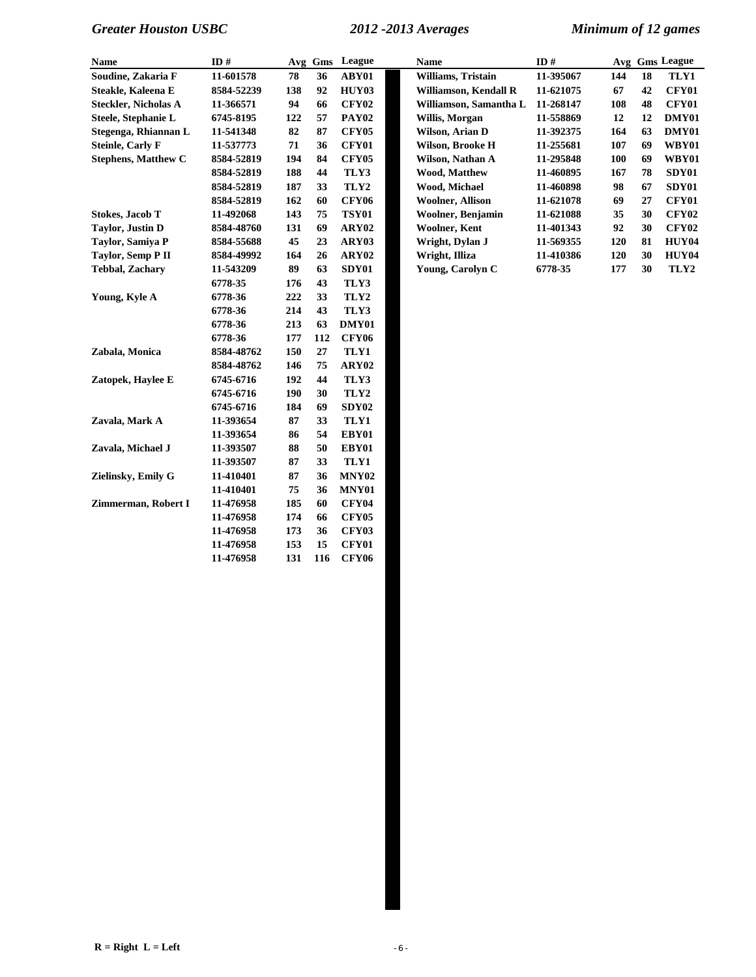| Name                        | ID#        | Avg | Gms | League            |
|-----------------------------|------------|-----|-----|-------------------|
| Soudine, Zakaria F          | 11-601578  | 78  | 36  | ABY01             |
| Steakle, Kaleena E          | 8584-52239 | 138 | 92  | HUY03             |
| <b>Steckler, Nicholas A</b> | 11-366571  | 94  | 66  | <b>CFY02</b>      |
| Steele, Stephanie L         | 6745-8195  | 122 | 57  | <b>PAY02</b>      |
| Stegenga, Rhiannan L        | 11-541348  | 82  | 87  | <b>CFY05</b>      |
| <b>Steinle, Carly F</b>     | 11-537773  | 71  | 36  | <b>CFY01</b>      |
| <b>Stephens, Matthew C</b>  | 8584-52819 | 194 | 84  | <b>CFY05</b>      |
|                             | 8584-52819 | 188 | 44  | TLY3              |
|                             | 8584-52819 | 187 | 33  | TLY2              |
|                             | 8584-52819 | 162 | 60  | <b>CFY06</b>      |
| <b>Stokes, Jacob T</b>      | 11-492068  | 143 | 75  | <b>TSY01</b>      |
| <b>Taylor</b> , Justin D    | 8584-48760 | 131 | 69  | ARY <sub>02</sub> |
| Taylor, Samiya P            | 8584-55688 | 45  | 23  | ARY03             |
| Taylor, Semp P II           | 8584-49992 | 164 | 26  | ARY02             |
| <b>Tebbal, Zachary</b>      | 11-543209  | 89  | 63  | SDY01             |
|                             | 6778-35    | 176 | 43  | TLY3              |
| Young, Kyle A               | 6778-36    | 222 | 33  | TLY2              |
|                             | 6778-36    | 214 | 43  | TLY3              |
|                             | 6778-36    | 213 | 63  | DMY01             |
|                             | 6778-36    | 177 | 112 | <b>CFY06</b>      |
| Zabala, Monica              | 8584-48762 | 150 | 27  | TLY1              |
|                             | 8584-48762 | 146 | 75  | ARY02             |
| Zatopek, Haylee E           | 6745-6716  | 192 | 44  | TLY3              |
|                             | 6745-6716  | 190 | 30  | TLY2              |
|                             | 6745-6716  | 184 | 69  | SDY <sub>02</sub> |
| Zavala, Mark A              | 11-393654  | 87  | 33  | TLY1              |
|                             | 11-393654  | 86  | 54  | EBY01             |
| Zavala, Michael J           | 11-393507  | 88  | 50  | EBY01             |
|                             | 11-393507  | 87  | 33  | TLY1              |
| Zielinsky, Emily G          | 11-410401  | 87  | 36  | MNY02             |
|                             | 11-410401  | 75  | 36  | MNY01             |
| Zimmerman, Robert I         | 11-476958  | 185 | 60  | <b>CFY04</b>      |
|                             | 11-476958  | 174 | 66  | <b>CFY05</b>      |
|                             | 11-476958  | 173 | 36  | <b>CFY03</b>      |
|                             | 11-476958  | 153 | 15  | <b>CFY01</b>      |
|                             | 11-476958  | 131 | 116 | <b>CFY06</b>      |

| Name                       | ID#        |     | Avg Gms | League       | <b>Name</b>              | ID#       |     |    | Avg Gms League    |
|----------------------------|------------|-----|---------|--------------|--------------------------|-----------|-----|----|-------------------|
| Soudine, Zakaria F         | 11-601578  | 78  | 36      | ABY01        | Williams, Tristain       | 11-395067 | 144 | 18 | TLY1              |
| Steakle, Kaleena E         | 8584-52239 | 138 | 92      | HUY03        | Williamson, Kendall R    | 11-621075 | 67  | 42 | <b>CFY01</b>      |
| Steckler, Nicholas A       | 11-366571  | 94  | 66      | CFY02        | Williamson, Samantha L   | 11-268147 | 108 | 48 | <b>CFY01</b>      |
| Steele, Stephanie L        | 6745-8195  | 122 | 57      | <b>PAY02</b> | Willis, Morgan           | 11-558869 | 12  | 12 | DMY01             |
| Stegenga, Rhiannan L       | 11-541348  | 82  | 87      | <b>CFY05</b> | Wilson, Arian D          | 11-392375 | 164 | 63 | DMY01             |
| Steinle, Carly F           | 11-537773  | 71  | 36      | CFY01        | Wilson, Brooke H         | 11-255681 | 107 | 69 | WBY01             |
| <b>Stephens, Matthew C</b> | 8584-52819 | 194 | 84      | <b>CFY05</b> | Wilson. Nathan A         | 11-295848 | 100 | 69 | WBY01             |
|                            | 8584-52819 | 188 | 44      | TLY3         | <b>Wood, Matthew</b>     | 11-460895 | 167 | 78 | SDY01             |
|                            | 8584-52819 | 187 | 33      | TLY2         | Wood, Michael            | 11-460898 | 98  | 67 | SDY01             |
|                            | 8584-52819 | 162 | 60      | <b>CFY06</b> | <b>Woolner, Allison</b>  | 11-621078 | 69  | 27 | <b>CFY01</b>      |
| Stokes. Jacob T            | 11-492068  | 143 | 75      | <b>TSY01</b> | <b>Woolner, Benjamin</b> | 11-621088 | 35  | 30 | <b>CFY02</b>      |
| Tavlor, Justin D           | 8584-48760 | 131 | 69      | ARY02        | Woolner, Kent            | 11-401343 | 92  | 30 | CFY <sub>02</sub> |
| Tavlor, Samiva P           | 8584-55688 | 45  | 23      | ARY03        | Wright, Dylan J          | 11-569355 | 120 | 81 | HUY04             |
| Taylor, Semp P II          | 8584-49992 | 164 | 26      | ARY02        | Wright, Illiza           | 11-410386 | 120 | 30 | HUY04             |
| Tebbal, Zacharv            | 11-543209  | 89  | 63      | SDY01        | Young, Carolyn C         | 6778-35   | 177 | 30 | TLY2              |
|                            |            |     |         |              |                          |           |     |    |                   |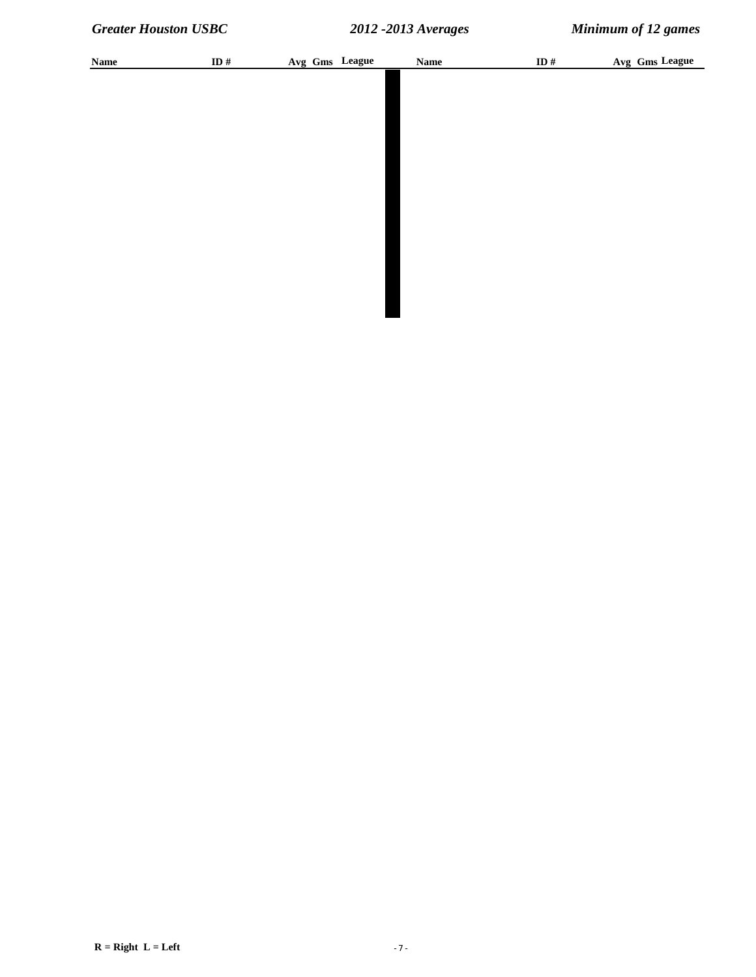| ID # | Avg Gms League | $\mathbf{Name}$ | ID # | Avg Gms League |
|------|----------------|-----------------|------|----------------|
|      |                |                 |      |                |
|      |                |                 |      |                |
|      |                |                 |      |                |
|      |                |                 |      |                |
|      |                |                 |      |                |
|      |                |                 |      |                |
|      |                |                 |      |                |
|      |                |                 |      |                |
|      |                |                 |      |                |
|      |                |                 |      |                |
|      |                |                 |      |                |
|      |                |                 |      |                |
|      |                |                 |      |                |

 $R = Right L = Left$  - 7 -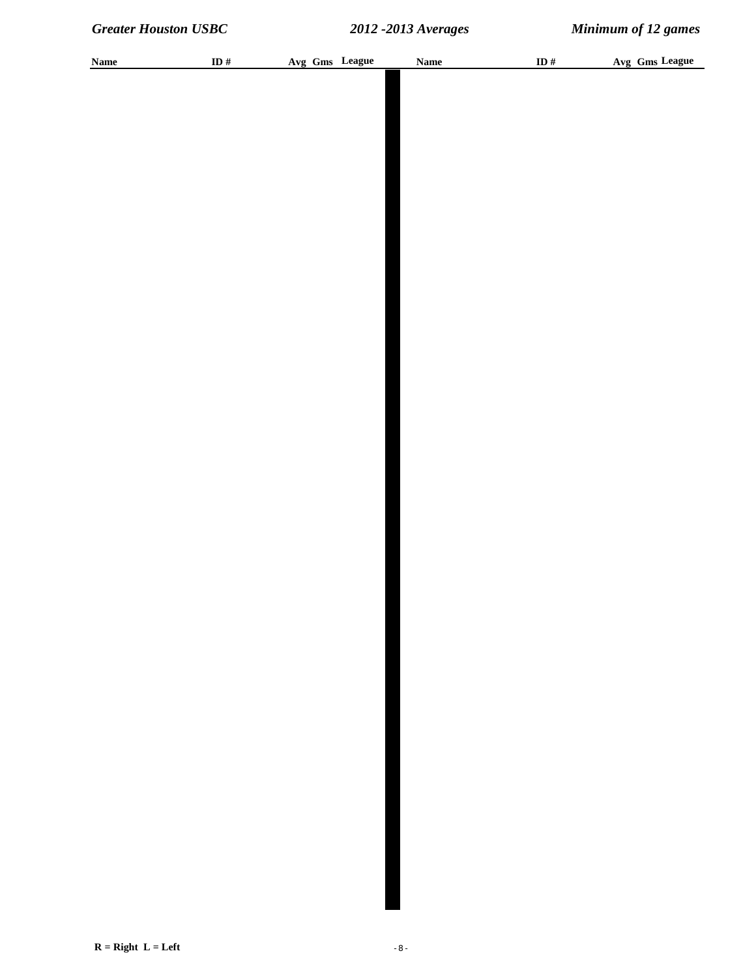| <b>Name</b> | ID # |  | Avg Gms League | <b>Name</b> | ID $\#$ | Avg Gms League |
|-------------|------|--|----------------|-------------|---------|----------------|
|             |      |  |                |             |         |                |
|             |      |  |                |             |         |                |
|             |      |  |                |             |         |                |
|             |      |  |                |             |         |                |
|             |      |  |                |             |         |                |
|             |      |  |                |             |         |                |
|             |      |  |                |             |         |                |
|             |      |  |                |             |         |                |
|             |      |  |                |             |         |                |
|             |      |  |                |             |         |                |
|             |      |  |                |             |         |                |
|             |      |  |                |             |         |                |
|             |      |  |                |             |         |                |
|             |      |  |                |             |         |                |
|             |      |  |                |             |         |                |
|             |      |  |                |             |         |                |
|             |      |  |                |             |         |                |
|             |      |  |                |             |         |                |
|             |      |  |                |             |         |                |
|             |      |  |                |             |         |                |
|             |      |  |                |             |         |                |
|             |      |  |                |             |         |                |
|             |      |  |                |             |         |                |
|             |      |  |                |             |         |                |
|             |      |  |                |             |         |                |
|             |      |  |                |             |         |                |
|             |      |  |                |             |         |                |
|             |      |  |                |             |         |                |
|             |      |  |                |             |         |                |
|             |      |  |                |             |         |                |
|             |      |  |                |             |         |                |
|             |      |  |                |             |         |                |
|             |      |  |                |             |         |                |
|             |      |  |                |             |         |                |
|             |      |  |                |             |         |                |
|             |      |  |                |             |         |                |
|             |      |  |                |             |         |                |
|             |      |  |                |             |         |                |
|             |      |  |                |             |         |                |
|             |      |  |                |             |         |                |
|             |      |  |                |             |         |                |
|             |      |  |                |             |         |                |
|             |      |  |                |             |         |                |
|             |      |  |                |             |         |                |
|             |      |  |                |             |         |                |
|             |      |  |                |             |         |                |
|             |      |  |                |             |         |                |
|             |      |  |                |             |         |                |
|             |      |  |                |             |         |                |
|             |      |  |                |             |         |                |
|             |      |  |                |             |         |                |
|             |      |  |                |             |         |                |
|             |      |  |                |             |         |                |
|             |      |  |                |             |         |                |
|             |      |  |                |             |         |                |
|             |      |  |                |             |         |                |
|             |      |  |                |             |         |                |
|             |      |  |                |             |         |                |
|             |      |  |                |             |         |                |
|             |      |  |                |             |         |                |
|             |      |  |                |             |         |                |
|             |      |  |                |             |         |                |
|             |      |  |                |             |         |                |
|             |      |  |                |             |         |                |
|             |      |  |                |             |         |                |
|             |      |  |                |             |         |                |
|             |      |  |                |             |         |                |
|             |      |  |                |             |         |                |
|             |      |  |                |             |         |                |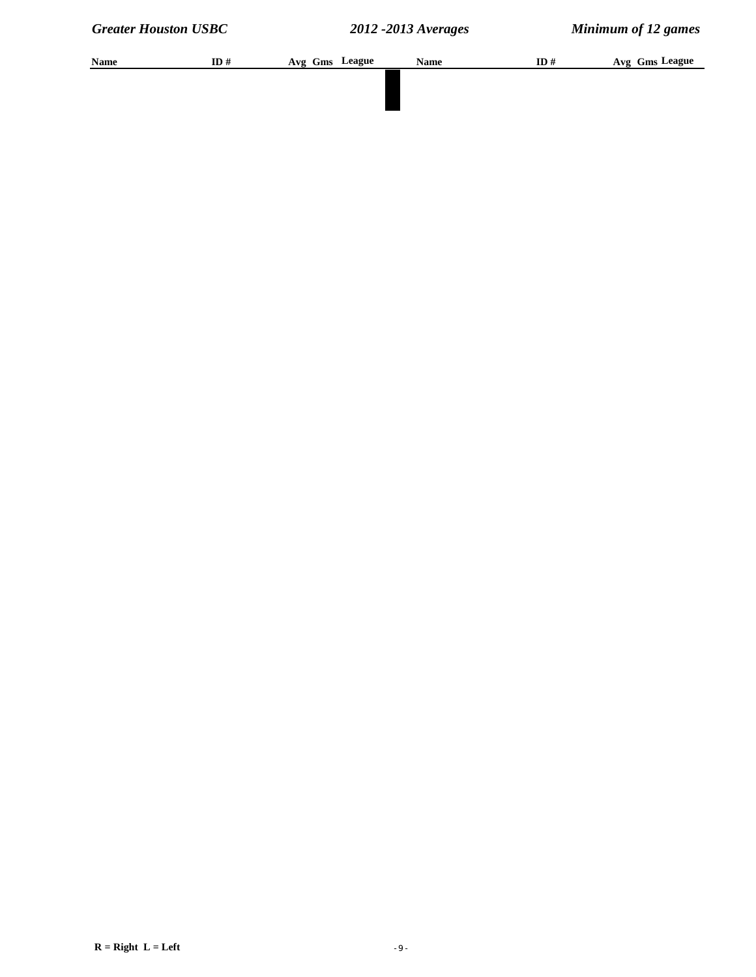| Name | ID# | Avg Gms League | <b>Name</b> | ID# | Avg Gms League |
|------|-----|----------------|-------------|-----|----------------|
|      |     |                |             |     |                |
|      |     |                |             |     |                |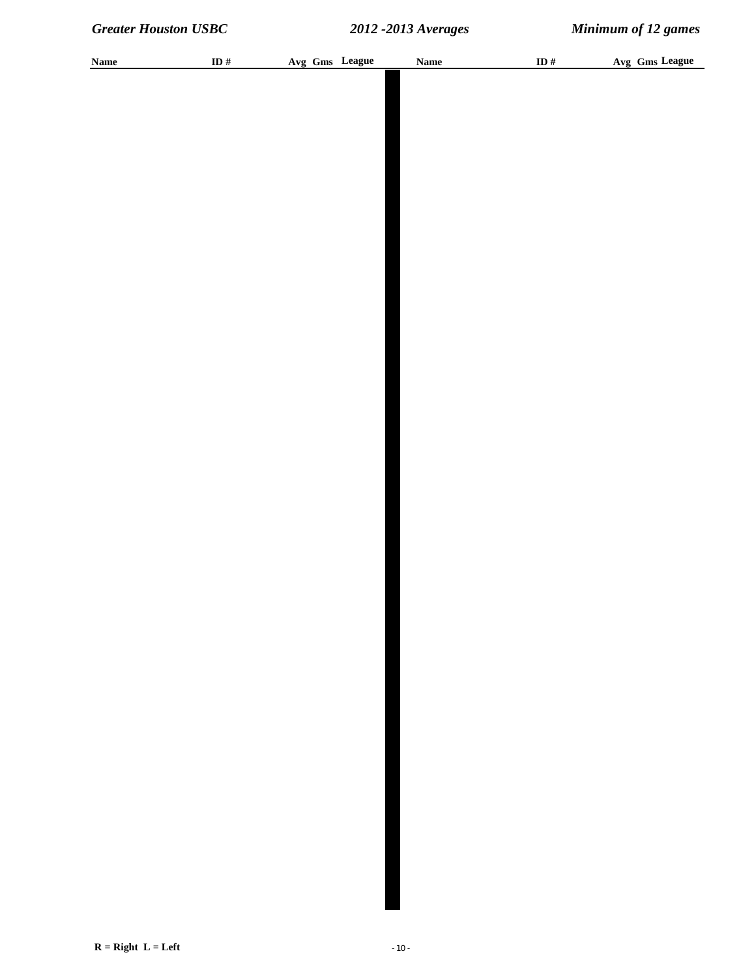| <b>Name</b> | ID # | Avg Gms League | <b>Name</b> | ID $\#$ | Avg Gms League |
|-------------|------|----------------|-------------|---------|----------------|
|             |      |                |             |         |                |
|             |      |                |             |         |                |
|             |      |                |             |         |                |
|             |      |                |             |         |                |
|             |      |                |             |         |                |
|             |      |                |             |         |                |
|             |      |                |             |         |                |
|             |      |                |             |         |                |
|             |      |                |             |         |                |
|             |      |                |             |         |                |
|             |      |                |             |         |                |
|             |      |                |             |         |                |
|             |      |                |             |         |                |
|             |      |                |             |         |                |
|             |      |                |             |         |                |
|             |      |                |             |         |                |
|             |      |                |             |         |                |
|             |      |                |             |         |                |
|             |      |                |             |         |                |
|             |      |                |             |         |                |
|             |      |                |             |         |                |
|             |      |                |             |         |                |
|             |      |                |             |         |                |
|             |      |                |             |         |                |
|             |      |                |             |         |                |
|             |      |                |             |         |                |
|             |      |                |             |         |                |
|             |      |                |             |         |                |
|             |      |                |             |         |                |
|             |      |                |             |         |                |
|             |      |                |             |         |                |
|             |      |                |             |         |                |
|             |      |                |             |         |                |
|             |      |                |             |         |                |
|             |      |                |             |         |                |
|             |      |                |             |         |                |
|             |      |                |             |         |                |
|             |      |                |             |         |                |
|             |      |                |             |         |                |
|             |      |                |             |         |                |
|             |      |                |             |         |                |
|             |      |                |             |         |                |
|             |      |                |             |         |                |
|             |      |                |             |         |                |
|             |      |                |             |         |                |
|             |      |                |             |         |                |
|             |      |                |             |         |                |
|             |      |                |             |         |                |
|             |      |                |             |         |                |
|             |      |                |             |         |                |
|             |      |                |             |         |                |
|             |      |                |             |         |                |
|             |      |                |             |         |                |
|             |      |                |             |         |                |
|             |      |                |             |         |                |
|             |      |                |             |         |                |
|             |      |                |             |         |                |
|             |      |                |             |         |                |
|             |      |                |             |         |                |
|             |      |                |             |         |                |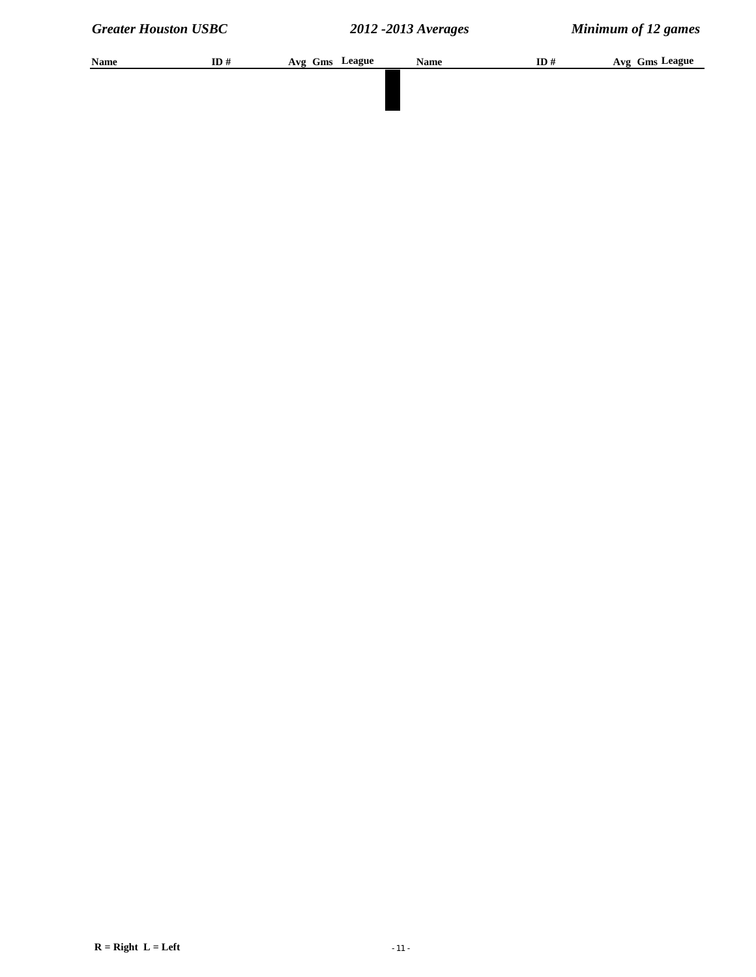| Name | ID# | Avg Gms League | <b>Name</b> | ID# | Avg Gms League |
|------|-----|----------------|-------------|-----|----------------|
|      |     |                |             |     |                |
|      |     |                |             |     |                |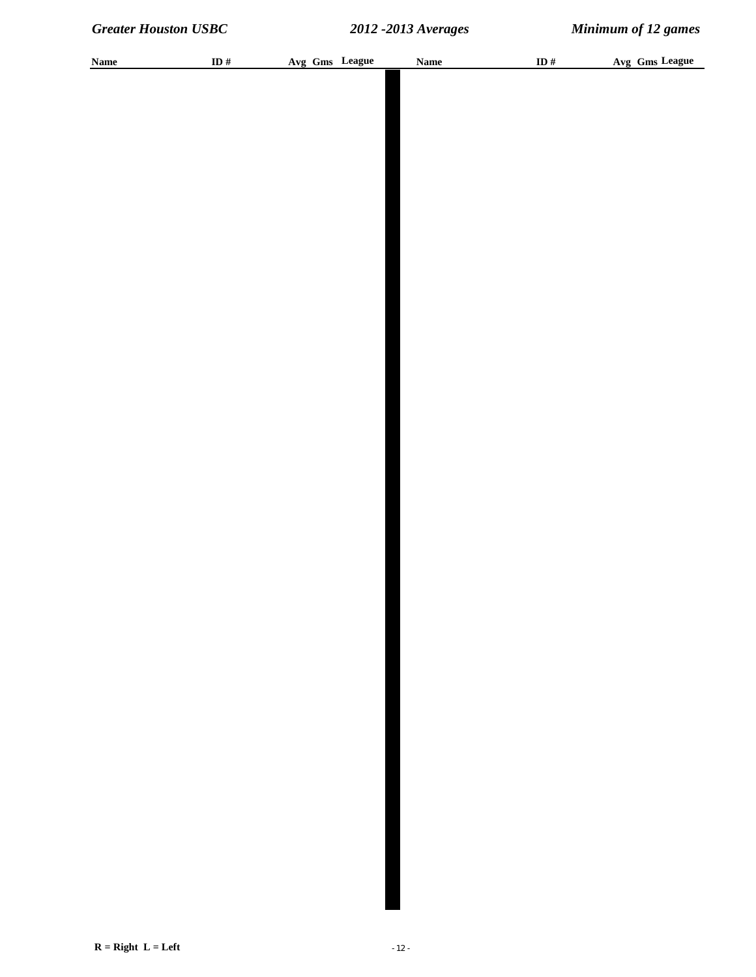| <b>Name</b> | ID $\#$ | Avg Gms League | <b>Name</b> | ID $\#$ | Avg Gms League |
|-------------|---------|----------------|-------------|---------|----------------|
|             |         |                |             |         |                |
|             |         |                |             |         |                |
|             |         |                |             |         |                |
|             |         |                |             |         |                |
|             |         |                |             |         |                |
|             |         |                |             |         |                |
|             |         |                |             |         |                |
|             |         |                |             |         |                |
|             |         |                |             |         |                |
|             |         |                |             |         |                |
|             |         |                |             |         |                |
|             |         |                |             |         |                |
|             |         |                |             |         |                |
|             |         |                |             |         |                |
|             |         |                |             |         |                |
|             |         |                |             |         |                |
|             |         |                |             |         |                |
|             |         |                |             |         |                |
|             |         |                |             |         |                |
|             |         |                |             |         |                |
|             |         |                |             |         |                |
|             |         |                |             |         |                |
|             |         |                |             |         |                |
|             |         |                |             |         |                |
|             |         |                |             |         |                |
|             |         |                |             |         |                |
|             |         |                |             |         |                |
|             |         |                |             |         |                |
|             |         |                |             |         |                |
|             |         |                |             |         |                |
|             |         |                |             |         |                |
|             |         |                |             |         |                |
|             |         |                |             |         |                |
|             |         |                |             |         |                |
|             |         |                |             |         |                |
|             |         |                |             |         |                |
|             |         |                |             |         |                |
|             |         |                |             |         |                |
|             |         |                |             |         |                |
|             |         |                |             |         |                |
|             |         |                |             |         |                |
|             |         |                |             |         |                |
|             |         |                |             |         |                |
|             |         |                |             |         |                |
|             |         |                |             |         |                |
|             |         |                |             |         |                |
|             |         |                |             |         |                |
|             |         |                |             |         |                |
|             |         |                |             |         |                |
|             |         |                |             |         |                |
|             |         |                |             |         |                |
|             |         |                |             |         |                |
|             |         |                |             |         |                |
|             |         |                |             |         |                |
|             |         |                |             |         |                |
|             |         |                |             |         |                |
|             |         |                |             |         |                |
|             |         |                |             |         |                |
|             |         |                |             |         |                |
|             |         |                |             |         |                |
|             |         |                |             |         |                |
|             |         |                |             |         |                |
|             |         |                |             |         |                |
|             |         |                |             |         |                |
|             |         |                |             |         |                |
|             |         |                |             |         |                |
|             |         |                |             |         |                |
|             |         |                |             |         |                |
|             |         |                |             |         |                |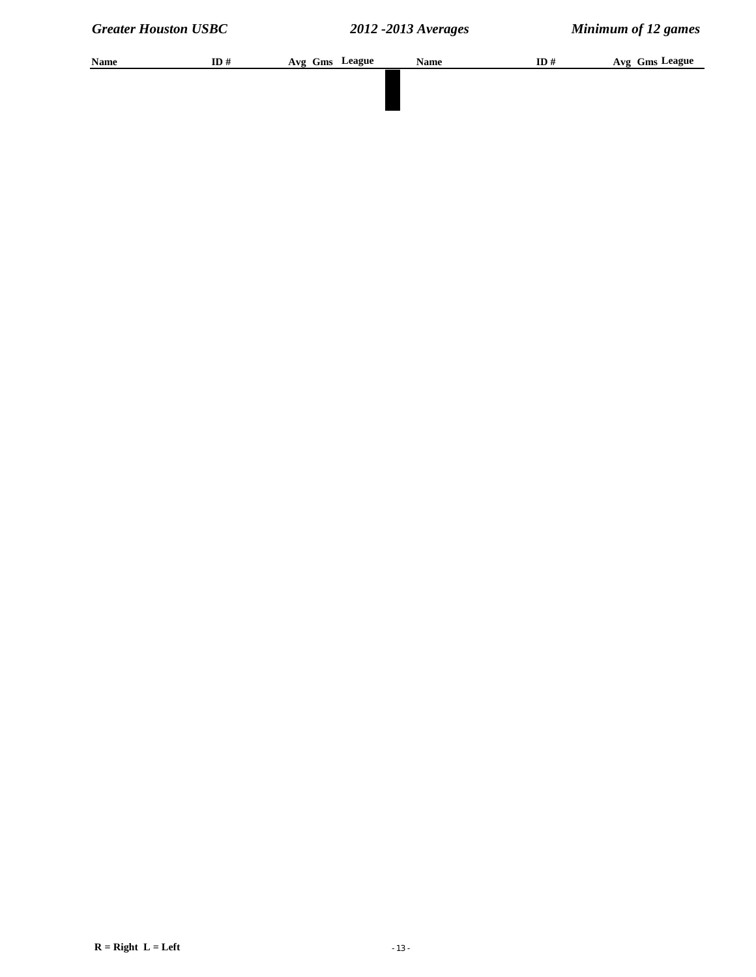| <b>Name</b> | ID# | Avg Gms League | <b>Name</b> | ID# | Avg Gms League |
|-------------|-----|----------------|-------------|-----|----------------|
|             |     |                |             |     |                |
|             |     |                |             |     |                |
|             |     |                |             |     |                |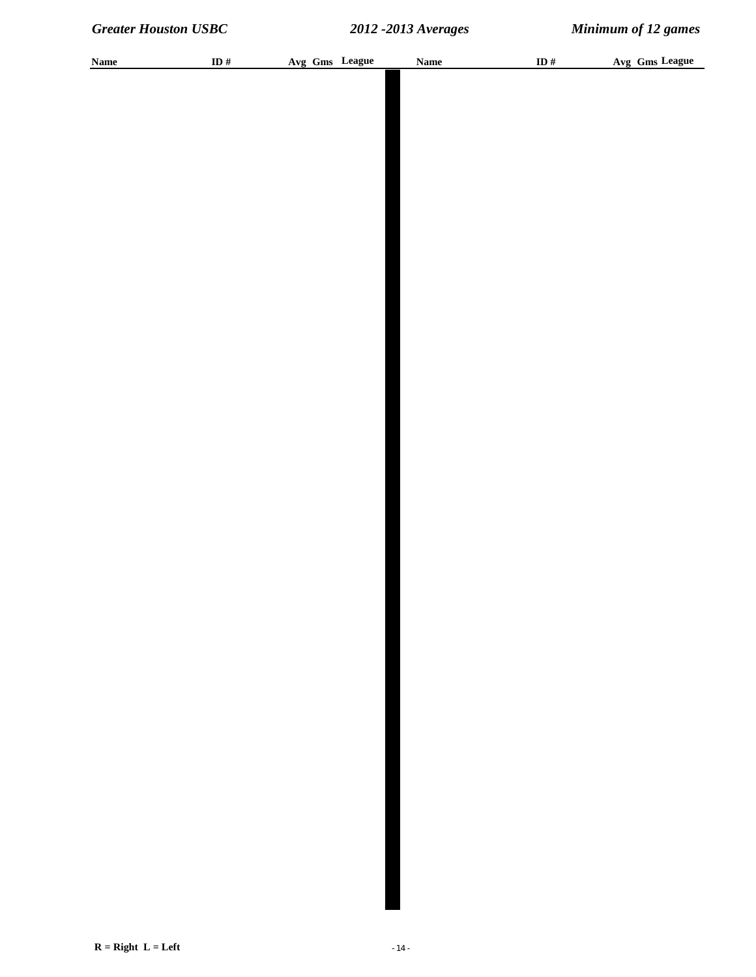| <b>Name</b> | ID $\#$ | Avg Gms League | <b>Name</b> | ID $\#$ | Avg Gms League |
|-------------|---------|----------------|-------------|---------|----------------|
|             |         |                |             |         |                |
|             |         |                |             |         |                |
|             |         |                |             |         |                |
|             |         |                |             |         |                |
|             |         |                |             |         |                |
|             |         |                |             |         |                |
|             |         |                |             |         |                |
|             |         |                |             |         |                |
|             |         |                |             |         |                |
|             |         |                |             |         |                |
|             |         |                |             |         |                |
|             |         |                |             |         |                |
|             |         |                |             |         |                |
|             |         |                |             |         |                |
|             |         |                |             |         |                |
|             |         |                |             |         |                |
|             |         |                |             |         |                |
|             |         |                |             |         |                |
|             |         |                |             |         |                |
|             |         |                |             |         |                |
|             |         |                |             |         |                |
|             |         |                |             |         |                |
|             |         |                |             |         |                |
|             |         |                |             |         |                |
|             |         |                |             |         |                |
|             |         |                |             |         |                |
|             |         |                |             |         |                |
|             |         |                |             |         |                |
|             |         |                |             |         |                |
|             |         |                |             |         |                |
|             |         |                |             |         |                |
|             |         |                |             |         |                |
|             |         |                |             |         |                |
|             |         |                |             |         |                |
|             |         |                |             |         |                |
|             |         |                |             |         |                |
|             |         |                |             |         |                |
|             |         |                |             |         |                |
|             |         |                |             |         |                |
|             |         |                |             |         |                |
|             |         |                |             |         |                |
|             |         |                |             |         |                |
|             |         |                |             |         |                |
|             |         |                |             |         |                |
|             |         |                |             |         |                |
|             |         |                |             |         |                |
|             |         |                |             |         |                |
|             |         |                |             |         |                |
|             |         |                |             |         |                |
|             |         |                |             |         |                |
|             |         |                |             |         |                |
|             |         |                |             |         |                |
|             |         |                |             |         |                |
|             |         |                |             |         |                |
|             |         |                |             |         |                |
|             |         |                |             |         |                |
|             |         |                |             |         |                |
|             |         |                |             |         |                |
|             |         |                |             |         |                |
|             |         |                |             |         |                |
|             |         |                |             |         |                |
|             |         |                |             |         |                |
|             |         |                |             |         |                |
|             |         |                |             |         |                |
|             |         |                |             |         |                |
|             |         |                |             |         |                |
|             |         |                |             |         |                |
|             |         |                |             |         |                |
|             |         |                |             |         |                |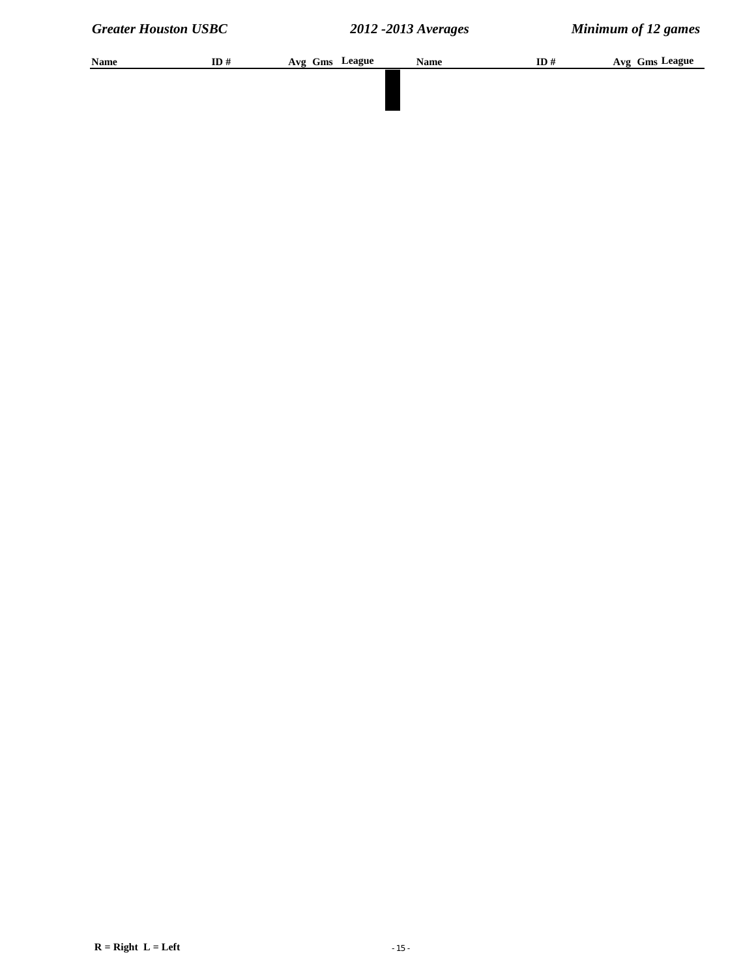| Name | ID# | Avg Gms League | <b>Name</b> | ID# | Avg Gms League |
|------|-----|----------------|-------------|-----|----------------|
|      |     |                |             |     |                |
|      |     |                |             |     |                |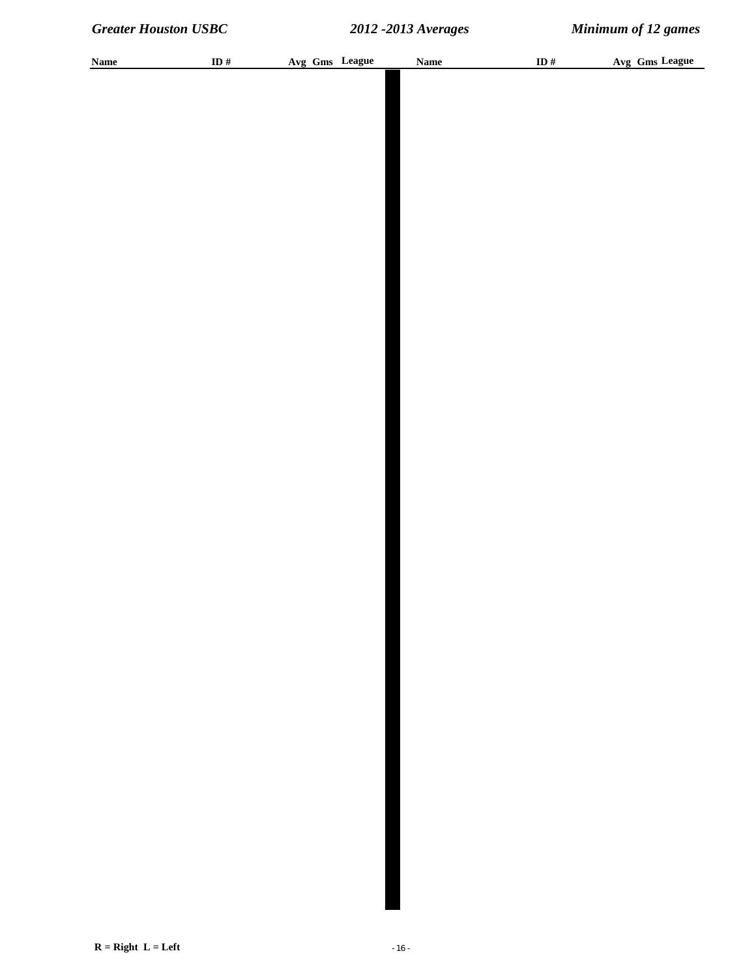| <b>Name</b> | ID # | Avg Gms League | <b>Name</b> | ID $\#$ | Avg Gms League |
|-------------|------|----------------|-------------|---------|----------------|
|             |      |                |             |         |                |
|             |      |                |             |         |                |
|             |      |                |             |         |                |
|             |      |                |             |         |                |
|             |      |                |             |         |                |
|             |      |                |             |         |                |
|             |      |                |             |         |                |
|             |      |                |             |         |                |
|             |      |                |             |         |                |
|             |      |                |             |         |                |
|             |      |                |             |         |                |
|             |      |                |             |         |                |
|             |      |                |             |         |                |
|             |      |                |             |         |                |
|             |      |                |             |         |                |
|             |      |                |             |         |                |
|             |      |                |             |         |                |
|             |      |                |             |         |                |
|             |      |                |             |         |                |
|             |      |                |             |         |                |
|             |      |                |             |         |                |
|             |      |                |             |         |                |
|             |      |                |             |         |                |
|             |      |                |             |         |                |
|             |      |                |             |         |                |
|             |      |                |             |         |                |
|             |      |                |             |         |                |
|             |      |                |             |         |                |
|             |      |                |             |         |                |
|             |      |                |             |         |                |
|             |      |                |             |         |                |
|             |      |                |             |         |                |
|             |      |                |             |         |                |
|             |      |                |             |         |                |
|             |      |                |             |         |                |
|             |      |                |             |         |                |
|             |      |                |             |         |                |
|             |      |                |             |         |                |
|             |      |                |             |         |                |
|             |      |                |             |         |                |
|             |      |                |             |         |                |
|             |      |                |             |         |                |
|             |      |                |             |         |                |
|             |      |                |             |         |                |
|             |      |                |             |         |                |
|             |      |                |             |         |                |
|             |      |                |             |         |                |
|             |      |                |             |         |                |
|             |      |                |             |         |                |
|             |      |                |             |         |                |
|             |      |                |             |         |                |
|             |      |                |             |         |                |
|             |      |                |             |         |                |
|             |      |                |             |         |                |
|             |      |                |             |         |                |
|             |      |                |             |         |                |
|             |      |                |             |         |                |
|             |      |                |             |         |                |
|             |      |                |             |         |                |
|             |      |                |             |         |                |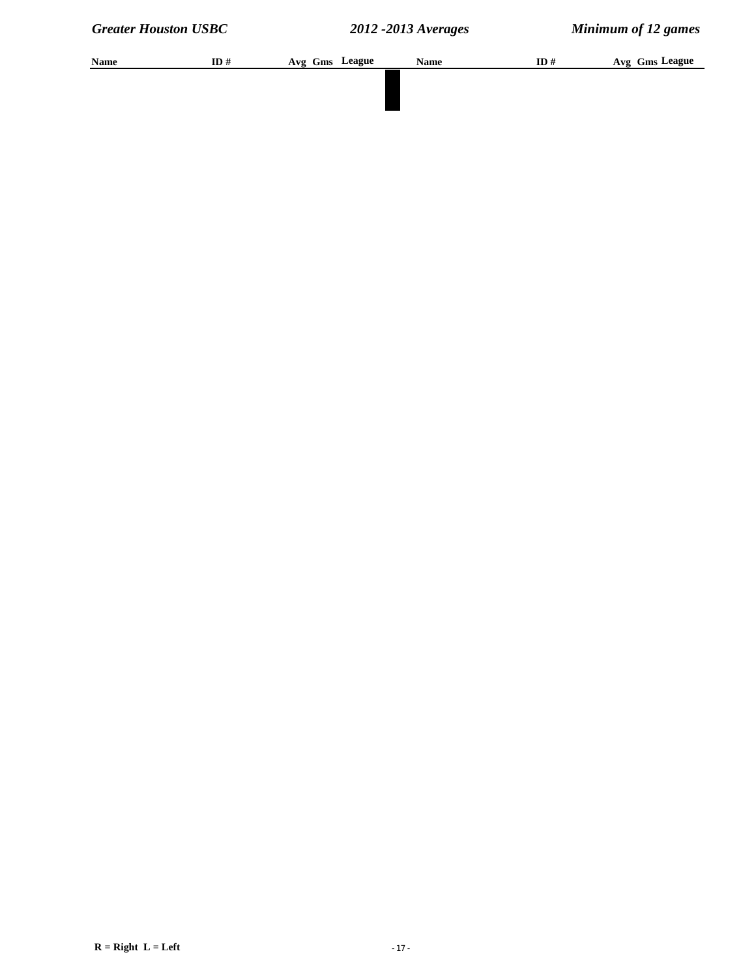| Name | ID# | Avg Gms League | <b>Name</b> | ID# | Avg Gms League |
|------|-----|----------------|-------------|-----|----------------|
|      |     |                |             |     |                |
|      |     |                |             |     |                |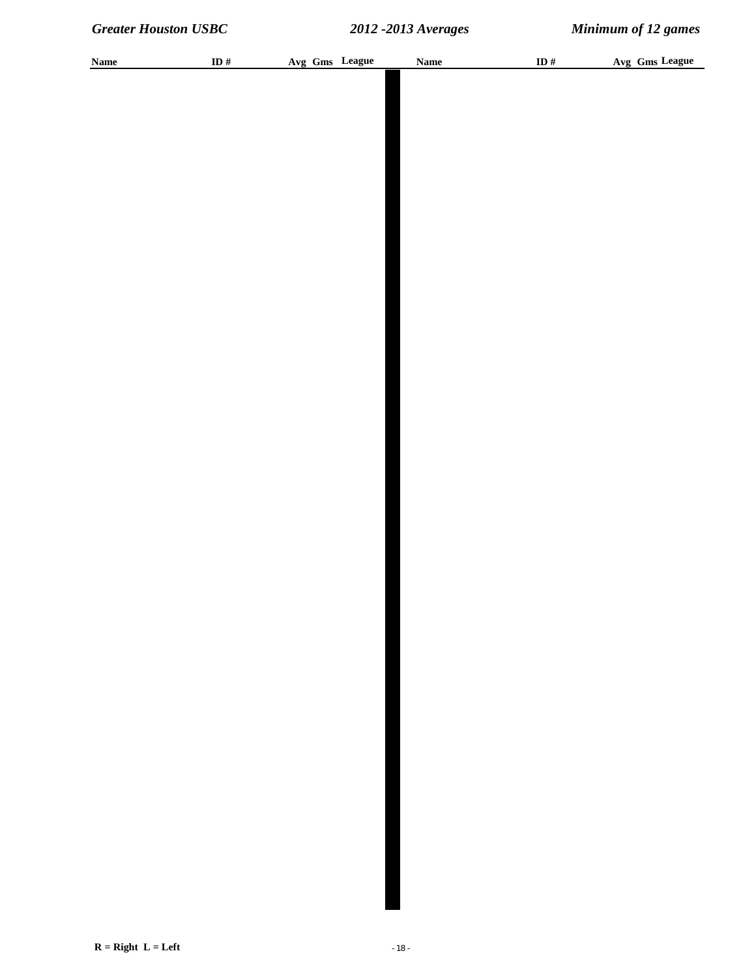| <b>Name</b> | ID # | Avg Gms League | Name | ID $\#$ | Avg Gms League |
|-------------|------|----------------|------|---------|----------------|
|             |      |                |      |         |                |
|             |      |                |      |         |                |
|             |      |                |      |         |                |
|             |      |                |      |         |                |
|             |      |                |      |         |                |
|             |      |                |      |         |                |
|             |      |                |      |         |                |
|             |      |                |      |         |                |
|             |      |                |      |         |                |
|             |      |                |      |         |                |
|             |      |                |      |         |                |
|             |      |                |      |         |                |
|             |      |                |      |         |                |
|             |      |                |      |         |                |
|             |      |                |      |         |                |
|             |      |                |      |         |                |
|             |      |                |      |         |                |
|             |      |                |      |         |                |
|             |      |                |      |         |                |
|             |      |                |      |         |                |
|             |      |                |      |         |                |
|             |      |                |      |         |                |
|             |      |                |      |         |                |
|             |      |                |      |         |                |
|             |      |                |      |         |                |
|             |      |                |      |         |                |
|             |      |                |      |         |                |
|             |      |                |      |         |                |
|             |      |                |      |         |                |
|             |      |                |      |         |                |
|             |      |                |      |         |                |
|             |      |                |      |         |                |
|             |      |                |      |         |                |
|             |      |                |      |         |                |
|             |      |                |      |         |                |
|             |      |                |      |         |                |
|             |      |                |      |         |                |
|             |      |                |      |         |                |
|             |      |                |      |         |                |
|             |      |                |      |         |                |
|             |      |                |      |         |                |
|             |      |                |      |         |                |
|             |      |                |      |         |                |
|             |      |                |      |         |                |
|             |      |                |      |         |                |
|             |      |                |      |         |                |
|             |      |                |      |         |                |
|             |      |                |      |         |                |
|             |      |                |      |         |                |
|             |      |                |      |         |                |
|             |      |                |      |         |                |
|             |      |                |      |         |                |
|             |      |                |      |         |                |
|             |      |                |      |         |                |
|             |      |                |      |         |                |
|             |      |                |      |         |                |
|             |      |                |      |         |                |
|             |      |                |      |         |                |
|             |      |                |      |         |                |
|             |      |                |      |         |                |
|             |      |                |      |         |                |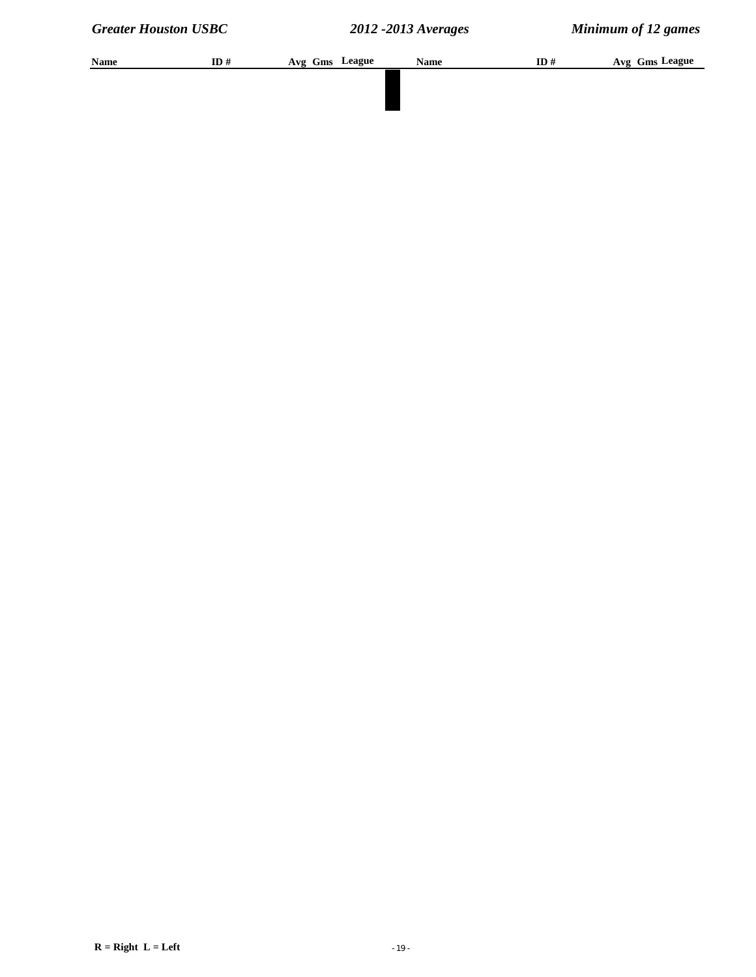| Name | ID# | Avg Gms League | <b>Name</b> | ID# | Avg Gms League |
|------|-----|----------------|-------------|-----|----------------|
|      |     |                |             |     |                |
|      |     |                |             |     |                |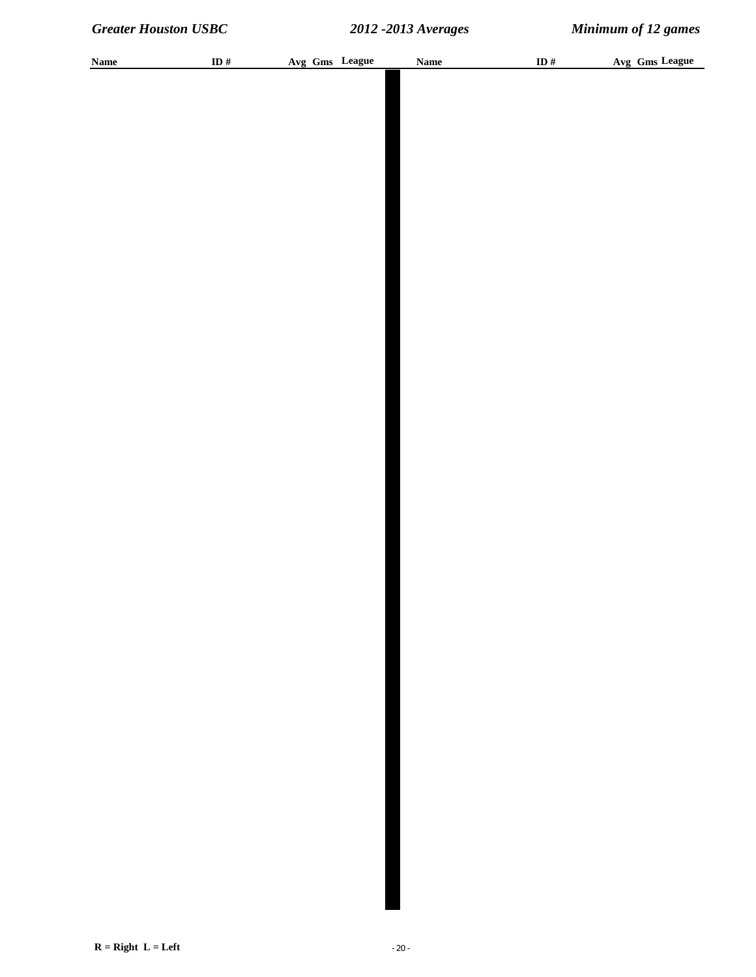| <b>Name</b> | ID # | Avg Gms League | <b>Name</b> | ID $\#$ | Avg Gms League |
|-------------|------|----------------|-------------|---------|----------------|
|             |      |                |             |         |                |
|             |      |                |             |         |                |
|             |      |                |             |         |                |
|             |      |                |             |         |                |
|             |      |                |             |         |                |
|             |      |                |             |         |                |
|             |      |                |             |         |                |
|             |      |                |             |         |                |
|             |      |                |             |         |                |
|             |      |                |             |         |                |
|             |      |                |             |         |                |
|             |      |                |             |         |                |
|             |      |                |             |         |                |
|             |      |                |             |         |                |
|             |      |                |             |         |                |
|             |      |                |             |         |                |
|             |      |                |             |         |                |
|             |      |                |             |         |                |
|             |      |                |             |         |                |
|             |      |                |             |         |                |
|             |      |                |             |         |                |
|             |      |                |             |         |                |
|             |      |                |             |         |                |
|             |      |                |             |         |                |
|             |      |                |             |         |                |
|             |      |                |             |         |                |
|             |      |                |             |         |                |
|             |      |                |             |         |                |
|             |      |                |             |         |                |
|             |      |                |             |         |                |
|             |      |                |             |         |                |
|             |      |                |             |         |                |
|             |      |                |             |         |                |
|             |      |                |             |         |                |
|             |      |                |             |         |                |
|             |      |                |             |         |                |
|             |      |                |             |         |                |
|             |      |                |             |         |                |
|             |      |                |             |         |                |
|             |      |                |             |         |                |
|             |      |                |             |         |                |
|             |      |                |             |         |                |
|             |      |                |             |         |                |
|             |      |                |             |         |                |
|             |      |                |             |         |                |
|             |      |                |             |         |                |
|             |      |                |             |         |                |
|             |      |                |             |         |                |
|             |      |                |             |         |                |
|             |      |                |             |         |                |
|             |      |                |             |         |                |
|             |      |                |             |         |                |
|             |      |                |             |         |                |
|             |      |                |             |         |                |
|             |      |                |             |         |                |
|             |      |                |             |         |                |
|             |      |                |             |         |                |
|             |      |                |             |         |                |
|             |      |                |             |         |                |
|             |      |                |             |         |                |
|             |      |                |             |         |                |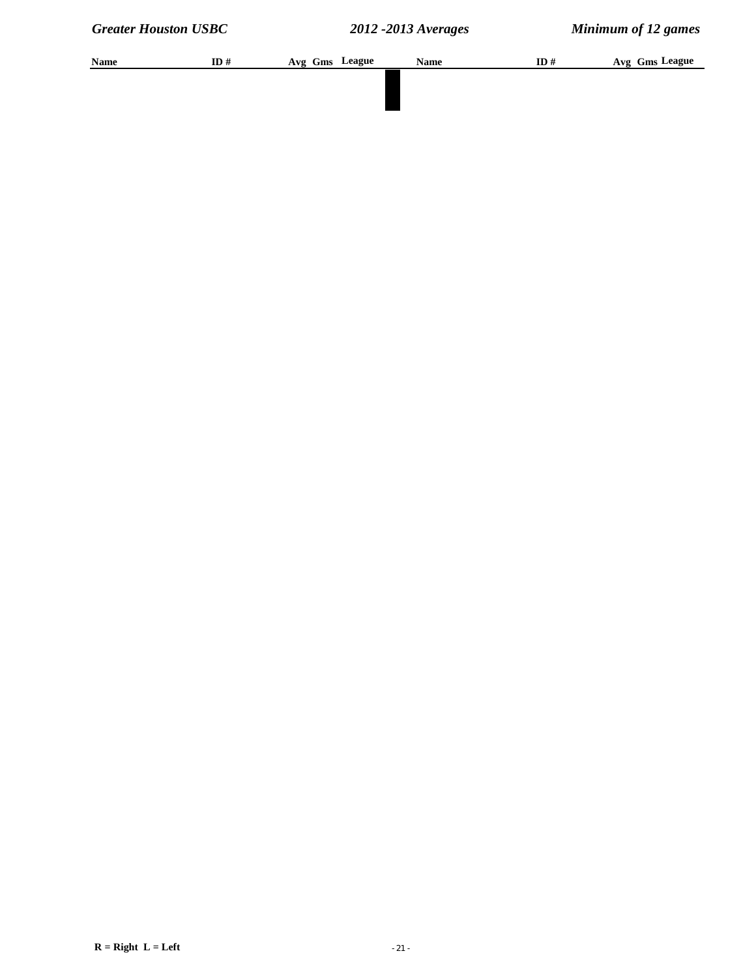| Name | ID# | Avg Gms League | <b>Name</b> | ID# | Avg Gms League |
|------|-----|----------------|-------------|-----|----------------|
|      |     |                |             |     |                |
|      |     |                |             |     |                |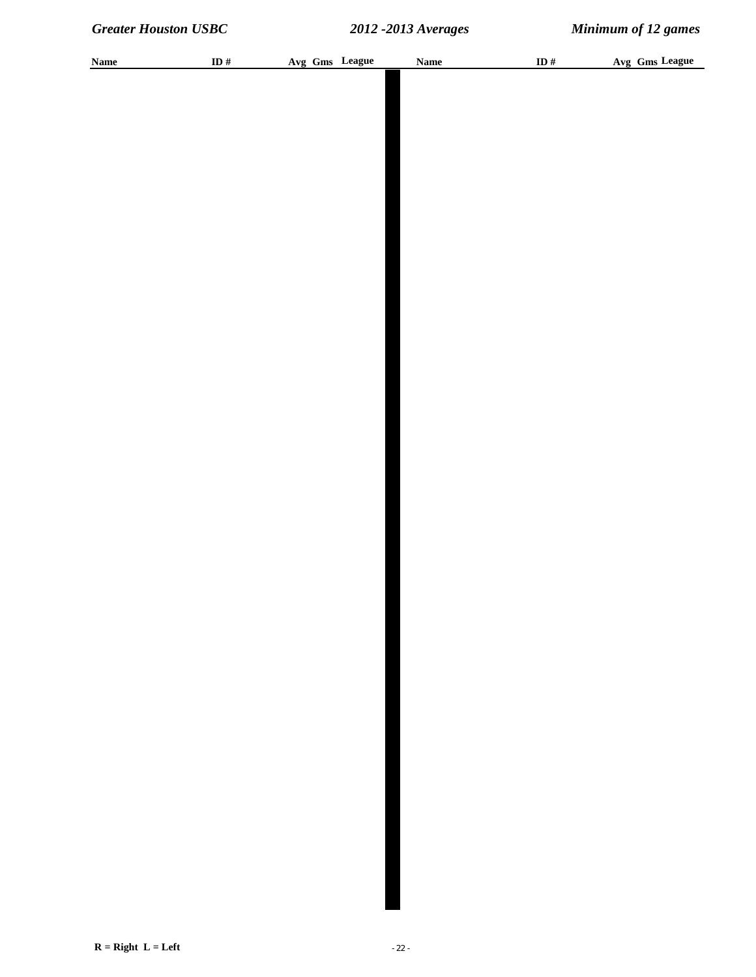| <b>Name</b> | ID $\#$ |  | Avg Gms League | <b>Name</b> | ID $#$ | Avg Gms League |  |
|-------------|---------|--|----------------|-------------|--------|----------------|--|
|             |         |  |                |             |        |                |  |
|             |         |  |                |             |        |                |  |
|             |         |  |                |             |        |                |  |
|             |         |  |                |             |        |                |  |
|             |         |  |                |             |        |                |  |
|             |         |  |                |             |        |                |  |
|             |         |  |                |             |        |                |  |
|             |         |  |                |             |        |                |  |
|             |         |  |                |             |        |                |  |
|             |         |  |                |             |        |                |  |
|             |         |  |                |             |        |                |  |
|             |         |  |                |             |        |                |  |
|             |         |  |                |             |        |                |  |
|             |         |  |                |             |        |                |  |
|             |         |  |                |             |        |                |  |
|             |         |  |                |             |        |                |  |
|             |         |  |                |             |        |                |  |
|             |         |  |                |             |        |                |  |
|             |         |  |                |             |        |                |  |
|             |         |  |                |             |        |                |  |
|             |         |  |                |             |        |                |  |
|             |         |  |                |             |        |                |  |
|             |         |  |                |             |        |                |  |
|             |         |  |                |             |        |                |  |
|             |         |  |                |             |        |                |  |
|             |         |  |                |             |        |                |  |
|             |         |  |                |             |        |                |  |
|             |         |  |                |             |        |                |  |
|             |         |  |                |             |        |                |  |
|             |         |  |                |             |        |                |  |
|             |         |  |                |             |        |                |  |
|             |         |  |                |             |        |                |  |
|             |         |  |                |             |        |                |  |
|             |         |  |                |             |        |                |  |
|             |         |  |                |             |        |                |  |
|             |         |  |                |             |        |                |  |
|             |         |  |                |             |        |                |  |
|             |         |  |                |             |        |                |  |
|             |         |  |                |             |        |                |  |
|             |         |  |                |             |        |                |  |
|             |         |  |                |             |        |                |  |
|             |         |  |                |             |        |                |  |
|             |         |  |                |             |        |                |  |
|             |         |  |                |             |        |                |  |
|             |         |  |                |             |        |                |  |
|             |         |  |                |             |        |                |  |
|             |         |  |                |             |        |                |  |
|             |         |  |                |             |        |                |  |
|             |         |  |                |             |        |                |  |
|             |         |  |                |             |        |                |  |
|             |         |  |                |             |        |                |  |
|             |         |  |                |             |        |                |  |
|             |         |  |                |             |        |                |  |
|             |         |  |                |             |        |                |  |
|             |         |  |                |             |        |                |  |
|             |         |  |                |             |        |                |  |
|             |         |  |                |             |        |                |  |
|             |         |  |                |             |        |                |  |
|             |         |  |                |             |        |                |  |
|             |         |  |                |             |        |                |  |
|             |         |  |                |             |        |                |  |
|             |         |  |                |             |        |                |  |
|             |         |  |                |             |        |                |  |
|             |         |  |                |             |        |                |  |
|             |         |  |                |             |        |                |  |
|             |         |  |                |             |        |                |  |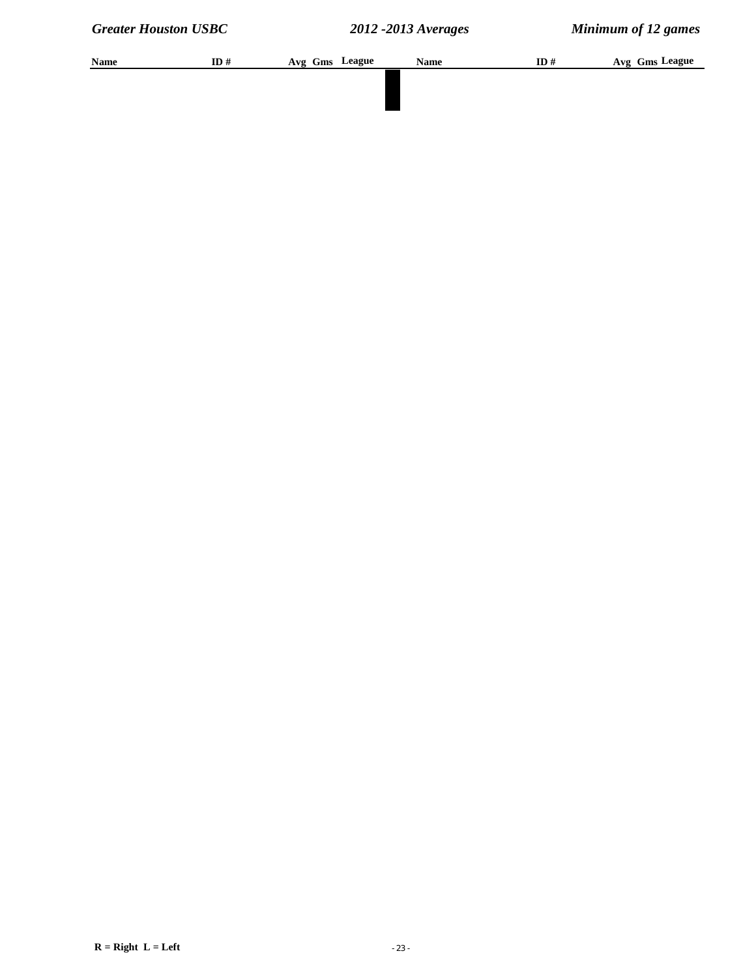| Name | ID# | Avg Gms League | <b>Name</b> | ID# | Avg Gms League |
|------|-----|----------------|-------------|-----|----------------|
|      |     |                |             |     |                |
|      |     |                |             |     |                |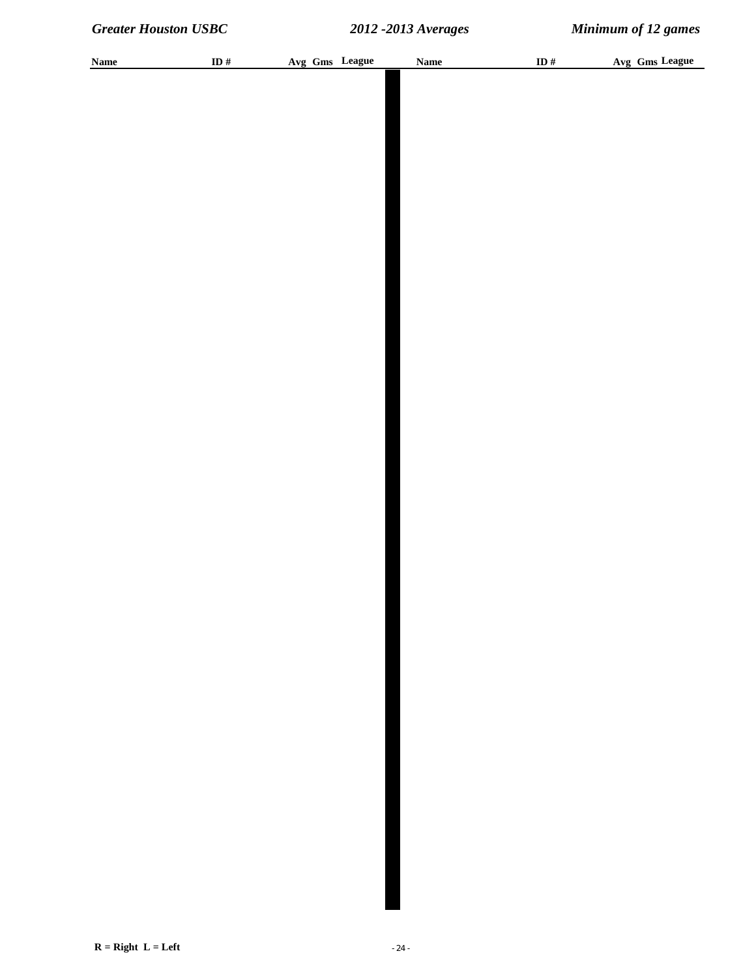| <b>Name</b> | ID $\#$ | Avg Gms League | <b>Name</b> | ID $#$ | Avg Gms League |
|-------------|---------|----------------|-------------|--------|----------------|
|             |         |                |             |        |                |
|             |         |                |             |        |                |
|             |         |                |             |        |                |
|             |         |                |             |        |                |
|             |         |                |             |        |                |
|             |         |                |             |        |                |
|             |         |                |             |        |                |
|             |         |                |             |        |                |
|             |         |                |             |        |                |
|             |         |                |             |        |                |
|             |         |                |             |        |                |
|             |         |                |             |        |                |
|             |         |                |             |        |                |
|             |         |                |             |        |                |
|             |         |                |             |        |                |
|             |         |                |             |        |                |
|             |         |                |             |        |                |
|             |         |                |             |        |                |
|             |         |                |             |        |                |
|             |         |                |             |        |                |
|             |         |                |             |        |                |
|             |         |                |             |        |                |
|             |         |                |             |        |                |
|             |         |                |             |        |                |
|             |         |                |             |        |                |
|             |         |                |             |        |                |
|             |         |                |             |        |                |
|             |         |                |             |        |                |
|             |         |                |             |        |                |
|             |         |                |             |        |                |
|             |         |                |             |        |                |
|             |         |                |             |        |                |
|             |         |                |             |        |                |
|             |         |                |             |        |                |
|             |         |                |             |        |                |
|             |         |                |             |        |                |
|             |         |                |             |        |                |
|             |         |                |             |        |                |
|             |         |                |             |        |                |
|             |         |                |             |        |                |
|             |         |                |             |        |                |
|             |         |                |             |        |                |
|             |         |                |             |        |                |
|             |         |                |             |        |                |
|             |         |                |             |        |                |
|             |         |                |             |        |                |
|             |         |                |             |        |                |
|             |         |                |             |        |                |
|             |         |                |             |        |                |
|             |         |                |             |        |                |
|             |         |                |             |        |                |
|             |         |                |             |        |                |
|             |         |                |             |        |                |
|             |         |                |             |        |                |
|             |         |                |             |        |                |
|             |         |                |             |        |                |
|             |         |                |             |        |                |
|             |         |                |             |        |                |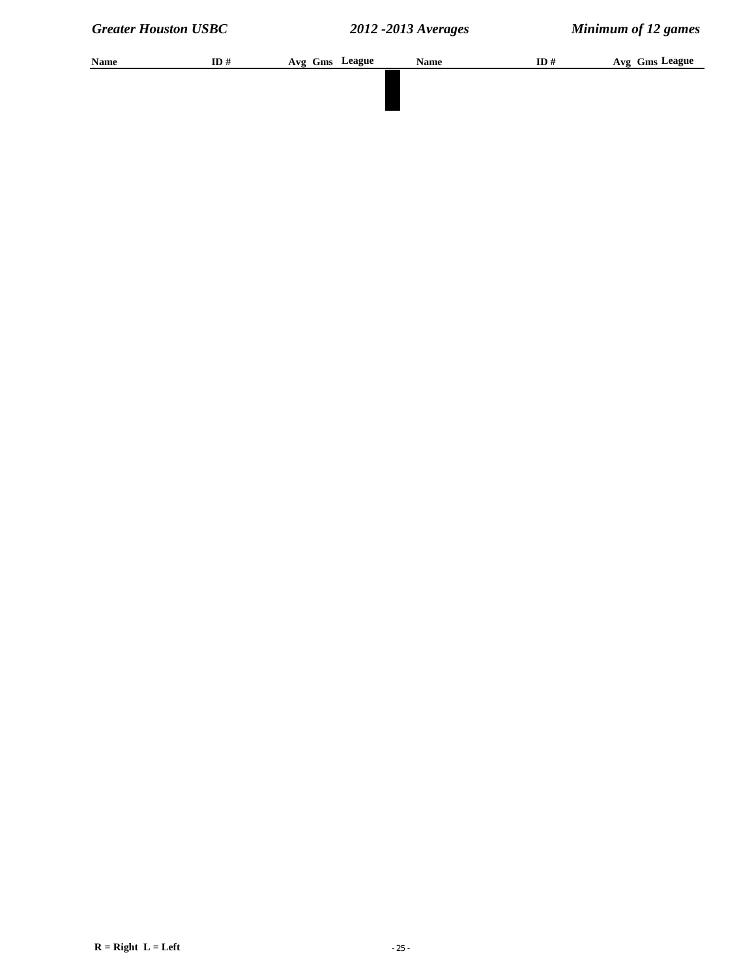| Name | ID# | Avg Gms League | <b>Name</b> | ID# | Avg Gms League |
|------|-----|----------------|-------------|-----|----------------|
|      |     |                |             |     |                |
|      |     |                |             |     |                |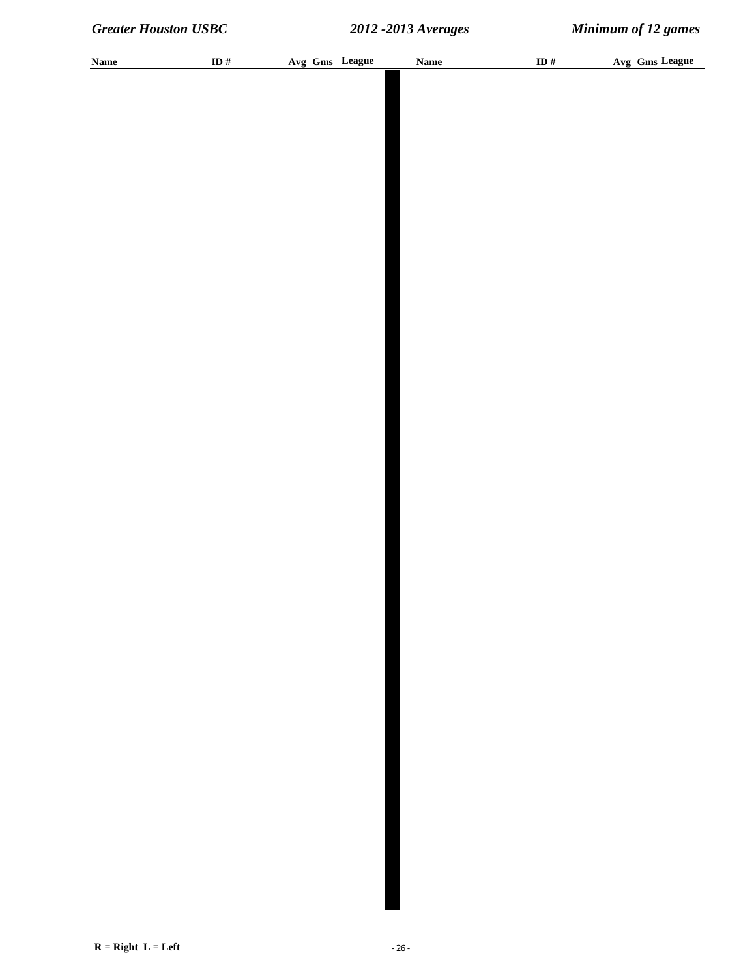| <b>Name</b> | ID # | Avg Gms League | <b>Name</b> | ID $#$ | Avg Gms League |
|-------------|------|----------------|-------------|--------|----------------|
|             |      |                |             |        |                |
|             |      |                |             |        |                |
|             |      |                |             |        |                |
|             |      |                |             |        |                |
|             |      |                |             |        |                |
|             |      |                |             |        |                |
|             |      |                |             |        |                |
|             |      |                |             |        |                |
|             |      |                |             |        |                |
|             |      |                |             |        |                |
|             |      |                |             |        |                |
|             |      |                |             |        |                |
|             |      |                |             |        |                |
|             |      |                |             |        |                |
|             |      |                |             |        |                |
|             |      |                |             |        |                |
|             |      |                |             |        |                |
|             |      |                |             |        |                |
|             |      |                |             |        |                |
|             |      |                |             |        |                |
|             |      |                |             |        |                |
|             |      |                |             |        |                |
|             |      |                |             |        |                |
|             |      |                |             |        |                |
|             |      |                |             |        |                |
|             |      |                |             |        |                |
|             |      |                |             |        |                |
|             |      |                |             |        |                |
|             |      |                |             |        |                |
|             |      |                |             |        |                |
|             |      |                |             |        |                |
|             |      |                |             |        |                |
|             |      |                |             |        |                |
|             |      |                |             |        |                |
|             |      |                |             |        |                |
|             |      |                |             |        |                |
|             |      |                |             |        |                |
|             |      |                |             |        |                |
|             |      |                |             |        |                |
|             |      |                |             |        |                |
|             |      |                |             |        |                |
|             |      |                |             |        |                |
|             |      |                |             |        |                |
|             |      |                |             |        |                |
|             |      |                |             |        |                |
|             |      |                |             |        |                |
|             |      |                |             |        |                |
|             |      |                |             |        |                |
|             |      |                |             |        |                |
|             |      |                |             |        |                |
|             |      |                |             |        |                |
|             |      |                |             |        |                |
|             |      |                |             |        |                |
|             |      |                |             |        |                |
|             |      |                |             |        |                |
|             |      |                |             |        |                |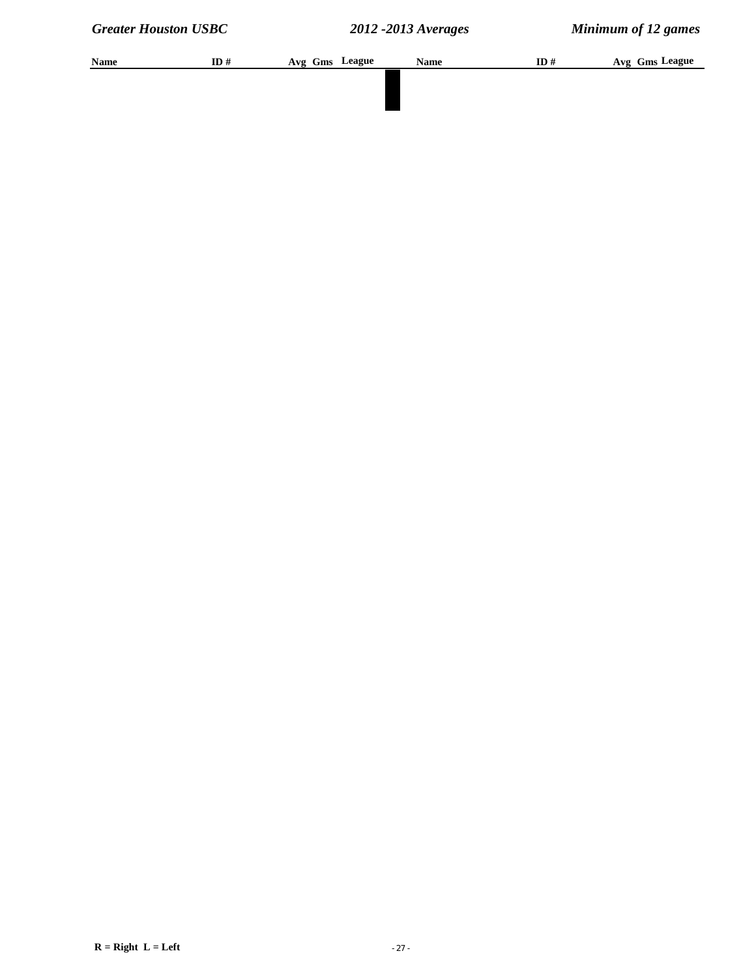| Name | ID# | Avg Gms League | <b>Name</b> | ID# | Avg Gms League |
|------|-----|----------------|-------------|-----|----------------|
|      |     |                |             |     |                |
|      |     |                |             |     |                |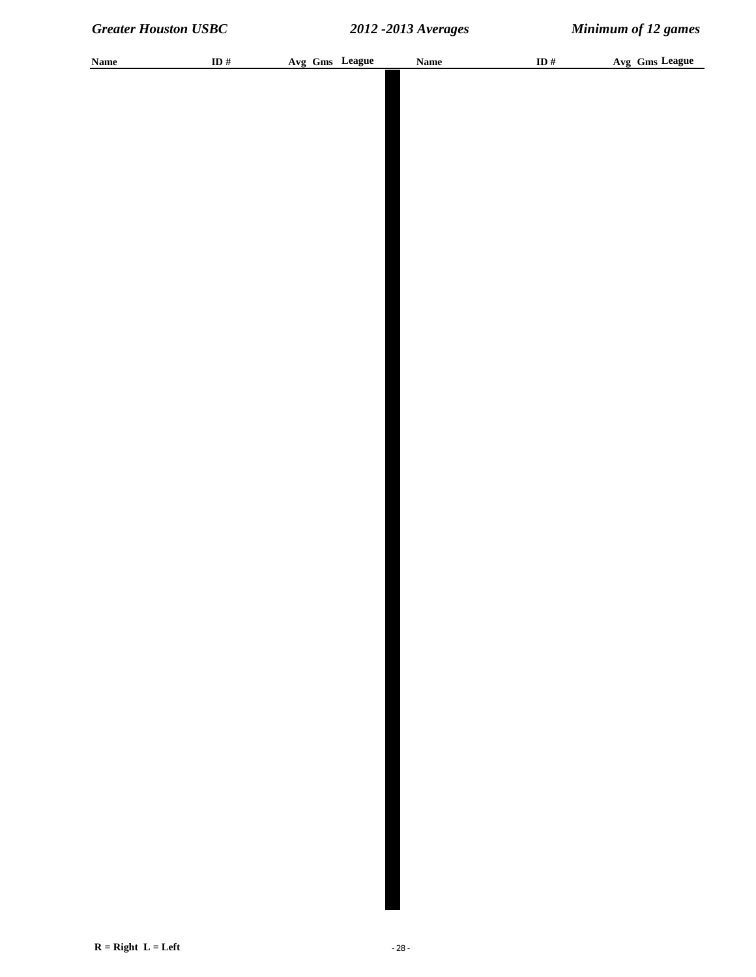| <b>Name</b> | ID $\#$ |  | Avg Gms League | <b>Name</b> | ID $\#$ | Avg Gms League |
|-------------|---------|--|----------------|-------------|---------|----------------|
|             |         |  |                |             |         |                |
|             |         |  |                |             |         |                |
|             |         |  |                |             |         |                |
|             |         |  |                |             |         |                |
|             |         |  |                |             |         |                |
|             |         |  |                |             |         |                |
|             |         |  |                |             |         |                |
|             |         |  |                |             |         |                |
|             |         |  |                |             |         |                |
|             |         |  |                |             |         |                |
|             |         |  |                |             |         |                |
|             |         |  |                |             |         |                |
|             |         |  |                |             |         |                |
|             |         |  |                |             |         |                |
|             |         |  |                |             |         |                |
|             |         |  |                |             |         |                |
|             |         |  |                |             |         |                |
|             |         |  |                |             |         |                |
|             |         |  |                |             |         |                |
|             |         |  |                |             |         |                |
|             |         |  |                |             |         |                |
|             |         |  |                |             |         |                |
|             |         |  |                |             |         |                |
|             |         |  |                |             |         |                |
|             |         |  |                |             |         |                |
|             |         |  |                |             |         |                |
|             |         |  |                |             |         |                |
|             |         |  |                |             |         |                |
|             |         |  |                |             |         |                |
|             |         |  |                |             |         |                |
|             |         |  |                |             |         |                |
|             |         |  |                |             |         |                |
|             |         |  |                |             |         |                |
|             |         |  |                |             |         |                |
|             |         |  |                |             |         |                |
|             |         |  |                |             |         |                |
|             |         |  |                |             |         |                |
|             |         |  |                |             |         |                |
|             |         |  |                |             |         |                |
|             |         |  |                |             |         |                |
|             |         |  |                |             |         |                |
|             |         |  |                |             |         |                |
|             |         |  |                |             |         |                |
|             |         |  |                |             |         |                |
|             |         |  |                |             |         |                |
|             |         |  |                |             |         |                |
|             |         |  |                |             |         |                |
|             |         |  |                |             |         |                |
|             |         |  |                |             |         |                |
|             |         |  |                |             |         |                |
|             |         |  |                |             |         |                |
|             |         |  |                |             |         |                |
|             |         |  |                |             |         |                |
|             |         |  |                |             |         |                |
|             |         |  |                |             |         |                |
|             |         |  |                |             |         |                |
|             |         |  |                |             |         |                |
|             |         |  |                |             |         |                |
|             |         |  |                |             |         |                |
|             |         |  |                |             |         |                |
|             |         |  |                |             |         |                |
|             |         |  |                |             |         |                |
|             |         |  |                |             |         |                |
|             |         |  |                |             |         |                |
|             |         |  |                |             |         |                |
|             |         |  |                |             |         |                |
|             |         |  |                |             |         |                |
|             |         |  |                |             |         |                |
|             |         |  |                |             |         |                |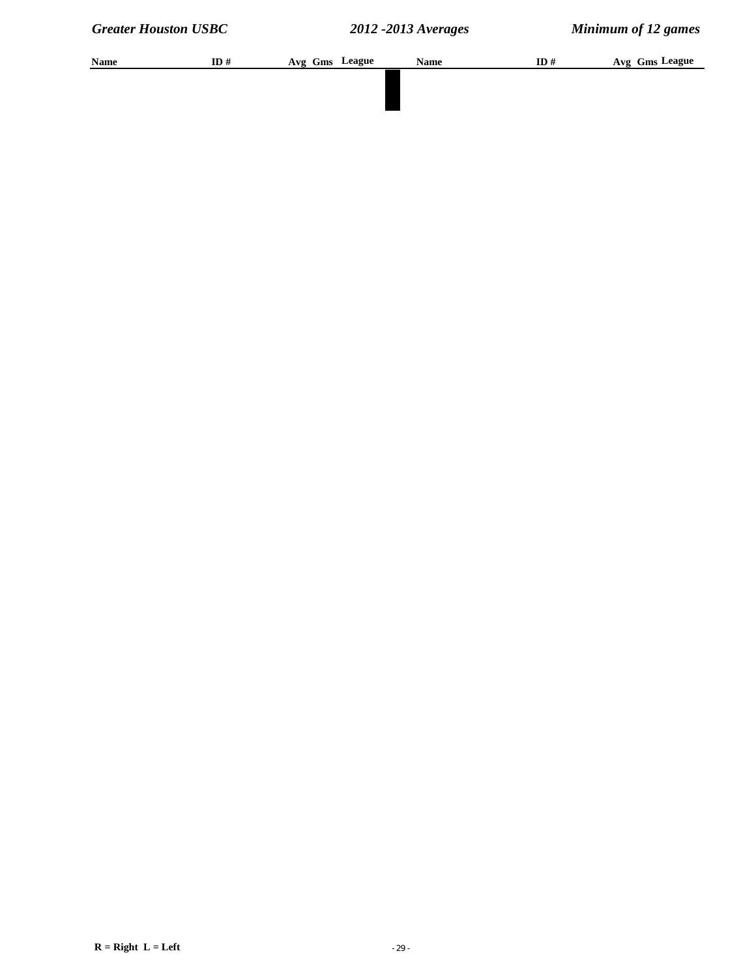| Name | ID# | Avg Gms League | <b>Name</b> | ID# | Avg Gms League |
|------|-----|----------------|-------------|-----|----------------|
|      |     |                |             |     |                |
|      |     |                |             |     |                |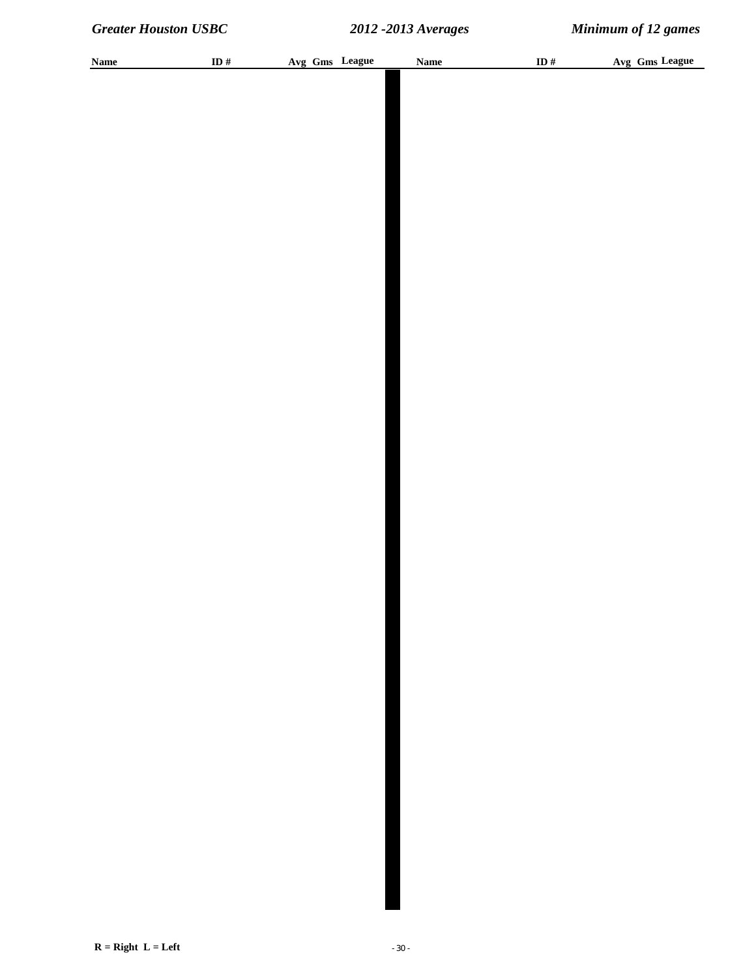| <b>Name</b> | ID $\#$ |  | Avg Gms League | <b>Name</b> | ID $\#$ | Avg Gms League |
|-------------|---------|--|----------------|-------------|---------|----------------|
|             |         |  |                |             |         |                |
|             |         |  |                |             |         |                |
|             |         |  |                |             |         |                |
|             |         |  |                |             |         |                |
|             |         |  |                |             |         |                |
|             |         |  |                |             |         |                |
|             |         |  |                |             |         |                |
|             |         |  |                |             |         |                |
|             |         |  |                |             |         |                |
|             |         |  |                |             |         |                |
|             |         |  |                |             |         |                |
|             |         |  |                |             |         |                |
|             |         |  |                |             |         |                |
|             |         |  |                |             |         |                |
|             |         |  |                |             |         |                |
|             |         |  |                |             |         |                |
|             |         |  |                |             |         |                |
|             |         |  |                |             |         |                |
|             |         |  |                |             |         |                |
|             |         |  |                |             |         |                |
|             |         |  |                |             |         |                |
|             |         |  |                |             |         |                |
|             |         |  |                |             |         |                |
|             |         |  |                |             |         |                |
|             |         |  |                |             |         |                |
|             |         |  |                |             |         |                |
|             |         |  |                |             |         |                |
|             |         |  |                |             |         |                |
|             |         |  |                |             |         |                |
|             |         |  |                |             |         |                |
|             |         |  |                |             |         |                |
|             |         |  |                |             |         |                |
|             |         |  |                |             |         |                |
|             |         |  |                |             |         |                |
|             |         |  |                |             |         |                |
|             |         |  |                |             |         |                |
|             |         |  |                |             |         |                |
|             |         |  |                |             |         |                |
|             |         |  |                |             |         |                |
|             |         |  |                |             |         |                |
|             |         |  |                |             |         |                |
|             |         |  |                |             |         |                |
|             |         |  |                |             |         |                |
|             |         |  |                |             |         |                |
|             |         |  |                |             |         |                |
|             |         |  |                |             |         |                |
|             |         |  |                |             |         |                |
|             |         |  |                |             |         |                |
|             |         |  |                |             |         |                |
|             |         |  |                |             |         |                |
|             |         |  |                |             |         |                |
|             |         |  |                |             |         |                |
|             |         |  |                |             |         |                |
|             |         |  |                |             |         |                |
|             |         |  |                |             |         |                |
|             |         |  |                |             |         |                |
|             |         |  |                |             |         |                |
|             |         |  |                |             |         |                |
|             |         |  |                |             |         |                |
|             |         |  |                |             |         |                |
|             |         |  |                |             |         |                |
|             |         |  |                |             |         |                |
|             |         |  |                |             |         |                |
|             |         |  |                |             |         |                |
|             |         |  |                |             |         |                |
|             |         |  |                |             |         |                |
|             |         |  |                |             |         |                |
|             |         |  |                |             |         |                |
|             |         |  |                |             |         |                |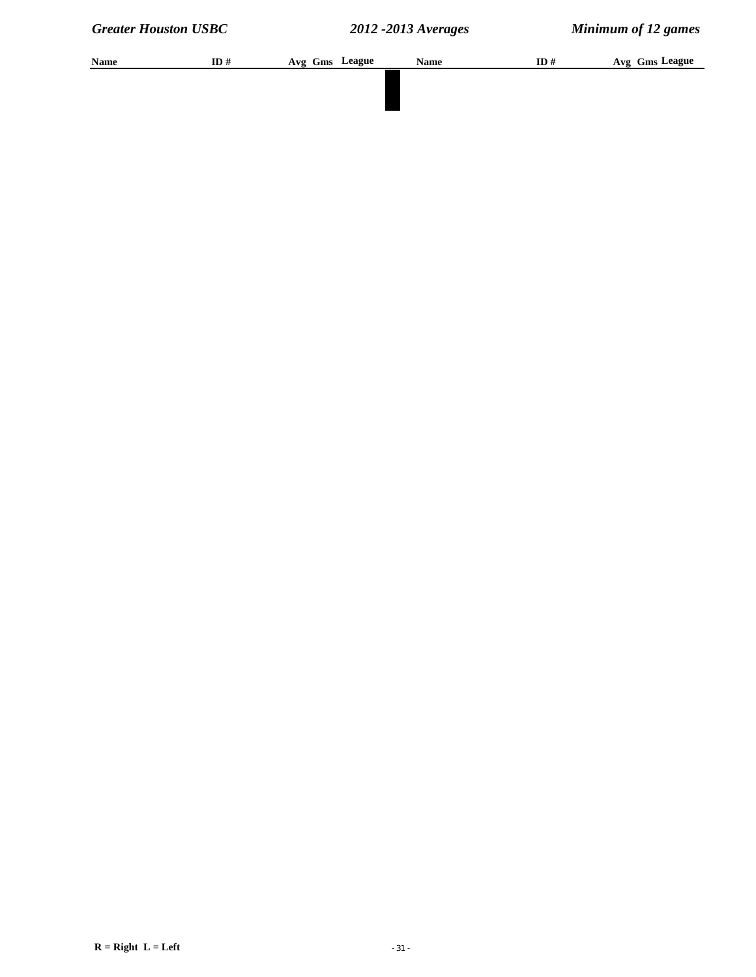| Name | ID# | Avg Gms League | <b>Name</b> | ID# | Avg Gms League |
|------|-----|----------------|-------------|-----|----------------|
|      |     |                |             |     |                |
|      |     |                |             |     |                |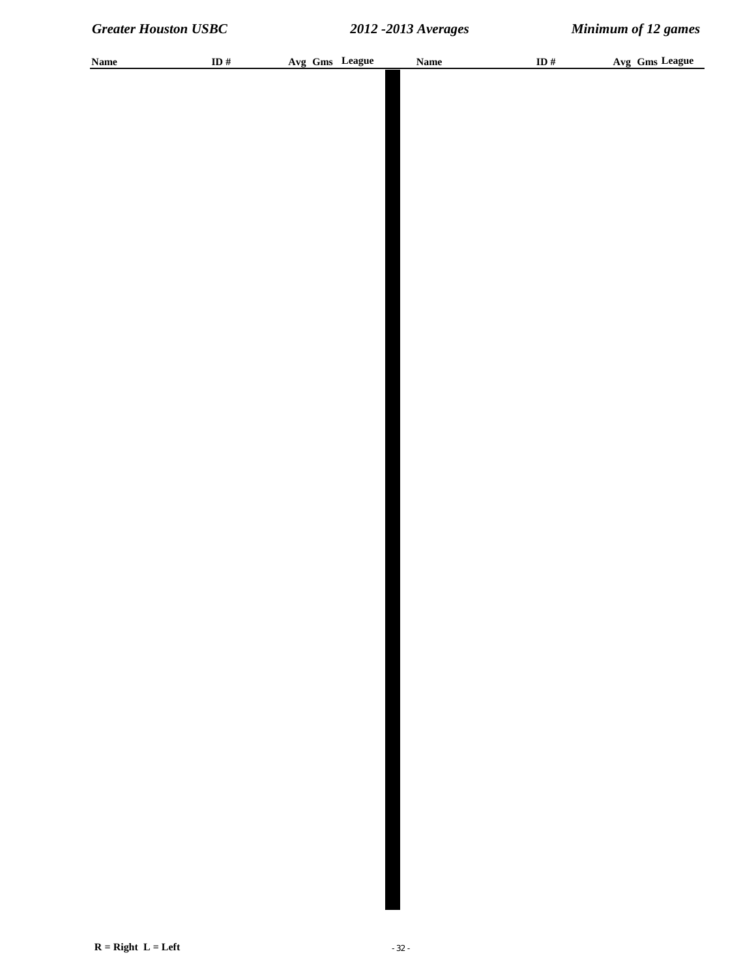| <b>Name</b> | ID $\#$ |  | Avg Gms League | <b>Name</b> | ID $\#$ | Avg Gms League |
|-------------|---------|--|----------------|-------------|---------|----------------|
|             |         |  |                |             |         |                |
|             |         |  |                |             |         |                |
|             |         |  |                |             |         |                |
|             |         |  |                |             |         |                |
|             |         |  |                |             |         |                |
|             |         |  |                |             |         |                |
|             |         |  |                |             |         |                |
|             |         |  |                |             |         |                |
|             |         |  |                |             |         |                |
|             |         |  |                |             |         |                |
|             |         |  |                |             |         |                |
|             |         |  |                |             |         |                |
|             |         |  |                |             |         |                |
|             |         |  |                |             |         |                |
|             |         |  |                |             |         |                |
|             |         |  |                |             |         |                |
|             |         |  |                |             |         |                |
|             |         |  |                |             |         |                |
|             |         |  |                |             |         |                |
|             |         |  |                |             |         |                |
|             |         |  |                |             |         |                |
|             |         |  |                |             |         |                |
|             |         |  |                |             |         |                |
|             |         |  |                |             |         |                |
|             |         |  |                |             |         |                |
|             |         |  |                |             |         |                |
|             |         |  |                |             |         |                |
|             |         |  |                |             |         |                |
|             |         |  |                |             |         |                |
|             |         |  |                |             |         |                |
|             |         |  |                |             |         |                |
|             |         |  |                |             |         |                |
|             |         |  |                |             |         |                |
|             |         |  |                |             |         |                |
|             |         |  |                |             |         |                |
|             |         |  |                |             |         |                |
|             |         |  |                |             |         |                |
|             |         |  |                |             |         |                |
|             |         |  |                |             |         |                |
|             |         |  |                |             |         |                |
|             |         |  |                |             |         |                |
|             |         |  |                |             |         |                |
|             |         |  |                |             |         |                |
|             |         |  |                |             |         |                |
|             |         |  |                |             |         |                |
|             |         |  |                |             |         |                |
|             |         |  |                |             |         |                |
|             |         |  |                |             |         |                |
|             |         |  |                |             |         |                |
|             |         |  |                |             |         |                |
|             |         |  |                |             |         |                |
|             |         |  |                |             |         |                |
|             |         |  |                |             |         |                |
|             |         |  |                |             |         |                |
|             |         |  |                |             |         |                |
|             |         |  |                |             |         |                |
|             |         |  |                |             |         |                |
|             |         |  |                |             |         |                |
|             |         |  |                |             |         |                |
|             |         |  |                |             |         |                |
|             |         |  |                |             |         |                |
|             |         |  |                |             |         |                |
|             |         |  |                |             |         |                |
|             |         |  |                |             |         |                |
|             |         |  |                |             |         |                |
|             |         |  |                |             |         |                |
|             |         |  |                |             |         |                |
|             |         |  |                |             |         |                |
|             |         |  |                |             |         |                |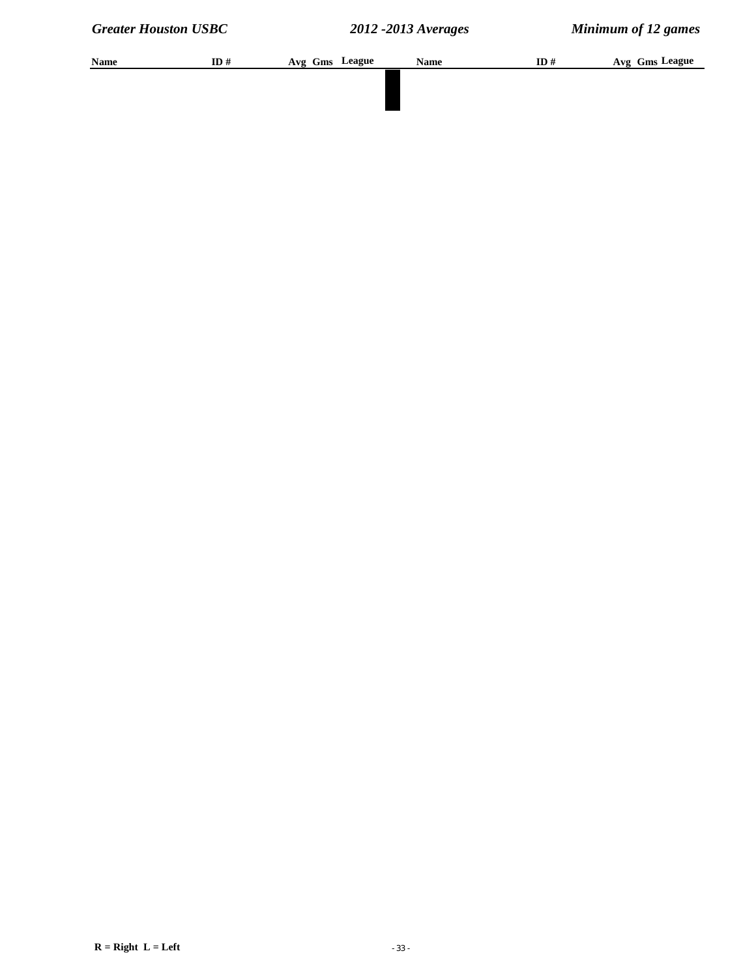| Name | ID# | Avg Gms League | <b>Name</b> | ID# | Avg Gms League |
|------|-----|----------------|-------------|-----|----------------|
|      |     |                |             |     |                |
|      |     |                |             |     |                |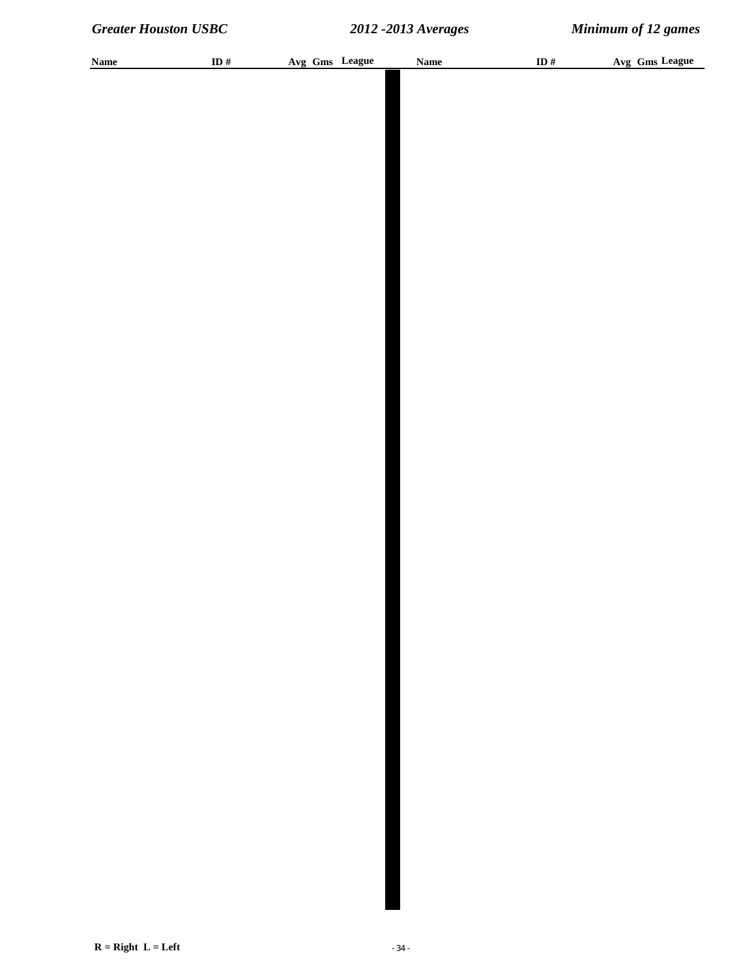| <b>Name</b> | ID $\#$ |  | Avg Gms League | <b>Name</b> | ID $\#$ | Avg Gms League |
|-------------|---------|--|----------------|-------------|---------|----------------|
|             |         |  |                |             |         |                |
|             |         |  |                |             |         |                |
|             |         |  |                |             |         |                |
|             |         |  |                |             |         |                |
|             |         |  |                |             |         |                |
|             |         |  |                |             |         |                |
|             |         |  |                |             |         |                |
|             |         |  |                |             |         |                |
|             |         |  |                |             |         |                |
|             |         |  |                |             |         |                |
|             |         |  |                |             |         |                |
|             |         |  |                |             |         |                |
|             |         |  |                |             |         |                |
|             |         |  |                |             |         |                |
|             |         |  |                |             |         |                |
|             |         |  |                |             |         |                |
|             |         |  |                |             |         |                |
|             |         |  |                |             |         |                |
|             |         |  |                |             |         |                |
|             |         |  |                |             |         |                |
|             |         |  |                |             |         |                |
|             |         |  |                |             |         |                |
|             |         |  |                |             |         |                |
|             |         |  |                |             |         |                |
|             |         |  |                |             |         |                |
|             |         |  |                |             |         |                |
|             |         |  |                |             |         |                |
|             |         |  |                |             |         |                |
|             |         |  |                |             |         |                |
|             |         |  |                |             |         |                |
|             |         |  |                |             |         |                |
|             |         |  |                |             |         |                |
|             |         |  |                |             |         |                |
|             |         |  |                |             |         |                |
|             |         |  |                |             |         |                |
|             |         |  |                |             |         |                |
|             |         |  |                |             |         |                |
|             |         |  |                |             |         |                |
|             |         |  |                |             |         |                |
|             |         |  |                |             |         |                |
|             |         |  |                |             |         |                |
|             |         |  |                |             |         |                |
|             |         |  |                |             |         |                |
|             |         |  |                |             |         |                |
|             |         |  |                |             |         |                |
|             |         |  |                |             |         |                |
|             |         |  |                |             |         |                |
|             |         |  |                |             |         |                |
|             |         |  |                |             |         |                |
|             |         |  |                |             |         |                |
|             |         |  |                |             |         |                |
|             |         |  |                |             |         |                |
|             |         |  |                |             |         |                |
|             |         |  |                |             |         |                |
|             |         |  |                |             |         |                |
|             |         |  |                |             |         |                |
|             |         |  |                |             |         |                |
|             |         |  |                |             |         |                |
|             |         |  |                |             |         |                |
|             |         |  |                |             |         |                |
|             |         |  |                |             |         |                |
|             |         |  |                |             |         |                |
|             |         |  |                |             |         |                |
|             |         |  |                |             |         |                |
|             |         |  |                |             |         |                |
|             |         |  |                |             |         |                |
|             |         |  |                |             |         |                |
|             |         |  |                |             |         |                |
|             |         |  |                |             |         |                |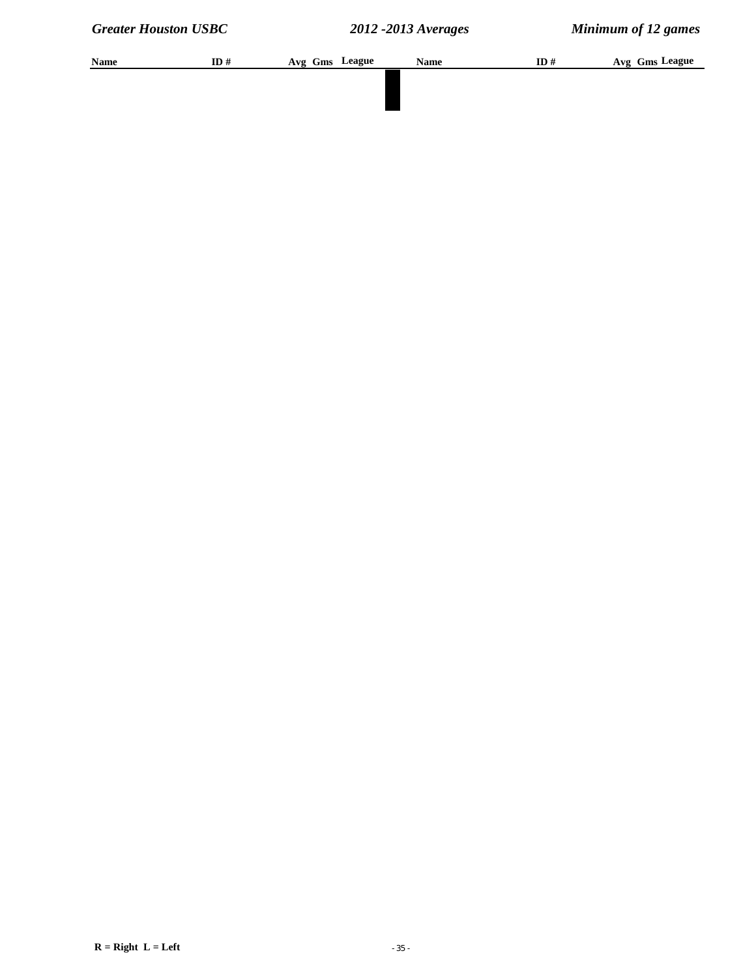| Name | ID# | Avg Gms League | <b>Name</b> | ID# | Avg Gms League |
|------|-----|----------------|-------------|-----|----------------|
|      |     |                |             |     |                |
|      |     |                |             |     |                |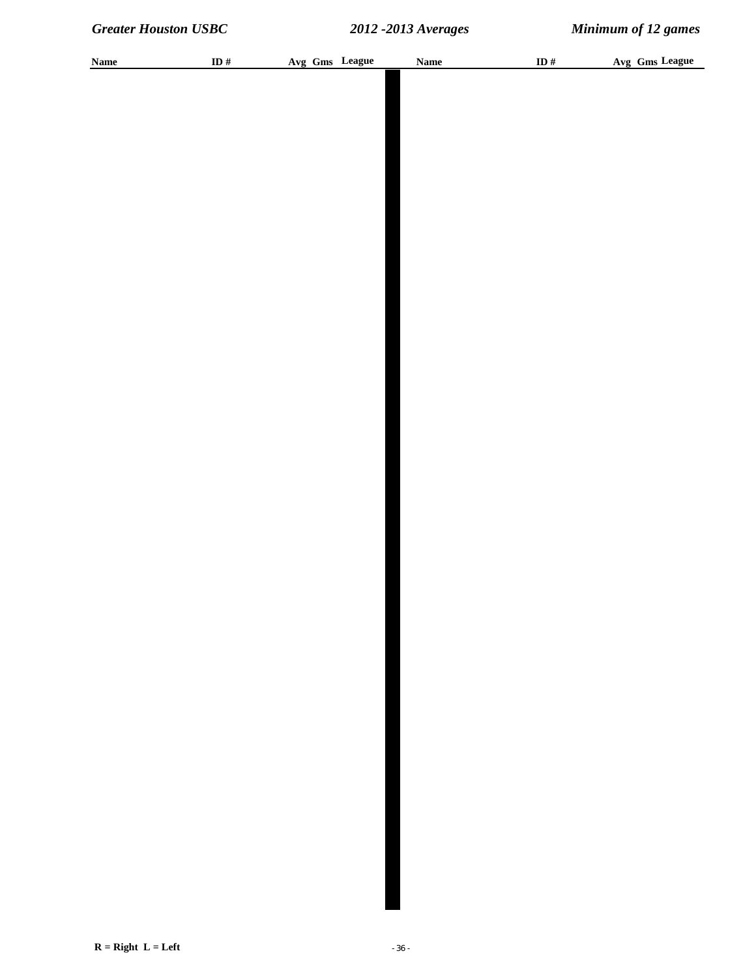| <b>Name</b> | ID# | Avg Gms League | <b>Name</b> | ID # | Avg Gms League |
|-------------|-----|----------------|-------------|------|----------------|
|             |     |                |             |      |                |
|             |     |                |             |      |                |
|             |     |                |             |      |                |
|             |     |                |             |      |                |
|             |     |                |             |      |                |
|             |     |                |             |      |                |
|             |     |                |             |      |                |
|             |     |                |             |      |                |
|             |     |                |             |      |                |
|             |     |                |             |      |                |
|             |     |                |             |      |                |
|             |     |                |             |      |                |
|             |     |                |             |      |                |
|             |     |                |             |      |                |
|             |     |                |             |      |                |
|             |     |                |             |      |                |
|             |     |                |             |      |                |
|             |     |                |             |      |                |
|             |     |                |             |      |                |
|             |     |                |             |      |                |
|             |     |                |             |      |                |
|             |     |                |             |      |                |
|             |     |                |             |      |                |
|             |     |                |             |      |                |
|             |     |                |             |      |                |
|             |     |                |             |      |                |
|             |     |                |             |      |                |
|             |     |                |             |      |                |
|             |     |                |             |      |                |
|             |     |                |             |      |                |
|             |     |                |             |      |                |
|             |     |                |             |      |                |
|             |     |                |             |      |                |
|             |     |                |             |      |                |
|             |     |                |             |      |                |
|             |     |                |             |      |                |
|             |     |                |             |      |                |
|             |     |                |             |      |                |
|             |     |                |             |      |                |
|             |     |                |             |      |                |
|             |     |                |             |      |                |
|             |     |                |             |      |                |
|             |     |                |             |      |                |
|             |     |                |             |      |                |
|             |     |                |             |      |                |
|             |     |                |             |      |                |
|             |     |                |             |      |                |
|             |     |                |             |      |                |
|             |     |                |             |      |                |
|             |     |                |             |      |                |
|             |     |                |             |      |                |
|             |     |                |             |      |                |
|             |     |                |             |      |                |
|             |     |                |             |      |                |
|             |     |                |             |      |                |
|             |     |                |             |      |                |
|             |     |                |             |      |                |
|             |     |                |             |      |                |
|             |     |                |             |      |                |
|             |     |                |             |      |                |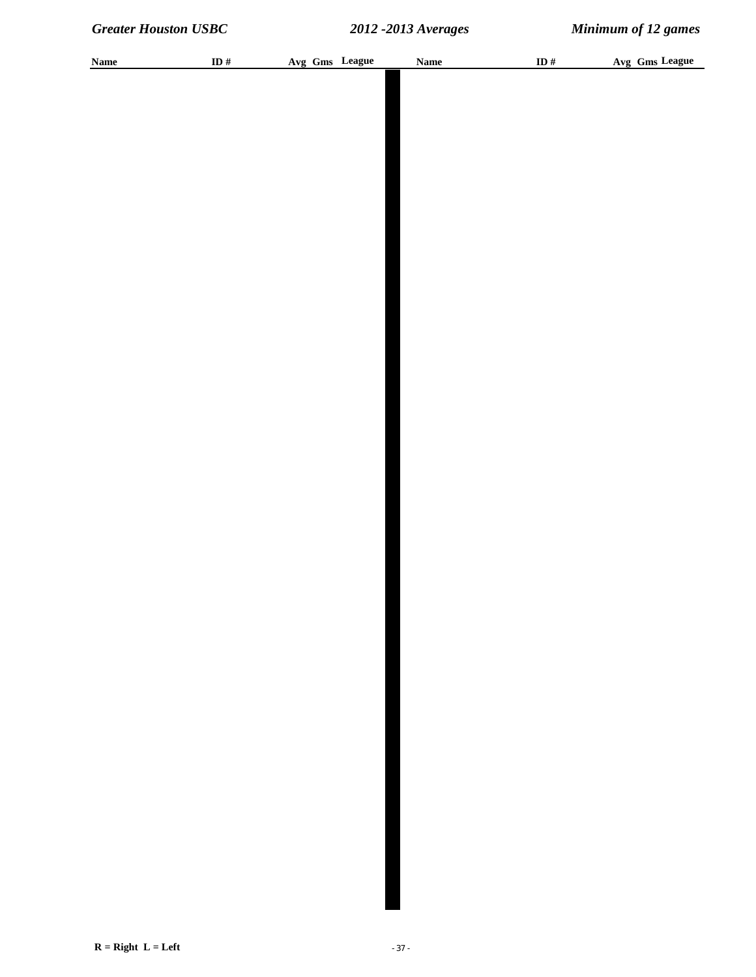| <b>Name</b> | ID $\#$ |  | Avg Gms League | <b>Name</b> | ID $\#$ | Avg Gms League |
|-------------|---------|--|----------------|-------------|---------|----------------|
|             |         |  |                |             |         |                |
|             |         |  |                |             |         |                |
|             |         |  |                |             |         |                |
|             |         |  |                |             |         |                |
|             |         |  |                |             |         |                |
|             |         |  |                |             |         |                |
|             |         |  |                |             |         |                |
|             |         |  |                |             |         |                |
|             |         |  |                |             |         |                |
|             |         |  |                |             |         |                |
|             |         |  |                |             |         |                |
|             |         |  |                |             |         |                |
|             |         |  |                |             |         |                |
|             |         |  |                |             |         |                |
|             |         |  |                |             |         |                |
|             |         |  |                |             |         |                |
|             |         |  |                |             |         |                |
|             |         |  |                |             |         |                |
|             |         |  |                |             |         |                |
|             |         |  |                |             |         |                |
|             |         |  |                |             |         |                |
|             |         |  |                |             |         |                |
|             |         |  |                |             |         |                |
|             |         |  |                |             |         |                |
|             |         |  |                |             |         |                |
|             |         |  |                |             |         |                |
|             |         |  |                |             |         |                |
|             |         |  |                |             |         |                |
|             |         |  |                |             |         |                |
|             |         |  |                |             |         |                |
|             |         |  |                |             |         |                |
|             |         |  |                |             |         |                |
|             |         |  |                |             |         |                |
|             |         |  |                |             |         |                |
|             |         |  |                |             |         |                |
|             |         |  |                |             |         |                |
|             |         |  |                |             |         |                |
|             |         |  |                |             |         |                |
|             |         |  |                |             |         |                |
|             |         |  |                |             |         |                |
|             |         |  |                |             |         |                |
|             |         |  |                |             |         |                |
|             |         |  |                |             |         |                |
|             |         |  |                |             |         |                |
|             |         |  |                |             |         |                |
|             |         |  |                |             |         |                |
|             |         |  |                |             |         |                |
|             |         |  |                |             |         |                |
|             |         |  |                |             |         |                |
|             |         |  |                |             |         |                |
|             |         |  |                |             |         |                |
|             |         |  |                |             |         |                |
|             |         |  |                |             |         |                |
|             |         |  |                |             |         |                |
|             |         |  |                |             |         |                |
|             |         |  |                |             |         |                |
|             |         |  |                |             |         |                |
|             |         |  |                |             |         |                |
|             |         |  |                |             |         |                |
|             |         |  |                |             |         |                |
|             |         |  |                |             |         |                |
|             |         |  |                |             |         |                |
|             |         |  |                |             |         |                |
|             |         |  |                |             |         |                |
|             |         |  |                |             |         |                |
|             |         |  |                |             |         |                |
|             |         |  |                |             |         |                |
|             |         |  |                |             |         |                |
|             |         |  |                |             |         |                |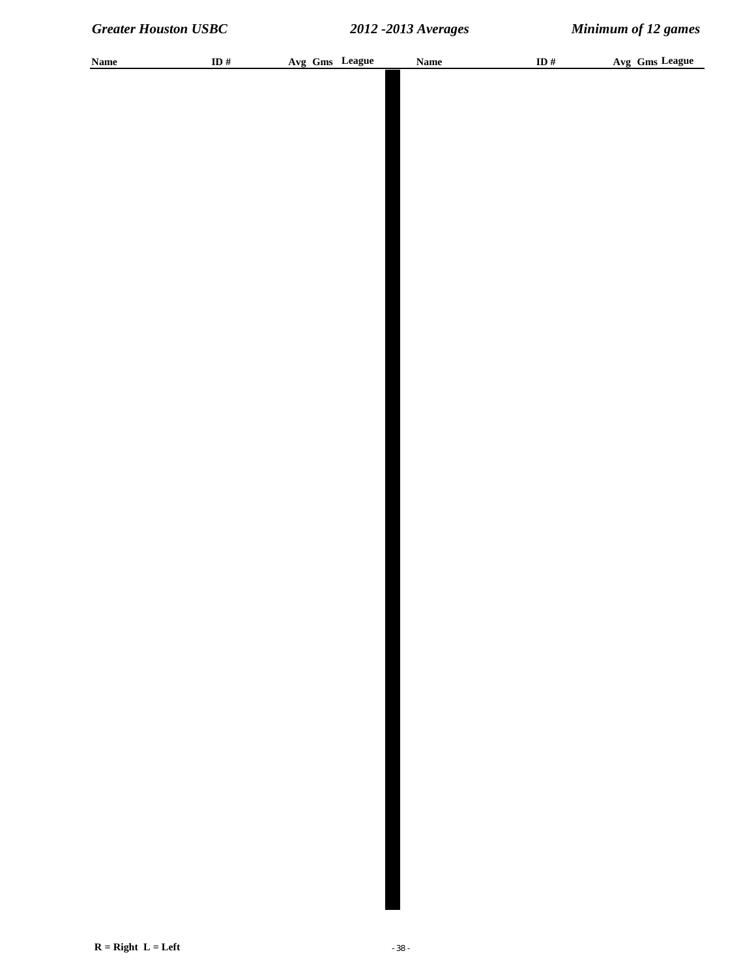| <b>Name</b> | ID $\#$ |  | Avg Gms League | <b>Name</b> | ID $\#$ | Avg Gms League |
|-------------|---------|--|----------------|-------------|---------|----------------|
|             |         |  |                |             |         |                |
|             |         |  |                |             |         |                |
|             |         |  |                |             |         |                |
|             |         |  |                |             |         |                |
|             |         |  |                |             |         |                |
|             |         |  |                |             |         |                |
|             |         |  |                |             |         |                |
|             |         |  |                |             |         |                |
|             |         |  |                |             |         |                |
|             |         |  |                |             |         |                |
|             |         |  |                |             |         |                |
|             |         |  |                |             |         |                |
|             |         |  |                |             |         |                |
|             |         |  |                |             |         |                |
|             |         |  |                |             |         |                |
|             |         |  |                |             |         |                |
|             |         |  |                |             |         |                |
|             |         |  |                |             |         |                |
|             |         |  |                |             |         |                |
|             |         |  |                |             |         |                |
|             |         |  |                |             |         |                |
|             |         |  |                |             |         |                |
|             |         |  |                |             |         |                |
|             |         |  |                |             |         |                |
|             |         |  |                |             |         |                |
|             |         |  |                |             |         |                |
|             |         |  |                |             |         |                |
|             |         |  |                |             |         |                |
|             |         |  |                |             |         |                |
|             |         |  |                |             |         |                |
|             |         |  |                |             |         |                |
|             |         |  |                |             |         |                |
|             |         |  |                |             |         |                |
|             |         |  |                |             |         |                |
|             |         |  |                |             |         |                |
|             |         |  |                |             |         |                |
|             |         |  |                |             |         |                |
|             |         |  |                |             |         |                |
|             |         |  |                |             |         |                |
|             |         |  |                |             |         |                |
|             |         |  |                |             |         |                |
|             |         |  |                |             |         |                |
|             |         |  |                |             |         |                |
|             |         |  |                |             |         |                |
|             |         |  |                |             |         |                |
|             |         |  |                |             |         |                |
|             |         |  |                |             |         |                |
|             |         |  |                |             |         |                |
|             |         |  |                |             |         |                |
|             |         |  |                |             |         |                |
|             |         |  |                |             |         |                |
|             |         |  |                |             |         |                |
|             |         |  |                |             |         |                |
|             |         |  |                |             |         |                |
|             |         |  |                |             |         |                |
|             |         |  |                |             |         |                |
|             |         |  |                |             |         |                |
|             |         |  |                |             |         |                |
|             |         |  |                |             |         |                |
|             |         |  |                |             |         |                |
|             |         |  |                |             |         |                |
|             |         |  |                |             |         |                |
|             |         |  |                |             |         |                |
|             |         |  |                |             |         |                |
|             |         |  |                |             |         |                |
|             |         |  |                |             |         |                |
|             |         |  |                |             |         |                |
|             |         |  |                |             |         |                |
|             |         |  |                |             |         |                |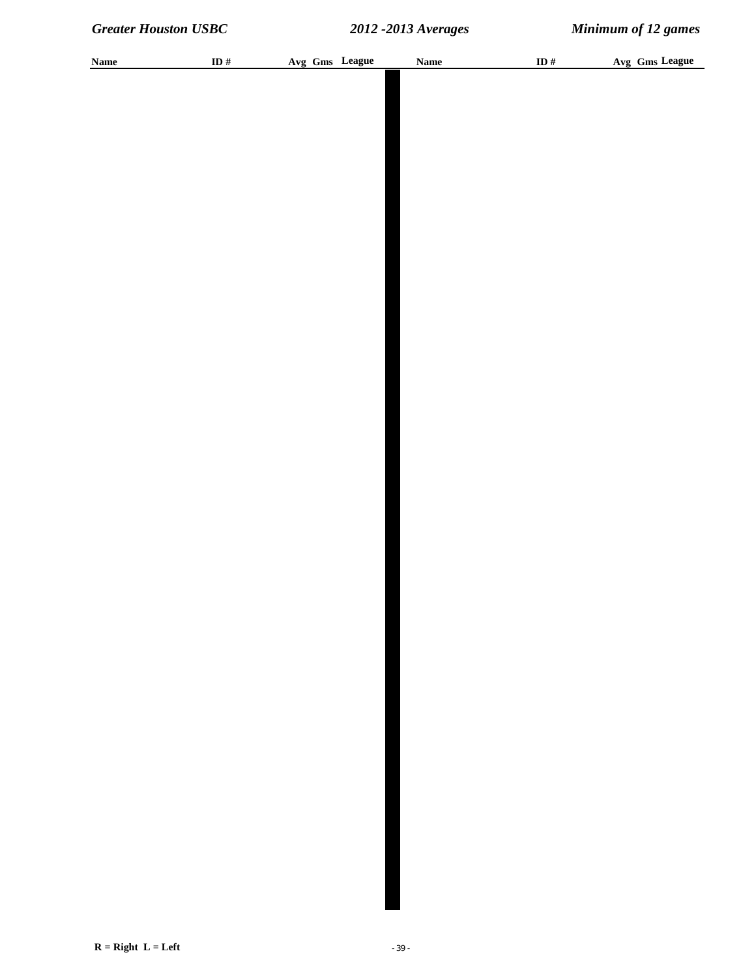| <b>Name</b> | ID # | Avg Gms League | <b>Name</b> | ID $\#$ | Avg Gms League |
|-------------|------|----------------|-------------|---------|----------------|
|             |      |                |             |         |                |
|             |      |                |             |         |                |
|             |      |                |             |         |                |
|             |      |                |             |         |                |
|             |      |                |             |         |                |
|             |      |                |             |         |                |
|             |      |                |             |         |                |
|             |      |                |             |         |                |
|             |      |                |             |         |                |
|             |      |                |             |         |                |
|             |      |                |             |         |                |
|             |      |                |             |         |                |
|             |      |                |             |         |                |
|             |      |                |             |         |                |
|             |      |                |             |         |                |
|             |      |                |             |         |                |
|             |      |                |             |         |                |
|             |      |                |             |         |                |
|             |      |                |             |         |                |
|             |      |                |             |         |                |
|             |      |                |             |         |                |
|             |      |                |             |         |                |
|             |      |                |             |         |                |
|             |      |                |             |         |                |
|             |      |                |             |         |                |
|             |      |                |             |         |                |
|             |      |                |             |         |                |
|             |      |                |             |         |                |
|             |      |                |             |         |                |
|             |      |                |             |         |                |
|             |      |                |             |         |                |
|             |      |                |             |         |                |
|             |      |                |             |         |                |
|             |      |                |             |         |                |
|             |      |                |             |         |                |
|             |      |                |             |         |                |
|             |      |                |             |         |                |
|             |      |                |             |         |                |
|             |      |                |             |         |                |
|             |      |                |             |         |                |
|             |      |                |             |         |                |
|             |      |                |             |         |                |
|             |      |                |             |         |                |
|             |      |                |             |         |                |
|             |      |                |             |         |                |
|             |      |                |             |         |                |
|             |      |                |             |         |                |
|             |      |                |             |         |                |
|             |      |                |             |         |                |
|             |      |                |             |         |                |
|             |      |                |             |         |                |
|             |      |                |             |         |                |
|             |      |                |             |         |                |
|             |      |                |             |         |                |
|             |      |                |             |         |                |
|             |      |                |             |         |                |
|             |      |                |             |         |                |
|             |      |                |             |         |                |
|             |      |                |             |         |                |
|             |      |                |             |         |                |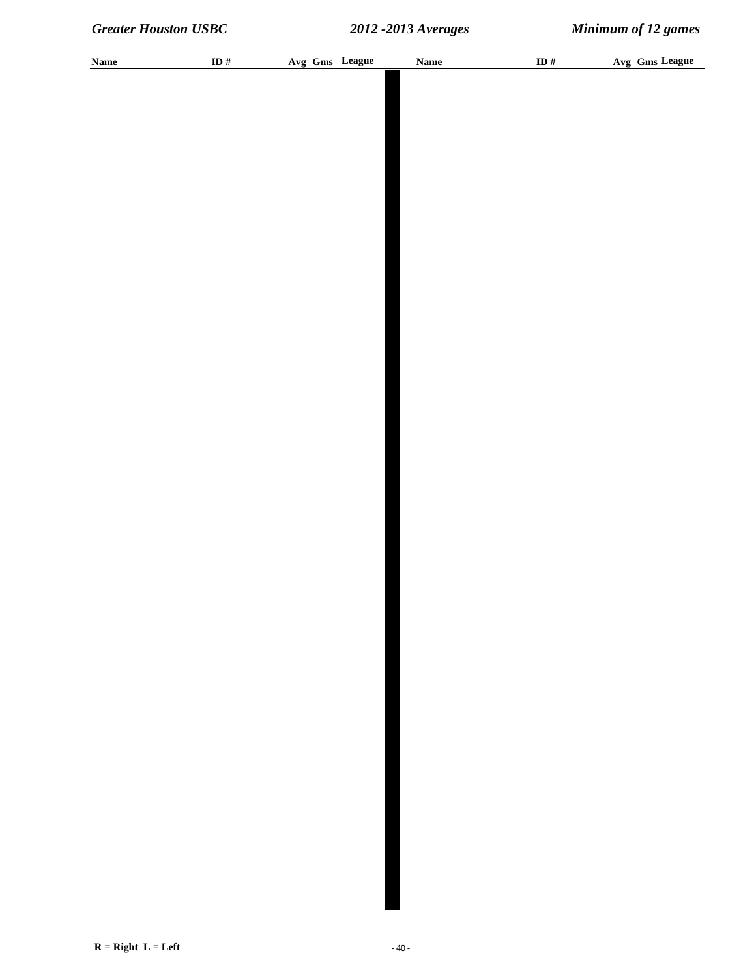| <b>Name</b> | ID $\#$ | Avg Gms League | <b>Name</b> | ID $\#$ | Avg Gms League |
|-------------|---------|----------------|-------------|---------|----------------|
|             |         |                |             |         |                |
|             |         |                |             |         |                |
|             |         |                |             |         |                |
|             |         |                |             |         |                |
|             |         |                |             |         |                |
|             |         |                |             |         |                |
|             |         |                |             |         |                |
|             |         |                |             |         |                |
|             |         |                |             |         |                |
|             |         |                |             |         |                |
|             |         |                |             |         |                |
|             |         |                |             |         |                |
|             |         |                |             |         |                |
|             |         |                |             |         |                |
|             |         |                |             |         |                |
|             |         |                |             |         |                |
|             |         |                |             |         |                |
|             |         |                |             |         |                |
|             |         |                |             |         |                |
|             |         |                |             |         |                |
|             |         |                |             |         |                |
|             |         |                |             |         |                |
|             |         |                |             |         |                |
|             |         |                |             |         |                |
|             |         |                |             |         |                |
|             |         |                |             |         |                |
|             |         |                |             |         |                |
|             |         |                |             |         |                |
|             |         |                |             |         |                |
|             |         |                |             |         |                |
|             |         |                |             |         |                |
|             |         |                |             |         |                |
|             |         |                |             |         |                |
|             |         |                |             |         |                |
|             |         |                |             |         |                |
|             |         |                |             |         |                |
|             |         |                |             |         |                |
|             |         |                |             |         |                |
|             |         |                |             |         |                |
|             |         |                |             |         |                |
|             |         |                |             |         |                |
|             |         |                |             |         |                |
|             |         |                |             |         |                |
|             |         |                |             |         |                |
|             |         |                |             |         |                |
|             |         |                |             |         |                |
|             |         |                |             |         |                |
|             |         |                |             |         |                |
|             |         |                |             |         |                |
|             |         |                |             |         |                |
|             |         |                |             |         |                |
|             |         |                |             |         |                |
|             |         |                |             |         |                |
|             |         |                |             |         |                |
|             |         |                |             |         |                |
|             |         |                |             |         |                |
|             |         |                |             |         |                |
|             |         |                |             |         |                |
|             |         |                |             |         |                |
|             |         |                |             |         |                |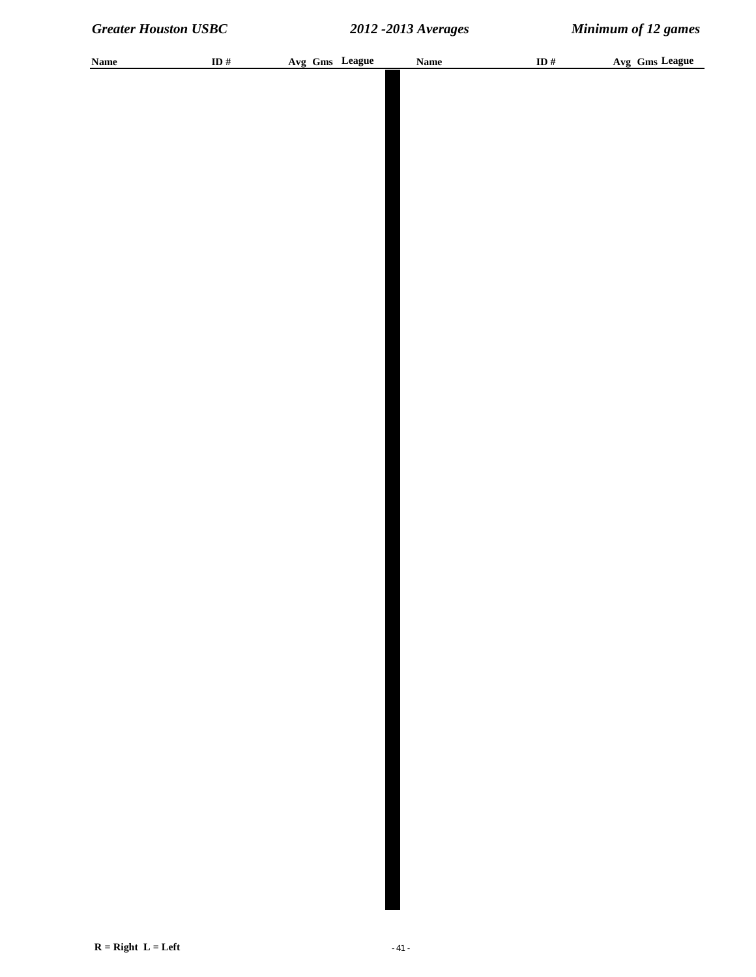| <b>Name</b> | ID $\#$ |  | Avg Gms League | <b>Name</b> | ID $#$ | Avg Gms League |  |
|-------------|---------|--|----------------|-------------|--------|----------------|--|
|             |         |  |                |             |        |                |  |
|             |         |  |                |             |        |                |  |
|             |         |  |                |             |        |                |  |
|             |         |  |                |             |        |                |  |
|             |         |  |                |             |        |                |  |
|             |         |  |                |             |        |                |  |
|             |         |  |                |             |        |                |  |
|             |         |  |                |             |        |                |  |
|             |         |  |                |             |        |                |  |
|             |         |  |                |             |        |                |  |
|             |         |  |                |             |        |                |  |
|             |         |  |                |             |        |                |  |
|             |         |  |                |             |        |                |  |
|             |         |  |                |             |        |                |  |
|             |         |  |                |             |        |                |  |
|             |         |  |                |             |        |                |  |
|             |         |  |                |             |        |                |  |
|             |         |  |                |             |        |                |  |
|             |         |  |                |             |        |                |  |
|             |         |  |                |             |        |                |  |
|             |         |  |                |             |        |                |  |
|             |         |  |                |             |        |                |  |
|             |         |  |                |             |        |                |  |
|             |         |  |                |             |        |                |  |
|             |         |  |                |             |        |                |  |
|             |         |  |                |             |        |                |  |
|             |         |  |                |             |        |                |  |
|             |         |  |                |             |        |                |  |
|             |         |  |                |             |        |                |  |
|             |         |  |                |             |        |                |  |
|             |         |  |                |             |        |                |  |
|             |         |  |                |             |        |                |  |
|             |         |  |                |             |        |                |  |
|             |         |  |                |             |        |                |  |
|             |         |  |                |             |        |                |  |
|             |         |  |                |             |        |                |  |
|             |         |  |                |             |        |                |  |
|             |         |  |                |             |        |                |  |
|             |         |  |                |             |        |                |  |
|             |         |  |                |             |        |                |  |
|             |         |  |                |             |        |                |  |
|             |         |  |                |             |        |                |  |
|             |         |  |                |             |        |                |  |
|             |         |  |                |             |        |                |  |
|             |         |  |                |             |        |                |  |
|             |         |  |                |             |        |                |  |
|             |         |  |                |             |        |                |  |
|             |         |  |                |             |        |                |  |
|             |         |  |                |             |        |                |  |
|             |         |  |                |             |        |                |  |
|             |         |  |                |             |        |                |  |
|             |         |  |                |             |        |                |  |
|             |         |  |                |             |        |                |  |
|             |         |  |                |             |        |                |  |
|             |         |  |                |             |        |                |  |
|             |         |  |                |             |        |                |  |
|             |         |  |                |             |        |                |  |
|             |         |  |                |             |        |                |  |
|             |         |  |                |             |        |                |  |
|             |         |  |                |             |        |                |  |
|             |         |  |                |             |        |                |  |
|             |         |  |                |             |        |                |  |
|             |         |  |                |             |        |                |  |
|             |         |  |                |             |        |                |  |
|             |         |  |                |             |        |                |  |
|             |         |  |                |             |        |                |  |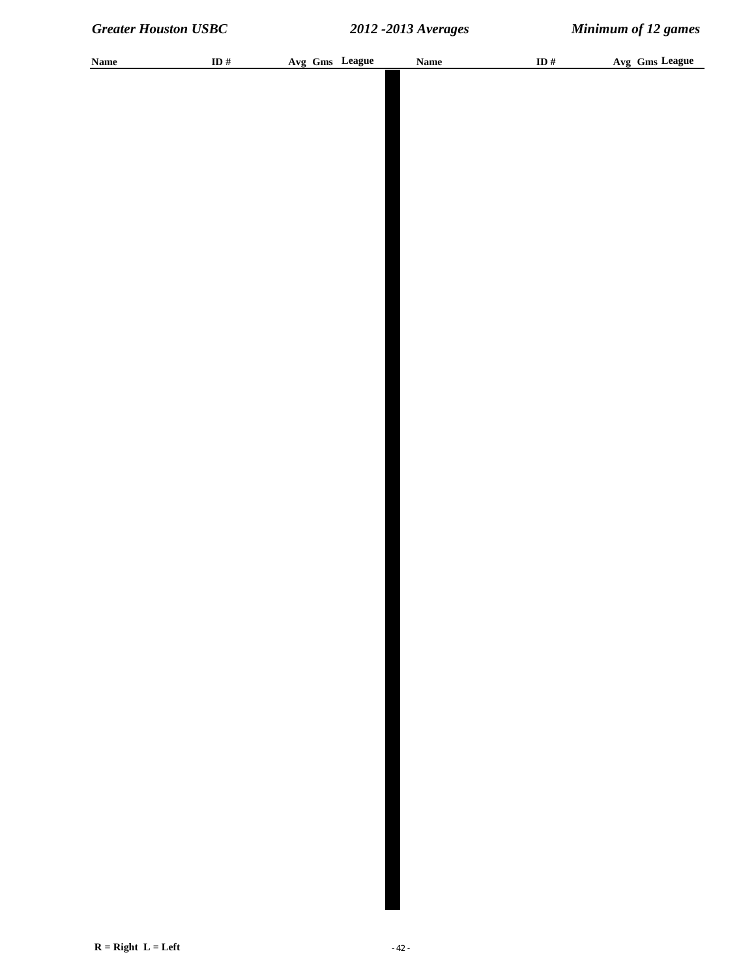| <b>Name</b> | ID $\#$ |  | Avg Gms League | <b>Name</b> | ID $\#$ | Avg Gms League |
|-------------|---------|--|----------------|-------------|---------|----------------|
|             |         |  |                |             |         |                |
|             |         |  |                |             |         |                |
|             |         |  |                |             |         |                |
|             |         |  |                |             |         |                |
|             |         |  |                |             |         |                |
|             |         |  |                |             |         |                |
|             |         |  |                |             |         |                |
|             |         |  |                |             |         |                |
|             |         |  |                |             |         |                |
|             |         |  |                |             |         |                |
|             |         |  |                |             |         |                |
|             |         |  |                |             |         |                |
|             |         |  |                |             |         |                |
|             |         |  |                |             |         |                |
|             |         |  |                |             |         |                |
|             |         |  |                |             |         |                |
|             |         |  |                |             |         |                |
|             |         |  |                |             |         |                |
|             |         |  |                |             |         |                |
|             |         |  |                |             |         |                |
|             |         |  |                |             |         |                |
|             |         |  |                |             |         |                |
|             |         |  |                |             |         |                |
|             |         |  |                |             |         |                |
|             |         |  |                |             |         |                |
|             |         |  |                |             |         |                |
|             |         |  |                |             |         |                |
|             |         |  |                |             |         |                |
|             |         |  |                |             |         |                |
|             |         |  |                |             |         |                |
|             |         |  |                |             |         |                |
|             |         |  |                |             |         |                |
|             |         |  |                |             |         |                |
|             |         |  |                |             |         |                |
|             |         |  |                |             |         |                |
|             |         |  |                |             |         |                |
|             |         |  |                |             |         |                |
|             |         |  |                |             |         |                |
|             |         |  |                |             |         |                |
|             |         |  |                |             |         |                |
|             |         |  |                |             |         |                |
|             |         |  |                |             |         |                |
|             |         |  |                |             |         |                |
|             |         |  |                |             |         |                |
|             |         |  |                |             |         |                |
|             |         |  |                |             |         |                |
|             |         |  |                |             |         |                |
|             |         |  |                |             |         |                |
|             |         |  |                |             |         |                |
|             |         |  |                |             |         |                |
|             |         |  |                |             |         |                |
|             |         |  |                |             |         |                |
|             |         |  |                |             |         |                |
|             |         |  |                |             |         |                |
|             |         |  |                |             |         |                |
|             |         |  |                |             |         |                |
|             |         |  |                |             |         |                |
|             |         |  |                |             |         |                |
|             |         |  |                |             |         |                |
|             |         |  |                |             |         |                |
|             |         |  |                |             |         |                |
|             |         |  |                |             |         |                |
|             |         |  |                |             |         |                |
|             |         |  |                |             |         |                |
|             |         |  |                |             |         |                |
|             |         |  |                |             |         |                |
|             |         |  |                |             |         |                |
|             |         |  |                |             |         |                |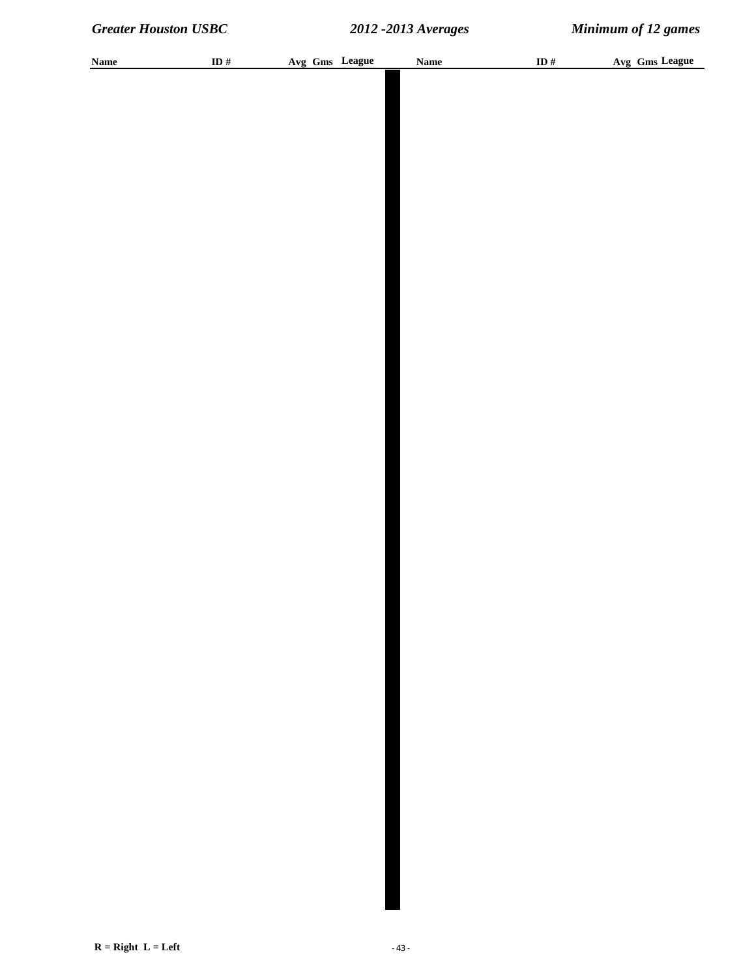| <b>Name</b> | ID $\#$ | Avg Gms League | Name | ID $\#$ | Avg Gms League |
|-------------|---------|----------------|------|---------|----------------|
|             |         |                |      |         |                |
|             |         |                |      |         |                |
|             |         |                |      |         |                |
|             |         |                |      |         |                |
|             |         |                |      |         |                |
|             |         |                |      |         |                |
|             |         |                |      |         |                |
|             |         |                |      |         |                |
|             |         |                |      |         |                |
|             |         |                |      |         |                |
|             |         |                |      |         |                |
|             |         |                |      |         |                |
|             |         |                |      |         |                |
|             |         |                |      |         |                |
|             |         |                |      |         |                |
|             |         |                |      |         |                |
|             |         |                |      |         |                |
|             |         |                |      |         |                |
|             |         |                |      |         |                |
|             |         |                |      |         |                |
|             |         |                |      |         |                |
|             |         |                |      |         |                |
|             |         |                |      |         |                |
|             |         |                |      |         |                |
|             |         |                |      |         |                |
|             |         |                |      |         |                |
|             |         |                |      |         |                |
|             |         |                |      |         |                |
|             |         |                |      |         |                |
|             |         |                |      |         |                |
|             |         |                |      |         |                |
|             |         |                |      |         |                |
|             |         |                |      |         |                |
|             |         |                |      |         |                |
|             |         |                |      |         |                |
|             |         |                |      |         |                |
|             |         |                |      |         |                |
|             |         |                |      |         |                |
|             |         |                |      |         |                |
|             |         |                |      |         |                |
|             |         |                |      |         |                |
|             |         |                |      |         |                |
|             |         |                |      |         |                |
|             |         |                |      |         |                |
|             |         |                |      |         |                |
|             |         |                |      |         |                |
|             |         |                |      |         |                |
|             |         |                |      |         |                |
|             |         |                |      |         |                |
|             |         |                |      |         |                |
|             |         |                |      |         |                |
|             |         |                |      |         |                |
|             |         |                |      |         |                |
|             |         |                |      |         |                |
|             |         |                |      |         |                |
|             |         |                |      |         |                |
|             |         |                |      |         |                |
|             |         |                |      |         |                |
|             |         |                |      |         |                |
|             |         |                |      |         |                |
|             |         |                |      |         |                |
|             |         |                |      |         |                |
|             |         |                |      |         |                |
|             |         |                |      |         |                |
|             |         |                |      |         |                |
|             |         |                |      |         |                |
|             |         |                |      |         |                |
|             |         |                |      |         |                |
|             |         |                |      |         |                |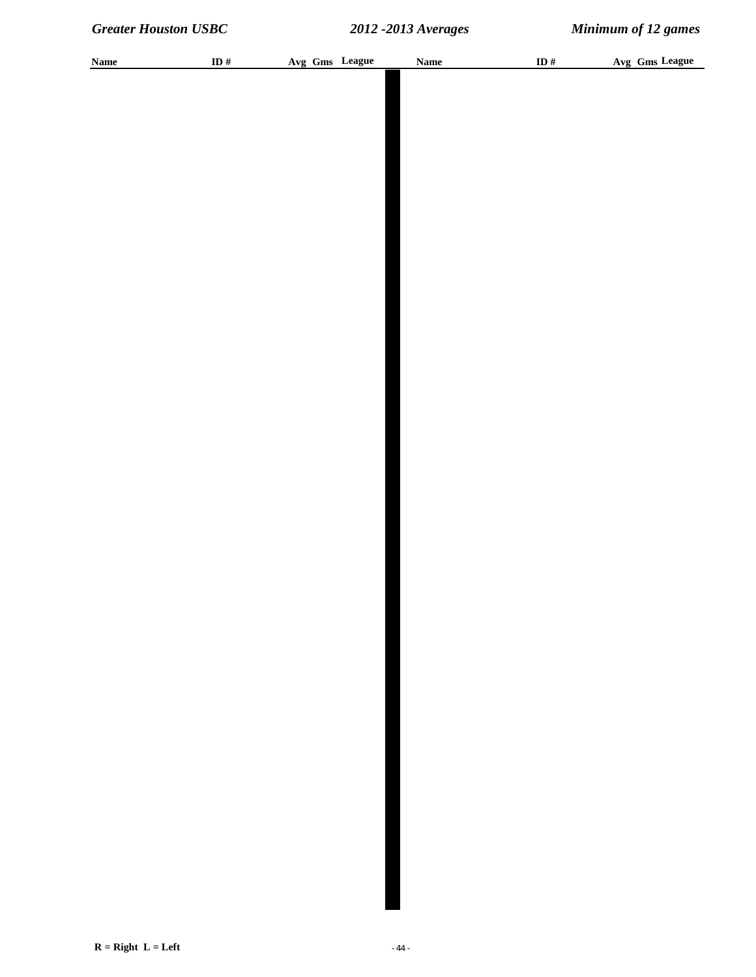| <b>Name</b> | ID $\#$ | Avg Gms League | Name | ID $\#$ | Avg Gms League |
|-------------|---------|----------------|------|---------|----------------|
|             |         |                |      |         |                |
|             |         |                |      |         |                |
|             |         |                |      |         |                |
|             |         |                |      |         |                |
|             |         |                |      |         |                |
|             |         |                |      |         |                |
|             |         |                |      |         |                |
|             |         |                |      |         |                |
|             |         |                |      |         |                |
|             |         |                |      |         |                |
|             |         |                |      |         |                |
|             |         |                |      |         |                |
|             |         |                |      |         |                |
|             |         |                |      |         |                |
|             |         |                |      |         |                |
|             |         |                |      |         |                |
|             |         |                |      |         |                |
|             |         |                |      |         |                |
|             |         |                |      |         |                |
|             |         |                |      |         |                |
|             |         |                |      |         |                |
|             |         |                |      |         |                |
|             |         |                |      |         |                |
|             |         |                |      |         |                |
|             |         |                |      |         |                |
|             |         |                |      |         |                |
|             |         |                |      |         |                |
|             |         |                |      |         |                |
|             |         |                |      |         |                |
|             |         |                |      |         |                |
|             |         |                |      |         |                |
|             |         |                |      |         |                |
|             |         |                |      |         |                |
|             |         |                |      |         |                |
|             |         |                |      |         |                |
|             |         |                |      |         |                |
|             |         |                |      |         |                |
|             |         |                |      |         |                |
|             |         |                |      |         |                |
|             |         |                |      |         |                |
|             |         |                |      |         |                |
|             |         |                |      |         |                |
|             |         |                |      |         |                |
|             |         |                |      |         |                |
|             |         |                |      |         |                |
|             |         |                |      |         |                |
|             |         |                |      |         |                |
|             |         |                |      |         |                |
|             |         |                |      |         |                |
|             |         |                |      |         |                |
|             |         |                |      |         |                |
|             |         |                |      |         |                |
|             |         |                |      |         |                |
|             |         |                |      |         |                |
|             |         |                |      |         |                |
|             |         |                |      |         |                |
|             |         |                |      |         |                |
|             |         |                |      |         |                |
|             |         |                |      |         |                |
|             |         |                |      |         |                |
|             |         |                |      |         |                |
|             |         |                |      |         |                |
|             |         |                |      |         |                |
|             |         |                |      |         |                |
|             |         |                |      |         |                |
|             |         |                |      |         |                |
|             |         |                |      |         |                |
|             |         |                |      |         |                |
|             |         |                |      |         |                |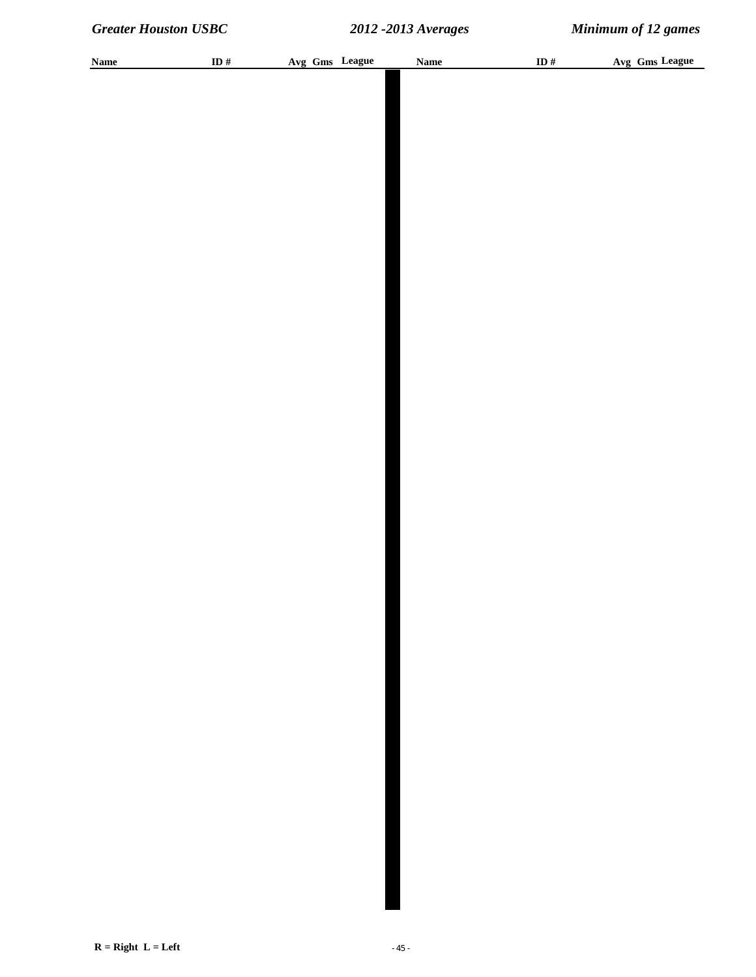| <b>Name</b> | ID $\#$ |  | Avg Gms League | <b>Name</b> | ID $\#$ | Avg Gms League |
|-------------|---------|--|----------------|-------------|---------|----------------|
|             |         |  |                |             |         |                |
|             |         |  |                |             |         |                |
|             |         |  |                |             |         |                |
|             |         |  |                |             |         |                |
|             |         |  |                |             |         |                |
|             |         |  |                |             |         |                |
|             |         |  |                |             |         |                |
|             |         |  |                |             |         |                |
|             |         |  |                |             |         |                |
|             |         |  |                |             |         |                |
|             |         |  |                |             |         |                |
|             |         |  |                |             |         |                |
|             |         |  |                |             |         |                |
|             |         |  |                |             |         |                |
|             |         |  |                |             |         |                |
|             |         |  |                |             |         |                |
|             |         |  |                |             |         |                |
|             |         |  |                |             |         |                |
|             |         |  |                |             |         |                |
|             |         |  |                |             |         |                |
|             |         |  |                |             |         |                |
|             |         |  |                |             |         |                |
|             |         |  |                |             |         |                |
|             |         |  |                |             |         |                |
|             |         |  |                |             |         |                |
|             |         |  |                |             |         |                |
|             |         |  |                |             |         |                |
|             |         |  |                |             |         |                |
|             |         |  |                |             |         |                |
|             |         |  |                |             |         |                |
|             |         |  |                |             |         |                |
|             |         |  |                |             |         |                |
|             |         |  |                |             |         |                |
|             |         |  |                |             |         |                |
|             |         |  |                |             |         |                |
|             |         |  |                |             |         |                |
|             |         |  |                |             |         |                |
|             |         |  |                |             |         |                |
|             |         |  |                |             |         |                |
|             |         |  |                |             |         |                |
|             |         |  |                |             |         |                |
|             |         |  |                |             |         |                |
|             |         |  |                |             |         |                |
|             |         |  |                |             |         |                |
|             |         |  |                |             |         |                |
|             |         |  |                |             |         |                |
|             |         |  |                |             |         |                |
|             |         |  |                |             |         |                |
|             |         |  |                |             |         |                |
|             |         |  |                |             |         |                |
|             |         |  |                |             |         |                |
|             |         |  |                |             |         |                |
|             |         |  |                |             |         |                |
|             |         |  |                |             |         |                |
|             |         |  |                |             |         |                |
|             |         |  |                |             |         |                |
|             |         |  |                |             |         |                |
|             |         |  |                |             |         |                |
|             |         |  |                |             |         |                |
|             |         |  |                |             |         |                |
|             |         |  |                |             |         |                |
|             |         |  |                |             |         |                |
|             |         |  |                |             |         |                |
|             |         |  |                |             |         |                |
|             |         |  |                |             |         |                |
|             |         |  |                |             |         |                |
|             |         |  |                |             |         |                |
|             |         |  |                |             |         |                |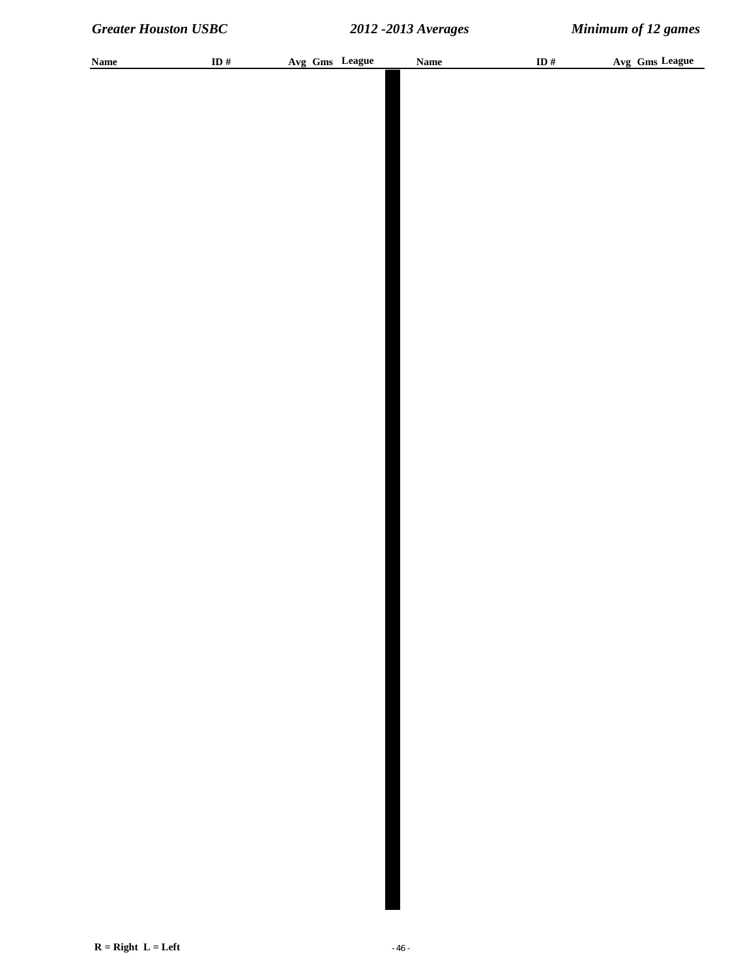| <b>Name</b> | ID $\#$ |  | Avg Gms League | <b>Name</b> | ID $\#$ | Avg Gms League |
|-------------|---------|--|----------------|-------------|---------|----------------|
|             |         |  |                |             |         |                |
|             |         |  |                |             |         |                |
|             |         |  |                |             |         |                |
|             |         |  |                |             |         |                |
|             |         |  |                |             |         |                |
|             |         |  |                |             |         |                |
|             |         |  |                |             |         |                |
|             |         |  |                |             |         |                |
|             |         |  |                |             |         |                |
|             |         |  |                |             |         |                |
|             |         |  |                |             |         |                |
|             |         |  |                |             |         |                |
|             |         |  |                |             |         |                |
|             |         |  |                |             |         |                |
|             |         |  |                |             |         |                |
|             |         |  |                |             |         |                |
|             |         |  |                |             |         |                |
|             |         |  |                |             |         |                |
|             |         |  |                |             |         |                |
|             |         |  |                |             |         |                |
|             |         |  |                |             |         |                |
|             |         |  |                |             |         |                |
|             |         |  |                |             |         |                |
|             |         |  |                |             |         |                |
|             |         |  |                |             |         |                |
|             |         |  |                |             |         |                |
|             |         |  |                |             |         |                |
|             |         |  |                |             |         |                |
|             |         |  |                |             |         |                |
|             |         |  |                |             |         |                |
|             |         |  |                |             |         |                |
|             |         |  |                |             |         |                |
|             |         |  |                |             |         |                |
|             |         |  |                |             |         |                |
|             |         |  |                |             |         |                |
|             |         |  |                |             |         |                |
|             |         |  |                |             |         |                |
|             |         |  |                |             |         |                |
|             |         |  |                |             |         |                |
|             |         |  |                |             |         |                |
|             |         |  |                |             |         |                |
|             |         |  |                |             |         |                |
|             |         |  |                |             |         |                |
|             |         |  |                |             |         |                |
|             |         |  |                |             |         |                |
|             |         |  |                |             |         |                |
|             |         |  |                |             |         |                |
|             |         |  |                |             |         |                |
|             |         |  |                |             |         |                |
|             |         |  |                |             |         |                |
|             |         |  |                |             |         |                |
|             |         |  |                |             |         |                |
|             |         |  |                |             |         |                |
|             |         |  |                |             |         |                |
|             |         |  |                |             |         |                |
|             |         |  |                |             |         |                |
|             |         |  |                |             |         |                |
|             |         |  |                |             |         |                |
|             |         |  |                |             |         |                |
|             |         |  |                |             |         |                |
|             |         |  |                |             |         |                |
|             |         |  |                |             |         |                |
|             |         |  |                |             |         |                |
|             |         |  |                |             |         |                |
|             |         |  |                |             |         |                |
|             |         |  |                |             |         |                |
|             |         |  |                |             |         |                |
|             |         |  |                |             |         |                |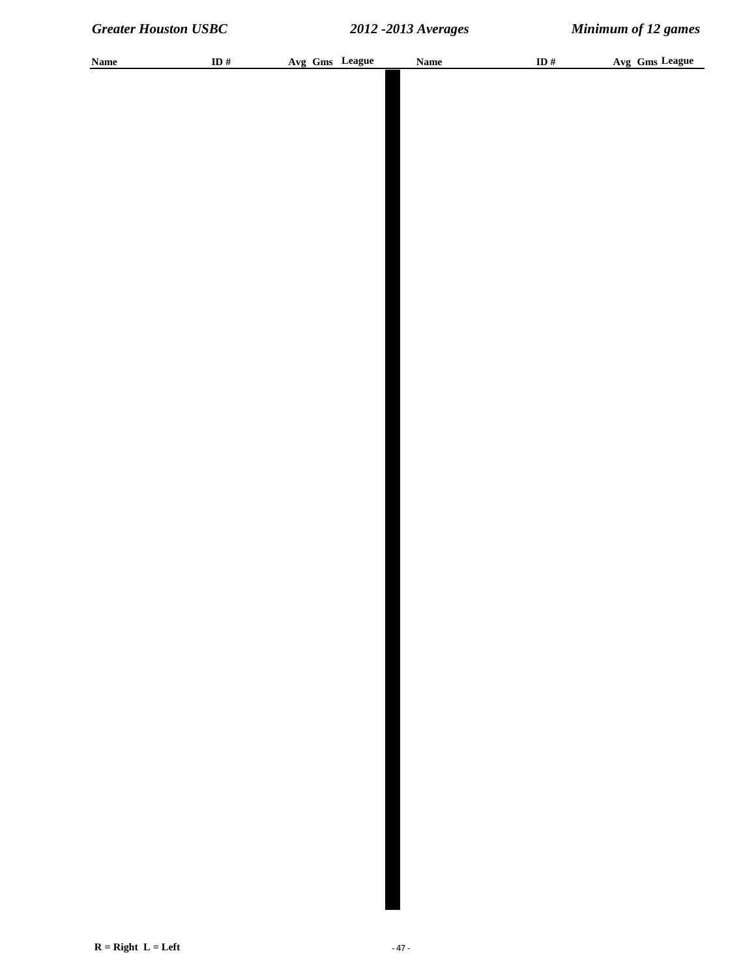| <b>Name</b> | ID $\#$ | Avg Gms League | Name | ID $\#$ | Avg Gms League |
|-------------|---------|----------------|------|---------|----------------|
|             |         |                |      |         |                |
|             |         |                |      |         |                |
|             |         |                |      |         |                |
|             |         |                |      |         |                |
|             |         |                |      |         |                |
|             |         |                |      |         |                |
|             |         |                |      |         |                |
|             |         |                |      |         |                |
|             |         |                |      |         |                |
|             |         |                |      |         |                |
|             |         |                |      |         |                |
|             |         |                |      |         |                |
|             |         |                |      |         |                |
|             |         |                |      |         |                |
|             |         |                |      |         |                |
|             |         |                |      |         |                |
|             |         |                |      |         |                |
|             |         |                |      |         |                |
|             |         |                |      |         |                |
|             |         |                |      |         |                |
|             |         |                |      |         |                |
|             |         |                |      |         |                |
|             |         |                |      |         |                |
|             |         |                |      |         |                |
|             |         |                |      |         |                |
|             |         |                |      |         |                |
|             |         |                |      |         |                |
|             |         |                |      |         |                |
|             |         |                |      |         |                |
|             |         |                |      |         |                |
|             |         |                |      |         |                |
|             |         |                |      |         |                |
|             |         |                |      |         |                |
|             |         |                |      |         |                |
|             |         |                |      |         |                |
|             |         |                |      |         |                |
|             |         |                |      |         |                |
|             |         |                |      |         |                |
|             |         |                |      |         |                |
|             |         |                |      |         |                |
|             |         |                |      |         |                |
|             |         |                |      |         |                |
|             |         |                |      |         |                |
|             |         |                |      |         |                |
|             |         |                |      |         |                |
|             |         |                |      |         |                |
|             |         |                |      |         |                |
|             |         |                |      |         |                |
|             |         |                |      |         |                |
|             |         |                |      |         |                |
|             |         |                |      |         |                |
|             |         |                |      |         |                |
|             |         |                |      |         |                |
|             |         |                |      |         |                |
|             |         |                |      |         |                |
|             |         |                |      |         |                |
|             |         |                |      |         |                |
|             |         |                |      |         |                |
|             |         |                |      |         |                |
|             |         |                |      |         |                |
|             |         |                |      |         |                |
|             |         |                |      |         |                |
|             |         |                |      |         |                |
|             |         |                |      |         |                |
|             |         |                |      |         |                |
|             |         |                |      |         |                |
|             |         |                |      |         |                |
|             |         |                |      |         |                |
|             |         |                |      |         |                |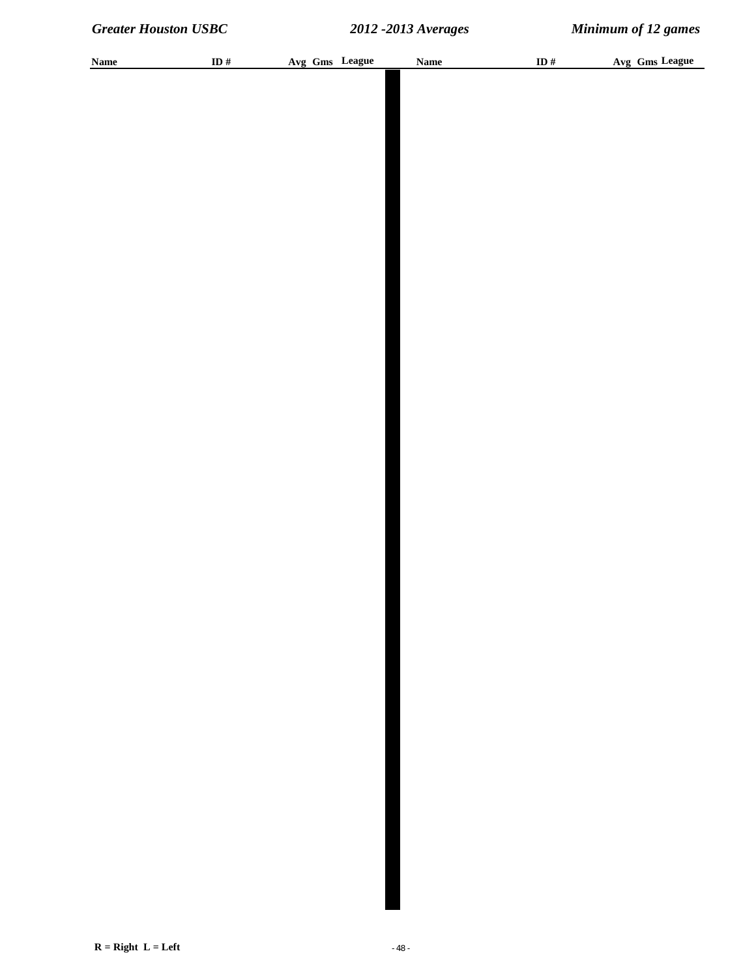| <b>Name</b> | ID $\#$ | Avg Gms League | Name | ID $\#$ | Avg Gms League |
|-------------|---------|----------------|------|---------|----------------|
|             |         |                |      |         |                |
|             |         |                |      |         |                |
|             |         |                |      |         |                |
|             |         |                |      |         |                |
|             |         |                |      |         |                |
|             |         |                |      |         |                |
|             |         |                |      |         |                |
|             |         |                |      |         |                |
|             |         |                |      |         |                |
|             |         |                |      |         |                |
|             |         |                |      |         |                |
|             |         |                |      |         |                |
|             |         |                |      |         |                |
|             |         |                |      |         |                |
|             |         |                |      |         |                |
|             |         |                |      |         |                |
|             |         |                |      |         |                |
|             |         |                |      |         |                |
|             |         |                |      |         |                |
|             |         |                |      |         |                |
|             |         |                |      |         |                |
|             |         |                |      |         |                |
|             |         |                |      |         |                |
|             |         |                |      |         |                |
|             |         |                |      |         |                |
|             |         |                |      |         |                |
|             |         |                |      |         |                |
|             |         |                |      |         |                |
|             |         |                |      |         |                |
|             |         |                |      |         |                |
|             |         |                |      |         |                |
|             |         |                |      |         |                |
|             |         |                |      |         |                |
|             |         |                |      |         |                |
|             |         |                |      |         |                |
|             |         |                |      |         |                |
|             |         |                |      |         |                |
|             |         |                |      |         |                |
|             |         |                |      |         |                |
|             |         |                |      |         |                |
|             |         |                |      |         |                |
|             |         |                |      |         |                |
|             |         |                |      |         |                |
|             |         |                |      |         |                |
|             |         |                |      |         |                |
|             |         |                |      |         |                |
|             |         |                |      |         |                |
|             |         |                |      |         |                |
|             |         |                |      |         |                |
|             |         |                |      |         |                |
|             |         |                |      |         |                |
|             |         |                |      |         |                |
|             |         |                |      |         |                |
|             |         |                |      |         |                |
|             |         |                |      |         |                |
|             |         |                |      |         |                |
|             |         |                |      |         |                |
|             |         |                |      |         |                |
|             |         |                |      |         |                |
|             |         |                |      |         |                |
|             |         |                |      |         |                |
|             |         |                |      |         |                |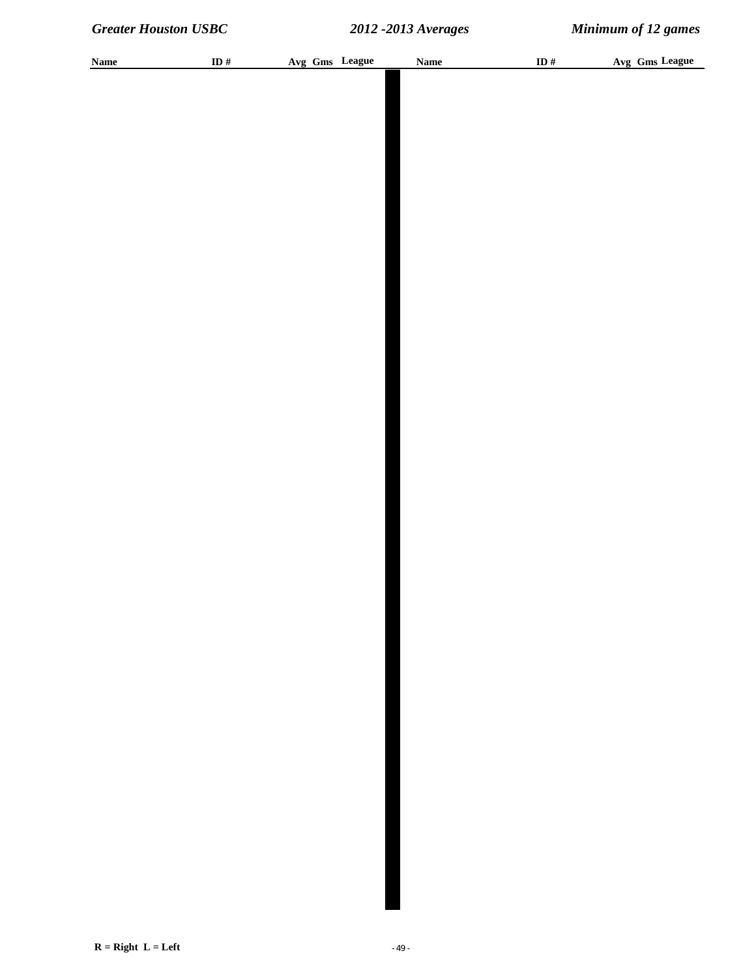| <b>Name</b> | ID # | Avg Gms League | <b>Name</b> | ID # | Avg Gms League |
|-------------|------|----------------|-------------|------|----------------|
|             |      |                |             |      |                |
|             |      |                |             |      |                |
|             |      |                |             |      |                |
|             |      |                |             |      |                |
|             |      |                |             |      |                |
|             |      |                |             |      |                |
|             |      |                |             |      |                |
|             |      |                |             |      |                |
|             |      |                |             |      |                |
|             |      |                |             |      |                |
|             |      |                |             |      |                |
|             |      |                |             |      |                |
|             |      |                |             |      |                |
|             |      |                |             |      |                |
|             |      |                |             |      |                |
|             |      |                |             |      |                |
|             |      |                |             |      |                |
|             |      |                |             |      |                |
|             |      |                |             |      |                |
|             |      |                |             |      |                |
|             |      |                |             |      |                |
|             |      |                |             |      |                |
|             |      |                |             |      |                |
|             |      |                |             |      |                |
|             |      |                |             |      |                |
|             |      |                |             |      |                |
|             |      |                |             |      |                |
|             |      |                |             |      |                |
|             |      |                |             |      |                |
|             |      |                |             |      |                |
|             |      |                |             |      |                |
|             |      |                |             |      |                |
|             |      |                |             |      |                |
|             |      |                |             |      |                |
|             |      |                |             |      |                |
|             |      |                |             |      |                |
|             |      |                |             |      |                |
|             |      |                |             |      |                |
|             |      |                |             |      |                |
|             |      |                |             |      |                |
|             |      |                |             |      |                |
|             |      |                |             |      |                |
|             |      |                |             |      |                |
|             |      |                |             |      |                |
|             |      |                |             |      |                |
|             |      |                |             |      |                |
|             |      |                |             |      |                |
|             |      |                |             |      |                |
|             |      |                |             |      |                |
|             |      |                |             |      |                |
|             |      |                |             |      |                |
|             |      |                |             |      |                |
|             |      |                |             |      |                |
|             |      |                |             |      |                |
|             |      |                |             |      |                |
|             |      |                |             |      |                |
|             |      |                |             |      |                |
|             |      |                |             |      |                |
|             |      |                |             |      |                |
|             |      |                |             |      |                |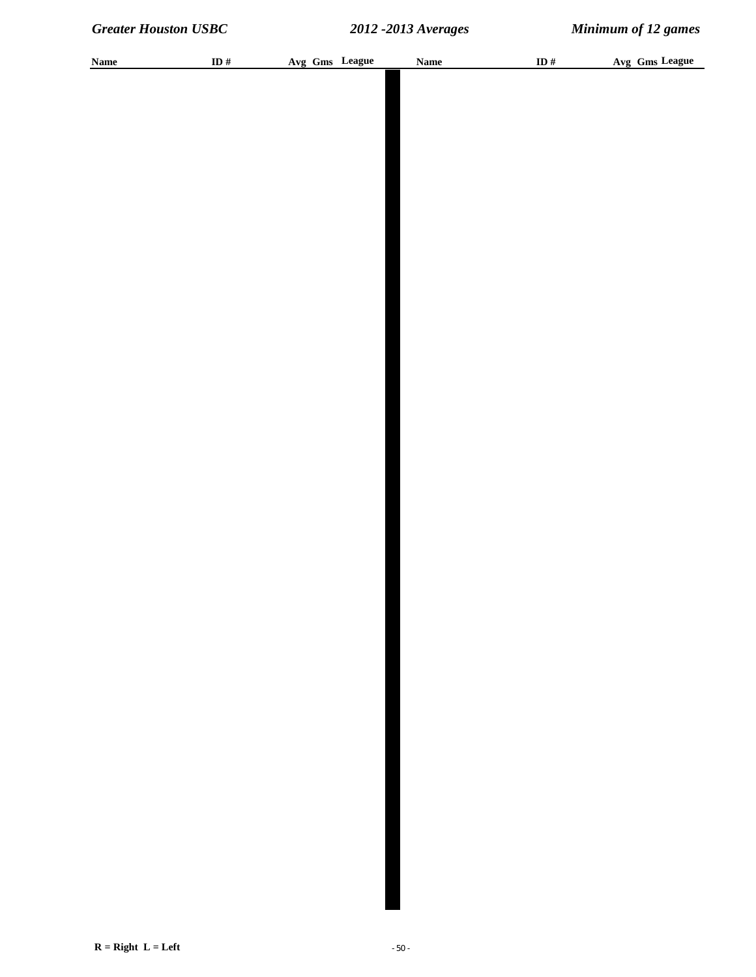| <b>Name</b> | ID $\#$ |  | Avg Gms League | <b>Name</b> | ID $\#$ | Avg Gms League |
|-------------|---------|--|----------------|-------------|---------|----------------|
|             |         |  |                |             |         |                |
|             |         |  |                |             |         |                |
|             |         |  |                |             |         |                |
|             |         |  |                |             |         |                |
|             |         |  |                |             |         |                |
|             |         |  |                |             |         |                |
|             |         |  |                |             |         |                |
|             |         |  |                |             |         |                |
|             |         |  |                |             |         |                |
|             |         |  |                |             |         |                |
|             |         |  |                |             |         |                |
|             |         |  |                |             |         |                |
|             |         |  |                |             |         |                |
|             |         |  |                |             |         |                |
|             |         |  |                |             |         |                |
|             |         |  |                |             |         |                |
|             |         |  |                |             |         |                |
|             |         |  |                |             |         |                |
|             |         |  |                |             |         |                |
|             |         |  |                |             |         |                |
|             |         |  |                |             |         |                |
|             |         |  |                |             |         |                |
|             |         |  |                |             |         |                |
|             |         |  |                |             |         |                |
|             |         |  |                |             |         |                |
|             |         |  |                |             |         |                |
|             |         |  |                |             |         |                |
|             |         |  |                |             |         |                |
|             |         |  |                |             |         |                |
|             |         |  |                |             |         |                |
|             |         |  |                |             |         |                |
|             |         |  |                |             |         |                |
|             |         |  |                |             |         |                |
|             |         |  |                |             |         |                |
|             |         |  |                |             |         |                |
|             |         |  |                |             |         |                |
|             |         |  |                |             |         |                |
|             |         |  |                |             |         |                |
|             |         |  |                |             |         |                |
|             |         |  |                |             |         |                |
|             |         |  |                |             |         |                |
|             |         |  |                |             |         |                |
|             |         |  |                |             |         |                |
|             |         |  |                |             |         |                |
|             |         |  |                |             |         |                |
|             |         |  |                |             |         |                |
|             |         |  |                |             |         |                |
|             |         |  |                |             |         |                |
|             |         |  |                |             |         |                |
|             |         |  |                |             |         |                |
|             |         |  |                |             |         |                |
|             |         |  |                |             |         |                |
|             |         |  |                |             |         |                |
|             |         |  |                |             |         |                |
|             |         |  |                |             |         |                |
|             |         |  |                |             |         |                |
|             |         |  |                |             |         |                |
|             |         |  |                |             |         |                |
|             |         |  |                |             |         |                |
|             |         |  |                |             |         |                |
|             |         |  |                |             |         |                |
|             |         |  |                |             |         |                |
|             |         |  |                |             |         |                |
|             |         |  |                |             |         |                |
|             |         |  |                |             |         |                |
|             |         |  |                |             |         |                |
|             |         |  |                |             |         |                |
|             |         |  |                |             |         |                |
|             |         |  |                |             |         |                |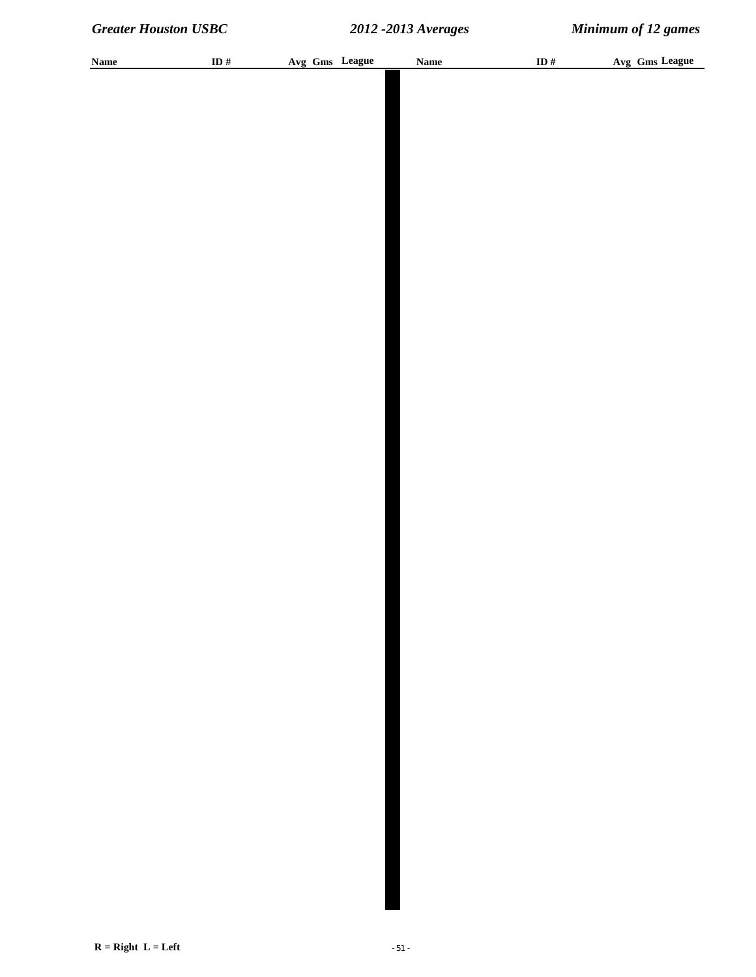| <b>Name</b> | ID $\#$ |  | Avg Gms League | <b>Name</b> | ID $\#$ | Avg Gms League |
|-------------|---------|--|----------------|-------------|---------|----------------|
|             |         |  |                |             |         |                |
|             |         |  |                |             |         |                |
|             |         |  |                |             |         |                |
|             |         |  |                |             |         |                |
|             |         |  |                |             |         |                |
|             |         |  |                |             |         |                |
|             |         |  |                |             |         |                |
|             |         |  |                |             |         |                |
|             |         |  |                |             |         |                |
|             |         |  |                |             |         |                |
|             |         |  |                |             |         |                |
|             |         |  |                |             |         |                |
|             |         |  |                |             |         |                |
|             |         |  |                |             |         |                |
|             |         |  |                |             |         |                |
|             |         |  |                |             |         |                |
|             |         |  |                |             |         |                |
|             |         |  |                |             |         |                |
|             |         |  |                |             |         |                |
|             |         |  |                |             |         |                |
|             |         |  |                |             |         |                |
|             |         |  |                |             |         |                |
|             |         |  |                |             |         |                |
|             |         |  |                |             |         |                |
|             |         |  |                |             |         |                |
|             |         |  |                |             |         |                |
|             |         |  |                |             |         |                |
|             |         |  |                |             |         |                |
|             |         |  |                |             |         |                |
|             |         |  |                |             |         |                |
|             |         |  |                |             |         |                |
|             |         |  |                |             |         |                |
|             |         |  |                |             |         |                |
|             |         |  |                |             |         |                |
|             |         |  |                |             |         |                |
|             |         |  |                |             |         |                |
|             |         |  |                |             |         |                |
|             |         |  |                |             |         |                |
|             |         |  |                |             |         |                |
|             |         |  |                |             |         |                |
|             |         |  |                |             |         |                |
|             |         |  |                |             |         |                |
|             |         |  |                |             |         |                |
|             |         |  |                |             |         |                |
|             |         |  |                |             |         |                |
|             |         |  |                |             |         |                |
|             |         |  |                |             |         |                |
|             |         |  |                |             |         |                |
|             |         |  |                |             |         |                |
|             |         |  |                |             |         |                |
|             |         |  |                |             |         |                |
|             |         |  |                |             |         |                |
|             |         |  |                |             |         |                |
|             |         |  |                |             |         |                |
|             |         |  |                |             |         |                |
|             |         |  |                |             |         |                |
|             |         |  |                |             |         |                |
|             |         |  |                |             |         |                |
|             |         |  |                |             |         |                |
|             |         |  |                |             |         |                |
|             |         |  |                |             |         |                |
|             |         |  |                |             |         |                |
|             |         |  |                |             |         |                |
|             |         |  |                |             |         |                |
|             |         |  |                |             |         |                |
|             |         |  |                |             |         |                |
|             |         |  |                |             |         |                |
|             |         |  |                |             |         |                |
|             |         |  |                |             |         |                |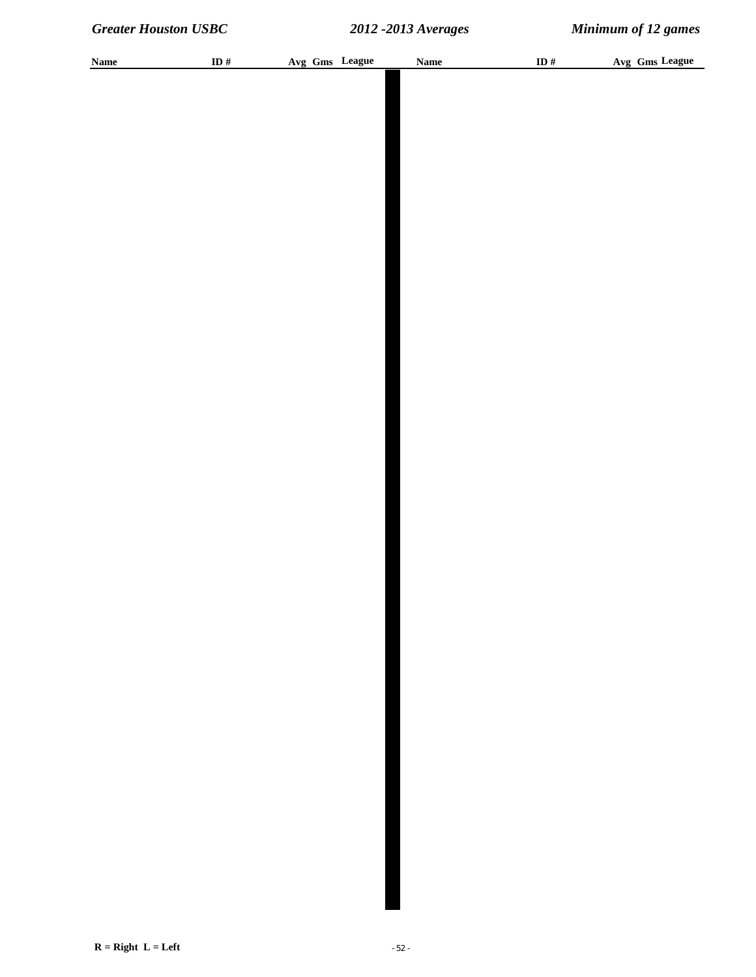| <b>Name</b> | ID # | Avg Gms League | Name | ID $#$ | Avg Gms League |
|-------------|------|----------------|------|--------|----------------|
|             |      |                |      |        |                |
|             |      |                |      |        |                |
|             |      |                |      |        |                |
|             |      |                |      |        |                |
|             |      |                |      |        |                |
|             |      |                |      |        |                |
|             |      |                |      |        |                |
|             |      |                |      |        |                |
|             |      |                |      |        |                |
|             |      |                |      |        |                |
|             |      |                |      |        |                |
|             |      |                |      |        |                |
|             |      |                |      |        |                |
|             |      |                |      |        |                |
|             |      |                |      |        |                |
|             |      |                |      |        |                |
|             |      |                |      |        |                |
|             |      |                |      |        |                |
|             |      |                |      |        |                |
|             |      |                |      |        |                |
|             |      |                |      |        |                |
|             |      |                |      |        |                |
|             |      |                |      |        |                |
|             |      |                |      |        |                |
|             |      |                |      |        |                |
|             |      |                |      |        |                |
|             |      |                |      |        |                |
|             |      |                |      |        |                |
|             |      |                |      |        |                |
|             |      |                |      |        |                |
|             |      |                |      |        |                |
|             |      |                |      |        |                |
|             |      |                |      |        |                |
|             |      |                |      |        |                |
|             |      |                |      |        |                |
|             |      |                |      |        |                |
|             |      |                |      |        |                |
|             |      |                |      |        |                |
|             |      |                |      |        |                |
|             |      |                |      |        |                |
|             |      |                |      |        |                |
|             |      |                |      |        |                |
|             |      |                |      |        |                |
|             |      |                |      |        |                |
|             |      |                |      |        |                |
|             |      |                |      |        |                |
|             |      |                |      |        |                |
|             |      |                |      |        |                |
|             |      |                |      |        |                |
|             |      |                |      |        |                |
|             |      |                |      |        |                |
|             |      |                |      |        |                |
|             |      |                |      |        |                |
|             |      |                |      |        |                |
|             |      |                |      |        |                |
|             |      |                |      |        |                |
|             |      |                |      |        |                |
|             |      |                |      |        |                |
|             |      |                |      |        |                |
|             |      |                |      |        |                |
|             |      |                |      |        |                |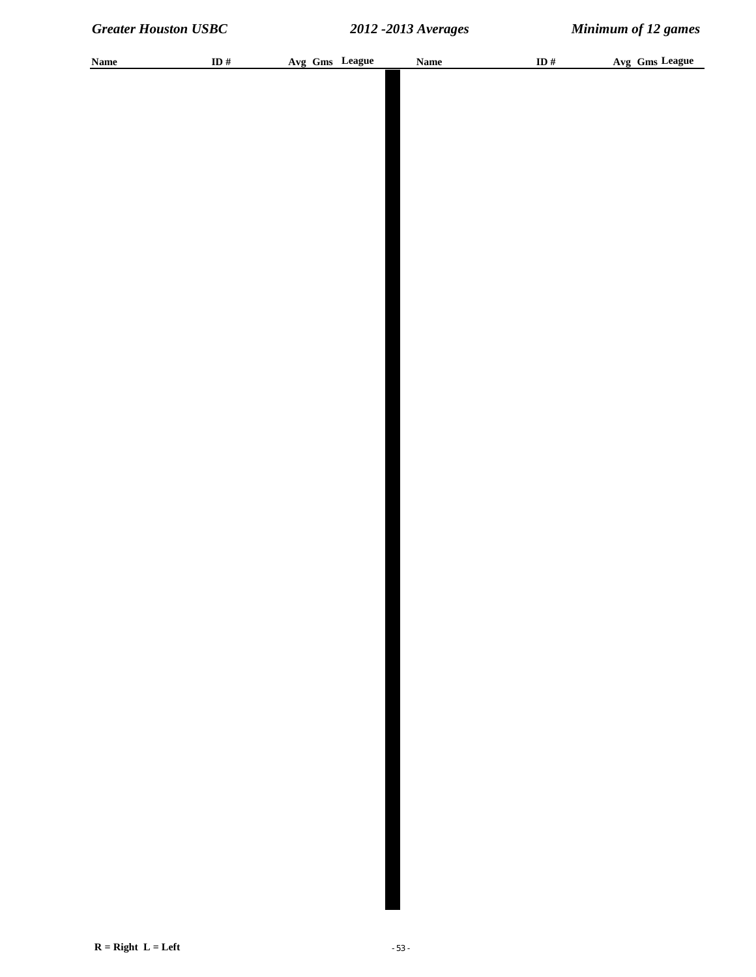| <b>Name</b> | ID # | Avg Gms League | Name | ID $#$ | Avg Gms League |
|-------------|------|----------------|------|--------|----------------|
|             |      |                |      |        |                |
|             |      |                |      |        |                |
|             |      |                |      |        |                |
|             |      |                |      |        |                |
|             |      |                |      |        |                |
|             |      |                |      |        |                |
|             |      |                |      |        |                |
|             |      |                |      |        |                |
|             |      |                |      |        |                |
|             |      |                |      |        |                |
|             |      |                |      |        |                |
|             |      |                |      |        |                |
|             |      |                |      |        |                |
|             |      |                |      |        |                |
|             |      |                |      |        |                |
|             |      |                |      |        |                |
|             |      |                |      |        |                |
|             |      |                |      |        |                |
|             |      |                |      |        |                |
|             |      |                |      |        |                |
|             |      |                |      |        |                |
|             |      |                |      |        |                |
|             |      |                |      |        |                |
|             |      |                |      |        |                |
|             |      |                |      |        |                |
|             |      |                |      |        |                |
|             |      |                |      |        |                |
|             |      |                |      |        |                |
|             |      |                |      |        |                |
|             |      |                |      |        |                |
|             |      |                |      |        |                |
|             |      |                |      |        |                |
|             |      |                |      |        |                |
|             |      |                |      |        |                |
|             |      |                |      |        |                |
|             |      |                |      |        |                |
|             |      |                |      |        |                |
|             |      |                |      |        |                |
|             |      |                |      |        |                |
|             |      |                |      |        |                |
|             |      |                |      |        |                |
|             |      |                |      |        |                |
|             |      |                |      |        |                |
|             |      |                |      |        |                |
|             |      |                |      |        |                |
|             |      |                |      |        |                |
|             |      |                |      |        |                |
|             |      |                |      |        |                |
|             |      |                |      |        |                |
|             |      |                |      |        |                |
|             |      |                |      |        |                |
|             |      |                |      |        |                |
|             |      |                |      |        |                |
|             |      |                |      |        |                |
|             |      |                |      |        |                |
|             |      |                |      |        |                |
|             |      |                |      |        |                |
|             |      |                |      |        |                |
|             |      |                |      |        |                |
|             |      |                |      |        |                |
|             |      |                |      |        |                |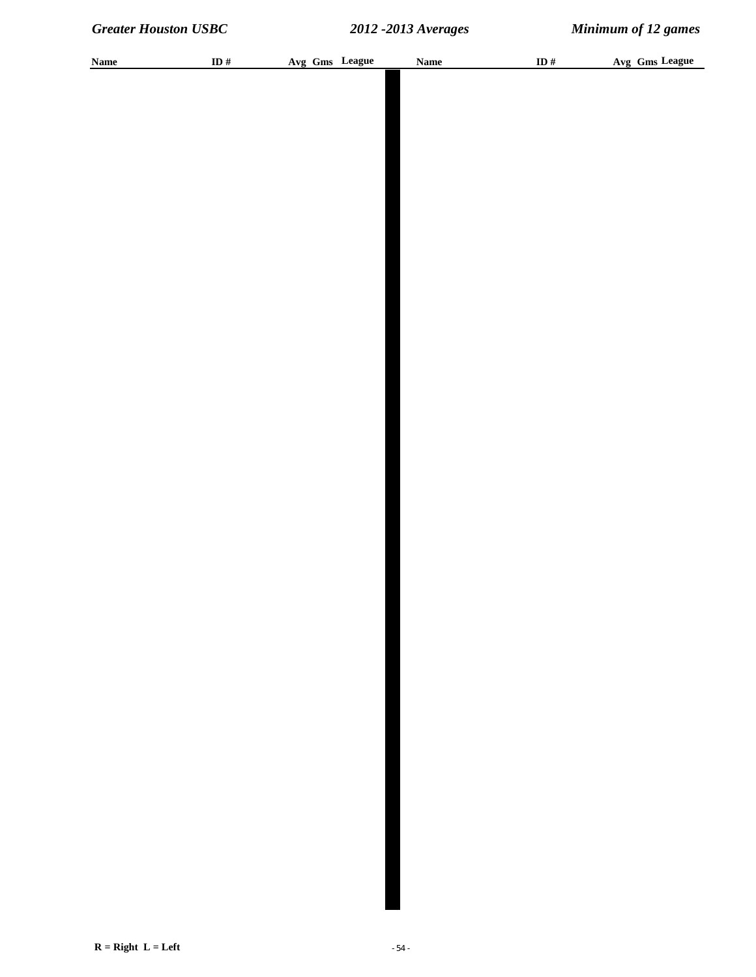| <b>Name</b> | ID # | Avg Gms League | <b>Name</b> | ID $\#$ | Avg Gms League |
|-------------|------|----------------|-------------|---------|----------------|
|             |      |                |             |         |                |
|             |      |                |             |         |                |
|             |      |                |             |         |                |
|             |      |                |             |         |                |
|             |      |                |             |         |                |
|             |      |                |             |         |                |
|             |      |                |             |         |                |
|             |      |                |             |         |                |
|             |      |                |             |         |                |
|             |      |                |             |         |                |
|             |      |                |             |         |                |
|             |      |                |             |         |                |
|             |      |                |             |         |                |
|             |      |                |             |         |                |
|             |      |                |             |         |                |
|             |      |                |             |         |                |
|             |      |                |             |         |                |
|             |      |                |             |         |                |
|             |      |                |             |         |                |
|             |      |                |             |         |                |
|             |      |                |             |         |                |
|             |      |                |             |         |                |
|             |      |                |             |         |                |
|             |      |                |             |         |                |
|             |      |                |             |         |                |
|             |      |                |             |         |                |
|             |      |                |             |         |                |
|             |      |                |             |         |                |
|             |      |                |             |         |                |
|             |      |                |             |         |                |
|             |      |                |             |         |                |
|             |      |                |             |         |                |
|             |      |                |             |         |                |
|             |      |                |             |         |                |
|             |      |                |             |         |                |
|             |      |                |             |         |                |
|             |      |                |             |         |                |
|             |      |                |             |         |                |
|             |      |                |             |         |                |
|             |      |                |             |         |                |
|             |      |                |             |         |                |
|             |      |                |             |         |                |
|             |      |                |             |         |                |
|             |      |                |             |         |                |
|             |      |                |             |         |                |
|             |      |                |             |         |                |
|             |      |                |             |         |                |
|             |      |                |             |         |                |
|             |      |                |             |         |                |
|             |      |                |             |         |                |
|             |      |                |             |         |                |
|             |      |                |             |         |                |
|             |      |                |             |         |                |
|             |      |                |             |         |                |
|             |      |                |             |         |                |
|             |      |                |             |         |                |
|             |      |                |             |         |                |
|             |      |                |             |         |                |
|             |      |                |             |         |                |
|             |      |                |             |         |                |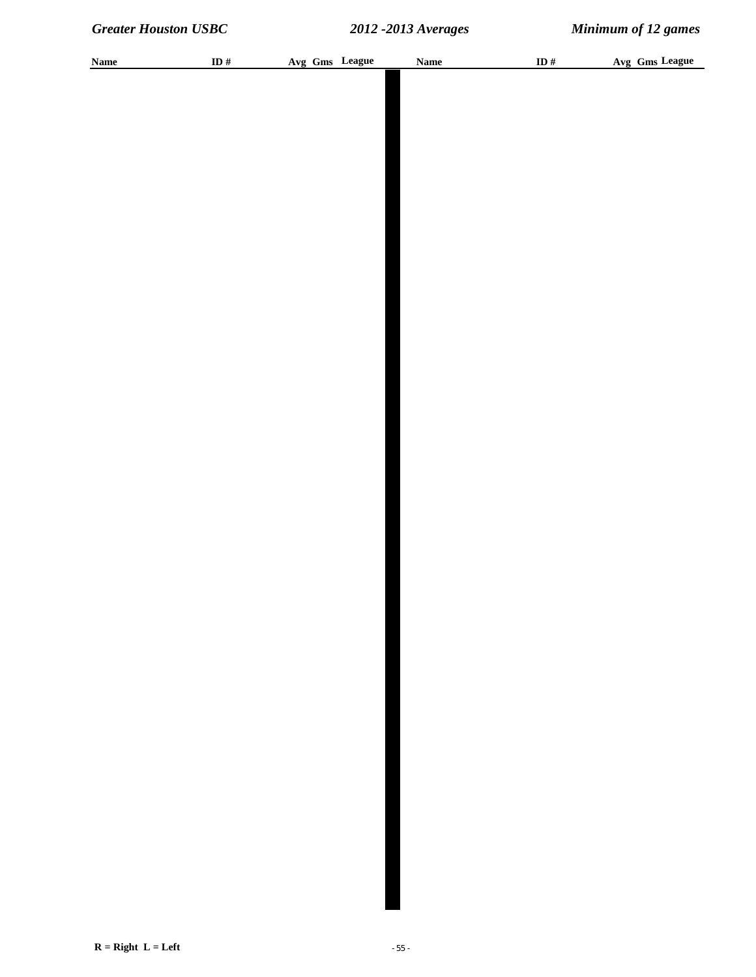| <b>Name</b> | ID # | Avg Gms League | <b>Name</b> | ID $#$ | Avg Gms League |
|-------------|------|----------------|-------------|--------|----------------|
|             |      |                |             |        |                |
|             |      |                |             |        |                |
|             |      |                |             |        |                |
|             |      |                |             |        |                |
|             |      |                |             |        |                |
|             |      |                |             |        |                |
|             |      |                |             |        |                |
|             |      |                |             |        |                |
|             |      |                |             |        |                |
|             |      |                |             |        |                |
|             |      |                |             |        |                |
|             |      |                |             |        |                |
|             |      |                |             |        |                |
|             |      |                |             |        |                |
|             |      |                |             |        |                |
|             |      |                |             |        |                |
|             |      |                |             |        |                |
|             |      |                |             |        |                |
|             |      |                |             |        |                |
|             |      |                |             |        |                |
|             |      |                |             |        |                |
|             |      |                |             |        |                |
|             |      |                |             |        |                |
|             |      |                |             |        |                |
|             |      |                |             |        |                |
|             |      |                |             |        |                |
|             |      |                |             |        |                |
|             |      |                |             |        |                |
|             |      |                |             |        |                |
|             |      |                |             |        |                |
|             |      |                |             |        |                |
|             |      |                |             |        |                |
|             |      |                |             |        |                |
|             |      |                |             |        |                |
|             |      |                |             |        |                |
|             |      |                |             |        |                |
|             |      |                |             |        |                |
|             |      |                |             |        |                |
|             |      |                |             |        |                |
|             |      |                |             |        |                |
|             |      |                |             |        |                |
|             |      |                |             |        |                |
|             |      |                |             |        |                |
|             |      |                |             |        |                |
|             |      |                |             |        |                |
|             |      |                |             |        |                |
|             |      |                |             |        |                |
|             |      |                |             |        |                |
|             |      |                |             |        |                |
|             |      |                |             |        |                |
|             |      |                |             |        |                |
|             |      |                |             |        |                |
|             |      |                |             |        |                |
|             |      |                |             |        |                |
|             |      |                |             |        |                |
|             |      |                |             |        |                |
|             |      |                |             |        |                |
|             |      |                |             |        |                |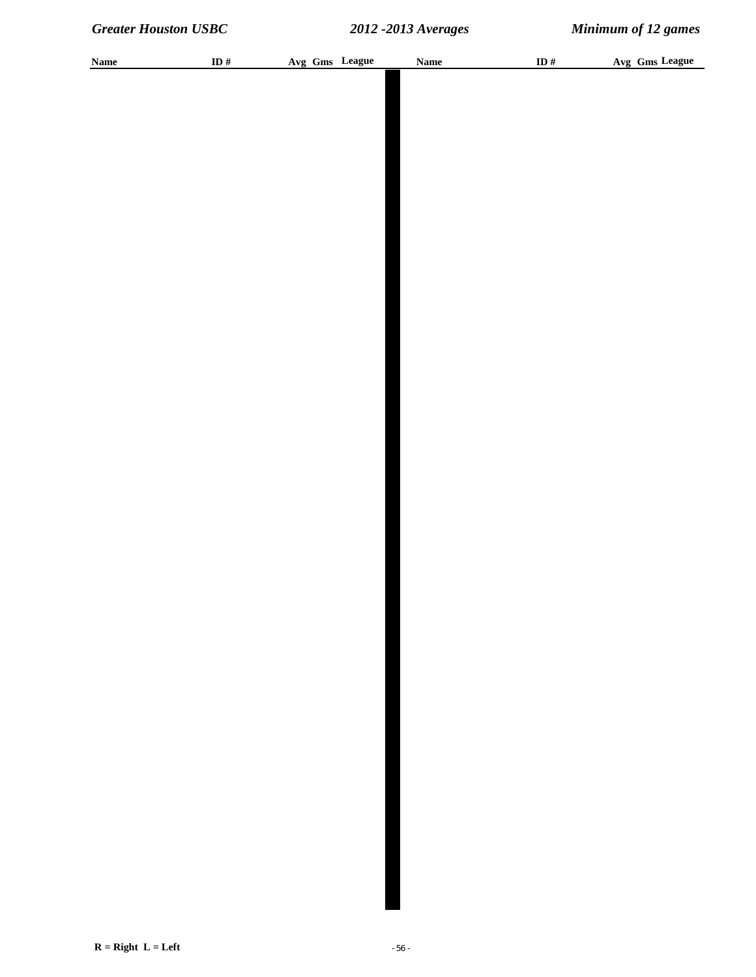| <b>Name</b> | ID $\#$ |  | Avg Gms League | Name | ID $#$ |  | Avg Gms League |
|-------------|---------|--|----------------|------|--------|--|----------------|
|             |         |  |                |      |        |  |                |
|             |         |  |                |      |        |  |                |
|             |         |  |                |      |        |  |                |
|             |         |  |                |      |        |  |                |
|             |         |  |                |      |        |  |                |
|             |         |  |                |      |        |  |                |
|             |         |  |                |      |        |  |                |
|             |         |  |                |      |        |  |                |
|             |         |  |                |      |        |  |                |
|             |         |  |                |      |        |  |                |
|             |         |  |                |      |        |  |                |
|             |         |  |                |      |        |  |                |
|             |         |  |                |      |        |  |                |
|             |         |  |                |      |        |  |                |
|             |         |  |                |      |        |  |                |
|             |         |  |                |      |        |  |                |
|             |         |  |                |      |        |  |                |
|             |         |  |                |      |        |  |                |
|             |         |  |                |      |        |  |                |
|             |         |  |                |      |        |  |                |
|             |         |  |                |      |        |  |                |
|             |         |  |                |      |        |  |                |
|             |         |  |                |      |        |  |                |
|             |         |  |                |      |        |  |                |
|             |         |  |                |      |        |  |                |
|             |         |  |                |      |        |  |                |
|             |         |  |                |      |        |  |                |
|             |         |  |                |      |        |  |                |
|             |         |  |                |      |        |  |                |
|             |         |  |                |      |        |  |                |
|             |         |  |                |      |        |  |                |
|             |         |  |                |      |        |  |                |
|             |         |  |                |      |        |  |                |
|             |         |  |                |      |        |  |                |
|             |         |  |                |      |        |  |                |
|             |         |  |                |      |        |  |                |
|             |         |  |                |      |        |  |                |
|             |         |  |                |      |        |  |                |
|             |         |  |                |      |        |  |                |
|             |         |  |                |      |        |  |                |
|             |         |  |                |      |        |  |                |
|             |         |  |                |      |        |  |                |
|             |         |  |                |      |        |  |                |
|             |         |  |                |      |        |  |                |
|             |         |  |                |      |        |  |                |
|             |         |  |                |      |        |  |                |
|             |         |  |                |      |        |  |                |
|             |         |  |                |      |        |  |                |
|             |         |  |                |      |        |  |                |
|             |         |  |                |      |        |  |                |
|             |         |  |                |      |        |  |                |
|             |         |  |                |      |        |  |                |
|             |         |  |                |      |        |  |                |
|             |         |  |                |      |        |  |                |
|             |         |  |                |      |        |  |                |
|             |         |  |                |      |        |  |                |
|             |         |  |                |      |        |  |                |
|             |         |  |                |      |        |  |                |
|             |         |  |                |      |        |  |                |
|             |         |  |                |      |        |  |                |
|             |         |  |                |      |        |  |                |
|             |         |  |                |      |        |  |                |
|             |         |  |                |      |        |  |                |
|             |         |  |                |      |        |  |                |
|             |         |  |                |      |        |  |                |
|             |         |  |                |      |        |  |                |
|             |         |  |                |      |        |  |                |
|             |         |  |                |      |        |  |                |
|             |         |  |                |      |        |  |                |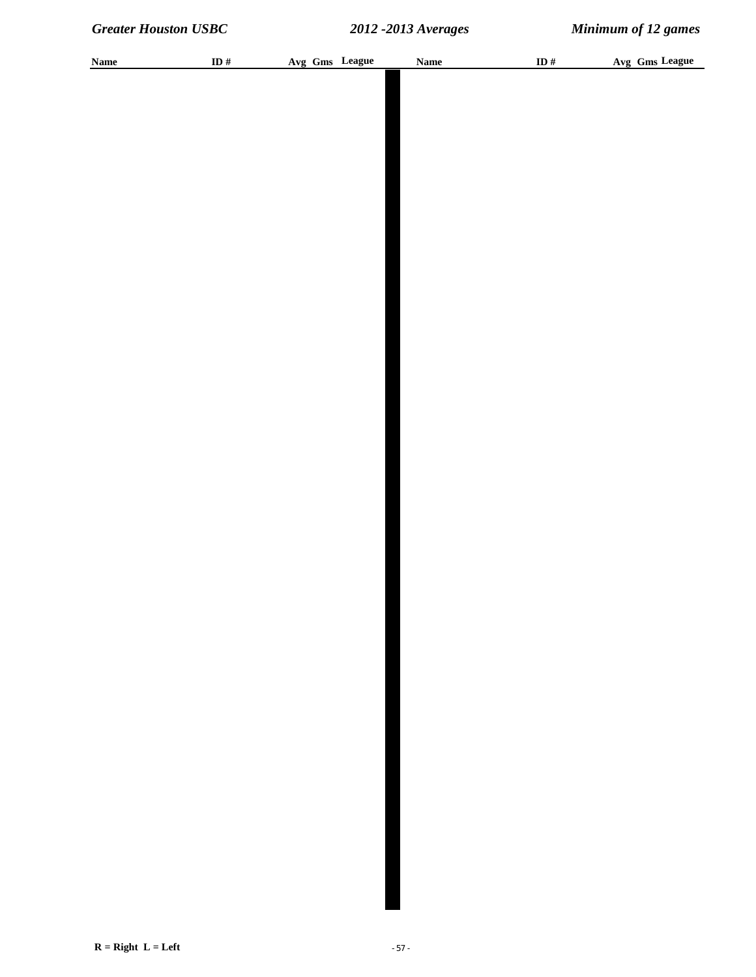| <b>Name</b> | ID $#$ | Avg Gms League | <b>Name</b> | ID# | Avg Gms League |
|-------------|--------|----------------|-------------|-----|----------------|
|             |        |                |             |     |                |
|             |        |                |             |     |                |
|             |        |                |             |     |                |
|             |        |                |             |     |                |
|             |        |                |             |     |                |
|             |        |                |             |     |                |
|             |        |                |             |     |                |
|             |        |                |             |     |                |
|             |        |                |             |     |                |
|             |        |                |             |     |                |
|             |        |                |             |     |                |
|             |        |                |             |     |                |
|             |        |                |             |     |                |
|             |        |                |             |     |                |
|             |        |                |             |     |                |
|             |        |                |             |     |                |
|             |        |                |             |     |                |
|             |        |                |             |     |                |
|             |        |                |             |     |                |
|             |        |                |             |     |                |
|             |        |                |             |     |                |
|             |        |                |             |     |                |
|             |        |                |             |     |                |
|             |        |                |             |     |                |
|             |        |                |             |     |                |
|             |        |                |             |     |                |
|             |        |                |             |     |                |
|             |        |                |             |     |                |
|             |        |                |             |     |                |
|             |        |                |             |     |                |
|             |        |                |             |     |                |
|             |        |                |             |     |                |
|             |        |                |             |     |                |
|             |        |                |             |     |                |
|             |        |                |             |     |                |
|             |        |                |             |     |                |
|             |        |                |             |     |                |
|             |        |                |             |     |                |
|             |        |                |             |     |                |
|             |        |                |             |     |                |
|             |        |                |             |     |                |
|             |        |                |             |     |                |
|             |        |                |             |     |                |
|             |        |                |             |     |                |
|             |        |                |             |     |                |
|             |        |                |             |     |                |
|             |        |                |             |     |                |
|             |        |                |             |     |                |
|             |        |                |             |     |                |
|             |        |                |             |     |                |
|             |        |                |             |     |                |
|             |        |                |             |     |                |
|             |        |                |             |     |                |
|             |        |                |             |     |                |
|             |        |                |             |     |                |
|             |        |                |             |     |                |
|             |        |                |             |     |                |
|             |        |                |             |     |                |
|             |        |                |             |     |                |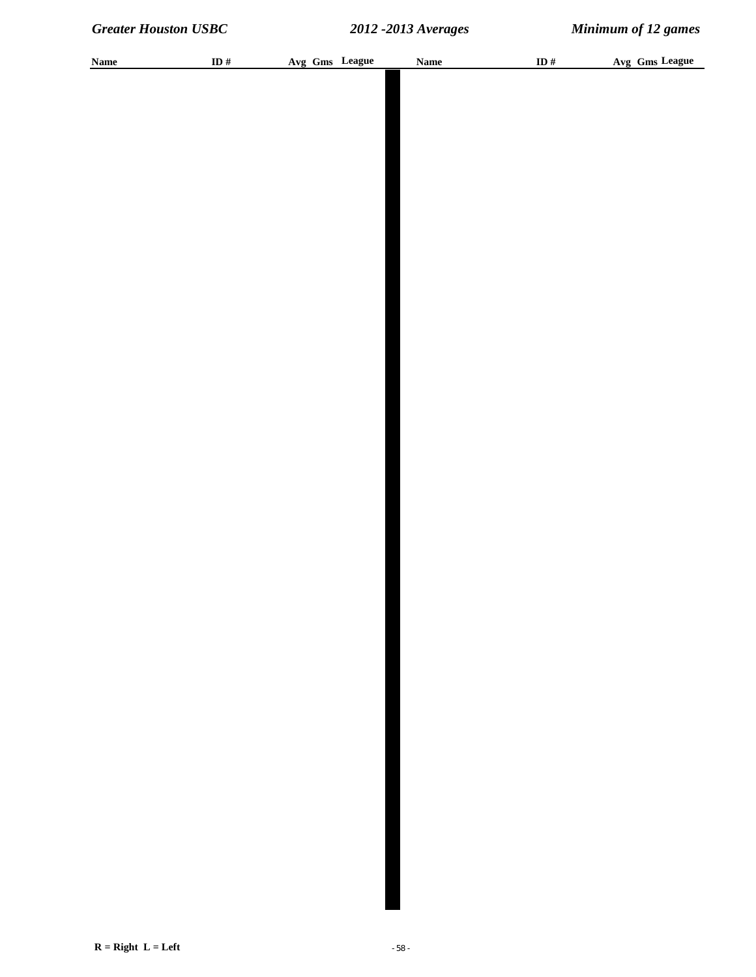| <b>Name</b> | ID $\#$ | Avg Gms League | Name | ID $\#$ | Avg Gms League |
|-------------|---------|----------------|------|---------|----------------|
|             |         |                |      |         |                |
|             |         |                |      |         |                |
|             |         |                |      |         |                |
|             |         |                |      |         |                |
|             |         |                |      |         |                |
|             |         |                |      |         |                |
|             |         |                |      |         |                |
|             |         |                |      |         |                |
|             |         |                |      |         |                |
|             |         |                |      |         |                |
|             |         |                |      |         |                |
|             |         |                |      |         |                |
|             |         |                |      |         |                |
|             |         |                |      |         |                |
|             |         |                |      |         |                |
|             |         |                |      |         |                |
|             |         |                |      |         |                |
|             |         |                |      |         |                |
|             |         |                |      |         |                |
|             |         |                |      |         |                |
|             |         |                |      |         |                |
|             |         |                |      |         |                |
|             |         |                |      |         |                |
|             |         |                |      |         |                |
|             |         |                |      |         |                |
|             |         |                |      |         |                |
|             |         |                |      |         |                |
|             |         |                |      |         |                |
|             |         |                |      |         |                |
|             |         |                |      |         |                |
|             |         |                |      |         |                |
|             |         |                |      |         |                |
|             |         |                |      |         |                |
|             |         |                |      |         |                |
|             |         |                |      |         |                |
|             |         |                |      |         |                |
|             |         |                |      |         |                |
|             |         |                |      |         |                |
|             |         |                |      |         |                |
|             |         |                |      |         |                |
|             |         |                |      |         |                |
|             |         |                |      |         |                |
|             |         |                |      |         |                |
|             |         |                |      |         |                |
|             |         |                |      |         |                |
|             |         |                |      |         |                |
|             |         |                |      |         |                |
|             |         |                |      |         |                |
|             |         |                |      |         |                |
|             |         |                |      |         |                |
|             |         |                |      |         |                |
|             |         |                |      |         |                |
|             |         |                |      |         |                |
|             |         |                |      |         |                |
|             |         |                |      |         |                |
|             |         |                |      |         |                |
|             |         |                |      |         |                |
|             |         |                |      |         |                |
|             |         |                |      |         |                |
|             |         |                |      |         |                |
|             |         |                |      |         |                |
|             |         |                |      |         |                |
|             |         |                |      |         |                |
|             |         |                |      |         |                |
|             |         |                |      |         |                |
|             |         |                |      |         |                |
|             |         |                |      |         |                |
|             |         |                |      |         |                |
|             |         |                |      |         |                |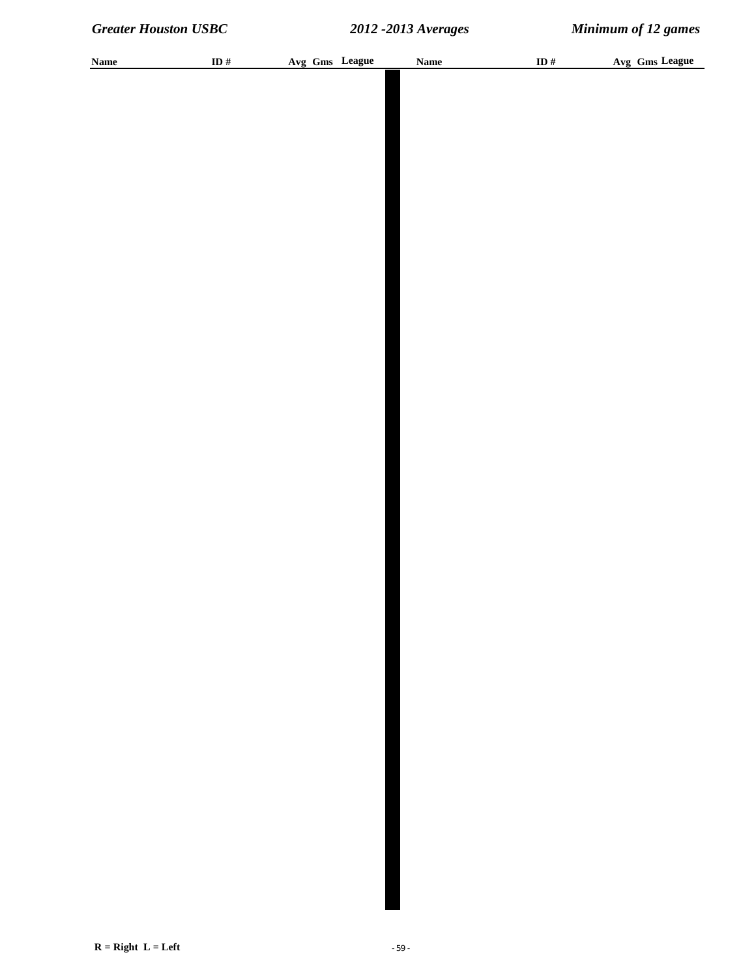| <b>Name</b> | ID $#$ | Avg Gms League | <b>Name</b> | ID# | Avg Gms League |
|-------------|--------|----------------|-------------|-----|----------------|
|             |        |                |             |     |                |
|             |        |                |             |     |                |
|             |        |                |             |     |                |
|             |        |                |             |     |                |
|             |        |                |             |     |                |
|             |        |                |             |     |                |
|             |        |                |             |     |                |
|             |        |                |             |     |                |
|             |        |                |             |     |                |
|             |        |                |             |     |                |
|             |        |                |             |     |                |
|             |        |                |             |     |                |
|             |        |                |             |     |                |
|             |        |                |             |     |                |
|             |        |                |             |     |                |
|             |        |                |             |     |                |
|             |        |                |             |     |                |
|             |        |                |             |     |                |
|             |        |                |             |     |                |
|             |        |                |             |     |                |
|             |        |                |             |     |                |
|             |        |                |             |     |                |
|             |        |                |             |     |                |
|             |        |                |             |     |                |
|             |        |                |             |     |                |
|             |        |                |             |     |                |
|             |        |                |             |     |                |
|             |        |                |             |     |                |
|             |        |                |             |     |                |
|             |        |                |             |     |                |
|             |        |                |             |     |                |
|             |        |                |             |     |                |
|             |        |                |             |     |                |
|             |        |                |             |     |                |
|             |        |                |             |     |                |
|             |        |                |             |     |                |
|             |        |                |             |     |                |
|             |        |                |             |     |                |
|             |        |                |             |     |                |
|             |        |                |             |     |                |
|             |        |                |             |     |                |
|             |        |                |             |     |                |
|             |        |                |             |     |                |
|             |        |                |             |     |                |
|             |        |                |             |     |                |
|             |        |                |             |     |                |
|             |        |                |             |     |                |
|             |        |                |             |     |                |
|             |        |                |             |     |                |
|             |        |                |             |     |                |
|             |        |                |             |     |                |
|             |        |                |             |     |                |
|             |        |                |             |     |                |
|             |        |                |             |     |                |
|             |        |                |             |     |                |
|             |        |                |             |     |                |
|             |        |                |             |     |                |
|             |        |                |             |     |                |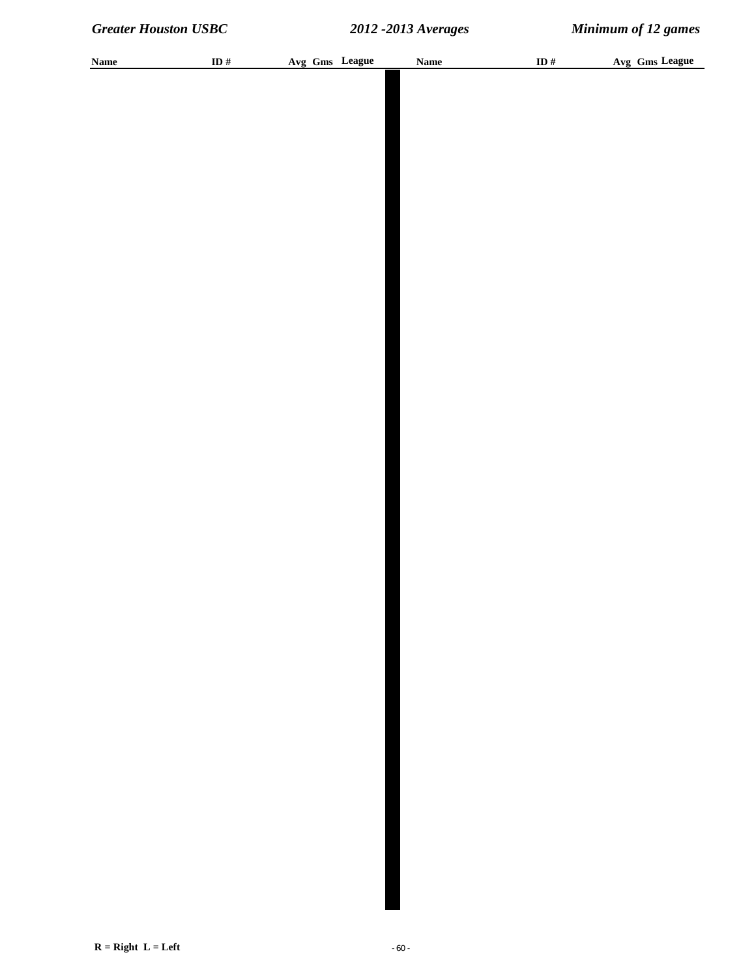| <b>Name</b> | ID $#$ |  | Avg Gms League | <b>Name</b> | ID $#$ |  | Avg Gms League |
|-------------|--------|--|----------------|-------------|--------|--|----------------|
|             |        |  |                |             |        |  |                |
|             |        |  |                |             |        |  |                |
|             |        |  |                |             |        |  |                |
|             |        |  |                |             |        |  |                |
|             |        |  |                |             |        |  |                |
|             |        |  |                |             |        |  |                |
|             |        |  |                |             |        |  |                |
|             |        |  |                |             |        |  |                |
|             |        |  |                |             |        |  |                |
|             |        |  |                |             |        |  |                |
|             |        |  |                |             |        |  |                |
|             |        |  |                |             |        |  |                |
|             |        |  |                |             |        |  |                |
|             |        |  |                |             |        |  |                |
|             |        |  |                |             |        |  |                |
|             |        |  |                |             |        |  |                |
|             |        |  |                |             |        |  |                |
|             |        |  |                |             |        |  |                |
|             |        |  |                |             |        |  |                |
|             |        |  |                |             |        |  |                |
|             |        |  |                |             |        |  |                |
|             |        |  |                |             |        |  |                |
|             |        |  |                |             |        |  |                |
|             |        |  |                |             |        |  |                |
|             |        |  |                |             |        |  |                |
|             |        |  |                |             |        |  |                |
|             |        |  |                |             |        |  |                |
|             |        |  |                |             |        |  |                |
|             |        |  |                |             |        |  |                |
|             |        |  |                |             |        |  |                |
|             |        |  |                |             |        |  |                |
|             |        |  |                |             |        |  |                |
|             |        |  |                |             |        |  |                |
|             |        |  |                |             |        |  |                |
|             |        |  |                |             |        |  |                |
|             |        |  |                |             |        |  |                |
|             |        |  |                |             |        |  |                |
|             |        |  |                |             |        |  |                |
|             |        |  |                |             |        |  |                |
|             |        |  |                |             |        |  |                |
|             |        |  |                |             |        |  |                |
|             |        |  |                |             |        |  |                |
|             |        |  |                |             |        |  |                |
|             |        |  |                |             |        |  |                |
|             |        |  |                |             |        |  |                |
|             |        |  |                |             |        |  |                |
|             |        |  |                |             |        |  |                |
|             |        |  |                |             |        |  |                |
|             |        |  |                |             |        |  |                |
|             |        |  |                |             |        |  |                |
|             |        |  |                |             |        |  |                |
|             |        |  |                |             |        |  |                |
|             |        |  |                |             |        |  |                |
|             |        |  |                |             |        |  |                |
|             |        |  |                |             |        |  |                |
|             |        |  |                |             |        |  |                |
|             |        |  |                |             |        |  |                |
|             |        |  |                |             |        |  |                |
|             |        |  |                |             |        |  |                |
|             |        |  |                |             |        |  |                |
|             |        |  |                |             |        |  |                |
|             |        |  |                |             |        |  |                |
|             |        |  |                |             |        |  |                |
|             |        |  |                |             |        |  |                |
|             |        |  |                |             |        |  |                |
|             |        |  |                |             |        |  |                |
|             |        |  |                |             |        |  |                |
|             |        |  |                |             |        |  |                |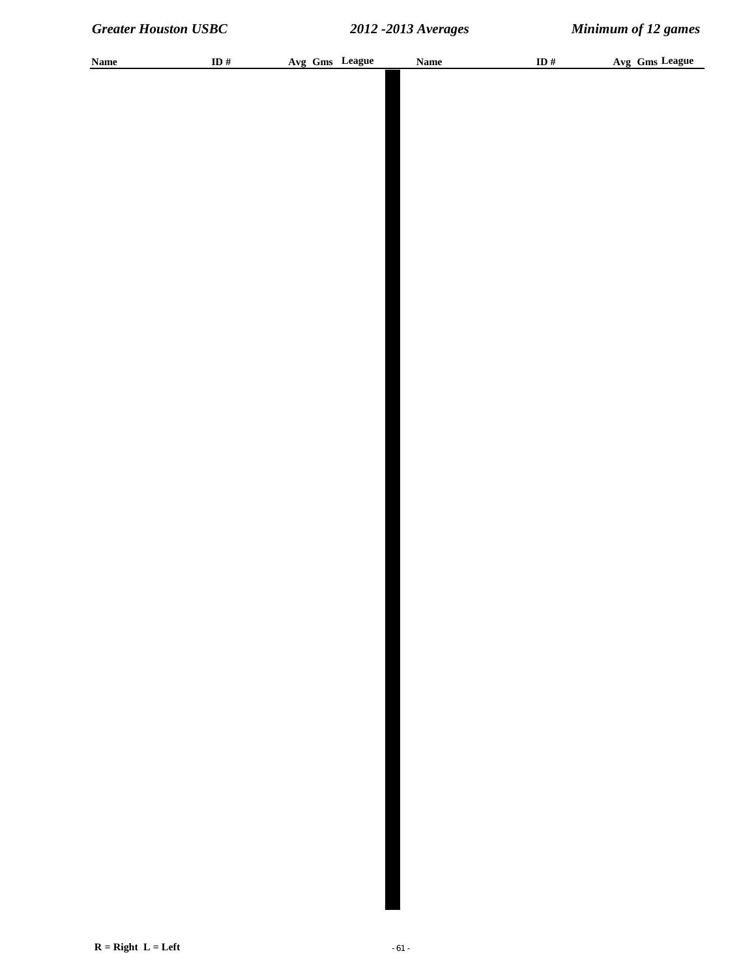| <b>Name</b> | ID $\#$ |  | Avg Gms League | <b>Name</b> | ID $\#$ | Avg Gms League |
|-------------|---------|--|----------------|-------------|---------|----------------|
|             |         |  |                |             |         |                |
|             |         |  |                |             |         |                |
|             |         |  |                |             |         |                |
|             |         |  |                |             |         |                |
|             |         |  |                |             |         |                |
|             |         |  |                |             |         |                |
|             |         |  |                |             |         |                |
|             |         |  |                |             |         |                |
|             |         |  |                |             |         |                |
|             |         |  |                |             |         |                |
|             |         |  |                |             |         |                |
|             |         |  |                |             |         |                |
|             |         |  |                |             |         |                |
|             |         |  |                |             |         |                |
|             |         |  |                |             |         |                |
|             |         |  |                |             |         |                |
|             |         |  |                |             |         |                |
|             |         |  |                |             |         |                |
|             |         |  |                |             |         |                |
|             |         |  |                |             |         |                |
|             |         |  |                |             |         |                |
|             |         |  |                |             |         |                |
|             |         |  |                |             |         |                |
|             |         |  |                |             |         |                |
|             |         |  |                |             |         |                |
|             |         |  |                |             |         |                |
|             |         |  |                |             |         |                |
|             |         |  |                |             |         |                |
|             |         |  |                |             |         |                |
|             |         |  |                |             |         |                |
|             |         |  |                |             |         |                |
|             |         |  |                |             |         |                |
|             |         |  |                |             |         |                |
|             |         |  |                |             |         |                |
|             |         |  |                |             |         |                |
|             |         |  |                |             |         |                |
|             |         |  |                |             |         |                |
|             |         |  |                |             |         |                |
|             |         |  |                |             |         |                |
|             |         |  |                |             |         |                |
|             |         |  |                |             |         |                |
|             |         |  |                |             |         |                |
|             |         |  |                |             |         |                |
|             |         |  |                |             |         |                |
|             |         |  |                |             |         |                |
|             |         |  |                |             |         |                |
|             |         |  |                |             |         |                |
|             |         |  |                |             |         |                |
|             |         |  |                |             |         |                |
|             |         |  |                |             |         |                |
|             |         |  |                |             |         |                |
|             |         |  |                |             |         |                |
|             |         |  |                |             |         |                |
|             |         |  |                |             |         |                |
|             |         |  |                |             |         |                |
|             |         |  |                |             |         |                |
|             |         |  |                |             |         |                |
|             |         |  |                |             |         |                |
|             |         |  |                |             |         |                |
|             |         |  |                |             |         |                |
|             |         |  |                |             |         |                |
|             |         |  |                |             |         |                |
|             |         |  |                |             |         |                |
|             |         |  |                |             |         |                |
|             |         |  |                |             |         |                |
|             |         |  |                |             |         |                |
|             |         |  |                |             |         |                |
|             |         |  |                |             |         |                |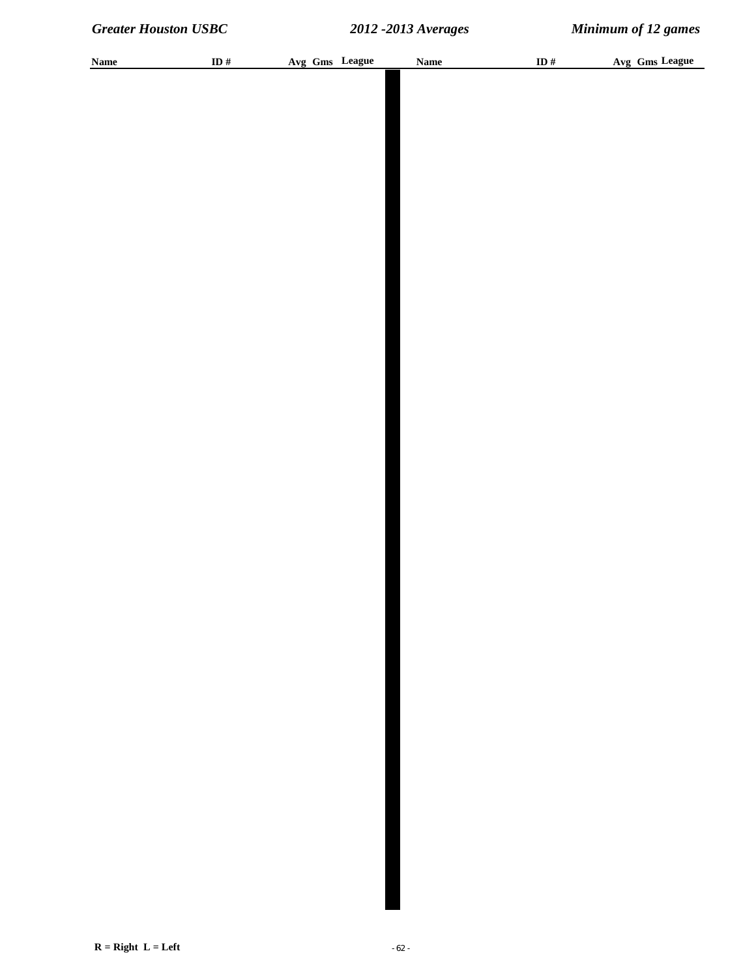| <b>Name</b> | ID $\#$ |  | Avg Gms League | <b>Name</b> | ID $\#$ | Avg Gms League |
|-------------|---------|--|----------------|-------------|---------|----------------|
|             |         |  |                |             |         |                |
|             |         |  |                |             |         |                |
|             |         |  |                |             |         |                |
|             |         |  |                |             |         |                |
|             |         |  |                |             |         |                |
|             |         |  |                |             |         |                |
|             |         |  |                |             |         |                |
|             |         |  |                |             |         |                |
|             |         |  |                |             |         |                |
|             |         |  |                |             |         |                |
|             |         |  |                |             |         |                |
|             |         |  |                |             |         |                |
|             |         |  |                |             |         |                |
|             |         |  |                |             |         |                |
|             |         |  |                |             |         |                |
|             |         |  |                |             |         |                |
|             |         |  |                |             |         |                |
|             |         |  |                |             |         |                |
|             |         |  |                |             |         |                |
|             |         |  |                |             |         |                |
|             |         |  |                |             |         |                |
|             |         |  |                |             |         |                |
|             |         |  |                |             |         |                |
|             |         |  |                |             |         |                |
|             |         |  |                |             |         |                |
|             |         |  |                |             |         |                |
|             |         |  |                |             |         |                |
|             |         |  |                |             |         |                |
|             |         |  |                |             |         |                |
|             |         |  |                |             |         |                |
|             |         |  |                |             |         |                |
|             |         |  |                |             |         |                |
|             |         |  |                |             |         |                |
|             |         |  |                |             |         |                |
|             |         |  |                |             |         |                |
|             |         |  |                |             |         |                |
|             |         |  |                |             |         |                |
|             |         |  |                |             |         |                |
|             |         |  |                |             |         |                |
|             |         |  |                |             |         |                |
|             |         |  |                |             |         |                |
|             |         |  |                |             |         |                |
|             |         |  |                |             |         |                |
|             |         |  |                |             |         |                |
|             |         |  |                |             |         |                |
|             |         |  |                |             |         |                |
|             |         |  |                |             |         |                |
|             |         |  |                |             |         |                |
|             |         |  |                |             |         |                |
|             |         |  |                |             |         |                |
|             |         |  |                |             |         |                |
|             |         |  |                |             |         |                |
|             |         |  |                |             |         |                |
|             |         |  |                |             |         |                |
|             |         |  |                |             |         |                |
|             |         |  |                |             |         |                |
|             |         |  |                |             |         |                |
|             |         |  |                |             |         |                |
|             |         |  |                |             |         |                |
|             |         |  |                |             |         |                |
|             |         |  |                |             |         |                |
|             |         |  |                |             |         |                |
|             |         |  |                |             |         |                |
|             |         |  |                |             |         |                |
|             |         |  |                |             |         |                |
|             |         |  |                |             |         |                |
|             |         |  |                |             |         |                |
|             |         |  |                |             |         |                |
|             |         |  |                |             |         |                |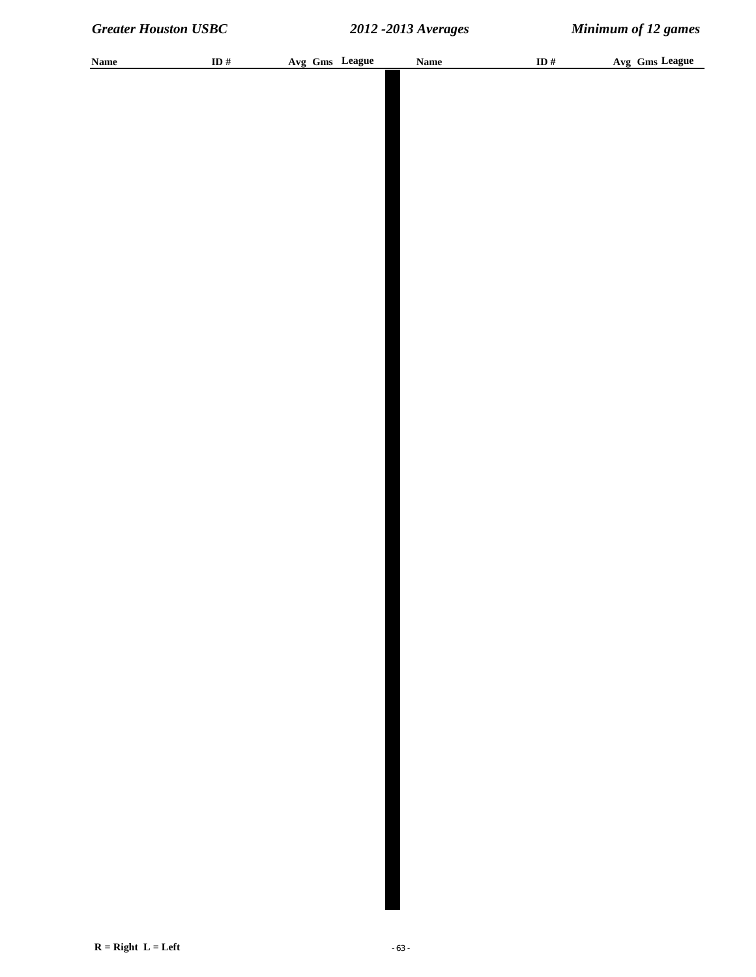| <b>Name</b> | ID # | Avg Gms League | Name | ID $#$ | Avg Gms League |
|-------------|------|----------------|------|--------|----------------|
|             |      |                |      |        |                |
|             |      |                |      |        |                |
|             |      |                |      |        |                |
|             |      |                |      |        |                |
|             |      |                |      |        |                |
|             |      |                |      |        |                |
|             |      |                |      |        |                |
|             |      |                |      |        |                |
|             |      |                |      |        |                |
|             |      |                |      |        |                |
|             |      |                |      |        |                |
|             |      |                |      |        |                |
|             |      |                |      |        |                |
|             |      |                |      |        |                |
|             |      |                |      |        |                |
|             |      |                |      |        |                |
|             |      |                |      |        |                |
|             |      |                |      |        |                |
|             |      |                |      |        |                |
|             |      |                |      |        |                |
|             |      |                |      |        |                |
|             |      |                |      |        |                |
|             |      |                |      |        |                |
|             |      |                |      |        |                |
|             |      |                |      |        |                |
|             |      |                |      |        |                |
|             |      |                |      |        |                |
|             |      |                |      |        |                |
|             |      |                |      |        |                |
|             |      |                |      |        |                |
|             |      |                |      |        |                |
|             |      |                |      |        |                |
|             |      |                |      |        |                |
|             |      |                |      |        |                |
|             |      |                |      |        |                |
|             |      |                |      |        |                |
|             |      |                |      |        |                |
|             |      |                |      |        |                |
|             |      |                |      |        |                |
|             |      |                |      |        |                |
|             |      |                |      |        |                |
|             |      |                |      |        |                |
|             |      |                |      |        |                |
|             |      |                |      |        |                |
|             |      |                |      |        |                |
|             |      |                |      |        |                |
|             |      |                |      |        |                |
|             |      |                |      |        |                |
|             |      |                |      |        |                |
|             |      |                |      |        |                |
|             |      |                |      |        |                |
|             |      |                |      |        |                |
|             |      |                |      |        |                |
|             |      |                |      |        |                |
|             |      |                |      |        |                |
|             |      |                |      |        |                |
|             |      |                |      |        |                |
|             |      |                |      |        |                |
|             |      |                |      |        |                |
|             |      |                |      |        |                |
|             |      |                |      |        |                |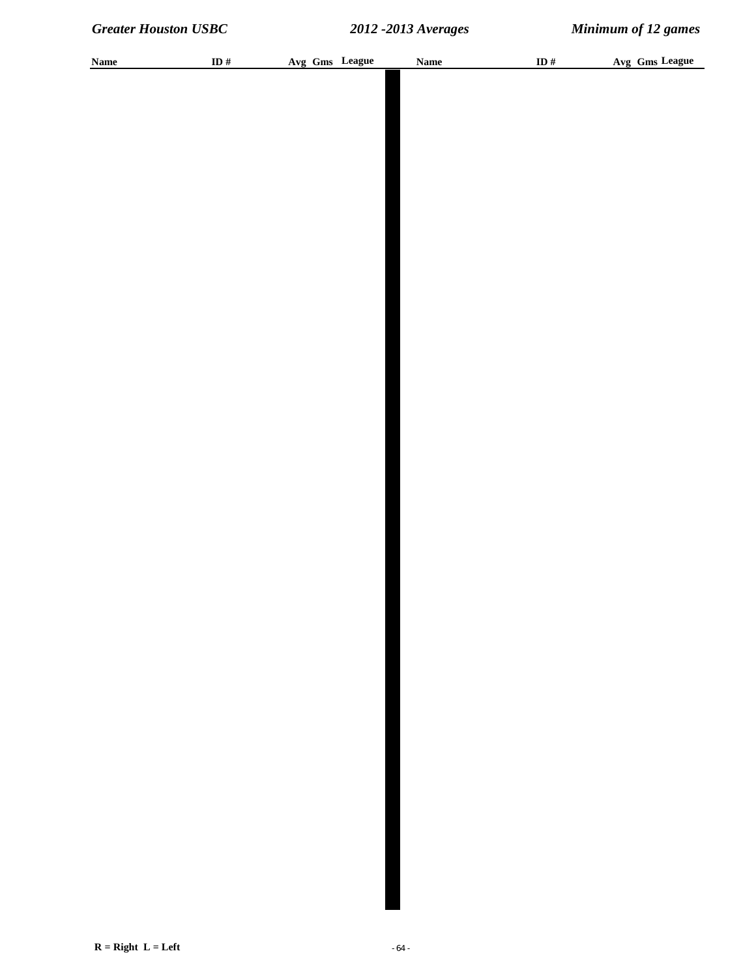| <b>Name</b> | ID# | Avg Gms League | <b>Name</b> | ID # | Avg Gms League |
|-------------|-----|----------------|-------------|------|----------------|
|             |     |                |             |      |                |
|             |     |                |             |      |                |
|             |     |                |             |      |                |
|             |     |                |             |      |                |
|             |     |                |             |      |                |
|             |     |                |             |      |                |
|             |     |                |             |      |                |
|             |     |                |             |      |                |
|             |     |                |             |      |                |
|             |     |                |             |      |                |
|             |     |                |             |      |                |
|             |     |                |             |      |                |
|             |     |                |             |      |                |
|             |     |                |             |      |                |
|             |     |                |             |      |                |
|             |     |                |             |      |                |
|             |     |                |             |      |                |
|             |     |                |             |      |                |
|             |     |                |             |      |                |
|             |     |                |             |      |                |
|             |     |                |             |      |                |
|             |     |                |             |      |                |
|             |     |                |             |      |                |
|             |     |                |             |      |                |
|             |     |                |             |      |                |
|             |     |                |             |      |                |
|             |     |                |             |      |                |
|             |     |                |             |      |                |
|             |     |                |             |      |                |
|             |     |                |             |      |                |
|             |     |                |             |      |                |
|             |     |                |             |      |                |
|             |     |                |             |      |                |
|             |     |                |             |      |                |
|             |     |                |             |      |                |
|             |     |                |             |      |                |
|             |     |                |             |      |                |
|             |     |                |             |      |                |
|             |     |                |             |      |                |
|             |     |                |             |      |                |
|             |     |                |             |      |                |
|             |     |                |             |      |                |
|             |     |                |             |      |                |
|             |     |                |             |      |                |
|             |     |                |             |      |                |
|             |     |                |             |      |                |
|             |     |                |             |      |                |
|             |     |                |             |      |                |
|             |     |                |             |      |                |
|             |     |                |             |      |                |
|             |     |                |             |      |                |
|             |     |                |             |      |                |
|             |     |                |             |      |                |
|             |     |                |             |      |                |
|             |     |                |             |      |                |
|             |     |                |             |      |                |
|             |     |                |             |      |                |
|             |     |                |             |      |                |
|             |     |                |             |      |                |
|             |     |                |             |      |                |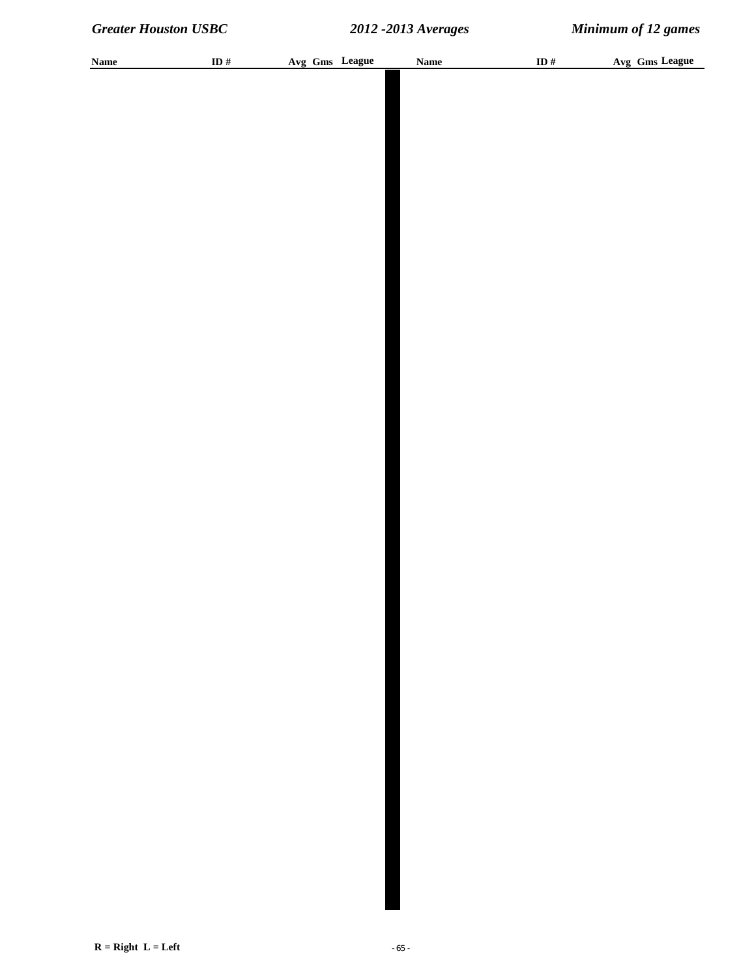| <b>Name</b> | ID $#$ | Avg Gms League | <b>Name</b> | ID# | Avg Gms League |
|-------------|--------|----------------|-------------|-----|----------------|
|             |        |                |             |     |                |
|             |        |                |             |     |                |
|             |        |                |             |     |                |
|             |        |                |             |     |                |
|             |        |                |             |     |                |
|             |        |                |             |     |                |
|             |        |                |             |     |                |
|             |        |                |             |     |                |
|             |        |                |             |     |                |
|             |        |                |             |     |                |
|             |        |                |             |     |                |
|             |        |                |             |     |                |
|             |        |                |             |     |                |
|             |        |                |             |     |                |
|             |        |                |             |     |                |
|             |        |                |             |     |                |
|             |        |                |             |     |                |
|             |        |                |             |     |                |
|             |        |                |             |     |                |
|             |        |                |             |     |                |
|             |        |                |             |     |                |
|             |        |                |             |     |                |
|             |        |                |             |     |                |
|             |        |                |             |     |                |
|             |        |                |             |     |                |
|             |        |                |             |     |                |
|             |        |                |             |     |                |
|             |        |                |             |     |                |
|             |        |                |             |     |                |
|             |        |                |             |     |                |
|             |        |                |             |     |                |
|             |        |                |             |     |                |
|             |        |                |             |     |                |
|             |        |                |             |     |                |
|             |        |                |             |     |                |
|             |        |                |             |     |                |
|             |        |                |             |     |                |
|             |        |                |             |     |                |
|             |        |                |             |     |                |
|             |        |                |             |     |                |
|             |        |                |             |     |                |
|             |        |                |             |     |                |
|             |        |                |             |     |                |
|             |        |                |             |     |                |
|             |        |                |             |     |                |
|             |        |                |             |     |                |
|             |        |                |             |     |                |
|             |        |                |             |     |                |
|             |        |                |             |     |                |
|             |        |                |             |     |                |
|             |        |                |             |     |                |
|             |        |                |             |     |                |
|             |        |                |             |     |                |
|             |        |                |             |     |                |
|             |        |                |             |     |                |
|             |        |                |             |     |                |
|             |        |                |             |     |                |
|             |        |                |             |     |                |
|             |        |                |             |     |                |
|             |        |                |             |     |                |
|             |        |                |             |     |                |
|             |        |                |             |     |                |
|             |        |                |             |     |                |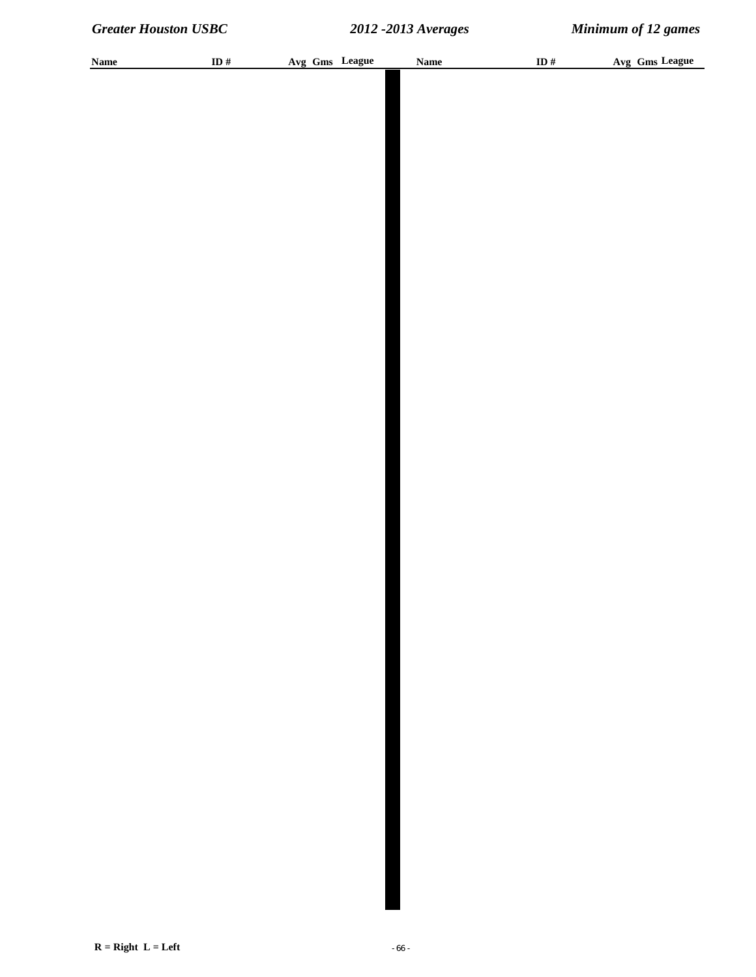| <b>Name</b> | ID $\#$ |  | Avg Gms League | <b>Name</b> | ID $\#$ | Avg Gms League |
|-------------|---------|--|----------------|-------------|---------|----------------|
|             |         |  |                |             |         |                |
|             |         |  |                |             |         |                |
|             |         |  |                |             |         |                |
|             |         |  |                |             |         |                |
|             |         |  |                |             |         |                |
|             |         |  |                |             |         |                |
|             |         |  |                |             |         |                |
|             |         |  |                |             |         |                |
|             |         |  |                |             |         |                |
|             |         |  |                |             |         |                |
|             |         |  |                |             |         |                |
|             |         |  |                |             |         |                |
|             |         |  |                |             |         |                |
|             |         |  |                |             |         |                |
|             |         |  |                |             |         |                |
|             |         |  |                |             |         |                |
|             |         |  |                |             |         |                |
|             |         |  |                |             |         |                |
|             |         |  |                |             |         |                |
|             |         |  |                |             |         |                |
|             |         |  |                |             |         |                |
|             |         |  |                |             |         |                |
|             |         |  |                |             |         |                |
|             |         |  |                |             |         |                |
|             |         |  |                |             |         |                |
|             |         |  |                |             |         |                |
|             |         |  |                |             |         |                |
|             |         |  |                |             |         |                |
|             |         |  |                |             |         |                |
|             |         |  |                |             |         |                |
|             |         |  |                |             |         |                |
|             |         |  |                |             |         |                |
|             |         |  |                |             |         |                |
|             |         |  |                |             |         |                |
|             |         |  |                |             |         |                |
|             |         |  |                |             |         |                |
|             |         |  |                |             |         |                |
|             |         |  |                |             |         |                |
|             |         |  |                |             |         |                |
|             |         |  |                |             |         |                |
|             |         |  |                |             |         |                |
|             |         |  |                |             |         |                |
|             |         |  |                |             |         |                |
|             |         |  |                |             |         |                |
|             |         |  |                |             |         |                |
|             |         |  |                |             |         |                |
|             |         |  |                |             |         |                |
|             |         |  |                |             |         |                |
|             |         |  |                |             |         |                |
|             |         |  |                |             |         |                |
|             |         |  |                |             |         |                |
|             |         |  |                |             |         |                |
|             |         |  |                |             |         |                |
|             |         |  |                |             |         |                |
|             |         |  |                |             |         |                |
|             |         |  |                |             |         |                |
|             |         |  |                |             |         |                |
|             |         |  |                |             |         |                |
|             |         |  |                |             |         |                |
|             |         |  |                |             |         |                |
|             |         |  |                |             |         |                |
|             |         |  |                |             |         |                |
|             |         |  |                |             |         |                |
|             |         |  |                |             |         |                |
|             |         |  |                |             |         |                |
|             |         |  |                |             |         |                |
|             |         |  |                |             |         |                |
|             |         |  |                |             |         |                |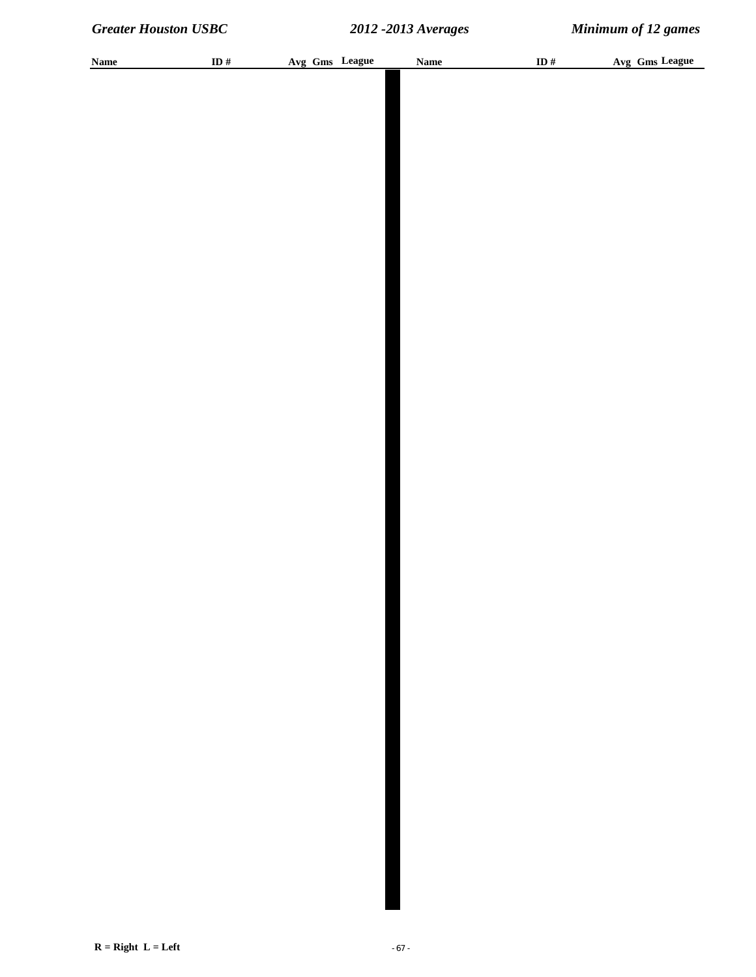| <b>Name</b> | ID $\#$ |  | Avg Gms League | <b>Name</b> | ID $\#$ | Avg Gms League |
|-------------|---------|--|----------------|-------------|---------|----------------|
|             |         |  |                |             |         |                |
|             |         |  |                |             |         |                |
|             |         |  |                |             |         |                |
|             |         |  |                |             |         |                |
|             |         |  |                |             |         |                |
|             |         |  |                |             |         |                |
|             |         |  |                |             |         |                |
|             |         |  |                |             |         |                |
|             |         |  |                |             |         |                |
|             |         |  |                |             |         |                |
|             |         |  |                |             |         |                |
|             |         |  |                |             |         |                |
|             |         |  |                |             |         |                |
|             |         |  |                |             |         |                |
|             |         |  |                |             |         |                |
|             |         |  |                |             |         |                |
|             |         |  |                |             |         |                |
|             |         |  |                |             |         |                |
|             |         |  |                |             |         |                |
|             |         |  |                |             |         |                |
|             |         |  |                |             |         |                |
|             |         |  |                |             |         |                |
|             |         |  |                |             |         |                |
|             |         |  |                |             |         |                |
|             |         |  |                |             |         |                |
|             |         |  |                |             |         |                |
|             |         |  |                |             |         |                |
|             |         |  |                |             |         |                |
|             |         |  |                |             |         |                |
|             |         |  |                |             |         |                |
|             |         |  |                |             |         |                |
|             |         |  |                |             |         |                |
|             |         |  |                |             |         |                |
|             |         |  |                |             |         |                |
|             |         |  |                |             |         |                |
|             |         |  |                |             |         |                |
|             |         |  |                |             |         |                |
|             |         |  |                |             |         |                |
|             |         |  |                |             |         |                |
|             |         |  |                |             |         |                |
|             |         |  |                |             |         |                |
|             |         |  |                |             |         |                |
|             |         |  |                |             |         |                |
|             |         |  |                |             |         |                |
|             |         |  |                |             |         |                |
|             |         |  |                |             |         |                |
|             |         |  |                |             |         |                |
|             |         |  |                |             |         |                |
|             |         |  |                |             |         |                |
|             |         |  |                |             |         |                |
|             |         |  |                |             |         |                |
|             |         |  |                |             |         |                |
|             |         |  |                |             |         |                |
|             |         |  |                |             |         |                |
|             |         |  |                |             |         |                |
|             |         |  |                |             |         |                |
|             |         |  |                |             |         |                |
|             |         |  |                |             |         |                |
|             |         |  |                |             |         |                |
|             |         |  |                |             |         |                |
|             |         |  |                |             |         |                |
|             |         |  |                |             |         |                |
|             |         |  |                |             |         |                |
|             |         |  |                |             |         |                |
|             |         |  |                |             |         |                |
|             |         |  |                |             |         |                |
|             |         |  |                |             |         |                |
|             |         |  |                |             |         |                |
|             |         |  |                |             |         |                |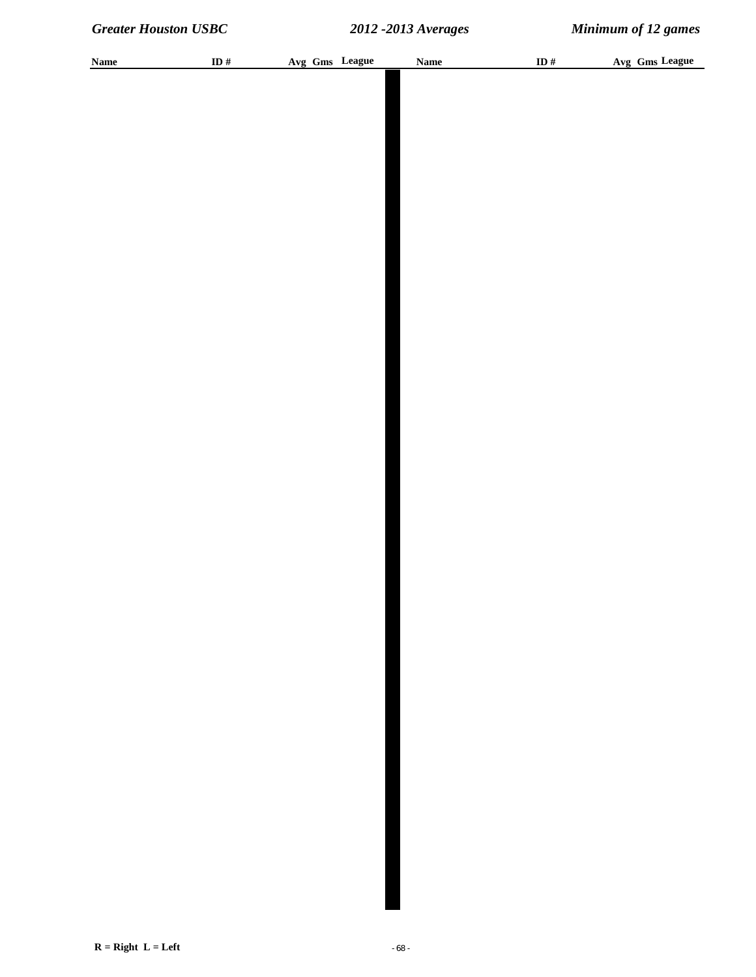| <b>Name</b> | ID $\#$ | Avg Gms League | <b>Name</b> | ID $\#$ | Avg Gms League |
|-------------|---------|----------------|-------------|---------|----------------|
|             |         |                |             |         |                |
|             |         |                |             |         |                |
|             |         |                |             |         |                |
|             |         |                |             |         |                |
|             |         |                |             |         |                |
|             |         |                |             |         |                |
|             |         |                |             |         |                |
|             |         |                |             |         |                |
|             |         |                |             |         |                |
|             |         |                |             |         |                |
|             |         |                |             |         |                |
|             |         |                |             |         |                |
|             |         |                |             |         |                |
|             |         |                |             |         |                |
|             |         |                |             |         |                |
|             |         |                |             |         |                |
|             |         |                |             |         |                |
|             |         |                |             |         |                |
|             |         |                |             |         |                |
|             |         |                |             |         |                |
|             |         |                |             |         |                |
|             |         |                |             |         |                |
|             |         |                |             |         |                |
|             |         |                |             |         |                |
|             |         |                |             |         |                |
|             |         |                |             |         |                |
|             |         |                |             |         |                |
|             |         |                |             |         |                |
|             |         |                |             |         |                |
|             |         |                |             |         |                |
|             |         |                |             |         |                |
|             |         |                |             |         |                |
|             |         |                |             |         |                |
|             |         |                |             |         |                |
|             |         |                |             |         |                |
|             |         |                |             |         |                |
|             |         |                |             |         |                |
|             |         |                |             |         |                |
|             |         |                |             |         |                |
|             |         |                |             |         |                |
|             |         |                |             |         |                |
|             |         |                |             |         |                |
|             |         |                |             |         |                |
|             |         |                |             |         |                |
|             |         |                |             |         |                |
|             |         |                |             |         |                |
|             |         |                |             |         |                |
|             |         |                |             |         |                |
|             |         |                |             |         |                |
|             |         |                |             |         |                |
|             |         |                |             |         |                |
|             |         |                |             |         |                |
|             |         |                |             |         |                |
|             |         |                |             |         |                |
|             |         |                |             |         |                |
|             |         |                |             |         |                |
|             |         |                |             |         |                |
|             |         |                |             |         |                |
|             |         |                |             |         |                |
|             |         |                |             |         |                |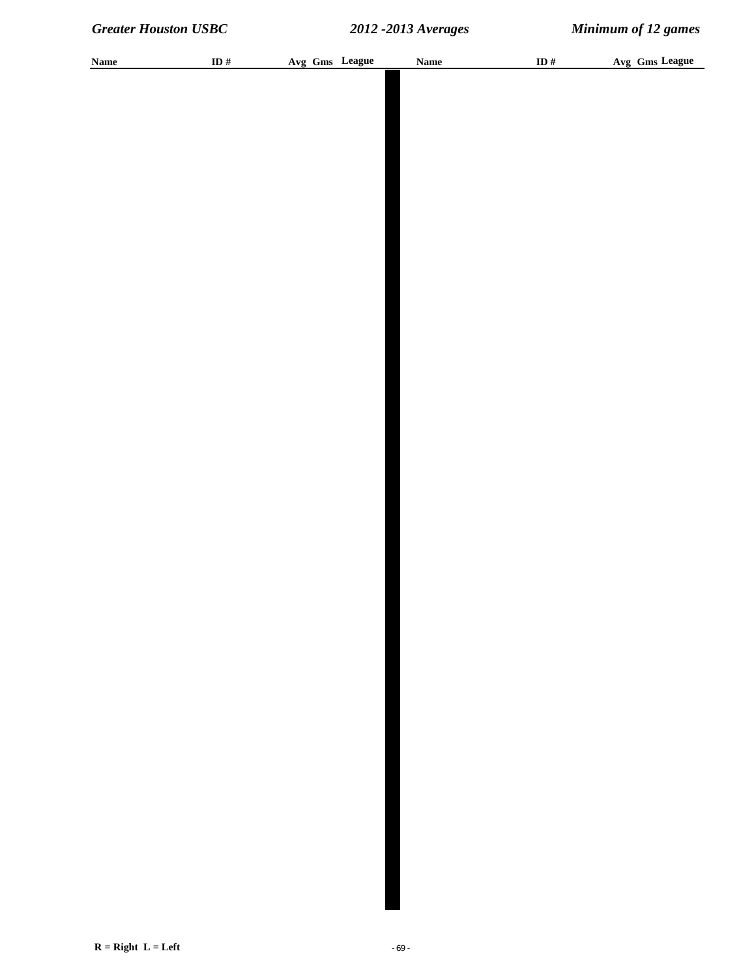| <b>Name</b> | ID # | Avg Gms League | Name | ID $#$ | Avg Gms League |
|-------------|------|----------------|------|--------|----------------|
|             |      |                |      |        |                |
|             |      |                |      |        |                |
|             |      |                |      |        |                |
|             |      |                |      |        |                |
|             |      |                |      |        |                |
|             |      |                |      |        |                |
|             |      |                |      |        |                |
|             |      |                |      |        |                |
|             |      |                |      |        |                |
|             |      |                |      |        |                |
|             |      |                |      |        |                |
|             |      |                |      |        |                |
|             |      |                |      |        |                |
|             |      |                |      |        |                |
|             |      |                |      |        |                |
|             |      |                |      |        |                |
|             |      |                |      |        |                |
|             |      |                |      |        |                |
|             |      |                |      |        |                |
|             |      |                |      |        |                |
|             |      |                |      |        |                |
|             |      |                |      |        |                |
|             |      |                |      |        |                |
|             |      |                |      |        |                |
|             |      |                |      |        |                |
|             |      |                |      |        |                |
|             |      |                |      |        |                |
|             |      |                |      |        |                |
|             |      |                |      |        |                |
|             |      |                |      |        |                |
|             |      |                |      |        |                |
|             |      |                |      |        |                |
|             |      |                |      |        |                |
|             |      |                |      |        |                |
|             |      |                |      |        |                |
|             |      |                |      |        |                |
|             |      |                |      |        |                |
|             |      |                |      |        |                |
|             |      |                |      |        |                |
|             |      |                |      |        |                |
|             |      |                |      |        |                |
|             |      |                |      |        |                |
|             |      |                |      |        |                |
|             |      |                |      |        |                |
|             |      |                |      |        |                |
|             |      |                |      |        |                |
|             |      |                |      |        |                |
|             |      |                |      |        |                |
|             |      |                |      |        |                |
|             |      |                |      |        |                |
|             |      |                |      |        |                |
|             |      |                |      |        |                |
|             |      |                |      |        |                |
|             |      |                |      |        |                |
|             |      |                |      |        |                |
|             |      |                |      |        |                |
|             |      |                |      |        |                |
|             |      |                |      |        |                |
|             |      |                |      |        |                |
|             |      |                |      |        |                |
|             |      |                |      |        |                |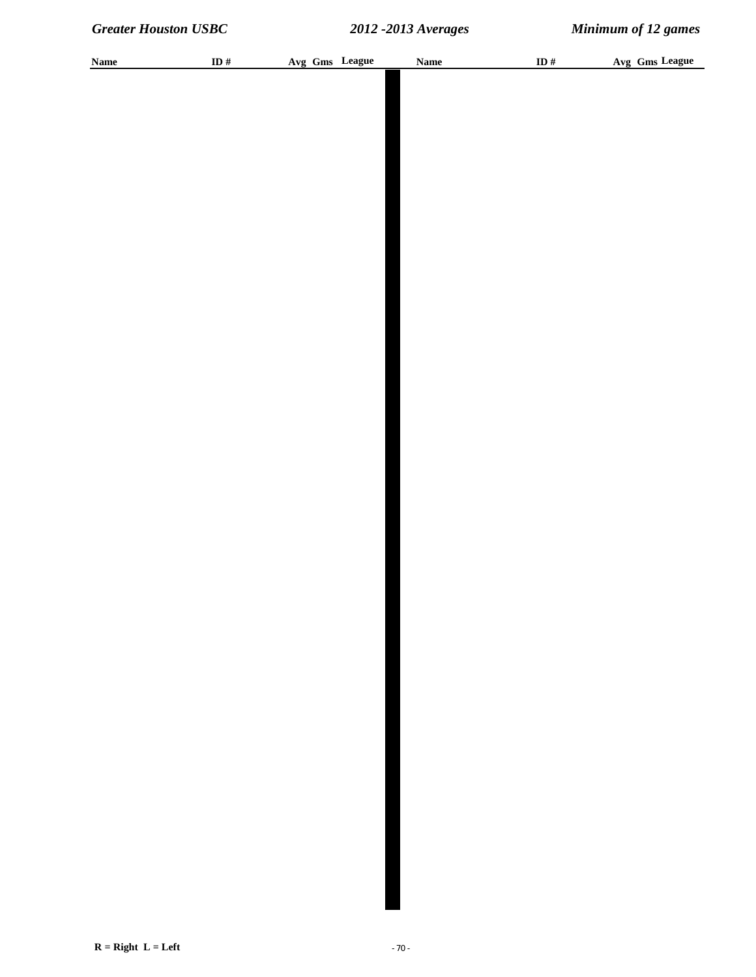| <b>Name</b> | ID $\#$ |  | Avg Gms League | <b>Name</b> | ID $#$ | Avg Gms League |  |
|-------------|---------|--|----------------|-------------|--------|----------------|--|
|             |         |  |                |             |        |                |  |
|             |         |  |                |             |        |                |  |
|             |         |  |                |             |        |                |  |
|             |         |  |                |             |        |                |  |
|             |         |  |                |             |        |                |  |
|             |         |  |                |             |        |                |  |
|             |         |  |                |             |        |                |  |
|             |         |  |                |             |        |                |  |
|             |         |  |                |             |        |                |  |
|             |         |  |                |             |        |                |  |
|             |         |  |                |             |        |                |  |
|             |         |  |                |             |        |                |  |
|             |         |  |                |             |        |                |  |
|             |         |  |                |             |        |                |  |
|             |         |  |                |             |        |                |  |
|             |         |  |                |             |        |                |  |
|             |         |  |                |             |        |                |  |
|             |         |  |                |             |        |                |  |
|             |         |  |                |             |        |                |  |
|             |         |  |                |             |        |                |  |
|             |         |  |                |             |        |                |  |
|             |         |  |                |             |        |                |  |
|             |         |  |                |             |        |                |  |
|             |         |  |                |             |        |                |  |
|             |         |  |                |             |        |                |  |
|             |         |  |                |             |        |                |  |
|             |         |  |                |             |        |                |  |
|             |         |  |                |             |        |                |  |
|             |         |  |                |             |        |                |  |
|             |         |  |                |             |        |                |  |
|             |         |  |                |             |        |                |  |
|             |         |  |                |             |        |                |  |
|             |         |  |                |             |        |                |  |
|             |         |  |                |             |        |                |  |
|             |         |  |                |             |        |                |  |
|             |         |  |                |             |        |                |  |
|             |         |  |                |             |        |                |  |
|             |         |  |                |             |        |                |  |
|             |         |  |                |             |        |                |  |
|             |         |  |                |             |        |                |  |
|             |         |  |                |             |        |                |  |
|             |         |  |                |             |        |                |  |
|             |         |  |                |             |        |                |  |
|             |         |  |                |             |        |                |  |
|             |         |  |                |             |        |                |  |
|             |         |  |                |             |        |                |  |
|             |         |  |                |             |        |                |  |
|             |         |  |                |             |        |                |  |
|             |         |  |                |             |        |                |  |
|             |         |  |                |             |        |                |  |
|             |         |  |                |             |        |                |  |
|             |         |  |                |             |        |                |  |
|             |         |  |                |             |        |                |  |
|             |         |  |                |             |        |                |  |
|             |         |  |                |             |        |                |  |
|             |         |  |                |             |        |                |  |
|             |         |  |                |             |        |                |  |
|             |         |  |                |             |        |                |  |
|             |         |  |                |             |        |                |  |
|             |         |  |                |             |        |                |  |
|             |         |  |                |             |        |                |  |
|             |         |  |                |             |        |                |  |
|             |         |  |                |             |        |                |  |
|             |         |  |                |             |        |                |  |
|             |         |  |                |             |        |                |  |
|             |         |  |                |             |        |                |  |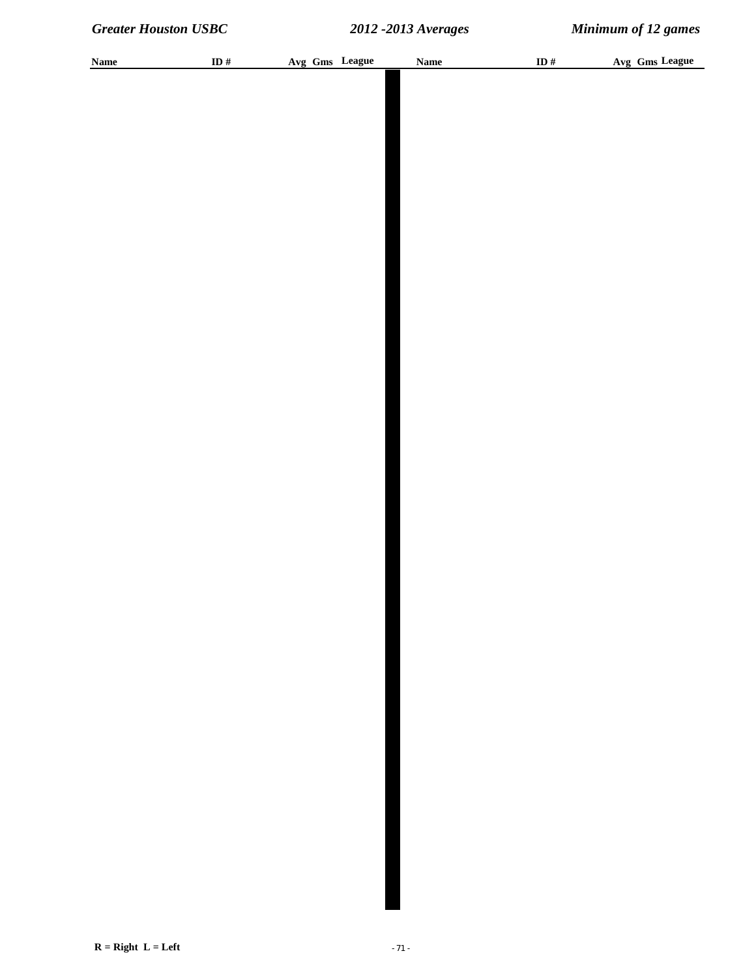| <b>Name</b> | ID $#$ | Avg Gms League | <b>Name</b> | ID# | Avg Gms League |
|-------------|--------|----------------|-------------|-----|----------------|
|             |        |                |             |     |                |
|             |        |                |             |     |                |
|             |        |                |             |     |                |
|             |        |                |             |     |                |
|             |        |                |             |     |                |
|             |        |                |             |     |                |
|             |        |                |             |     |                |
|             |        |                |             |     |                |
|             |        |                |             |     |                |
|             |        |                |             |     |                |
|             |        |                |             |     |                |
|             |        |                |             |     |                |
|             |        |                |             |     |                |
|             |        |                |             |     |                |
|             |        |                |             |     |                |
|             |        |                |             |     |                |
|             |        |                |             |     |                |
|             |        |                |             |     |                |
|             |        |                |             |     |                |
|             |        |                |             |     |                |
|             |        |                |             |     |                |
|             |        |                |             |     |                |
|             |        |                |             |     |                |
|             |        |                |             |     |                |
|             |        |                |             |     |                |
|             |        |                |             |     |                |
|             |        |                |             |     |                |
|             |        |                |             |     |                |
|             |        |                |             |     |                |
|             |        |                |             |     |                |
|             |        |                |             |     |                |
|             |        |                |             |     |                |
|             |        |                |             |     |                |
|             |        |                |             |     |                |
|             |        |                |             |     |                |
|             |        |                |             |     |                |
|             |        |                |             |     |                |
|             |        |                |             |     |                |
|             |        |                |             |     |                |
|             |        |                |             |     |                |
|             |        |                |             |     |                |
|             |        |                |             |     |                |
|             |        |                |             |     |                |
|             |        |                |             |     |                |
|             |        |                |             |     |                |
|             |        |                |             |     |                |
|             |        |                |             |     |                |
|             |        |                |             |     |                |
|             |        |                |             |     |                |
|             |        |                |             |     |                |
|             |        |                |             |     |                |
|             |        |                |             |     |                |
|             |        |                |             |     |                |
|             |        |                |             |     |                |
|             |        |                |             |     |                |
|             |        |                |             |     |                |
|             |        |                |             |     |                |
|             |        |                |             |     |                |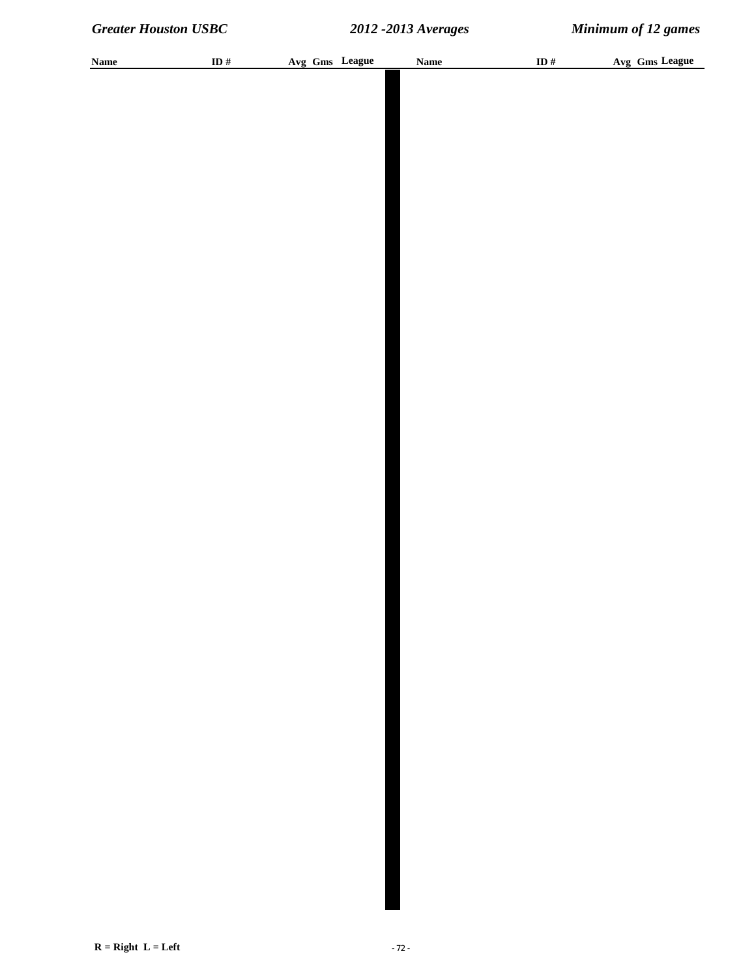| <b>Name</b> | ID # | Avg Gms League | <b>Name</b> | ID $#$ | Avg Gms League |
|-------------|------|----------------|-------------|--------|----------------|
|             |      |                |             |        |                |
|             |      |                |             |        |                |
|             |      |                |             |        |                |
|             |      |                |             |        |                |
|             |      |                |             |        |                |
|             |      |                |             |        |                |
|             |      |                |             |        |                |
|             |      |                |             |        |                |
|             |      |                |             |        |                |
|             |      |                |             |        |                |
|             |      |                |             |        |                |
|             |      |                |             |        |                |
|             |      |                |             |        |                |
|             |      |                |             |        |                |
|             |      |                |             |        |                |
|             |      |                |             |        |                |
|             |      |                |             |        |                |
|             |      |                |             |        |                |
|             |      |                |             |        |                |
|             |      |                |             |        |                |
|             |      |                |             |        |                |
|             |      |                |             |        |                |
|             |      |                |             |        |                |
|             |      |                |             |        |                |
|             |      |                |             |        |                |
|             |      |                |             |        |                |
|             |      |                |             |        |                |
|             |      |                |             |        |                |
|             |      |                |             |        |                |
|             |      |                |             |        |                |
|             |      |                |             |        |                |
|             |      |                |             |        |                |
|             |      |                |             |        |                |
|             |      |                |             |        |                |
|             |      |                |             |        |                |
|             |      |                |             |        |                |
|             |      |                |             |        |                |
|             |      |                |             |        |                |
|             |      |                |             |        |                |
|             |      |                |             |        |                |
|             |      |                |             |        |                |
|             |      |                |             |        |                |
|             |      |                |             |        |                |
|             |      |                |             |        |                |
|             |      |                |             |        |                |
|             |      |                |             |        |                |
|             |      |                |             |        |                |
|             |      |                |             |        |                |
|             |      |                |             |        |                |
|             |      |                |             |        |                |
|             |      |                |             |        |                |
|             |      |                |             |        |                |
|             |      |                |             |        |                |
|             |      |                |             |        |                |
|             |      |                |             |        |                |
|             |      |                |             |        |                |
|             |      |                |             |        |                |
|             |      |                |             |        |                |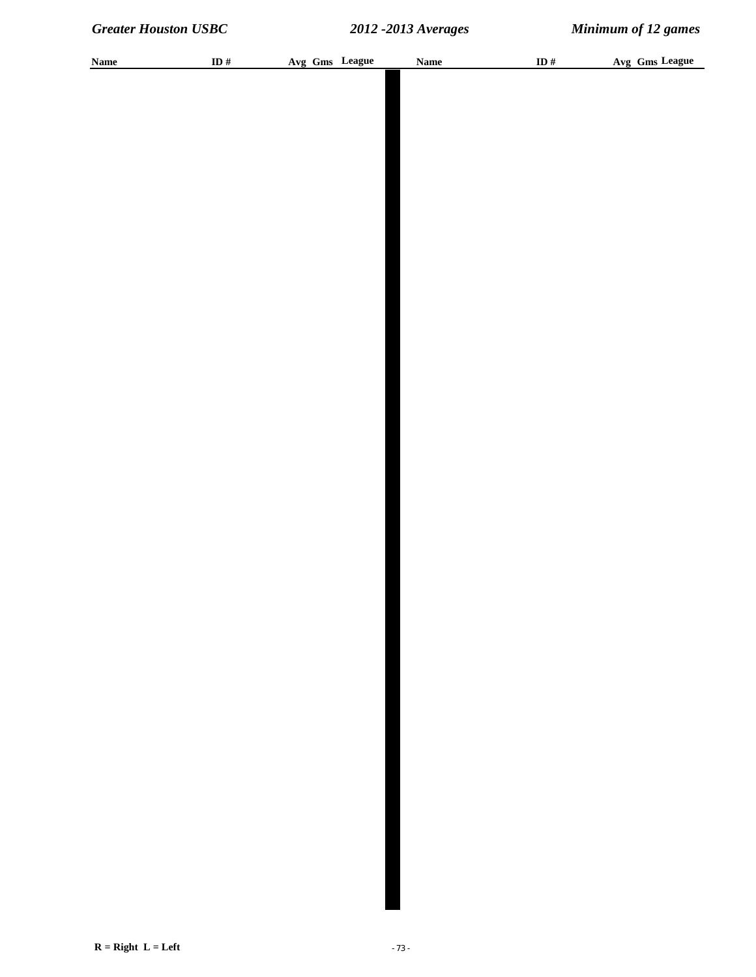| <b>Name</b> | ID # | Avg Gms League | <b>Name</b> | ID $\#$ | Avg Gms League |
|-------------|------|----------------|-------------|---------|----------------|
|             |      |                |             |         |                |
|             |      |                |             |         |                |
|             |      |                |             |         |                |
|             |      |                |             |         |                |
|             |      |                |             |         |                |
|             |      |                |             |         |                |
|             |      |                |             |         |                |
|             |      |                |             |         |                |
|             |      |                |             |         |                |
|             |      |                |             |         |                |
|             |      |                |             |         |                |
|             |      |                |             |         |                |
|             |      |                |             |         |                |
|             |      |                |             |         |                |
|             |      |                |             |         |                |
|             |      |                |             |         |                |
|             |      |                |             |         |                |
|             |      |                |             |         |                |
|             |      |                |             |         |                |
|             |      |                |             |         |                |
|             |      |                |             |         |                |
|             |      |                |             |         |                |
|             |      |                |             |         |                |
|             |      |                |             |         |                |
|             |      |                |             |         |                |
|             |      |                |             |         |                |
|             |      |                |             |         |                |
|             |      |                |             |         |                |
|             |      |                |             |         |                |
|             |      |                |             |         |                |
|             |      |                |             |         |                |
|             |      |                |             |         |                |
|             |      |                |             |         |                |
|             |      |                |             |         |                |
|             |      |                |             |         |                |
|             |      |                |             |         |                |
|             |      |                |             |         |                |
|             |      |                |             |         |                |
|             |      |                |             |         |                |
|             |      |                |             |         |                |
|             |      |                |             |         |                |
|             |      |                |             |         |                |
|             |      |                |             |         |                |
|             |      |                |             |         |                |
|             |      |                |             |         |                |
|             |      |                |             |         |                |
|             |      |                |             |         |                |
|             |      |                |             |         |                |
|             |      |                |             |         |                |
|             |      |                |             |         |                |
|             |      |                |             |         |                |
|             |      |                |             |         |                |
|             |      |                |             |         |                |
|             |      |                |             |         |                |
|             |      |                |             |         |                |
|             |      |                |             |         |                |
|             |      |                |             |         |                |
|             |      |                |             |         |                |
|             |      |                |             |         |                |
|             |      |                |             |         |                |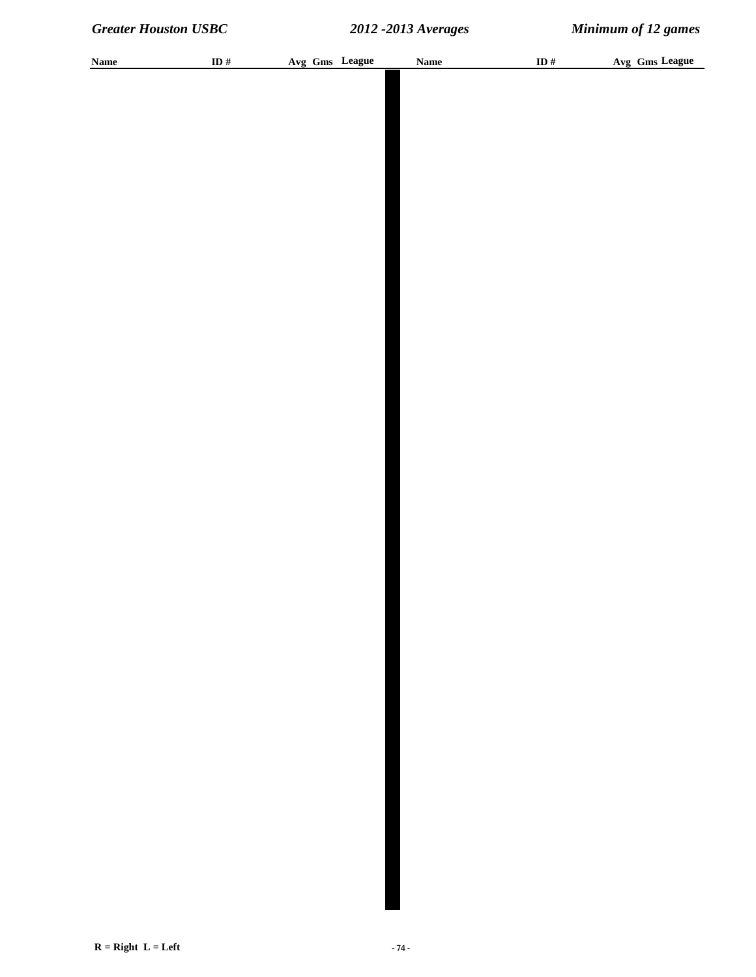| <b>Name</b> | ID $\#$ |  | Avg Gms League | <b>Name</b> | ID $\#$ | Avg Gms League |
|-------------|---------|--|----------------|-------------|---------|----------------|
|             |         |  |                |             |         |                |
|             |         |  |                |             |         |                |
|             |         |  |                |             |         |                |
|             |         |  |                |             |         |                |
|             |         |  |                |             |         |                |
|             |         |  |                |             |         |                |
|             |         |  |                |             |         |                |
|             |         |  |                |             |         |                |
|             |         |  |                |             |         |                |
|             |         |  |                |             |         |                |
|             |         |  |                |             |         |                |
|             |         |  |                |             |         |                |
|             |         |  |                |             |         |                |
|             |         |  |                |             |         |                |
|             |         |  |                |             |         |                |
|             |         |  |                |             |         |                |
|             |         |  |                |             |         |                |
|             |         |  |                |             |         |                |
|             |         |  |                |             |         |                |
|             |         |  |                |             |         |                |
|             |         |  |                |             |         |                |
|             |         |  |                |             |         |                |
|             |         |  |                |             |         |                |
|             |         |  |                |             |         |                |
|             |         |  |                |             |         |                |
|             |         |  |                |             |         |                |
|             |         |  |                |             |         |                |
|             |         |  |                |             |         |                |
|             |         |  |                |             |         |                |
|             |         |  |                |             |         |                |
|             |         |  |                |             |         |                |
|             |         |  |                |             |         |                |
|             |         |  |                |             |         |                |
|             |         |  |                |             |         |                |
|             |         |  |                |             |         |                |
|             |         |  |                |             |         |                |
|             |         |  |                |             |         |                |
|             |         |  |                |             |         |                |
|             |         |  |                |             |         |                |
|             |         |  |                |             |         |                |
|             |         |  |                |             |         |                |
|             |         |  |                |             |         |                |
|             |         |  |                |             |         |                |
|             |         |  |                |             |         |                |
|             |         |  |                |             |         |                |
|             |         |  |                |             |         |                |
|             |         |  |                |             |         |                |
|             |         |  |                |             |         |                |
|             |         |  |                |             |         |                |
|             |         |  |                |             |         |                |
|             |         |  |                |             |         |                |
|             |         |  |                |             |         |                |
|             |         |  |                |             |         |                |
|             |         |  |                |             |         |                |
|             |         |  |                |             |         |                |
|             |         |  |                |             |         |                |
|             |         |  |                |             |         |                |
|             |         |  |                |             |         |                |
|             |         |  |                |             |         |                |
|             |         |  |                |             |         |                |
|             |         |  |                |             |         |                |
|             |         |  |                |             |         |                |
|             |         |  |                |             |         |                |
|             |         |  |                |             |         |                |
|             |         |  |                |             |         |                |
|             |         |  |                |             |         |                |
|             |         |  |                |             |         |                |
|             |         |  |                |             |         |                |
|             |         |  |                |             |         |                |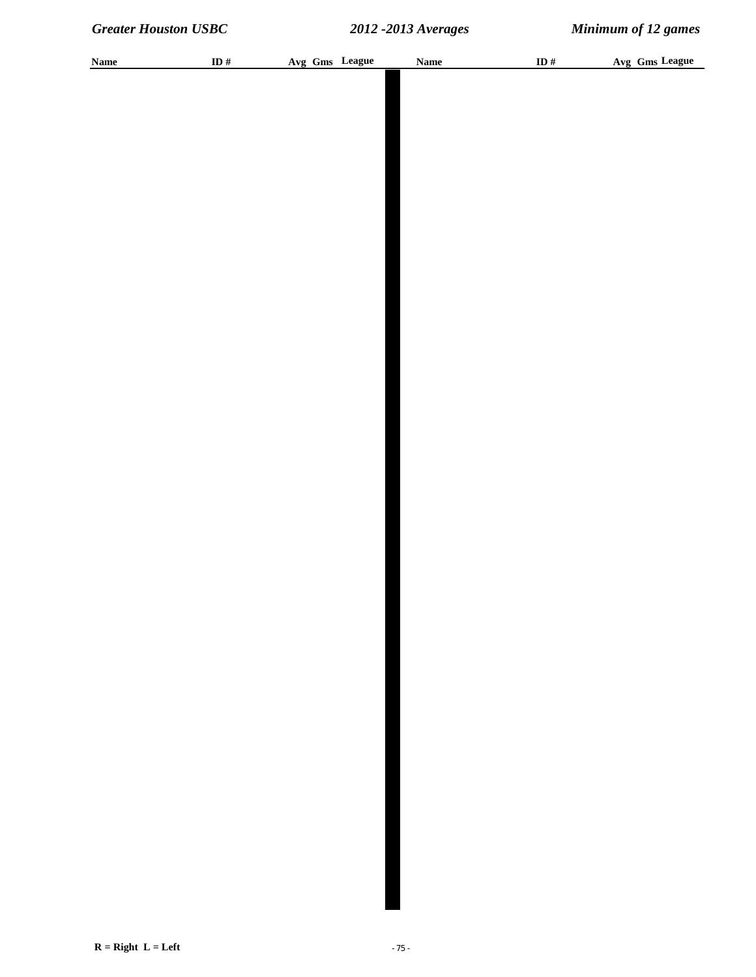| <b>Name</b> | ID $\#$ | Avg Gms League | Name | ID $\#$ | Avg Gms League |
|-------------|---------|----------------|------|---------|----------------|
|             |         |                |      |         |                |
|             |         |                |      |         |                |
|             |         |                |      |         |                |
|             |         |                |      |         |                |
|             |         |                |      |         |                |
|             |         |                |      |         |                |
|             |         |                |      |         |                |
|             |         |                |      |         |                |
|             |         |                |      |         |                |
|             |         |                |      |         |                |
|             |         |                |      |         |                |
|             |         |                |      |         |                |
|             |         |                |      |         |                |
|             |         |                |      |         |                |
|             |         |                |      |         |                |
|             |         |                |      |         |                |
|             |         |                |      |         |                |
|             |         |                |      |         |                |
|             |         |                |      |         |                |
|             |         |                |      |         |                |
|             |         |                |      |         |                |
|             |         |                |      |         |                |
|             |         |                |      |         |                |
|             |         |                |      |         |                |
|             |         |                |      |         |                |
|             |         |                |      |         |                |
|             |         |                |      |         |                |
|             |         |                |      |         |                |
|             |         |                |      |         |                |
|             |         |                |      |         |                |
|             |         |                |      |         |                |
|             |         |                |      |         |                |
|             |         |                |      |         |                |
|             |         |                |      |         |                |
|             |         |                |      |         |                |
|             |         |                |      |         |                |
|             |         |                |      |         |                |
|             |         |                |      |         |                |
|             |         |                |      |         |                |
|             |         |                |      |         |                |
|             |         |                |      |         |                |
|             |         |                |      |         |                |
|             |         |                |      |         |                |
|             |         |                |      |         |                |
|             |         |                |      |         |                |
|             |         |                |      |         |                |
|             |         |                |      |         |                |
|             |         |                |      |         |                |
|             |         |                |      |         |                |
|             |         |                |      |         |                |
|             |         |                |      |         |                |
|             |         |                |      |         |                |
|             |         |                |      |         |                |
|             |         |                |      |         |                |
|             |         |                |      |         |                |
|             |         |                |      |         |                |
|             |         |                |      |         |                |
|             |         |                |      |         |                |
|             |         |                |      |         |                |
|             |         |                |      |         |                |
|             |         |                |      |         |                |
|             |         |                |      |         |                |
|             |         |                |      |         |                |
|             |         |                |      |         |                |
|             |         |                |      |         |                |
|             |         |                |      |         |                |
|             |         |                |      |         |                |
|             |         |                |      |         |                |
|             |         |                |      |         |                |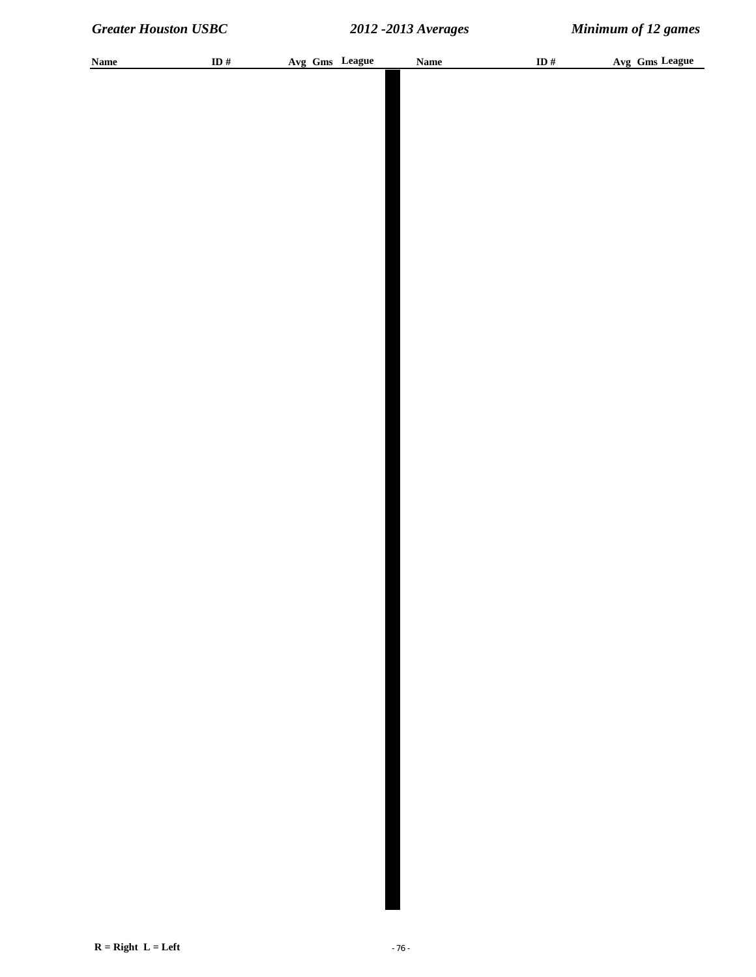| <b>Name</b> | ID# | Avg Gms League | <b>Name</b> | ID # | Avg Gms League |
|-------------|-----|----------------|-------------|------|----------------|
|             |     |                |             |      |                |
|             |     |                |             |      |                |
|             |     |                |             |      |                |
|             |     |                |             |      |                |
|             |     |                |             |      |                |
|             |     |                |             |      |                |
|             |     |                |             |      |                |
|             |     |                |             |      |                |
|             |     |                |             |      |                |
|             |     |                |             |      |                |
|             |     |                |             |      |                |
|             |     |                |             |      |                |
|             |     |                |             |      |                |
|             |     |                |             |      |                |
|             |     |                |             |      |                |
|             |     |                |             |      |                |
|             |     |                |             |      |                |
|             |     |                |             |      |                |
|             |     |                |             |      |                |
|             |     |                |             |      |                |
|             |     |                |             |      |                |
|             |     |                |             |      |                |
|             |     |                |             |      |                |
|             |     |                |             |      |                |
|             |     |                |             |      |                |
|             |     |                |             |      |                |
|             |     |                |             |      |                |
|             |     |                |             |      |                |
|             |     |                |             |      |                |
|             |     |                |             |      |                |
|             |     |                |             |      |                |
|             |     |                |             |      |                |
|             |     |                |             |      |                |
|             |     |                |             |      |                |
|             |     |                |             |      |                |
|             |     |                |             |      |                |
|             |     |                |             |      |                |
|             |     |                |             |      |                |
|             |     |                |             |      |                |
|             |     |                |             |      |                |
|             |     |                |             |      |                |
|             |     |                |             |      |                |
|             |     |                |             |      |                |
|             |     |                |             |      |                |
|             |     |                |             |      |                |
|             |     |                |             |      |                |
|             |     |                |             |      |                |
|             |     |                |             |      |                |
|             |     |                |             |      |                |
|             |     |                |             |      |                |
|             |     |                |             |      |                |
|             |     |                |             |      |                |
|             |     |                |             |      |                |
|             |     |                |             |      |                |
|             |     |                |             |      |                |
|             |     |                |             |      |                |
|             |     |                |             |      |                |
|             |     |                |             |      |                |
|             |     |                |             |      |                |
|             |     |                |             |      |                |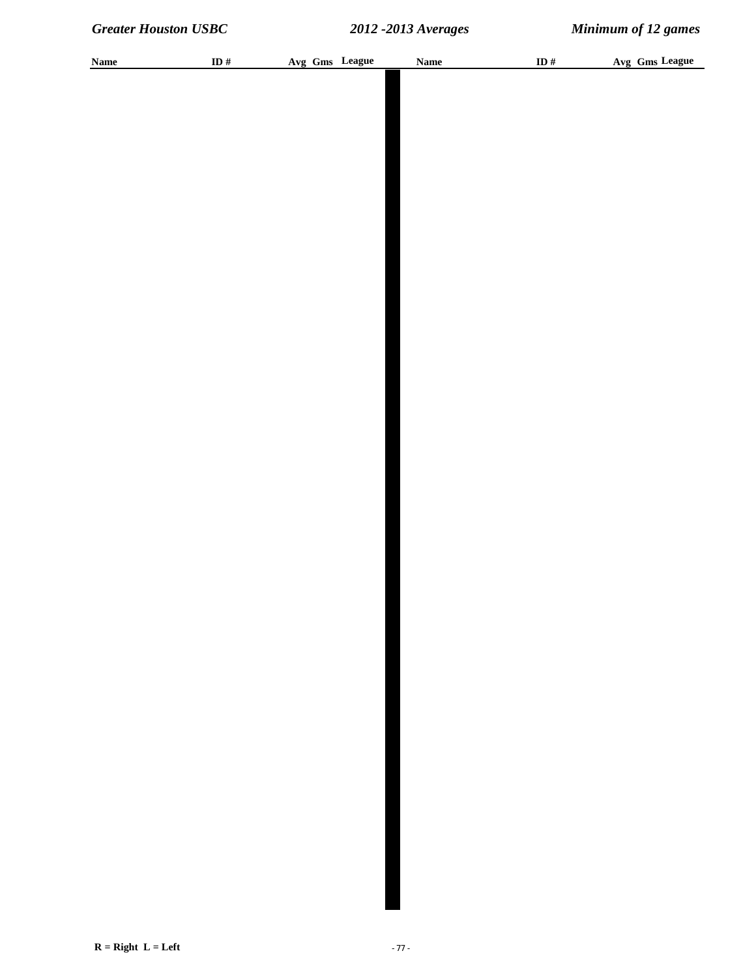| <b>Name</b> | ID # | Avg Gms League | <b>Name</b> | ID $#$ | Avg Gms League |
|-------------|------|----------------|-------------|--------|----------------|
|             |      |                |             |        |                |
|             |      |                |             |        |                |
|             |      |                |             |        |                |
|             |      |                |             |        |                |
|             |      |                |             |        |                |
|             |      |                |             |        |                |
|             |      |                |             |        |                |
|             |      |                |             |        |                |
|             |      |                |             |        |                |
|             |      |                |             |        |                |
|             |      |                |             |        |                |
|             |      |                |             |        |                |
|             |      |                |             |        |                |
|             |      |                |             |        |                |
|             |      |                |             |        |                |
|             |      |                |             |        |                |
|             |      |                |             |        |                |
|             |      |                |             |        |                |
|             |      |                |             |        |                |
|             |      |                |             |        |                |
|             |      |                |             |        |                |
|             |      |                |             |        |                |
|             |      |                |             |        |                |
|             |      |                |             |        |                |
|             |      |                |             |        |                |
|             |      |                |             |        |                |
|             |      |                |             |        |                |
|             |      |                |             |        |                |
|             |      |                |             |        |                |
|             |      |                |             |        |                |
|             |      |                |             |        |                |
|             |      |                |             |        |                |
|             |      |                |             |        |                |
|             |      |                |             |        |                |
|             |      |                |             |        |                |
|             |      |                |             |        |                |
|             |      |                |             |        |                |
|             |      |                |             |        |                |
|             |      |                |             |        |                |
|             |      |                |             |        |                |
|             |      |                |             |        |                |
|             |      |                |             |        |                |
|             |      |                |             |        |                |
|             |      |                |             |        |                |
|             |      |                |             |        |                |
|             |      |                |             |        |                |
|             |      |                |             |        |                |
|             |      |                |             |        |                |
|             |      |                |             |        |                |
|             |      |                |             |        |                |
|             |      |                |             |        |                |
|             |      |                |             |        |                |
|             |      |                |             |        |                |
|             |      |                |             |        |                |
|             |      |                |             |        |                |
|             |      |                |             |        |                |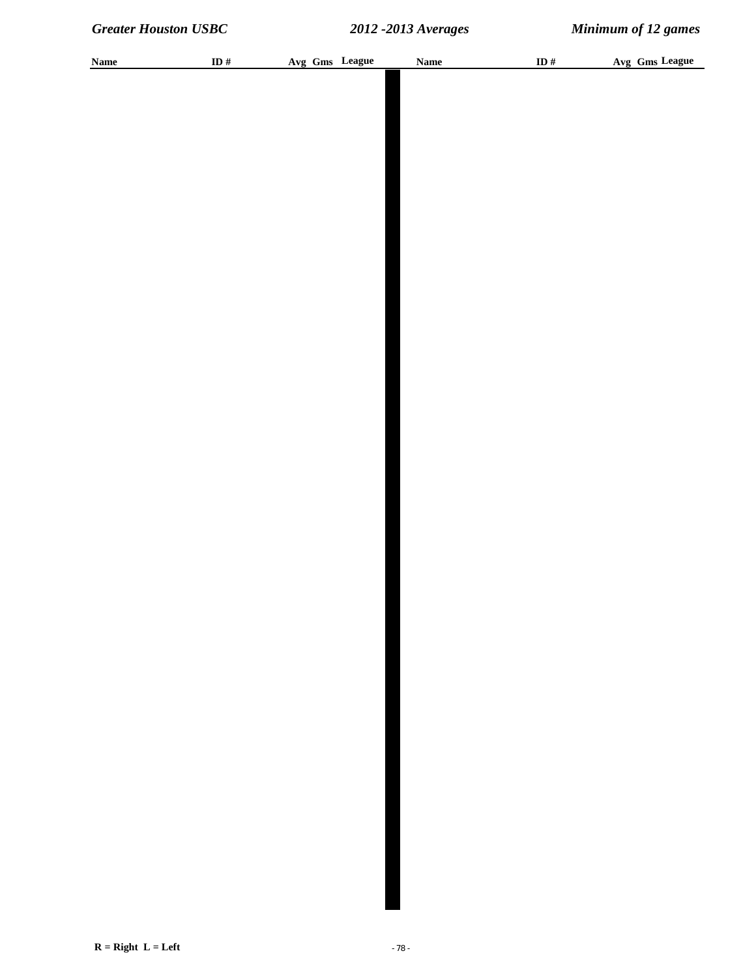| <b>Name</b> | ID $\#$ |  | Avg Gms League | <b>Name</b> | ID $\#$ | Avg Gms League |
|-------------|---------|--|----------------|-------------|---------|----------------|
|             |         |  |                |             |         |                |
|             |         |  |                |             |         |                |
|             |         |  |                |             |         |                |
|             |         |  |                |             |         |                |
|             |         |  |                |             |         |                |
|             |         |  |                |             |         |                |
|             |         |  |                |             |         |                |
|             |         |  |                |             |         |                |
|             |         |  |                |             |         |                |
|             |         |  |                |             |         |                |
|             |         |  |                |             |         |                |
|             |         |  |                |             |         |                |
|             |         |  |                |             |         |                |
|             |         |  |                |             |         |                |
|             |         |  |                |             |         |                |
|             |         |  |                |             |         |                |
|             |         |  |                |             |         |                |
|             |         |  |                |             |         |                |
|             |         |  |                |             |         |                |
|             |         |  |                |             |         |                |
|             |         |  |                |             |         |                |
|             |         |  |                |             |         |                |
|             |         |  |                |             |         |                |
|             |         |  |                |             |         |                |
|             |         |  |                |             |         |                |
|             |         |  |                |             |         |                |
|             |         |  |                |             |         |                |
|             |         |  |                |             |         |                |
|             |         |  |                |             |         |                |
|             |         |  |                |             |         |                |
|             |         |  |                |             |         |                |
|             |         |  |                |             |         |                |
|             |         |  |                |             |         |                |
|             |         |  |                |             |         |                |
|             |         |  |                |             |         |                |
|             |         |  |                |             |         |                |
|             |         |  |                |             |         |                |
|             |         |  |                |             |         |                |
|             |         |  |                |             |         |                |
|             |         |  |                |             |         |                |
|             |         |  |                |             |         |                |
|             |         |  |                |             |         |                |
|             |         |  |                |             |         |                |
|             |         |  |                |             |         |                |
|             |         |  |                |             |         |                |
|             |         |  |                |             |         |                |
|             |         |  |                |             |         |                |
|             |         |  |                |             |         |                |
|             |         |  |                |             |         |                |
|             |         |  |                |             |         |                |
|             |         |  |                |             |         |                |
|             |         |  |                |             |         |                |
|             |         |  |                |             |         |                |
|             |         |  |                |             |         |                |
|             |         |  |                |             |         |                |
|             |         |  |                |             |         |                |
|             |         |  |                |             |         |                |
|             |         |  |                |             |         |                |
|             |         |  |                |             |         |                |
|             |         |  |                |             |         |                |
|             |         |  |                |             |         |                |
|             |         |  |                |             |         |                |
|             |         |  |                |             |         |                |
|             |         |  |                |             |         |                |
|             |         |  |                |             |         |                |
|             |         |  |                |             |         |                |
|             |         |  |                |             |         |                |
|             |         |  |                |             |         |                |
|             |         |  |                |             |         |                |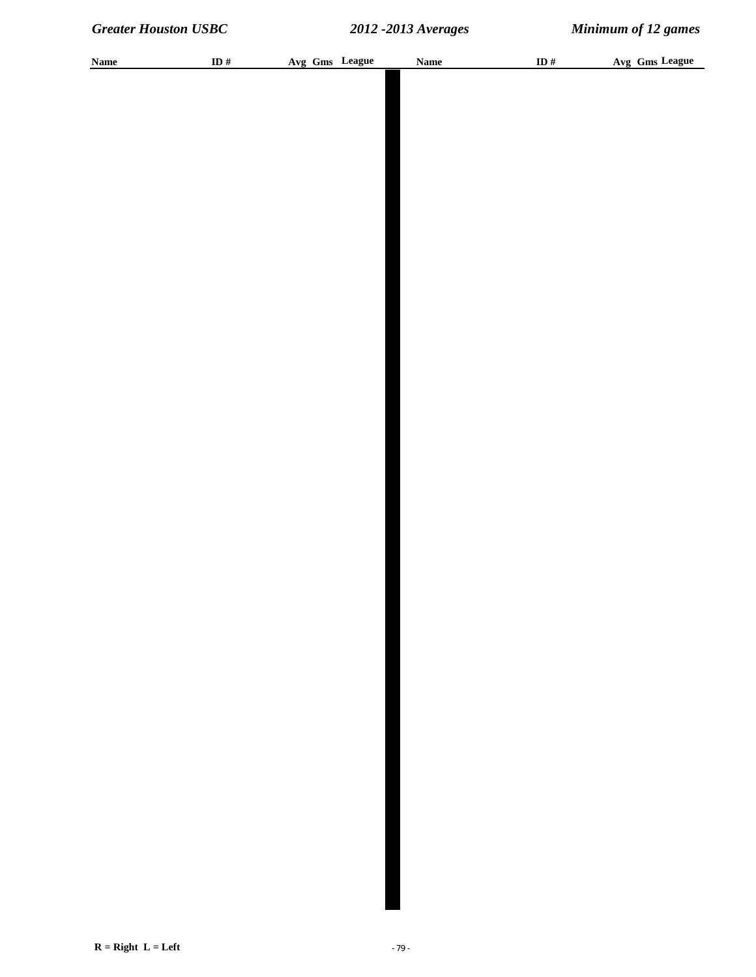| <b>Name</b> | ID $\#$ |  | Avg Gms League | <b>Name</b> | ID $\#$ | Avg Gms League |
|-------------|---------|--|----------------|-------------|---------|----------------|
|             |         |  |                |             |         |                |
|             |         |  |                |             |         |                |
|             |         |  |                |             |         |                |
|             |         |  |                |             |         |                |
|             |         |  |                |             |         |                |
|             |         |  |                |             |         |                |
|             |         |  |                |             |         |                |
|             |         |  |                |             |         |                |
|             |         |  |                |             |         |                |
|             |         |  |                |             |         |                |
|             |         |  |                |             |         |                |
|             |         |  |                |             |         |                |
|             |         |  |                |             |         |                |
|             |         |  |                |             |         |                |
|             |         |  |                |             |         |                |
|             |         |  |                |             |         |                |
|             |         |  |                |             |         |                |
|             |         |  |                |             |         |                |
|             |         |  |                |             |         |                |
|             |         |  |                |             |         |                |
|             |         |  |                |             |         |                |
|             |         |  |                |             |         |                |
|             |         |  |                |             |         |                |
|             |         |  |                |             |         |                |
|             |         |  |                |             |         |                |
|             |         |  |                |             |         |                |
|             |         |  |                |             |         |                |
|             |         |  |                |             |         |                |
|             |         |  |                |             |         |                |
|             |         |  |                |             |         |                |
|             |         |  |                |             |         |                |
|             |         |  |                |             |         |                |
|             |         |  |                |             |         |                |
|             |         |  |                |             |         |                |
|             |         |  |                |             |         |                |
|             |         |  |                |             |         |                |
|             |         |  |                |             |         |                |
|             |         |  |                |             |         |                |
|             |         |  |                |             |         |                |
|             |         |  |                |             |         |                |
|             |         |  |                |             |         |                |
|             |         |  |                |             |         |                |
|             |         |  |                |             |         |                |
|             |         |  |                |             |         |                |
|             |         |  |                |             |         |                |
|             |         |  |                |             |         |                |
|             |         |  |                |             |         |                |
|             |         |  |                |             |         |                |
|             |         |  |                |             |         |                |
|             |         |  |                |             |         |                |
|             |         |  |                |             |         |                |
|             |         |  |                |             |         |                |
|             |         |  |                |             |         |                |
|             |         |  |                |             |         |                |
|             |         |  |                |             |         |                |
|             |         |  |                |             |         |                |
|             |         |  |                |             |         |                |
|             |         |  |                |             |         |                |
|             |         |  |                |             |         |                |
|             |         |  |                |             |         |                |
|             |         |  |                |             |         |                |
|             |         |  |                |             |         |                |
|             |         |  |                |             |         |                |
|             |         |  |                |             |         |                |
|             |         |  |                |             |         |                |
|             |         |  |                |             |         |                |
|             |         |  |                |             |         |                |
|             |         |  |                |             |         |                |
|             |         |  |                |             |         |                |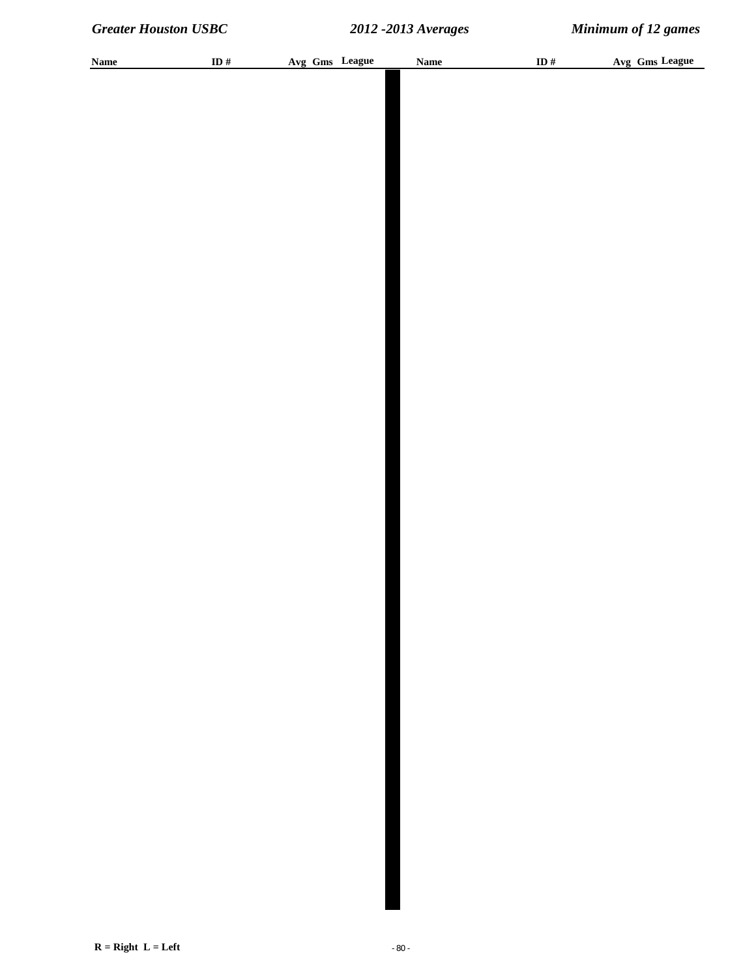| <b>Name</b> | ID $\#$ | Avg Gms League | <b>Name</b> | ID $\#$ | Avg Gms League |
|-------------|---------|----------------|-------------|---------|----------------|
|             |         |                |             |         |                |
|             |         |                |             |         |                |
|             |         |                |             |         |                |
|             |         |                |             |         |                |
|             |         |                |             |         |                |
|             |         |                |             |         |                |
|             |         |                |             |         |                |
|             |         |                |             |         |                |
|             |         |                |             |         |                |
|             |         |                |             |         |                |
|             |         |                |             |         |                |
|             |         |                |             |         |                |
|             |         |                |             |         |                |
|             |         |                |             |         |                |
|             |         |                |             |         |                |
|             |         |                |             |         |                |
|             |         |                |             |         |                |
|             |         |                |             |         |                |
|             |         |                |             |         |                |
|             |         |                |             |         |                |
|             |         |                |             |         |                |
|             |         |                |             |         |                |
|             |         |                |             |         |                |
|             |         |                |             |         |                |
|             |         |                |             |         |                |
|             |         |                |             |         |                |
|             |         |                |             |         |                |
|             |         |                |             |         |                |
|             |         |                |             |         |                |
|             |         |                |             |         |                |
|             |         |                |             |         |                |
|             |         |                |             |         |                |
|             |         |                |             |         |                |
|             |         |                |             |         |                |
|             |         |                |             |         |                |
|             |         |                |             |         |                |
|             |         |                |             |         |                |
|             |         |                |             |         |                |
|             |         |                |             |         |                |
|             |         |                |             |         |                |
|             |         |                |             |         |                |
|             |         |                |             |         |                |
|             |         |                |             |         |                |
|             |         |                |             |         |                |
|             |         |                |             |         |                |
|             |         |                |             |         |                |
|             |         |                |             |         |                |
|             |         |                |             |         |                |
|             |         |                |             |         |                |
|             |         |                |             |         |                |
|             |         |                |             |         |                |
|             |         |                |             |         |                |
|             |         |                |             |         |                |
|             |         |                |             |         |                |
|             |         |                |             |         |                |
|             |         |                |             |         |                |
|             |         |                |             |         |                |
|             |         |                |             |         |                |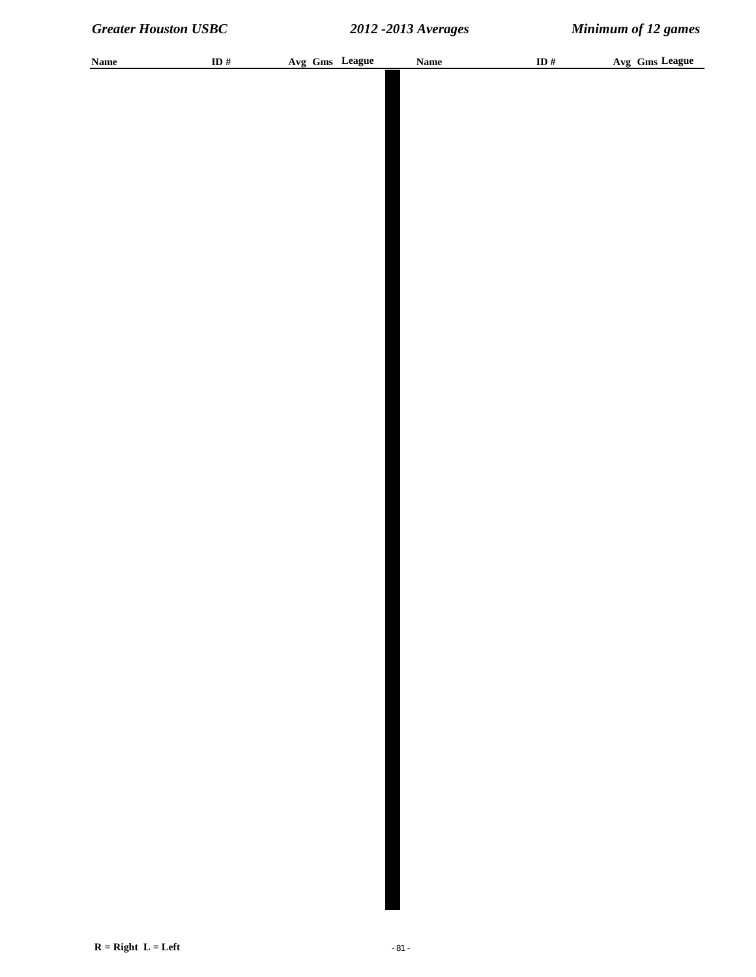| <b>Name</b> | ID# | Avg Gms League | <b>Name</b> | ID # | Avg Gms League |
|-------------|-----|----------------|-------------|------|----------------|
|             |     |                |             |      |                |
|             |     |                |             |      |                |
|             |     |                |             |      |                |
|             |     |                |             |      |                |
|             |     |                |             |      |                |
|             |     |                |             |      |                |
|             |     |                |             |      |                |
|             |     |                |             |      |                |
|             |     |                |             |      |                |
|             |     |                |             |      |                |
|             |     |                |             |      |                |
|             |     |                |             |      |                |
|             |     |                |             |      |                |
|             |     |                |             |      |                |
|             |     |                |             |      |                |
|             |     |                |             |      |                |
|             |     |                |             |      |                |
|             |     |                |             |      |                |
|             |     |                |             |      |                |
|             |     |                |             |      |                |
|             |     |                |             |      |                |
|             |     |                |             |      |                |
|             |     |                |             |      |                |
|             |     |                |             |      |                |
|             |     |                |             |      |                |
|             |     |                |             |      |                |
|             |     |                |             |      |                |
|             |     |                |             |      |                |
|             |     |                |             |      |                |
|             |     |                |             |      |                |
|             |     |                |             |      |                |
|             |     |                |             |      |                |
|             |     |                |             |      |                |
|             |     |                |             |      |                |
|             |     |                |             |      |                |
|             |     |                |             |      |                |
|             |     |                |             |      |                |
|             |     |                |             |      |                |
|             |     |                |             |      |                |
|             |     |                |             |      |                |
|             |     |                |             |      |                |
|             |     |                |             |      |                |
|             |     |                |             |      |                |
|             |     |                |             |      |                |
|             |     |                |             |      |                |
|             |     |                |             |      |                |
|             |     |                |             |      |                |
|             |     |                |             |      |                |
|             |     |                |             |      |                |
|             |     |                |             |      |                |
|             |     |                |             |      |                |
|             |     |                |             |      |                |
|             |     |                |             |      |                |
|             |     |                |             |      |                |
|             |     |                |             |      |                |
|             |     |                |             |      |                |
|             |     |                |             |      |                |
|             |     |                |             |      |                |
|             |     |                |             |      |                |
|             |     |                |             |      |                |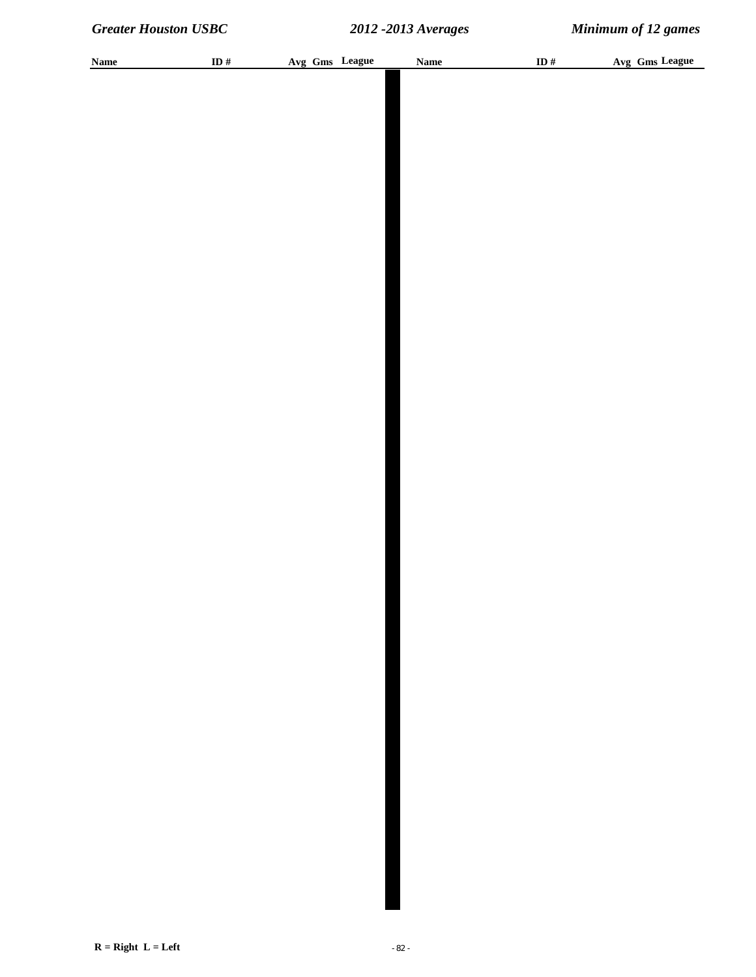| <b>Name</b> | ID $\#$ |  | Avg Gms League | <b>Name</b> | ID $\#$ | Avg Gms League |
|-------------|---------|--|----------------|-------------|---------|----------------|
|             |         |  |                |             |         |                |
|             |         |  |                |             |         |                |
|             |         |  |                |             |         |                |
|             |         |  |                |             |         |                |
|             |         |  |                |             |         |                |
|             |         |  |                |             |         |                |
|             |         |  |                |             |         |                |
|             |         |  |                |             |         |                |
|             |         |  |                |             |         |                |
|             |         |  |                |             |         |                |
|             |         |  |                |             |         |                |
|             |         |  |                |             |         |                |
|             |         |  |                |             |         |                |
|             |         |  |                |             |         |                |
|             |         |  |                |             |         |                |
|             |         |  |                |             |         |                |
|             |         |  |                |             |         |                |
|             |         |  |                |             |         |                |
|             |         |  |                |             |         |                |
|             |         |  |                |             |         |                |
|             |         |  |                |             |         |                |
|             |         |  |                |             |         |                |
|             |         |  |                |             |         |                |
|             |         |  |                |             |         |                |
|             |         |  |                |             |         |                |
|             |         |  |                |             |         |                |
|             |         |  |                |             |         |                |
|             |         |  |                |             |         |                |
|             |         |  |                |             |         |                |
|             |         |  |                |             |         |                |
|             |         |  |                |             |         |                |
|             |         |  |                |             |         |                |
|             |         |  |                |             |         |                |
|             |         |  |                |             |         |                |
|             |         |  |                |             |         |                |
|             |         |  |                |             |         |                |
|             |         |  |                |             |         |                |
|             |         |  |                |             |         |                |
|             |         |  |                |             |         |                |
|             |         |  |                |             |         |                |
|             |         |  |                |             |         |                |
|             |         |  |                |             |         |                |
|             |         |  |                |             |         |                |
|             |         |  |                |             |         |                |
|             |         |  |                |             |         |                |
|             |         |  |                |             |         |                |
|             |         |  |                |             |         |                |
|             |         |  |                |             |         |                |
|             |         |  |                |             |         |                |
|             |         |  |                |             |         |                |
|             |         |  |                |             |         |                |
|             |         |  |                |             |         |                |
|             |         |  |                |             |         |                |
|             |         |  |                |             |         |                |
|             |         |  |                |             |         |                |
|             |         |  |                |             |         |                |
|             |         |  |                |             |         |                |
|             |         |  |                |             |         |                |
|             |         |  |                |             |         |                |
|             |         |  |                |             |         |                |
|             |         |  |                |             |         |                |
|             |         |  |                |             |         |                |
|             |         |  |                |             |         |                |
|             |         |  |                |             |         |                |
|             |         |  |                |             |         |                |
|             |         |  |                |             |         |                |
|             |         |  |                |             |         |                |
|             |         |  |                |             |         |                |
|             |         |  |                |             |         |                |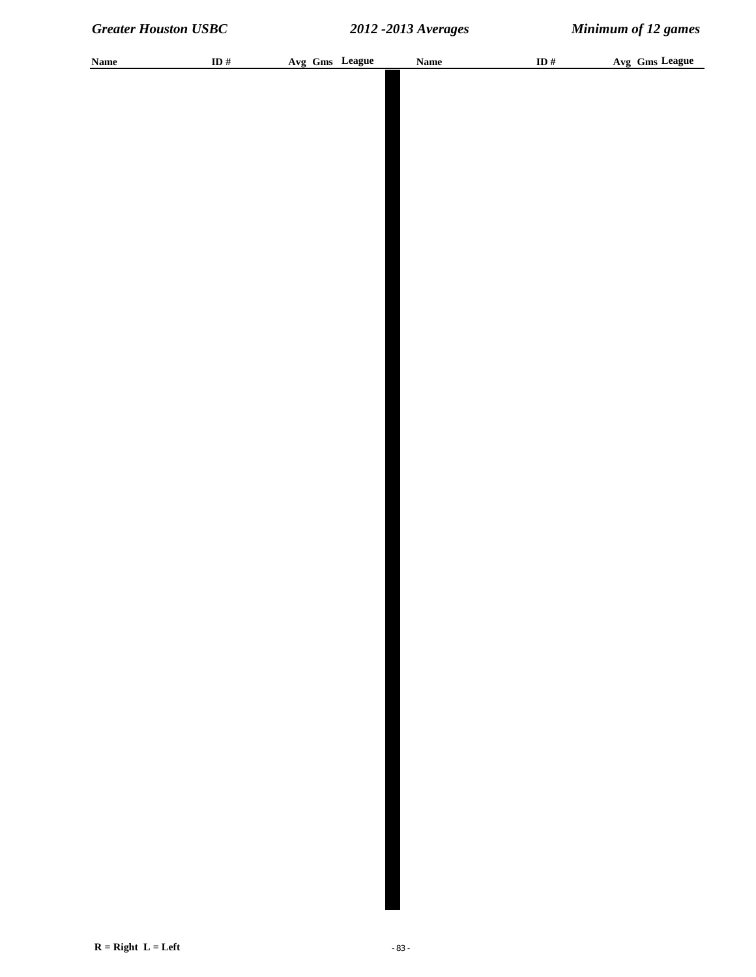| <b>Name</b> | ID $#$ | Avg Gms League | <b>Name</b> | ID# | Avg Gms League |
|-------------|--------|----------------|-------------|-----|----------------|
|             |        |                |             |     |                |
|             |        |                |             |     |                |
|             |        |                |             |     |                |
|             |        |                |             |     |                |
|             |        |                |             |     |                |
|             |        |                |             |     |                |
|             |        |                |             |     |                |
|             |        |                |             |     |                |
|             |        |                |             |     |                |
|             |        |                |             |     |                |
|             |        |                |             |     |                |
|             |        |                |             |     |                |
|             |        |                |             |     |                |
|             |        |                |             |     |                |
|             |        |                |             |     |                |
|             |        |                |             |     |                |
|             |        |                |             |     |                |
|             |        |                |             |     |                |
|             |        |                |             |     |                |
|             |        |                |             |     |                |
|             |        |                |             |     |                |
|             |        |                |             |     |                |
|             |        |                |             |     |                |
|             |        |                |             |     |                |
|             |        |                |             |     |                |
|             |        |                |             |     |                |
|             |        |                |             |     |                |
|             |        |                |             |     |                |
|             |        |                |             |     |                |
|             |        |                |             |     |                |
|             |        |                |             |     |                |
|             |        |                |             |     |                |
|             |        |                |             |     |                |
|             |        |                |             |     |                |
|             |        |                |             |     |                |
|             |        |                |             |     |                |
|             |        |                |             |     |                |
|             |        |                |             |     |                |
|             |        |                |             |     |                |
|             |        |                |             |     |                |
|             |        |                |             |     |                |
|             |        |                |             |     |                |
|             |        |                |             |     |                |
|             |        |                |             |     |                |
|             |        |                |             |     |                |
|             |        |                |             |     |                |
|             |        |                |             |     |                |
|             |        |                |             |     |                |
|             |        |                |             |     |                |
|             |        |                |             |     |                |
|             |        |                |             |     |                |
|             |        |                |             |     |                |
|             |        |                |             |     |                |
|             |        |                |             |     |                |
|             |        |                |             |     |                |
|             |        |                |             |     |                |
|             |        |                |             |     |                |
|             |        |                |             |     |                |
|             |        |                |             |     |                |
|             |        |                |             |     |                |
|             |        |                |             |     |                |
|             |        |                |             |     |                |
|             |        |                |             |     |                |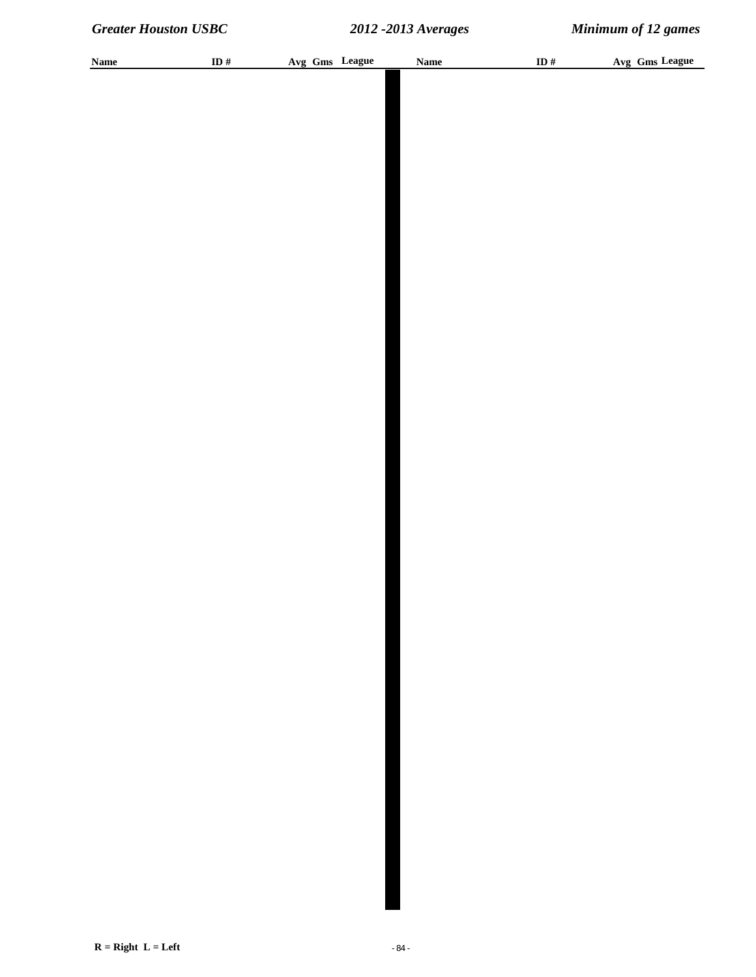| <b>Name</b> | ID $\#$ | Avg Gms League | <b>Name</b> | ID $\#$ | Avg Gms League |
|-------------|---------|----------------|-------------|---------|----------------|
|             |         |                |             |         |                |
|             |         |                |             |         |                |
|             |         |                |             |         |                |
|             |         |                |             |         |                |
|             |         |                |             |         |                |
|             |         |                |             |         |                |
|             |         |                |             |         |                |
|             |         |                |             |         |                |
|             |         |                |             |         |                |
|             |         |                |             |         |                |
|             |         |                |             |         |                |
|             |         |                |             |         |                |
|             |         |                |             |         |                |
|             |         |                |             |         |                |
|             |         |                |             |         |                |
|             |         |                |             |         |                |
|             |         |                |             |         |                |
|             |         |                |             |         |                |
|             |         |                |             |         |                |
|             |         |                |             |         |                |
|             |         |                |             |         |                |
|             |         |                |             |         |                |
|             |         |                |             |         |                |
|             |         |                |             |         |                |
|             |         |                |             |         |                |
|             |         |                |             |         |                |
|             |         |                |             |         |                |
|             |         |                |             |         |                |
|             |         |                |             |         |                |
|             |         |                |             |         |                |
|             |         |                |             |         |                |
|             |         |                |             |         |                |
|             |         |                |             |         |                |
|             |         |                |             |         |                |
|             |         |                |             |         |                |
|             |         |                |             |         |                |
|             |         |                |             |         |                |
|             |         |                |             |         |                |
|             |         |                |             |         |                |
|             |         |                |             |         |                |
|             |         |                |             |         |                |
|             |         |                |             |         |                |
|             |         |                |             |         |                |
|             |         |                |             |         |                |
|             |         |                |             |         |                |
|             |         |                |             |         |                |
|             |         |                |             |         |                |
|             |         |                |             |         |                |
|             |         |                |             |         |                |
|             |         |                |             |         |                |
|             |         |                |             |         |                |
|             |         |                |             |         |                |
|             |         |                |             |         |                |
|             |         |                |             |         |                |
|             |         |                |             |         |                |
|             |         |                |             |         |                |
|             |         |                |             |         |                |
|             |         |                |             |         |                |
|             |         |                |             |         |                |
|             |         |                |             |         |                |
|             |         |                |             |         |                |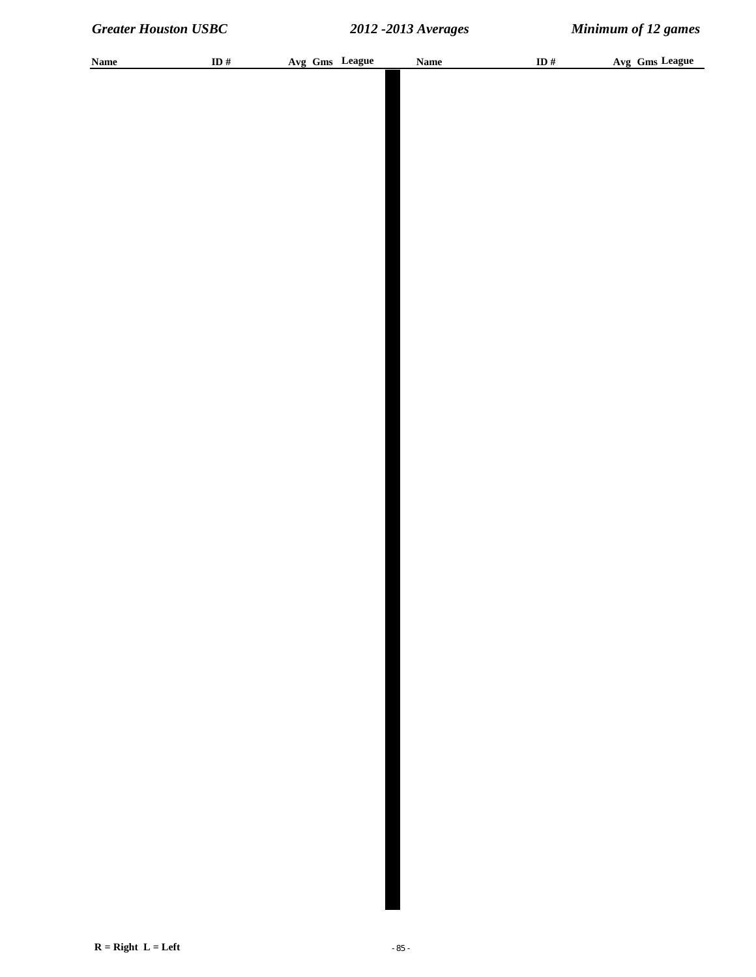| <b>Name</b> | ID $\#$ |  | Avg Gms League | <b>Name</b> | ID $\#$ | Avg Gms League |
|-------------|---------|--|----------------|-------------|---------|----------------|
|             |         |  |                |             |         |                |
|             |         |  |                |             |         |                |
|             |         |  |                |             |         |                |
|             |         |  |                |             |         |                |
|             |         |  |                |             |         |                |
|             |         |  |                |             |         |                |
|             |         |  |                |             |         |                |
|             |         |  |                |             |         |                |
|             |         |  |                |             |         |                |
|             |         |  |                |             |         |                |
|             |         |  |                |             |         |                |
|             |         |  |                |             |         |                |
|             |         |  |                |             |         |                |
|             |         |  |                |             |         |                |
|             |         |  |                |             |         |                |
|             |         |  |                |             |         |                |
|             |         |  |                |             |         |                |
|             |         |  |                |             |         |                |
|             |         |  |                |             |         |                |
|             |         |  |                |             |         |                |
|             |         |  |                |             |         |                |
|             |         |  |                |             |         |                |
|             |         |  |                |             |         |                |
|             |         |  |                |             |         |                |
|             |         |  |                |             |         |                |
|             |         |  |                |             |         |                |
|             |         |  |                |             |         |                |
|             |         |  |                |             |         |                |
|             |         |  |                |             |         |                |
|             |         |  |                |             |         |                |
|             |         |  |                |             |         |                |
|             |         |  |                |             |         |                |
|             |         |  |                |             |         |                |
|             |         |  |                |             |         |                |
|             |         |  |                |             |         |                |
|             |         |  |                |             |         |                |
|             |         |  |                |             |         |                |
|             |         |  |                |             |         |                |
|             |         |  |                |             |         |                |
|             |         |  |                |             |         |                |
|             |         |  |                |             |         |                |
|             |         |  |                |             |         |                |
|             |         |  |                |             |         |                |
|             |         |  |                |             |         |                |
|             |         |  |                |             |         |                |
|             |         |  |                |             |         |                |
|             |         |  |                |             |         |                |
|             |         |  |                |             |         |                |
|             |         |  |                |             |         |                |
|             |         |  |                |             |         |                |
|             |         |  |                |             |         |                |
|             |         |  |                |             |         |                |
|             |         |  |                |             |         |                |
|             |         |  |                |             |         |                |
|             |         |  |                |             |         |                |
|             |         |  |                |             |         |                |
|             |         |  |                |             |         |                |
|             |         |  |                |             |         |                |
|             |         |  |                |             |         |                |
|             |         |  |                |             |         |                |
|             |         |  |                |             |         |                |
|             |         |  |                |             |         |                |
|             |         |  |                |             |         |                |
|             |         |  |                |             |         |                |
|             |         |  |                |             |         |                |
|             |         |  |                |             |         |                |
|             |         |  |                |             |         |                |
|             |         |  |                |             |         |                |
|             |         |  |                |             |         |                |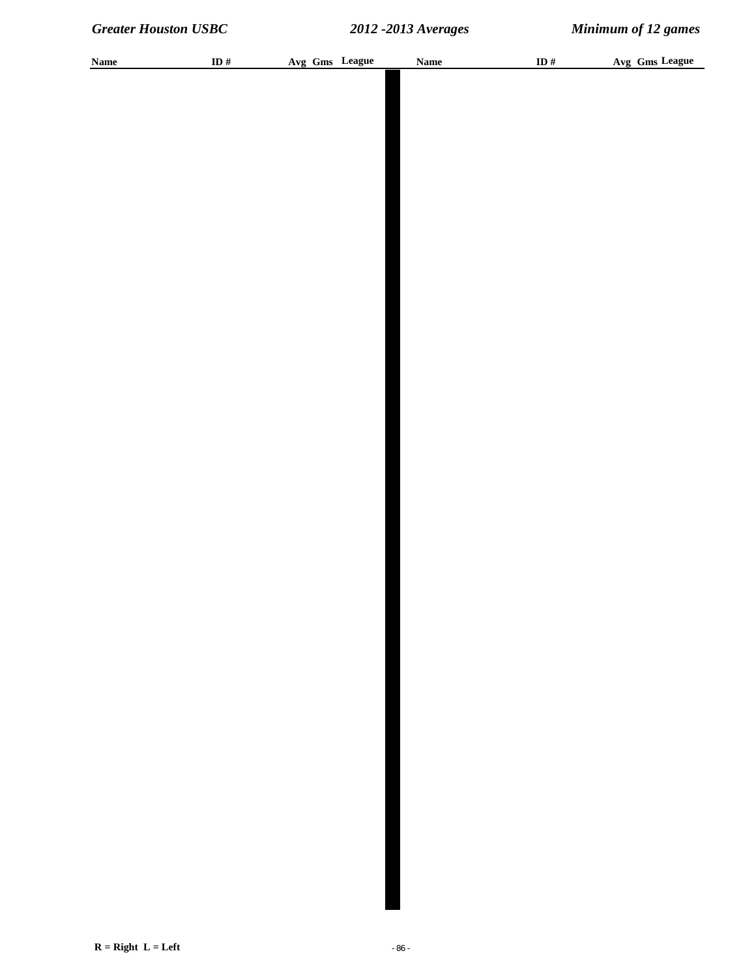| <b>Name</b> | ID $\#$ | Avg Gms League | Name | ID $\#$ | Avg Gms League |
|-------------|---------|----------------|------|---------|----------------|
|             |         |                |      |         |                |
|             |         |                |      |         |                |
|             |         |                |      |         |                |
|             |         |                |      |         |                |
|             |         |                |      |         |                |
|             |         |                |      |         |                |
|             |         |                |      |         |                |
|             |         |                |      |         |                |
|             |         |                |      |         |                |
|             |         |                |      |         |                |
|             |         |                |      |         |                |
|             |         |                |      |         |                |
|             |         |                |      |         |                |
|             |         |                |      |         |                |
|             |         |                |      |         |                |
|             |         |                |      |         |                |
|             |         |                |      |         |                |
|             |         |                |      |         |                |
|             |         |                |      |         |                |
|             |         |                |      |         |                |
|             |         |                |      |         |                |
|             |         |                |      |         |                |
|             |         |                |      |         |                |
|             |         |                |      |         |                |
|             |         |                |      |         |                |
|             |         |                |      |         |                |
|             |         |                |      |         |                |
|             |         |                |      |         |                |
|             |         |                |      |         |                |
|             |         |                |      |         |                |
|             |         |                |      |         |                |
|             |         |                |      |         |                |
|             |         |                |      |         |                |
|             |         |                |      |         |                |
|             |         |                |      |         |                |
|             |         |                |      |         |                |
|             |         |                |      |         |                |
|             |         |                |      |         |                |
|             |         |                |      |         |                |
|             |         |                |      |         |                |
|             |         |                |      |         |                |
|             |         |                |      |         |                |
|             |         |                |      |         |                |
|             |         |                |      |         |                |
|             |         |                |      |         |                |
|             |         |                |      |         |                |
|             |         |                |      |         |                |
|             |         |                |      |         |                |
|             |         |                |      |         |                |
|             |         |                |      |         |                |
|             |         |                |      |         |                |
|             |         |                |      |         |                |
|             |         |                |      |         |                |
|             |         |                |      |         |                |
|             |         |                |      |         |                |
|             |         |                |      |         |                |
|             |         |                |      |         |                |
|             |         |                |      |         |                |
|             |         |                |      |         |                |
|             |         |                |      |         |                |
|             |         |                |      |         |                |
|             |         |                |      |         |                |
|             |         |                |      |         |                |
|             |         |                |      |         |                |
|             |         |                |      |         |                |
|             |         |                |      |         |                |
|             |         |                |      |         |                |
|             |         |                |      |         |                |
|             |         |                |      |         |                |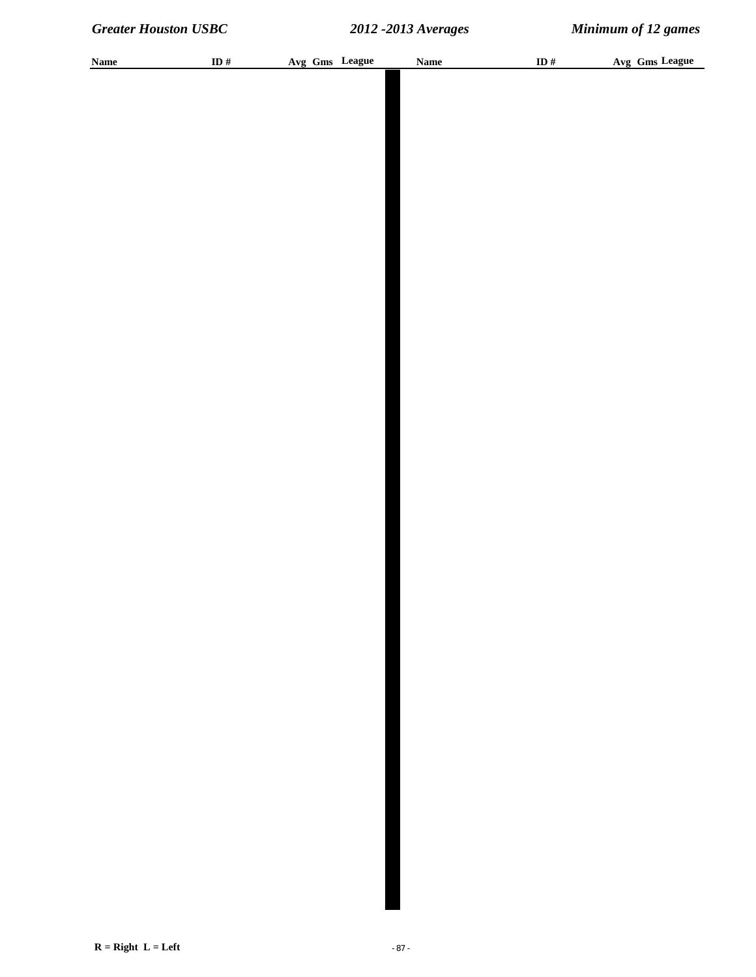| <b>Name</b> | ID $\#$ |  | Avg Gms League | <b>Name</b> | ID $\#$ | Avg Gms League |
|-------------|---------|--|----------------|-------------|---------|----------------|
|             |         |  |                |             |         |                |
|             |         |  |                |             |         |                |
|             |         |  |                |             |         |                |
|             |         |  |                |             |         |                |
|             |         |  |                |             |         |                |
|             |         |  |                |             |         |                |
|             |         |  |                |             |         |                |
|             |         |  |                |             |         |                |
|             |         |  |                |             |         |                |
|             |         |  |                |             |         |                |
|             |         |  |                |             |         |                |
|             |         |  |                |             |         |                |
|             |         |  |                |             |         |                |
|             |         |  |                |             |         |                |
|             |         |  |                |             |         |                |
|             |         |  |                |             |         |                |
|             |         |  |                |             |         |                |
|             |         |  |                |             |         |                |
|             |         |  |                |             |         |                |
|             |         |  |                |             |         |                |
|             |         |  |                |             |         |                |
|             |         |  |                |             |         |                |
|             |         |  |                |             |         |                |
|             |         |  |                |             |         |                |
|             |         |  |                |             |         |                |
|             |         |  |                |             |         |                |
|             |         |  |                |             |         |                |
|             |         |  |                |             |         |                |
|             |         |  |                |             |         |                |
|             |         |  |                |             |         |                |
|             |         |  |                |             |         |                |
|             |         |  |                |             |         |                |
|             |         |  |                |             |         |                |
|             |         |  |                |             |         |                |
|             |         |  |                |             |         |                |
|             |         |  |                |             |         |                |
|             |         |  |                |             |         |                |
|             |         |  |                |             |         |                |
|             |         |  |                |             |         |                |
|             |         |  |                |             |         |                |
|             |         |  |                |             |         |                |
|             |         |  |                |             |         |                |
|             |         |  |                |             |         |                |
|             |         |  |                |             |         |                |
|             |         |  |                |             |         |                |
|             |         |  |                |             |         |                |
|             |         |  |                |             |         |                |
|             |         |  |                |             |         |                |
|             |         |  |                |             |         |                |
|             |         |  |                |             |         |                |
|             |         |  |                |             |         |                |
|             |         |  |                |             |         |                |
|             |         |  |                |             |         |                |
|             |         |  |                |             |         |                |
|             |         |  |                |             |         |                |
|             |         |  |                |             |         |                |
|             |         |  |                |             |         |                |
|             |         |  |                |             |         |                |
|             |         |  |                |             |         |                |
|             |         |  |                |             |         |                |
|             |         |  |                |             |         |                |
|             |         |  |                |             |         |                |
|             |         |  |                |             |         |                |
|             |         |  |                |             |         |                |
|             |         |  |                |             |         |                |
|             |         |  |                |             |         |                |
|             |         |  |                |             |         |                |
|             |         |  |                |             |         |                |
|             |         |  |                |             |         |                |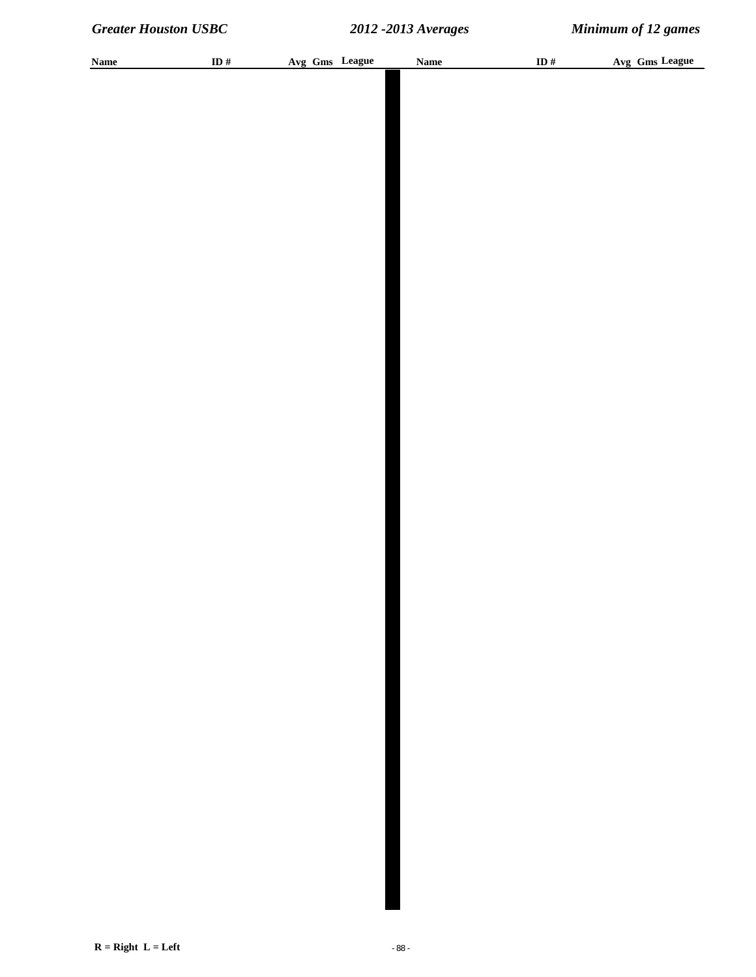| <b>Name</b> | ID $#$ | Avg Gms League | <b>Name</b> | ID# | Avg Gms League |
|-------------|--------|----------------|-------------|-----|----------------|
|             |        |                |             |     |                |
|             |        |                |             |     |                |
|             |        |                |             |     |                |
|             |        |                |             |     |                |
|             |        |                |             |     |                |
|             |        |                |             |     |                |
|             |        |                |             |     |                |
|             |        |                |             |     |                |
|             |        |                |             |     |                |
|             |        |                |             |     |                |
|             |        |                |             |     |                |
|             |        |                |             |     |                |
|             |        |                |             |     |                |
|             |        |                |             |     |                |
|             |        |                |             |     |                |
|             |        |                |             |     |                |
|             |        |                |             |     |                |
|             |        |                |             |     |                |
|             |        |                |             |     |                |
|             |        |                |             |     |                |
|             |        |                |             |     |                |
|             |        |                |             |     |                |
|             |        |                |             |     |                |
|             |        |                |             |     |                |
|             |        |                |             |     |                |
|             |        |                |             |     |                |
|             |        |                |             |     |                |
|             |        |                |             |     |                |
|             |        |                |             |     |                |
|             |        |                |             |     |                |
|             |        |                |             |     |                |
|             |        |                |             |     |                |
|             |        |                |             |     |                |
|             |        |                |             |     |                |
|             |        |                |             |     |                |
|             |        |                |             |     |                |
|             |        |                |             |     |                |
|             |        |                |             |     |                |
|             |        |                |             |     |                |
|             |        |                |             |     |                |
|             |        |                |             |     |                |
|             |        |                |             |     |                |
|             |        |                |             |     |                |
|             |        |                |             |     |                |
|             |        |                |             |     |                |
|             |        |                |             |     |                |
|             |        |                |             |     |                |
|             |        |                |             |     |                |
|             |        |                |             |     |                |
|             |        |                |             |     |                |
|             |        |                |             |     |                |
|             |        |                |             |     |                |
|             |        |                |             |     |                |
|             |        |                |             |     |                |
|             |        |                |             |     |                |
|             |        |                |             |     |                |
|             |        |                |             |     |                |
|             |        |                |             |     |                |
|             |        |                |             |     |                |
|             |        |                |             |     |                |
|             |        |                |             |     |                |
|             |        |                |             |     |                |
|             |        |                |             |     |                |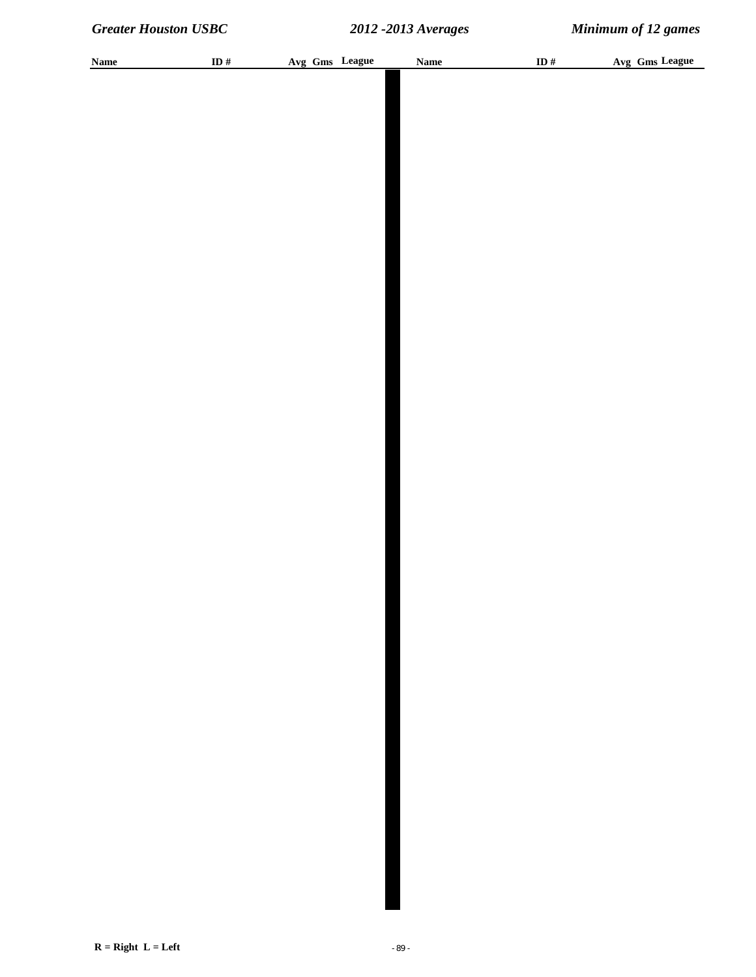| <b>Name</b> | ID $#$ | Avg Gms League | <b>Name</b> | ID# | Avg Gms League |
|-------------|--------|----------------|-------------|-----|----------------|
|             |        |                |             |     |                |
|             |        |                |             |     |                |
|             |        |                |             |     |                |
|             |        |                |             |     |                |
|             |        |                |             |     |                |
|             |        |                |             |     |                |
|             |        |                |             |     |                |
|             |        |                |             |     |                |
|             |        |                |             |     |                |
|             |        |                |             |     |                |
|             |        |                |             |     |                |
|             |        |                |             |     |                |
|             |        |                |             |     |                |
|             |        |                |             |     |                |
|             |        |                |             |     |                |
|             |        |                |             |     |                |
|             |        |                |             |     |                |
|             |        |                |             |     |                |
|             |        |                |             |     |                |
|             |        |                |             |     |                |
|             |        |                |             |     |                |
|             |        |                |             |     |                |
|             |        |                |             |     |                |
|             |        |                |             |     |                |
|             |        |                |             |     |                |
|             |        |                |             |     |                |
|             |        |                |             |     |                |
|             |        |                |             |     |                |
|             |        |                |             |     |                |
|             |        |                |             |     |                |
|             |        |                |             |     |                |
|             |        |                |             |     |                |
|             |        |                |             |     |                |
|             |        |                |             |     |                |
|             |        |                |             |     |                |
|             |        |                |             |     |                |
|             |        |                |             |     |                |
|             |        |                |             |     |                |
|             |        |                |             |     |                |
|             |        |                |             |     |                |
|             |        |                |             |     |                |
|             |        |                |             |     |                |
|             |        |                |             |     |                |
|             |        |                |             |     |                |
|             |        |                |             |     |                |
|             |        |                |             |     |                |
|             |        |                |             |     |                |
|             |        |                |             |     |                |
|             |        |                |             |     |                |
|             |        |                |             |     |                |
|             |        |                |             |     |                |
|             |        |                |             |     |                |
|             |        |                |             |     |                |
|             |        |                |             |     |                |
|             |        |                |             |     |                |
|             |        |                |             |     |                |
|             |        |                |             |     |                |
|             |        |                |             |     |                |
|             |        |                |             |     |                |
|             |        |                |             |     |                |
|             |        |                |             |     |                |
|             |        |                |             |     |                |
|             |        |                |             |     |                |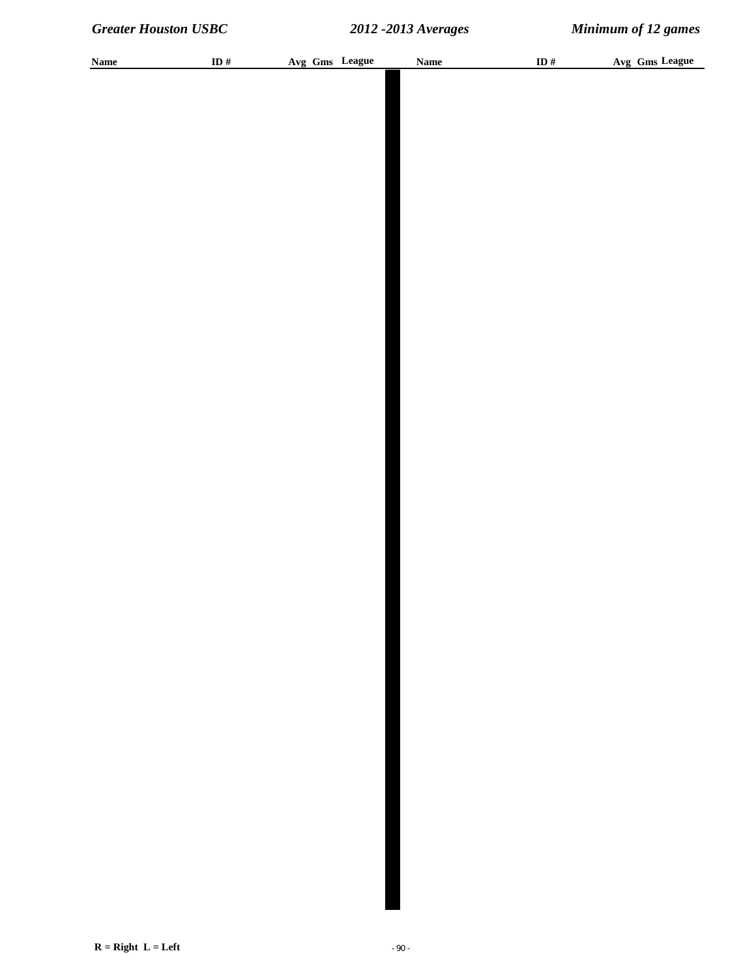| <b>Name</b> | ID $\#$ |  | Avg Gms League | <b>Name</b> | ID $\#$ | Avg Gms League |
|-------------|---------|--|----------------|-------------|---------|----------------|
|             |         |  |                |             |         |                |
|             |         |  |                |             |         |                |
|             |         |  |                |             |         |                |
|             |         |  |                |             |         |                |
|             |         |  |                |             |         |                |
|             |         |  |                |             |         |                |
|             |         |  |                |             |         |                |
|             |         |  |                |             |         |                |
|             |         |  |                |             |         |                |
|             |         |  |                |             |         |                |
|             |         |  |                |             |         |                |
|             |         |  |                |             |         |                |
|             |         |  |                |             |         |                |
|             |         |  |                |             |         |                |
|             |         |  |                |             |         |                |
|             |         |  |                |             |         |                |
|             |         |  |                |             |         |                |
|             |         |  |                |             |         |                |
|             |         |  |                |             |         |                |
|             |         |  |                |             |         |                |
|             |         |  |                |             |         |                |
|             |         |  |                |             |         |                |
|             |         |  |                |             |         |                |
|             |         |  |                |             |         |                |
|             |         |  |                |             |         |                |
|             |         |  |                |             |         |                |
|             |         |  |                |             |         |                |
|             |         |  |                |             |         |                |
|             |         |  |                |             |         |                |
|             |         |  |                |             |         |                |
|             |         |  |                |             |         |                |
|             |         |  |                |             |         |                |
|             |         |  |                |             |         |                |
|             |         |  |                |             |         |                |
|             |         |  |                |             |         |                |
|             |         |  |                |             |         |                |
|             |         |  |                |             |         |                |
|             |         |  |                |             |         |                |
|             |         |  |                |             |         |                |
|             |         |  |                |             |         |                |
|             |         |  |                |             |         |                |
|             |         |  |                |             |         |                |
|             |         |  |                |             |         |                |
|             |         |  |                |             |         |                |
|             |         |  |                |             |         |                |
|             |         |  |                |             |         |                |
|             |         |  |                |             |         |                |
|             |         |  |                |             |         |                |
|             |         |  |                |             |         |                |
|             |         |  |                |             |         |                |
|             |         |  |                |             |         |                |
|             |         |  |                |             |         |                |
|             |         |  |                |             |         |                |
|             |         |  |                |             |         |                |
|             |         |  |                |             |         |                |
|             |         |  |                |             |         |                |
|             |         |  |                |             |         |                |
|             |         |  |                |             |         |                |
|             |         |  |                |             |         |                |
|             |         |  |                |             |         |                |
|             |         |  |                |             |         |                |
|             |         |  |                |             |         |                |
|             |         |  |                |             |         |                |
|             |         |  |                |             |         |                |
|             |         |  |                |             |         |                |
|             |         |  |                |             |         |                |
|             |         |  |                |             |         |                |
|             |         |  |                |             |         |                |
|             |         |  |                |             |         |                |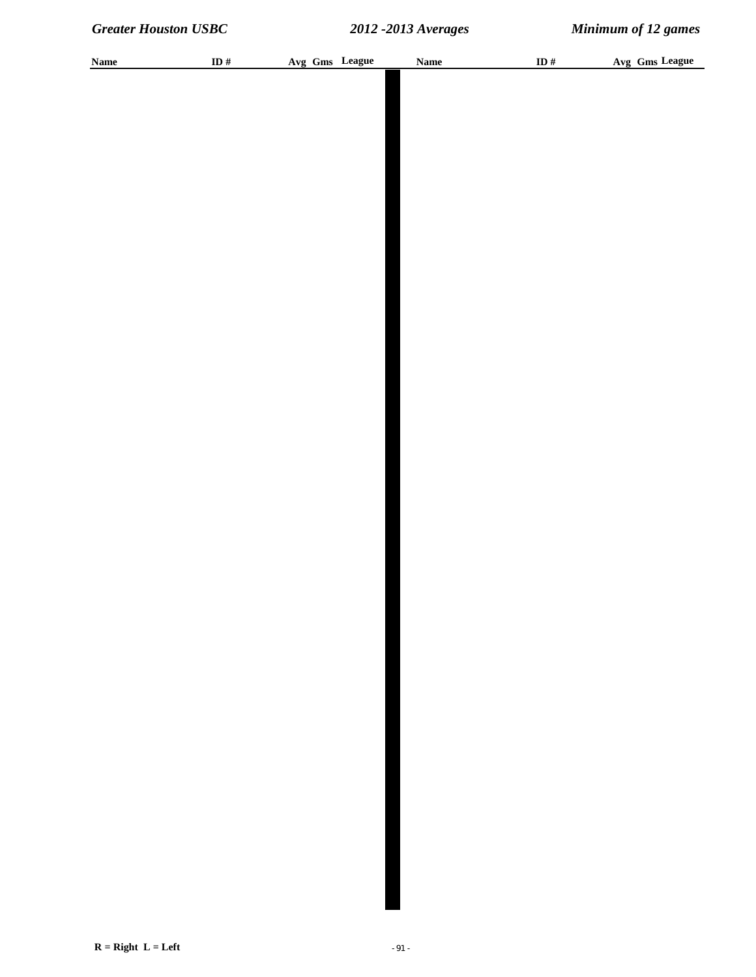| <b>Name</b> | ID $\#$ | Avg Gms League | Name | ID $\#$ | Avg Gms League |
|-------------|---------|----------------|------|---------|----------------|
|             |         |                |      |         |                |
|             |         |                |      |         |                |
|             |         |                |      |         |                |
|             |         |                |      |         |                |
|             |         |                |      |         |                |
|             |         |                |      |         |                |
|             |         |                |      |         |                |
|             |         |                |      |         |                |
|             |         |                |      |         |                |
|             |         |                |      |         |                |
|             |         |                |      |         |                |
|             |         |                |      |         |                |
|             |         |                |      |         |                |
|             |         |                |      |         |                |
|             |         |                |      |         |                |
|             |         |                |      |         |                |
|             |         |                |      |         |                |
|             |         |                |      |         |                |
|             |         |                |      |         |                |
|             |         |                |      |         |                |
|             |         |                |      |         |                |
|             |         |                |      |         |                |
|             |         |                |      |         |                |
|             |         |                |      |         |                |
|             |         |                |      |         |                |
|             |         |                |      |         |                |
|             |         |                |      |         |                |
|             |         |                |      |         |                |
|             |         |                |      |         |                |
|             |         |                |      |         |                |
|             |         |                |      |         |                |
|             |         |                |      |         |                |
|             |         |                |      |         |                |
|             |         |                |      |         |                |
|             |         |                |      |         |                |
|             |         |                |      |         |                |
|             |         |                |      |         |                |
|             |         |                |      |         |                |
|             |         |                |      |         |                |
|             |         |                |      |         |                |
|             |         |                |      |         |                |
|             |         |                |      |         |                |
|             |         |                |      |         |                |
|             |         |                |      |         |                |
|             |         |                |      |         |                |
|             |         |                |      |         |                |
|             |         |                |      |         |                |
|             |         |                |      |         |                |
|             |         |                |      |         |                |
|             |         |                |      |         |                |
|             |         |                |      |         |                |
|             |         |                |      |         |                |
|             |         |                |      |         |                |
|             |         |                |      |         |                |
|             |         |                |      |         |                |
|             |         |                |      |         |                |
|             |         |                |      |         |                |
|             |         |                |      |         |                |
|             |         |                |      |         |                |
|             |         |                |      |         |                |
|             |         |                |      |         |                |
|             |         |                |      |         |                |
|             |         |                |      |         |                |
|             |         |                |      |         |                |
|             |         |                |      |         |                |
|             |         |                |      |         |                |
|             |         |                |      |         |                |
|             |         |                |      |         |                |
|             |         |                |      |         |                |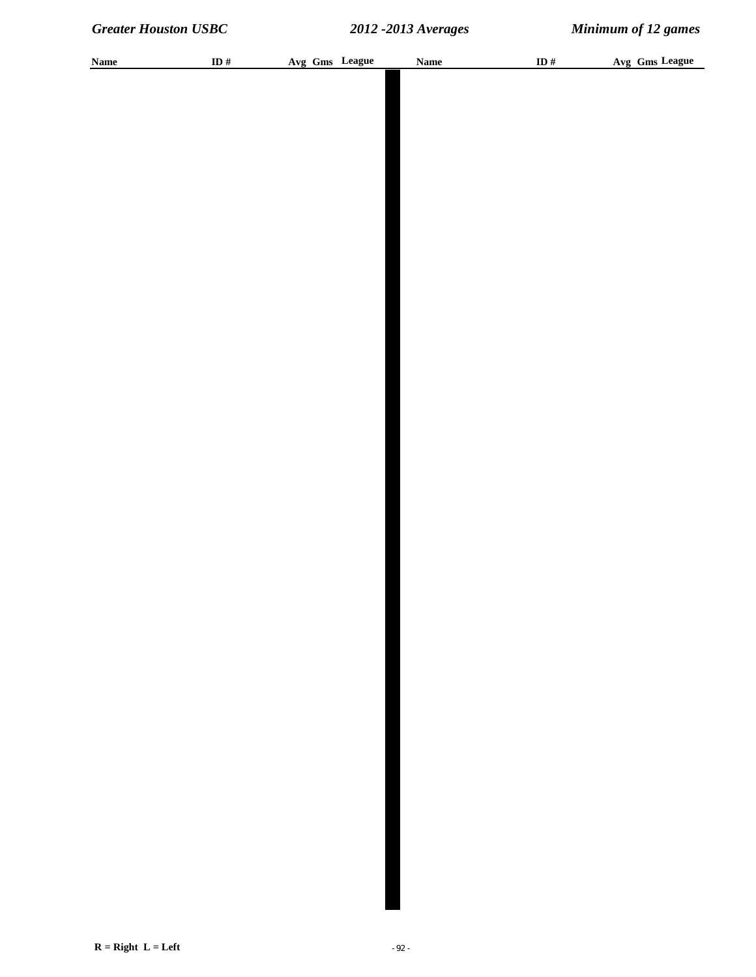| <b>Name</b> | ID # | Avg Gms League | <b>Name</b> | ID $#$ | Avg Gms League |
|-------------|------|----------------|-------------|--------|----------------|
|             |      |                |             |        |                |
|             |      |                |             |        |                |
|             |      |                |             |        |                |
|             |      |                |             |        |                |
|             |      |                |             |        |                |
|             |      |                |             |        |                |
|             |      |                |             |        |                |
|             |      |                |             |        |                |
|             |      |                |             |        |                |
|             |      |                |             |        |                |
|             |      |                |             |        |                |
|             |      |                |             |        |                |
|             |      |                |             |        |                |
|             |      |                |             |        |                |
|             |      |                |             |        |                |
|             |      |                |             |        |                |
|             |      |                |             |        |                |
|             |      |                |             |        |                |
|             |      |                |             |        |                |
|             |      |                |             |        |                |
|             |      |                |             |        |                |
|             |      |                |             |        |                |
|             |      |                |             |        |                |
|             |      |                |             |        |                |
|             |      |                |             |        |                |
|             |      |                |             |        |                |
|             |      |                |             |        |                |
|             |      |                |             |        |                |
|             |      |                |             |        |                |
|             |      |                |             |        |                |
|             |      |                |             |        |                |
|             |      |                |             |        |                |
|             |      |                |             |        |                |
|             |      |                |             |        |                |
|             |      |                |             |        |                |
|             |      |                |             |        |                |
|             |      |                |             |        |                |
|             |      |                |             |        |                |
|             |      |                |             |        |                |
|             |      |                |             |        |                |
|             |      |                |             |        |                |
|             |      |                |             |        |                |
|             |      |                |             |        |                |
|             |      |                |             |        |                |
|             |      |                |             |        |                |
|             |      |                |             |        |                |
|             |      |                |             |        |                |
|             |      |                |             |        |                |
|             |      |                |             |        |                |
|             |      |                |             |        |                |
|             |      |                |             |        |                |
|             |      |                |             |        |                |
|             |      |                |             |        |                |
|             |      |                |             |        |                |
|             |      |                |             |        |                |
|             |      |                |             |        |                |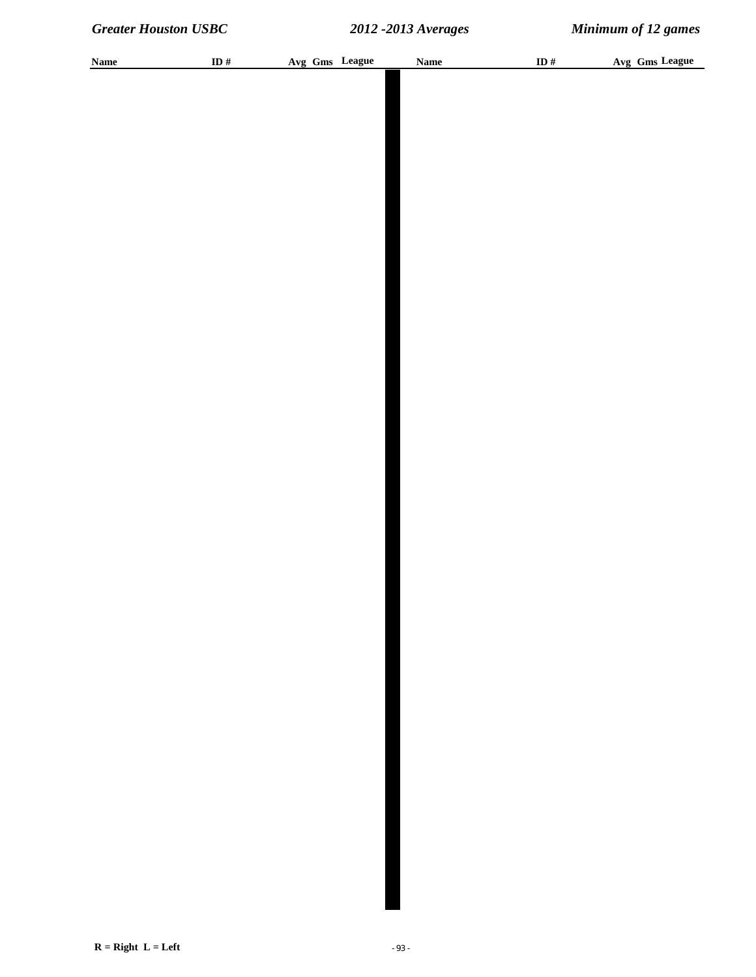| <b>Name</b> | ID $\#$ |  | Avg Gms League | <b>Name</b> | ID $\#$ | Avg Gms League |
|-------------|---------|--|----------------|-------------|---------|----------------|
|             |         |  |                |             |         |                |
|             |         |  |                |             |         |                |
|             |         |  |                |             |         |                |
|             |         |  |                |             |         |                |
|             |         |  |                |             |         |                |
|             |         |  |                |             |         |                |
|             |         |  |                |             |         |                |
|             |         |  |                |             |         |                |
|             |         |  |                |             |         |                |
|             |         |  |                |             |         |                |
|             |         |  |                |             |         |                |
|             |         |  |                |             |         |                |
|             |         |  |                |             |         |                |
|             |         |  |                |             |         |                |
|             |         |  |                |             |         |                |
|             |         |  |                |             |         |                |
|             |         |  |                |             |         |                |
|             |         |  |                |             |         |                |
|             |         |  |                |             |         |                |
|             |         |  |                |             |         |                |
|             |         |  |                |             |         |                |
|             |         |  |                |             |         |                |
|             |         |  |                |             |         |                |
|             |         |  |                |             |         |                |
|             |         |  |                |             |         |                |
|             |         |  |                |             |         |                |
|             |         |  |                |             |         |                |
|             |         |  |                |             |         |                |
|             |         |  |                |             |         |                |
|             |         |  |                |             |         |                |
|             |         |  |                |             |         |                |
|             |         |  |                |             |         |                |
|             |         |  |                |             |         |                |
|             |         |  |                |             |         |                |
|             |         |  |                |             |         |                |
|             |         |  |                |             |         |                |
|             |         |  |                |             |         |                |
|             |         |  |                |             |         |                |
|             |         |  |                |             |         |                |
|             |         |  |                |             |         |                |
|             |         |  |                |             |         |                |
|             |         |  |                |             |         |                |
|             |         |  |                |             |         |                |
|             |         |  |                |             |         |                |
|             |         |  |                |             |         |                |
|             |         |  |                |             |         |                |
|             |         |  |                |             |         |                |
|             |         |  |                |             |         |                |
|             |         |  |                |             |         |                |
|             |         |  |                |             |         |                |
|             |         |  |                |             |         |                |
|             |         |  |                |             |         |                |
|             |         |  |                |             |         |                |
|             |         |  |                |             |         |                |
|             |         |  |                |             |         |                |
|             |         |  |                |             |         |                |
|             |         |  |                |             |         |                |
|             |         |  |                |             |         |                |
|             |         |  |                |             |         |                |
|             |         |  |                |             |         |                |
|             |         |  |                |             |         |                |
|             |         |  |                |             |         |                |
|             |         |  |                |             |         |                |
|             |         |  |                |             |         |                |
|             |         |  |                |             |         |                |
|             |         |  |                |             |         |                |
|             |         |  |                |             |         |                |
|             |         |  |                |             |         |                |
|             |         |  |                |             |         |                |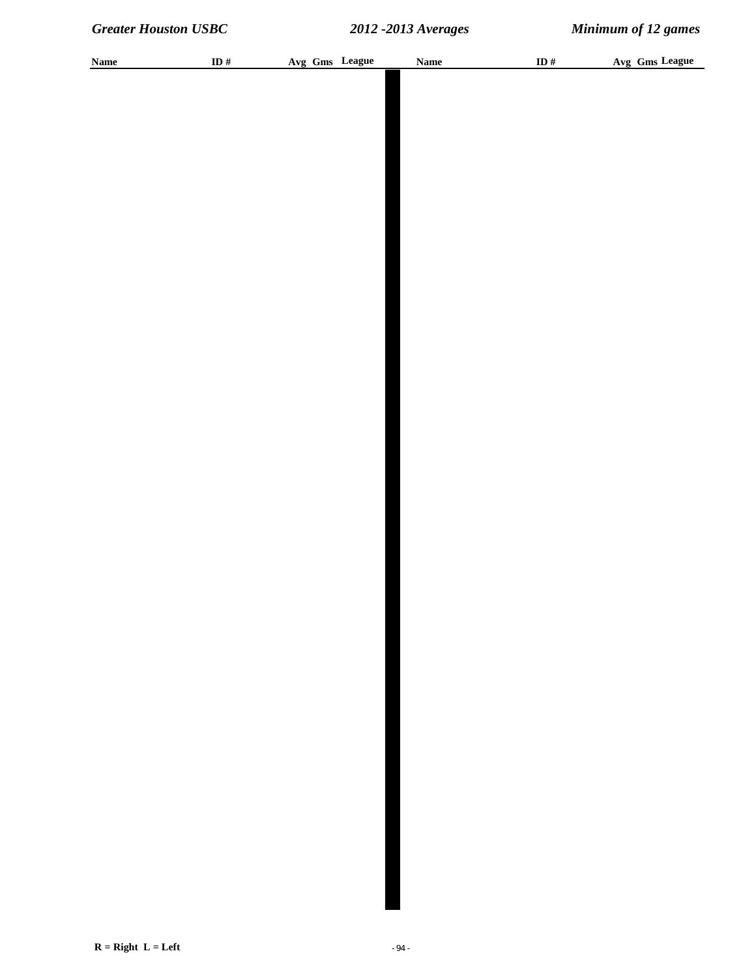| <b>Name</b> | ID $\#$ |  | Avg Gms League | <b>Name</b> | ID $\#$ | Avg Gms League |
|-------------|---------|--|----------------|-------------|---------|----------------|
|             |         |  |                |             |         |                |
|             |         |  |                |             |         |                |
|             |         |  |                |             |         |                |
|             |         |  |                |             |         |                |
|             |         |  |                |             |         |                |
|             |         |  |                |             |         |                |
|             |         |  |                |             |         |                |
|             |         |  |                |             |         |                |
|             |         |  |                |             |         |                |
|             |         |  |                |             |         |                |
|             |         |  |                |             |         |                |
|             |         |  |                |             |         |                |
|             |         |  |                |             |         |                |
|             |         |  |                |             |         |                |
|             |         |  |                |             |         |                |
|             |         |  |                |             |         |                |
|             |         |  |                |             |         |                |
|             |         |  |                |             |         |                |
|             |         |  |                |             |         |                |
|             |         |  |                |             |         |                |
|             |         |  |                |             |         |                |
|             |         |  |                |             |         |                |
|             |         |  |                |             |         |                |
|             |         |  |                |             |         |                |
|             |         |  |                |             |         |                |
|             |         |  |                |             |         |                |
|             |         |  |                |             |         |                |
|             |         |  |                |             |         |                |
|             |         |  |                |             |         |                |
|             |         |  |                |             |         |                |
|             |         |  |                |             |         |                |
|             |         |  |                |             |         |                |
|             |         |  |                |             |         |                |
|             |         |  |                |             |         |                |
|             |         |  |                |             |         |                |
|             |         |  |                |             |         |                |
|             |         |  |                |             |         |                |
|             |         |  |                |             |         |                |
|             |         |  |                |             |         |                |
|             |         |  |                |             |         |                |
|             |         |  |                |             |         |                |
|             |         |  |                |             |         |                |
|             |         |  |                |             |         |                |
|             |         |  |                |             |         |                |
|             |         |  |                |             |         |                |
|             |         |  |                |             |         |                |
|             |         |  |                |             |         |                |
|             |         |  |                |             |         |                |
|             |         |  |                |             |         |                |
|             |         |  |                |             |         |                |
|             |         |  |                |             |         |                |
|             |         |  |                |             |         |                |
|             |         |  |                |             |         |                |
|             |         |  |                |             |         |                |
|             |         |  |                |             |         |                |
|             |         |  |                |             |         |                |
|             |         |  |                |             |         |                |
|             |         |  |                |             |         |                |
|             |         |  |                |             |         |                |
|             |         |  |                |             |         |                |
|             |         |  |                |             |         |                |
|             |         |  |                |             |         |                |
|             |         |  |                |             |         |                |
|             |         |  |                |             |         |                |
|             |         |  |                |             |         |                |
|             |         |  |                |             |         |                |
|             |         |  |                |             |         |                |
|             |         |  |                |             |         |                |
|             |         |  |                |             |         |                |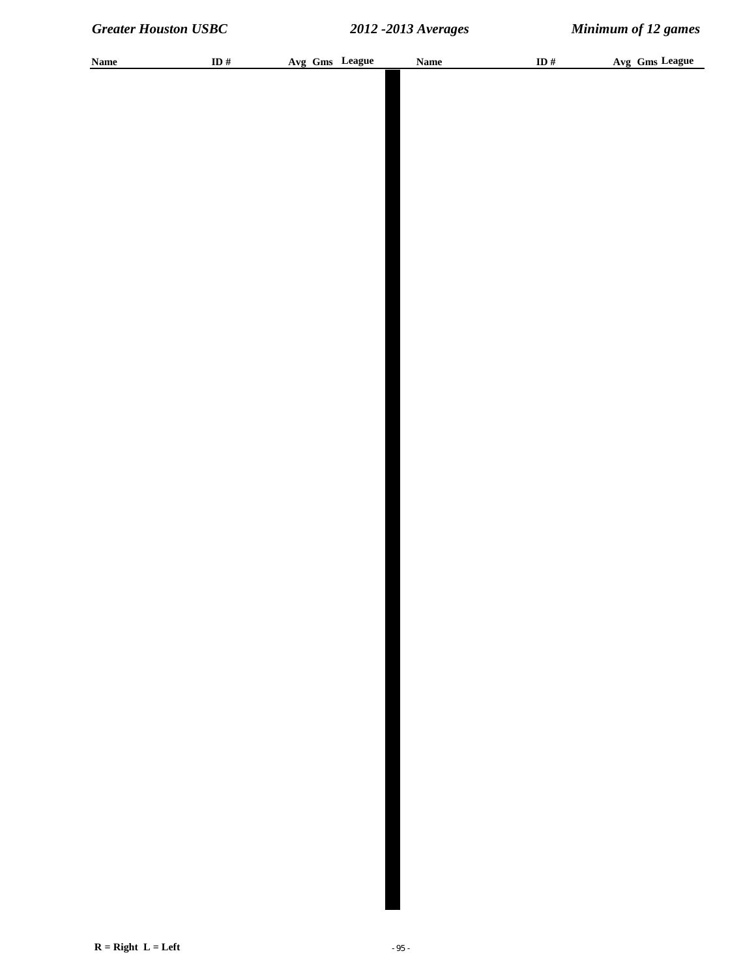| <b>Name</b> | ID # | Avg Gms League | <b>Name</b> | ID $#$ | Avg Gms League |
|-------------|------|----------------|-------------|--------|----------------|
|             |      |                |             |        |                |
|             |      |                |             |        |                |
|             |      |                |             |        |                |
|             |      |                |             |        |                |
|             |      |                |             |        |                |
|             |      |                |             |        |                |
|             |      |                |             |        |                |
|             |      |                |             |        |                |
|             |      |                |             |        |                |
|             |      |                |             |        |                |
|             |      |                |             |        |                |
|             |      |                |             |        |                |
|             |      |                |             |        |                |
|             |      |                |             |        |                |
|             |      |                |             |        |                |
|             |      |                |             |        |                |
|             |      |                |             |        |                |
|             |      |                |             |        |                |
|             |      |                |             |        |                |
|             |      |                |             |        |                |
|             |      |                |             |        |                |
|             |      |                |             |        |                |
|             |      |                |             |        |                |
|             |      |                |             |        |                |
|             |      |                |             |        |                |
|             |      |                |             |        |                |
|             |      |                |             |        |                |
|             |      |                |             |        |                |
|             |      |                |             |        |                |
|             |      |                |             |        |                |
|             |      |                |             |        |                |
|             |      |                |             |        |                |
|             |      |                |             |        |                |
|             |      |                |             |        |                |
|             |      |                |             |        |                |
|             |      |                |             |        |                |
|             |      |                |             |        |                |
|             |      |                |             |        |                |
|             |      |                |             |        |                |
|             |      |                |             |        |                |
|             |      |                |             |        |                |
|             |      |                |             |        |                |
|             |      |                |             |        |                |
|             |      |                |             |        |                |
|             |      |                |             |        |                |
|             |      |                |             |        |                |
|             |      |                |             |        |                |
|             |      |                |             |        |                |
|             |      |                |             |        |                |
|             |      |                |             |        |                |
|             |      |                |             |        |                |
|             |      |                |             |        |                |
|             |      |                |             |        |                |
|             |      |                |             |        |                |
|             |      |                |             |        |                |
|             |      |                |             |        |                |
|             |      |                |             |        |                |
|             |      |                |             |        |                |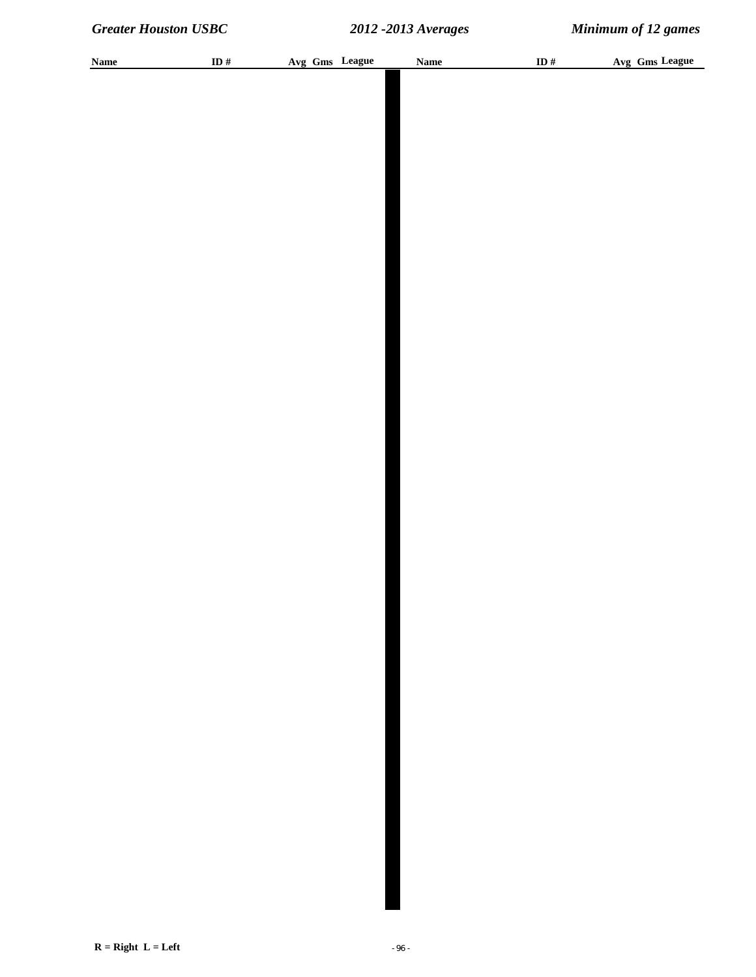| <b>Name</b> | ID $\#$ |  | Avg Gms League | <b>Name</b> | ID $\#$ | Avg Gms League |
|-------------|---------|--|----------------|-------------|---------|----------------|
|             |         |  |                |             |         |                |
|             |         |  |                |             |         |                |
|             |         |  |                |             |         |                |
|             |         |  |                |             |         |                |
|             |         |  |                |             |         |                |
|             |         |  |                |             |         |                |
|             |         |  |                |             |         |                |
|             |         |  |                |             |         |                |
|             |         |  |                |             |         |                |
|             |         |  |                |             |         |                |
|             |         |  |                |             |         |                |
|             |         |  |                |             |         |                |
|             |         |  |                |             |         |                |
|             |         |  |                |             |         |                |
|             |         |  |                |             |         |                |
|             |         |  |                |             |         |                |
|             |         |  |                |             |         |                |
|             |         |  |                |             |         |                |
|             |         |  |                |             |         |                |
|             |         |  |                |             |         |                |
|             |         |  |                |             |         |                |
|             |         |  |                |             |         |                |
|             |         |  |                |             |         |                |
|             |         |  |                |             |         |                |
|             |         |  |                |             |         |                |
|             |         |  |                |             |         |                |
|             |         |  |                |             |         |                |
|             |         |  |                |             |         |                |
|             |         |  |                |             |         |                |
|             |         |  |                |             |         |                |
|             |         |  |                |             |         |                |
|             |         |  |                |             |         |                |
|             |         |  |                |             |         |                |
|             |         |  |                |             |         |                |
|             |         |  |                |             |         |                |
|             |         |  |                |             |         |                |
|             |         |  |                |             |         |                |
|             |         |  |                |             |         |                |
|             |         |  |                |             |         |                |
|             |         |  |                |             |         |                |
|             |         |  |                |             |         |                |
|             |         |  |                |             |         |                |
|             |         |  |                |             |         |                |
|             |         |  |                |             |         |                |
|             |         |  |                |             |         |                |
|             |         |  |                |             |         |                |
|             |         |  |                |             |         |                |
|             |         |  |                |             |         |                |
|             |         |  |                |             |         |                |
|             |         |  |                |             |         |                |
|             |         |  |                |             |         |                |
|             |         |  |                |             |         |                |
|             |         |  |                |             |         |                |
|             |         |  |                |             |         |                |
|             |         |  |                |             |         |                |
|             |         |  |                |             |         |                |
|             |         |  |                |             |         |                |
|             |         |  |                |             |         |                |
|             |         |  |                |             |         |                |
|             |         |  |                |             |         |                |
|             |         |  |                |             |         |                |
|             |         |  |                |             |         |                |
|             |         |  |                |             |         |                |
|             |         |  |                |             |         |                |
|             |         |  |                |             |         |                |
|             |         |  |                |             |         |                |
|             |         |  |                |             |         |                |
|             |         |  |                |             |         |                |
|             |         |  |                |             |         |                |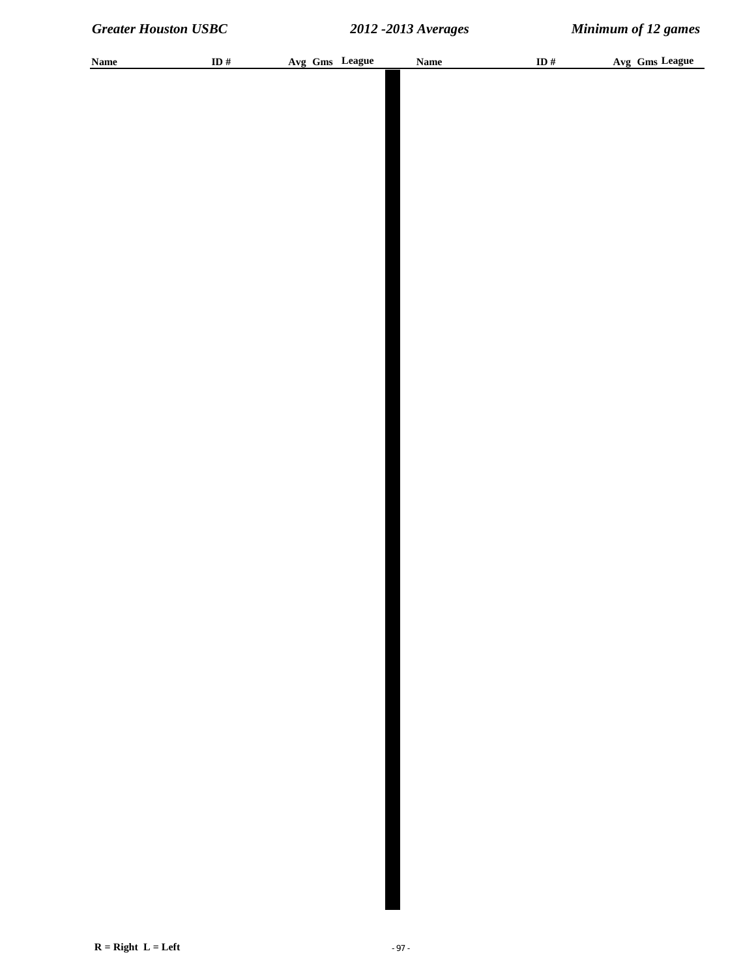| <b>Name</b> | ID $\#$ |  | Avg Gms League | <b>Name</b> | ID $\#$ | Avg Gms League |
|-------------|---------|--|----------------|-------------|---------|----------------|
|             |         |  |                |             |         |                |
|             |         |  |                |             |         |                |
|             |         |  |                |             |         |                |
|             |         |  |                |             |         |                |
|             |         |  |                |             |         |                |
|             |         |  |                |             |         |                |
|             |         |  |                |             |         |                |
|             |         |  |                |             |         |                |
|             |         |  |                |             |         |                |
|             |         |  |                |             |         |                |
|             |         |  |                |             |         |                |
|             |         |  |                |             |         |                |
|             |         |  |                |             |         |                |
|             |         |  |                |             |         |                |
|             |         |  |                |             |         |                |
|             |         |  |                |             |         |                |
|             |         |  |                |             |         |                |
|             |         |  |                |             |         |                |
|             |         |  |                |             |         |                |
|             |         |  |                |             |         |                |
|             |         |  |                |             |         |                |
|             |         |  |                |             |         |                |
|             |         |  |                |             |         |                |
|             |         |  |                |             |         |                |
|             |         |  |                |             |         |                |
|             |         |  |                |             |         |                |
|             |         |  |                |             |         |                |
|             |         |  |                |             |         |                |
|             |         |  |                |             |         |                |
|             |         |  |                |             |         |                |
|             |         |  |                |             |         |                |
|             |         |  |                |             |         |                |
|             |         |  |                |             |         |                |
|             |         |  |                |             |         |                |
|             |         |  |                |             |         |                |
|             |         |  |                |             |         |                |
|             |         |  |                |             |         |                |
|             |         |  |                |             |         |                |
|             |         |  |                |             |         |                |
|             |         |  |                |             |         |                |
|             |         |  |                |             |         |                |
|             |         |  |                |             |         |                |
|             |         |  |                |             |         |                |
|             |         |  |                |             |         |                |
|             |         |  |                |             |         |                |
|             |         |  |                |             |         |                |
|             |         |  |                |             |         |                |
|             |         |  |                |             |         |                |
|             |         |  |                |             |         |                |
|             |         |  |                |             |         |                |
|             |         |  |                |             |         |                |
|             |         |  |                |             |         |                |
|             |         |  |                |             |         |                |
|             |         |  |                |             |         |                |
|             |         |  |                |             |         |                |
|             |         |  |                |             |         |                |
|             |         |  |                |             |         |                |
|             |         |  |                |             |         |                |
|             |         |  |                |             |         |                |
|             |         |  |                |             |         |                |
|             |         |  |                |             |         |                |
|             |         |  |                |             |         |                |
|             |         |  |                |             |         |                |
|             |         |  |                |             |         |                |
|             |         |  |                |             |         |                |
|             |         |  |                |             |         |                |
|             |         |  |                |             |         |                |
|             |         |  |                |             |         |                |
|             |         |  |                |             |         |                |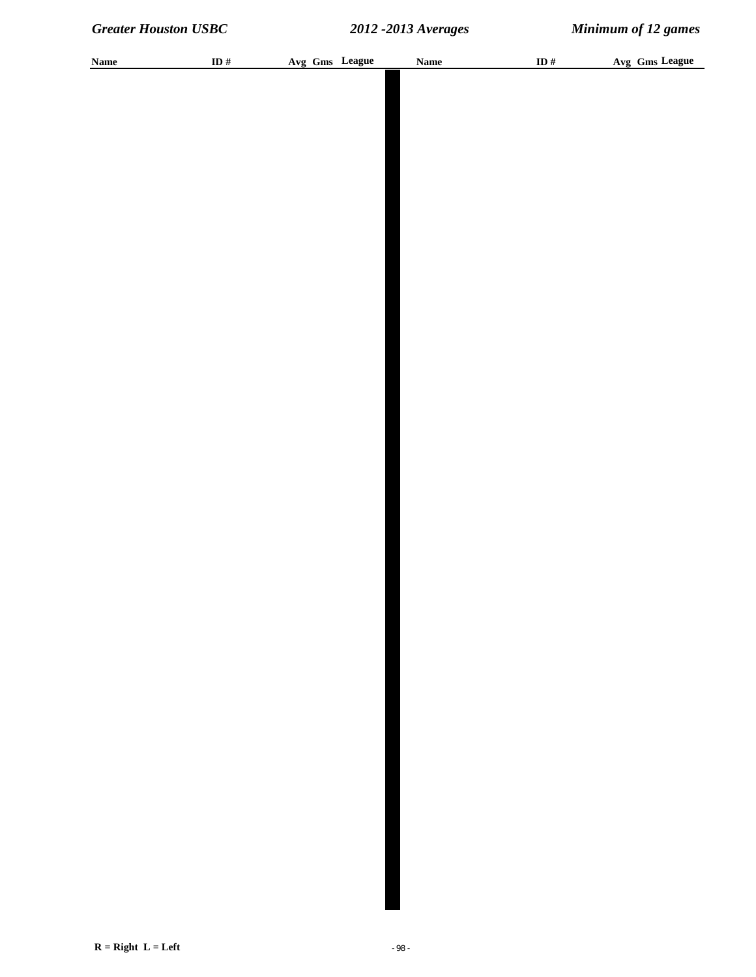| <b>Name</b> | ID $\#$ |  | Avg Gms League | <b>Name</b> | ID $\#$ | Avg Gms League |
|-------------|---------|--|----------------|-------------|---------|----------------|
|             |         |  |                |             |         |                |
|             |         |  |                |             |         |                |
|             |         |  |                |             |         |                |
|             |         |  |                |             |         |                |
|             |         |  |                |             |         |                |
|             |         |  |                |             |         |                |
|             |         |  |                |             |         |                |
|             |         |  |                |             |         |                |
|             |         |  |                |             |         |                |
|             |         |  |                |             |         |                |
|             |         |  |                |             |         |                |
|             |         |  |                |             |         |                |
|             |         |  |                |             |         |                |
|             |         |  |                |             |         |                |
|             |         |  |                |             |         |                |
|             |         |  |                |             |         |                |
|             |         |  |                |             |         |                |
|             |         |  |                |             |         |                |
|             |         |  |                |             |         |                |
|             |         |  |                |             |         |                |
|             |         |  |                |             |         |                |
|             |         |  |                |             |         |                |
|             |         |  |                |             |         |                |
|             |         |  |                |             |         |                |
|             |         |  |                |             |         |                |
|             |         |  |                |             |         |                |
|             |         |  |                |             |         |                |
|             |         |  |                |             |         |                |
|             |         |  |                |             |         |                |
|             |         |  |                |             |         |                |
|             |         |  |                |             |         |                |
|             |         |  |                |             |         |                |
|             |         |  |                |             |         |                |
|             |         |  |                |             |         |                |
|             |         |  |                |             |         |                |
|             |         |  |                |             |         |                |
|             |         |  |                |             |         |                |
|             |         |  |                |             |         |                |
|             |         |  |                |             |         |                |
|             |         |  |                |             |         |                |
|             |         |  |                |             |         |                |
|             |         |  |                |             |         |                |
|             |         |  |                |             |         |                |
|             |         |  |                |             |         |                |
|             |         |  |                |             |         |                |
|             |         |  |                |             |         |                |
|             |         |  |                |             |         |                |
|             |         |  |                |             |         |                |
|             |         |  |                |             |         |                |
|             |         |  |                |             |         |                |
|             |         |  |                |             |         |                |
|             |         |  |                |             |         |                |
|             |         |  |                |             |         |                |
|             |         |  |                |             |         |                |
|             |         |  |                |             |         |                |
|             |         |  |                |             |         |                |
|             |         |  |                |             |         |                |
|             |         |  |                |             |         |                |
|             |         |  |                |             |         |                |
|             |         |  |                |             |         |                |
|             |         |  |                |             |         |                |
|             |         |  |                |             |         |                |
|             |         |  |                |             |         |                |
|             |         |  |                |             |         |                |
|             |         |  |                |             |         |                |
|             |         |  |                |             |         |                |
|             |         |  |                |             |         |                |
|             |         |  |                |             |         |                |
|             |         |  |                |             |         |                |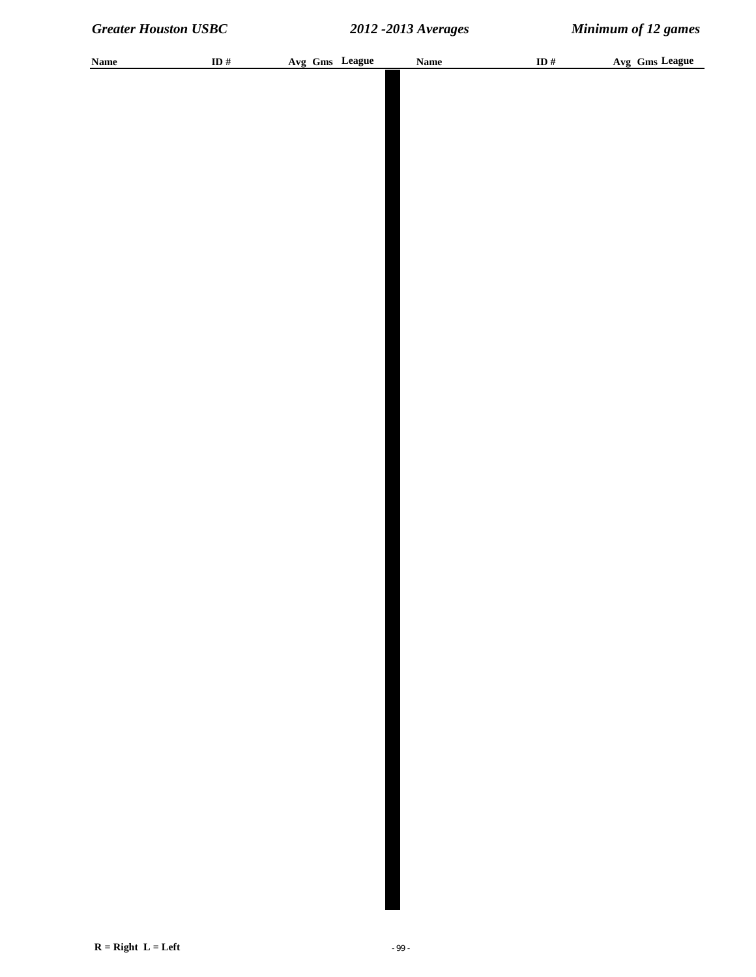| <b>Name</b> | ID $\#$ |  | Avg Gms League | <b>Name</b> | ID $\#$ | Avg Gms League |
|-------------|---------|--|----------------|-------------|---------|----------------|
|             |         |  |                |             |         |                |
|             |         |  |                |             |         |                |
|             |         |  |                |             |         |                |
|             |         |  |                |             |         |                |
|             |         |  |                |             |         |                |
|             |         |  |                |             |         |                |
|             |         |  |                |             |         |                |
|             |         |  |                |             |         |                |
|             |         |  |                |             |         |                |
|             |         |  |                |             |         |                |
|             |         |  |                |             |         |                |
|             |         |  |                |             |         |                |
|             |         |  |                |             |         |                |
|             |         |  |                |             |         |                |
|             |         |  |                |             |         |                |
|             |         |  |                |             |         |                |
|             |         |  |                |             |         |                |
|             |         |  |                |             |         |                |
|             |         |  |                |             |         |                |
|             |         |  |                |             |         |                |
|             |         |  |                |             |         |                |
|             |         |  |                |             |         |                |
|             |         |  |                |             |         |                |
|             |         |  |                |             |         |                |
|             |         |  |                |             |         |                |
|             |         |  |                |             |         |                |
|             |         |  |                |             |         |                |
|             |         |  |                |             |         |                |
|             |         |  |                |             |         |                |
|             |         |  |                |             |         |                |
|             |         |  |                |             |         |                |
|             |         |  |                |             |         |                |
|             |         |  |                |             |         |                |
|             |         |  |                |             |         |                |
|             |         |  |                |             |         |                |
|             |         |  |                |             |         |                |
|             |         |  |                |             |         |                |
|             |         |  |                |             |         |                |
|             |         |  |                |             |         |                |
|             |         |  |                |             |         |                |
|             |         |  |                |             |         |                |
|             |         |  |                |             |         |                |
|             |         |  |                |             |         |                |
|             |         |  |                |             |         |                |
|             |         |  |                |             |         |                |
|             |         |  |                |             |         |                |
|             |         |  |                |             |         |                |
|             |         |  |                |             |         |                |
|             |         |  |                |             |         |                |
|             |         |  |                |             |         |                |
|             |         |  |                |             |         |                |
|             |         |  |                |             |         |                |
|             |         |  |                |             |         |                |
|             |         |  |                |             |         |                |
|             |         |  |                |             |         |                |
|             |         |  |                |             |         |                |
|             |         |  |                |             |         |                |
|             |         |  |                |             |         |                |
|             |         |  |                |             |         |                |
|             |         |  |                |             |         |                |
|             |         |  |                |             |         |                |
|             |         |  |                |             |         |                |
|             |         |  |                |             |         |                |
|             |         |  |                |             |         |                |
|             |         |  |                |             |         |                |
|             |         |  |                |             |         |                |
|             |         |  |                |             |         |                |
|             |         |  |                |             |         |                |
|             |         |  |                |             |         |                |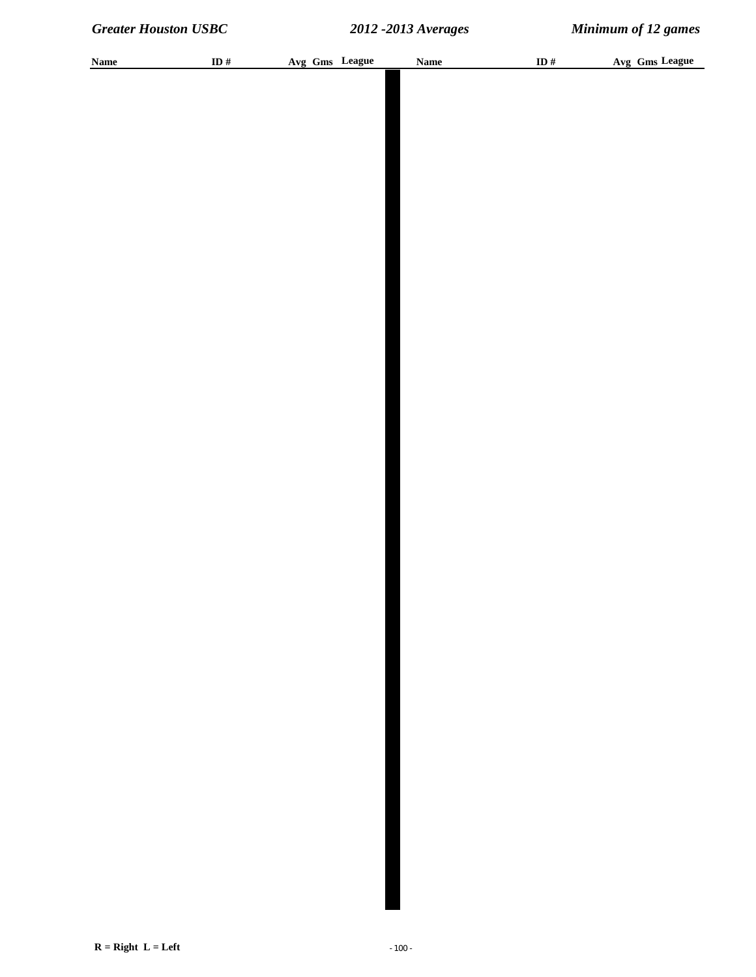| <b>Name</b> | ID $#$ | Avg Gms League | <b>Name</b> | ID $#$ | Avg Gms League |
|-------------|--------|----------------|-------------|--------|----------------|
|             |        |                |             |        |                |
|             |        |                |             |        |                |
|             |        |                |             |        |                |
|             |        |                |             |        |                |
|             |        |                |             |        |                |
|             |        |                |             |        |                |
|             |        |                |             |        |                |
|             |        |                |             |        |                |
|             |        |                |             |        |                |
|             |        |                |             |        |                |
|             |        |                |             |        |                |
|             |        |                |             |        |                |
|             |        |                |             |        |                |
|             |        |                |             |        |                |
|             |        |                |             |        |                |
|             |        |                |             |        |                |
|             |        |                |             |        |                |
|             |        |                |             |        |                |
|             |        |                |             |        |                |
|             |        |                |             |        |                |
|             |        |                |             |        |                |
|             |        |                |             |        |                |
|             |        |                |             |        |                |
|             |        |                |             |        |                |
|             |        |                |             |        |                |
|             |        |                |             |        |                |
|             |        |                |             |        |                |
|             |        |                |             |        |                |
|             |        |                |             |        |                |
|             |        |                |             |        |                |
|             |        |                |             |        |                |
|             |        |                |             |        |                |
|             |        |                |             |        |                |
|             |        |                |             |        |                |
|             |        |                |             |        |                |
|             |        |                |             |        |                |
|             |        |                |             |        |                |
|             |        |                |             |        |                |
|             |        |                |             |        |                |
|             |        |                |             |        |                |
|             |        |                |             |        |                |
|             |        |                |             |        |                |
|             |        |                |             |        |                |
|             |        |                |             |        |                |
|             |        |                |             |        |                |
|             |        |                |             |        |                |
|             |        |                |             |        |                |
|             |        |                |             |        |                |
|             |        |                |             |        |                |
|             |        |                |             |        |                |
|             |        |                |             |        |                |
|             |        |                |             |        |                |
|             |        |                |             |        |                |
|             |        |                |             |        |                |
|             |        |                |             |        |                |
|             |        |                |             |        |                |
|             |        |                |             |        |                |
|             |        |                |             |        |                |
|             |        |                |             |        |                |
|             |        |                |             |        |                |
|             |        |                |             |        |                |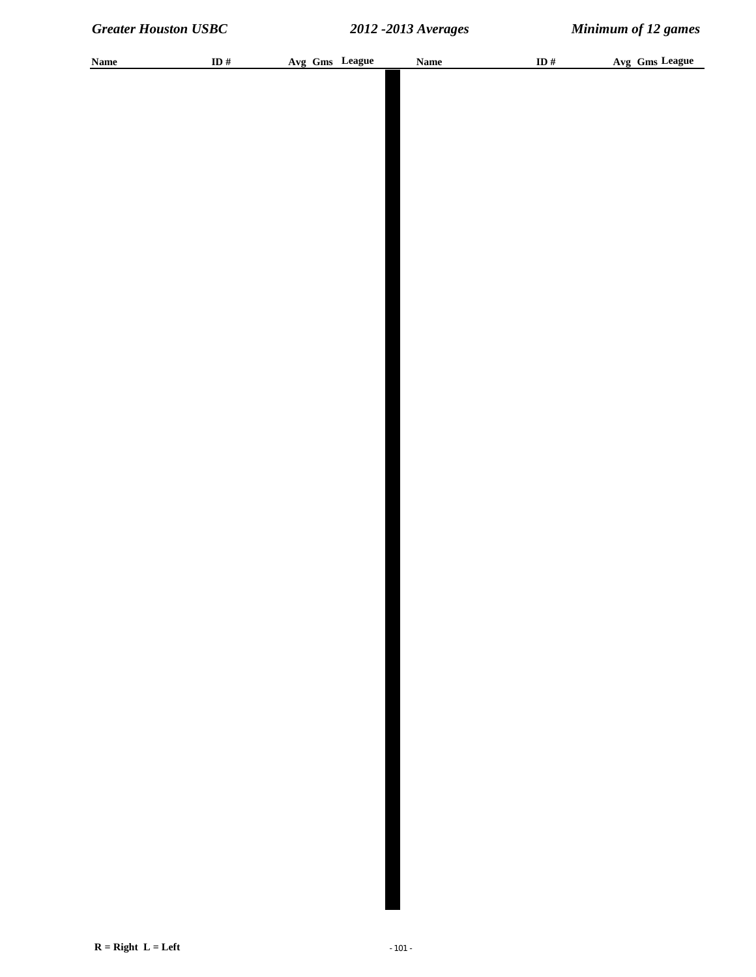| <b>Name</b> | ID # | Avg Gms League | <b>Name</b> | ID $\#$ | Avg Gms League |
|-------------|------|----------------|-------------|---------|----------------|
|             |      |                |             |         |                |
|             |      |                |             |         |                |
|             |      |                |             |         |                |
|             |      |                |             |         |                |
|             |      |                |             |         |                |
|             |      |                |             |         |                |
|             |      |                |             |         |                |
|             |      |                |             |         |                |
|             |      |                |             |         |                |
|             |      |                |             |         |                |
|             |      |                |             |         |                |
|             |      |                |             |         |                |
|             |      |                |             |         |                |
|             |      |                |             |         |                |
|             |      |                |             |         |                |
|             |      |                |             |         |                |
|             |      |                |             |         |                |
|             |      |                |             |         |                |
|             |      |                |             |         |                |
|             |      |                |             |         |                |
|             |      |                |             |         |                |
|             |      |                |             |         |                |
|             |      |                |             |         |                |
|             |      |                |             |         |                |
|             |      |                |             |         |                |
|             |      |                |             |         |                |
|             |      |                |             |         |                |
|             |      |                |             |         |                |
|             |      |                |             |         |                |
|             |      |                |             |         |                |
|             |      |                |             |         |                |
|             |      |                |             |         |                |
|             |      |                |             |         |                |
|             |      |                |             |         |                |
|             |      |                |             |         |                |
|             |      |                |             |         |                |
|             |      |                |             |         |                |
|             |      |                |             |         |                |
|             |      |                |             |         |                |
|             |      |                |             |         |                |
|             |      |                |             |         |                |
|             |      |                |             |         |                |
|             |      |                |             |         |                |
|             |      |                |             |         |                |
|             |      |                |             |         |                |
|             |      |                |             |         |                |
|             |      |                |             |         |                |
|             |      |                |             |         |                |
|             |      |                |             |         |                |
|             |      |                |             |         |                |
|             |      |                |             |         |                |
|             |      |                |             |         |                |
|             |      |                |             |         |                |
|             |      |                |             |         |                |
|             |      |                |             |         |                |
|             |      |                |             |         |                |
|             |      |                |             |         |                |
|             |      |                |             |         |                |
|             |      |                |             |         |                |
|             |      |                |             |         |                |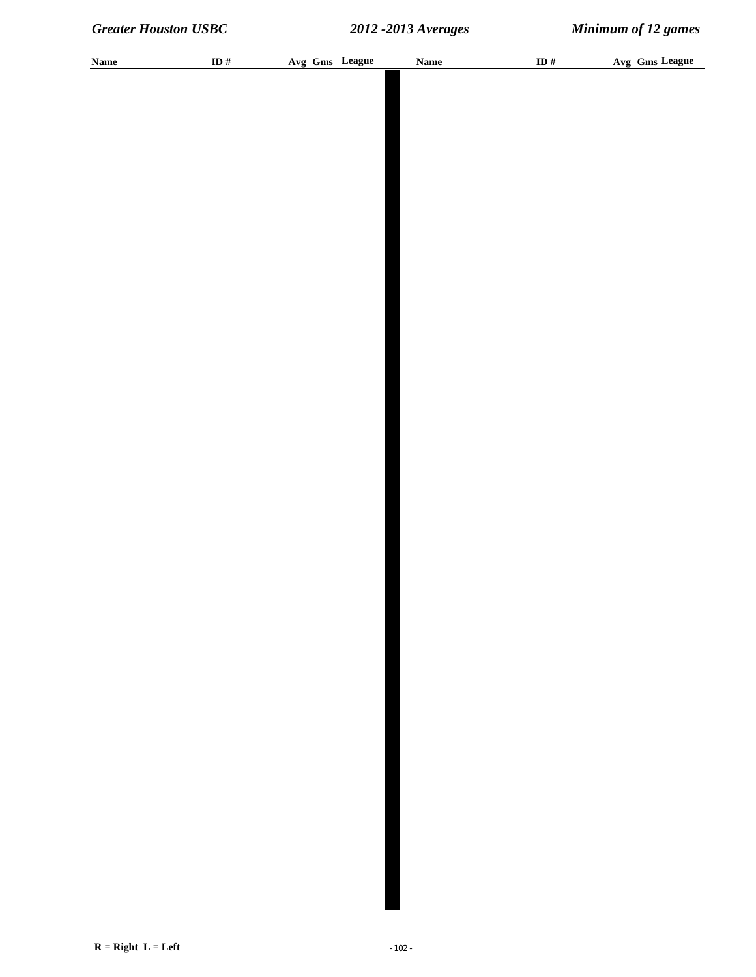| <b>Name</b> | ID $\#$ | Avg Gms League | <b>Name</b> | ID # | Avg Gms League |
|-------------|---------|----------------|-------------|------|----------------|
|             |         |                |             |      |                |
|             |         |                |             |      |                |
|             |         |                |             |      |                |
|             |         |                |             |      |                |
|             |         |                |             |      |                |
|             |         |                |             |      |                |
|             |         |                |             |      |                |
|             |         |                |             |      |                |
|             |         |                |             |      |                |
|             |         |                |             |      |                |
|             |         |                |             |      |                |
|             |         |                |             |      |                |
|             |         |                |             |      |                |
|             |         |                |             |      |                |
|             |         |                |             |      |                |
|             |         |                |             |      |                |
|             |         |                |             |      |                |
|             |         |                |             |      |                |
|             |         |                |             |      |                |
|             |         |                |             |      |                |
|             |         |                |             |      |                |
|             |         |                |             |      |                |
|             |         |                |             |      |                |
|             |         |                |             |      |                |
|             |         |                |             |      |                |
|             |         |                |             |      |                |
|             |         |                |             |      |                |
|             |         |                |             |      |                |
|             |         |                |             |      |                |
|             |         |                |             |      |                |
|             |         |                |             |      |                |
|             |         |                |             |      |                |
|             |         |                |             |      |                |
|             |         |                |             |      |                |
|             |         |                |             |      |                |
|             |         |                |             |      |                |
|             |         |                |             |      |                |
|             |         |                |             |      |                |
|             |         |                |             |      |                |
|             |         |                |             |      |                |
|             |         |                |             |      |                |
|             |         |                |             |      |                |
|             |         |                |             |      |                |
|             |         |                |             |      |                |
|             |         |                |             |      |                |
|             |         |                |             |      |                |
|             |         |                |             |      |                |
|             |         |                |             |      |                |
|             |         |                |             |      |                |
|             |         |                |             |      |                |
|             |         |                |             |      |                |
|             |         |                |             |      |                |
|             |         |                |             |      |                |
|             |         |                |             |      |                |
|             |         |                |             |      |                |
|             |         |                |             |      |                |
|             |         |                |             |      |                |
|             |         |                |             |      |                |
|             |         |                |             |      |                |
|             |         |                |             |      |                |
|             |         |                |             |      |                |
|             |         |                |             |      |                |
|             |         |                |             |      |                |
|             |         |                |             |      |                |
|             |         |                |             |      |                |
|             |         |                |             |      |                |
|             |         |                |             |      |                |
|             |         |                |             |      |                |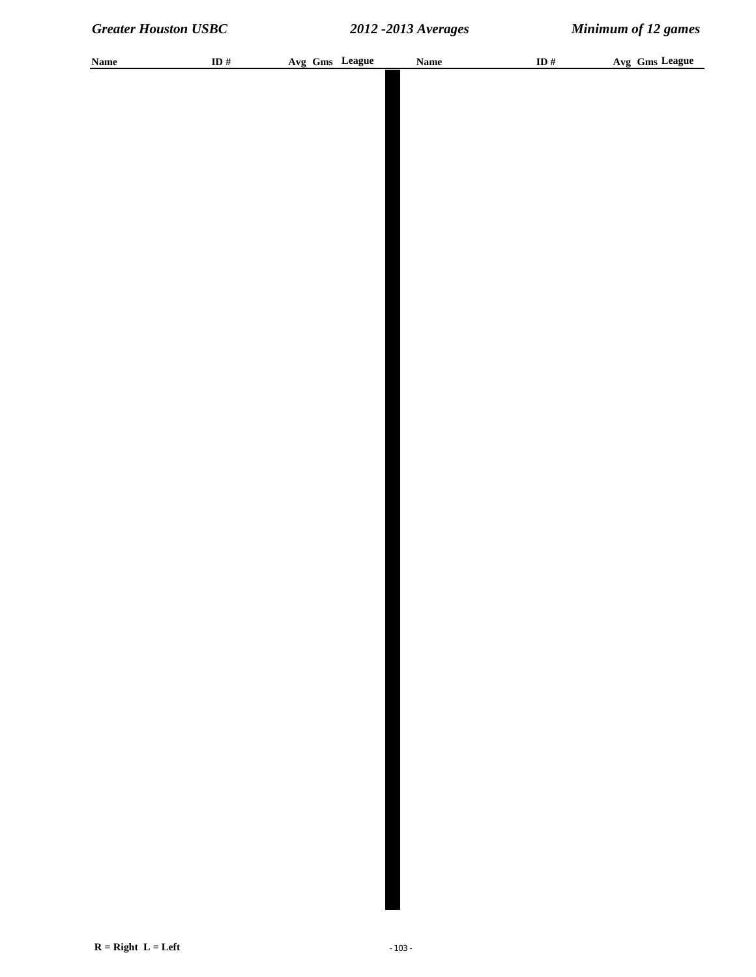| <b>Name</b> | ID $\#$ |  | Avg Gms League | <b>Name</b> | ID $#$ |  | Avg Gms League |
|-------------|---------|--|----------------|-------------|--------|--|----------------|
|             |         |  |                |             |        |  |                |
|             |         |  |                |             |        |  |                |
|             |         |  |                |             |        |  |                |
|             |         |  |                |             |        |  |                |
|             |         |  |                |             |        |  |                |
|             |         |  |                |             |        |  |                |
|             |         |  |                |             |        |  |                |
|             |         |  |                |             |        |  |                |
|             |         |  |                |             |        |  |                |
|             |         |  |                |             |        |  |                |
|             |         |  |                |             |        |  |                |
|             |         |  |                |             |        |  |                |
|             |         |  |                |             |        |  |                |
|             |         |  |                |             |        |  |                |
|             |         |  |                |             |        |  |                |
|             |         |  |                |             |        |  |                |
|             |         |  |                |             |        |  |                |
|             |         |  |                |             |        |  |                |
|             |         |  |                |             |        |  |                |
|             |         |  |                |             |        |  |                |
|             |         |  |                |             |        |  |                |
|             |         |  |                |             |        |  |                |
|             |         |  |                |             |        |  |                |
|             |         |  |                |             |        |  |                |
|             |         |  |                |             |        |  |                |
|             |         |  |                |             |        |  |                |
|             |         |  |                |             |        |  |                |
|             |         |  |                |             |        |  |                |
|             |         |  |                |             |        |  |                |
|             |         |  |                |             |        |  |                |
|             |         |  |                |             |        |  |                |
|             |         |  |                |             |        |  |                |
|             |         |  |                |             |        |  |                |
|             |         |  |                |             |        |  |                |
|             |         |  |                |             |        |  |                |
|             |         |  |                |             |        |  |                |
|             |         |  |                |             |        |  |                |
|             |         |  |                |             |        |  |                |
|             |         |  |                |             |        |  |                |
|             |         |  |                |             |        |  |                |
|             |         |  |                |             |        |  |                |
|             |         |  |                |             |        |  |                |
|             |         |  |                |             |        |  |                |
|             |         |  |                |             |        |  |                |
|             |         |  |                |             |        |  |                |
|             |         |  |                |             |        |  |                |
|             |         |  |                |             |        |  |                |
|             |         |  |                |             |        |  |                |
|             |         |  |                |             |        |  |                |
|             |         |  |                |             |        |  |                |
|             |         |  |                |             |        |  |                |
|             |         |  |                |             |        |  |                |
|             |         |  |                |             |        |  |                |
|             |         |  |                |             |        |  |                |
|             |         |  |                |             |        |  |                |
|             |         |  |                |             |        |  |                |
|             |         |  |                |             |        |  |                |
|             |         |  |                |             |        |  |                |
|             |         |  |                |             |        |  |                |
|             |         |  |                |             |        |  |                |
|             |         |  |                |             |        |  |                |
|             |         |  |                |             |        |  |                |
|             |         |  |                |             |        |  |                |
|             |         |  |                |             |        |  |                |
|             |         |  |                |             |        |  |                |
|             |         |  |                |             |        |  |                |
|             |         |  |                |             |        |  |                |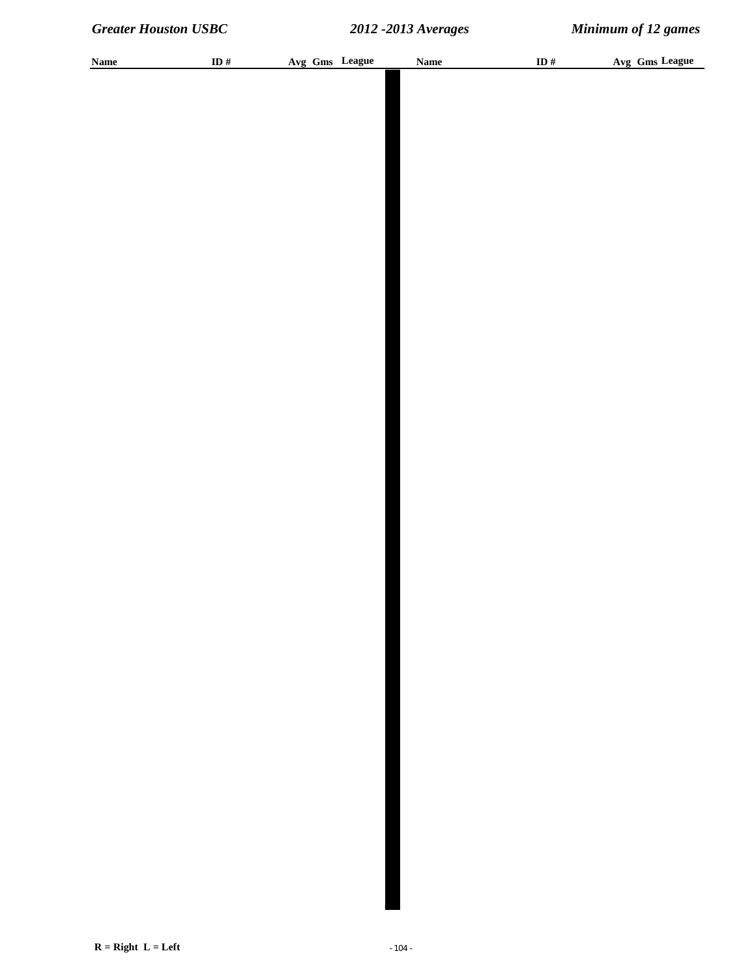| <b>Name</b> | ID # | Avg Gms League | <b>Name</b> | ID $#$ | Avg Gms League |
|-------------|------|----------------|-------------|--------|----------------|
|             |      |                |             |        |                |
|             |      |                |             |        |                |
|             |      |                |             |        |                |
|             |      |                |             |        |                |
|             |      |                |             |        |                |
|             |      |                |             |        |                |
|             |      |                |             |        |                |
|             |      |                |             |        |                |
|             |      |                |             |        |                |
|             |      |                |             |        |                |
|             |      |                |             |        |                |
|             |      |                |             |        |                |
|             |      |                |             |        |                |
|             |      |                |             |        |                |
|             |      |                |             |        |                |
|             |      |                |             |        |                |
|             |      |                |             |        |                |
|             |      |                |             |        |                |
|             |      |                |             |        |                |
|             |      |                |             |        |                |
|             |      |                |             |        |                |
|             |      |                |             |        |                |
|             |      |                |             |        |                |
|             |      |                |             |        |                |
|             |      |                |             |        |                |
|             |      |                |             |        |                |
|             |      |                |             |        |                |
|             |      |                |             |        |                |
|             |      |                |             |        |                |
|             |      |                |             |        |                |
|             |      |                |             |        |                |
|             |      |                |             |        |                |
|             |      |                |             |        |                |
|             |      |                |             |        |                |
|             |      |                |             |        |                |
|             |      |                |             |        |                |
|             |      |                |             |        |                |
|             |      |                |             |        |                |
|             |      |                |             |        |                |
|             |      |                |             |        |                |
|             |      |                |             |        |                |
|             |      |                |             |        |                |
|             |      |                |             |        |                |
|             |      |                |             |        |                |
|             |      |                |             |        |                |
|             |      |                |             |        |                |
|             |      |                |             |        |                |
|             |      |                |             |        |                |
|             |      |                |             |        |                |
|             |      |                |             |        |                |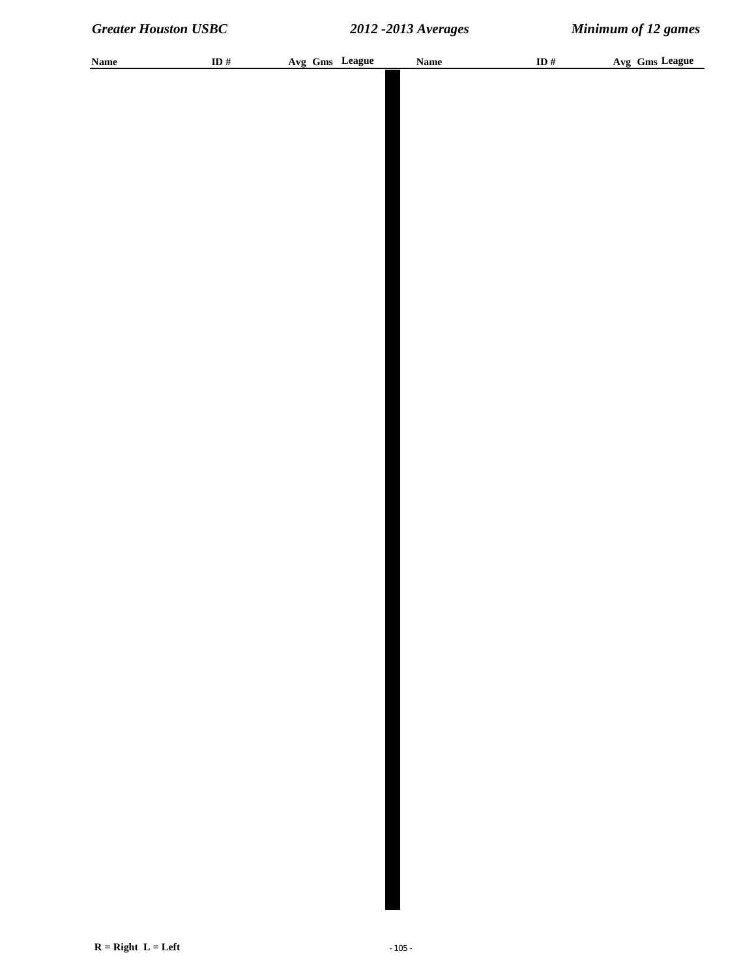| <b>Name</b> | ID $#$ | Avg Gms League | <b>Name</b> | ID# | Avg Gms League |
|-------------|--------|----------------|-------------|-----|----------------|
|             |        |                |             |     |                |
|             |        |                |             |     |                |
|             |        |                |             |     |                |
|             |        |                |             |     |                |
|             |        |                |             |     |                |
|             |        |                |             |     |                |
|             |        |                |             |     |                |
|             |        |                |             |     |                |
|             |        |                |             |     |                |
|             |        |                |             |     |                |
|             |        |                |             |     |                |
|             |        |                |             |     |                |
|             |        |                |             |     |                |
|             |        |                |             |     |                |
|             |        |                |             |     |                |
|             |        |                |             |     |                |
|             |        |                |             |     |                |
|             |        |                |             |     |                |
|             |        |                |             |     |                |
|             |        |                |             |     |                |
|             |        |                |             |     |                |
|             |        |                |             |     |                |
|             |        |                |             |     |                |
|             |        |                |             |     |                |
|             |        |                |             |     |                |
|             |        |                |             |     |                |
|             |        |                |             |     |                |
|             |        |                |             |     |                |
|             |        |                |             |     |                |
|             |        |                |             |     |                |
|             |        |                |             |     |                |
|             |        |                |             |     |                |
|             |        |                |             |     |                |
|             |        |                |             |     |                |
|             |        |                |             |     |                |
|             |        |                |             |     |                |
|             |        |                |             |     |                |
|             |        |                |             |     |                |
|             |        |                |             |     |                |
|             |        |                |             |     |                |
|             |        |                |             |     |                |
|             |        |                |             |     |                |
|             |        |                |             |     |                |
|             |        |                |             |     |                |
|             |        |                |             |     |                |
|             |        |                |             |     |                |
|             |        |                |             |     |                |
|             |        |                |             |     |                |
|             |        |                |             |     |                |
|             |        |                |             |     |                |
|             |        |                |             |     |                |
|             |        |                |             |     |                |
|             |        |                |             |     |                |
|             |        |                |             |     |                |
|             |        |                |             |     |                |
|             |        |                |             |     |                |
|             |        |                |             |     |                |
|             |        |                |             |     |                |
|             |        |                |             |     |                |
|             |        |                |             |     |                |
|             |        |                |             |     |                |
|             |        |                |             |     |                |
|             |        |                |             |     |                |
|             |        |                |             |     |                |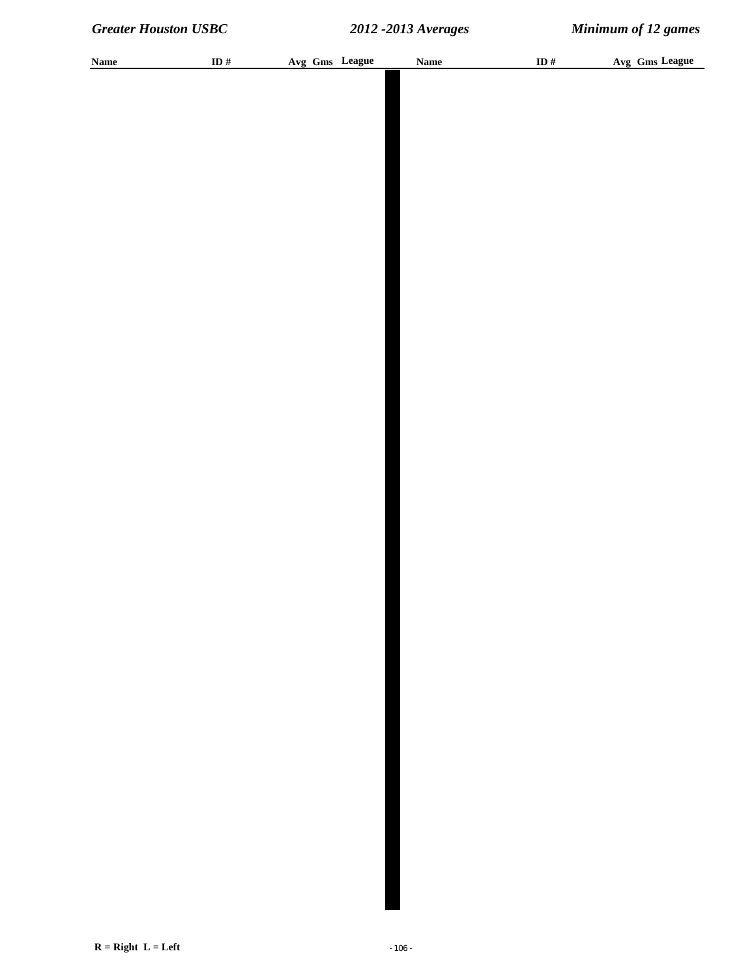| <b>Name</b> | ID # | Avg Gms League | <b>Name</b> | ID $#$ | Avg Gms League |
|-------------|------|----------------|-------------|--------|----------------|
|             |      |                |             |        |                |
|             |      |                |             |        |                |
|             |      |                |             |        |                |
|             |      |                |             |        |                |
|             |      |                |             |        |                |
|             |      |                |             |        |                |
|             |      |                |             |        |                |
|             |      |                |             |        |                |
|             |      |                |             |        |                |
|             |      |                |             |        |                |
|             |      |                |             |        |                |
|             |      |                |             |        |                |
|             |      |                |             |        |                |
|             |      |                |             |        |                |
|             |      |                |             |        |                |
|             |      |                |             |        |                |
|             |      |                |             |        |                |
|             |      |                |             |        |                |
|             |      |                |             |        |                |
|             |      |                |             |        |                |
|             |      |                |             |        |                |
|             |      |                |             |        |                |
|             |      |                |             |        |                |
|             |      |                |             |        |                |
|             |      |                |             |        |                |
|             |      |                |             |        |                |
|             |      |                |             |        |                |
|             |      |                |             |        |                |
|             |      |                |             |        |                |
|             |      |                |             |        |                |
|             |      |                |             |        |                |
|             |      |                |             |        |                |
|             |      |                |             |        |                |
|             |      |                |             |        |                |
|             |      |                |             |        |                |
|             |      |                |             |        |                |
|             |      |                |             |        |                |
|             |      |                |             |        |                |
|             |      |                |             |        |                |
|             |      |                |             |        |                |
|             |      |                |             |        |                |
|             |      |                |             |        |                |
|             |      |                |             |        |                |
|             |      |                |             |        |                |
|             |      |                |             |        |                |
|             |      |                |             |        |                |
|             |      |                |             |        |                |
|             |      |                |             |        |                |
|             |      |                |             |        |                |
|             |      |                |             |        |                |
|             |      |                |             |        |                |
|             |      |                |             |        |                |
|             |      |                |             |        |                |
|             |      |                |             |        |                |
|             |      |                |             |        |                |
|             |      |                |             |        |                |
|             |      |                |             |        |                |
|             |      |                |             |        |                |
|             |      |                |             |        |                |
|             |      |                |             |        |                |
|             |      |                |             |        |                |
|             |      |                |             |        |                |
|             |      |                |             |        |                |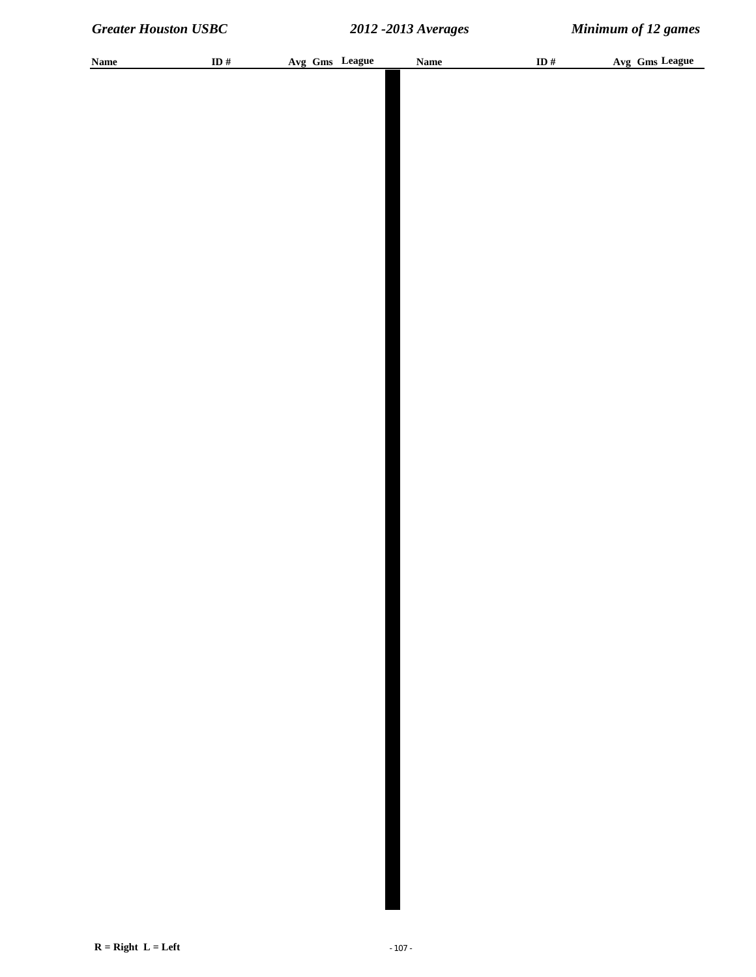| <b>Name</b> | ID $#$ | Avg Gms League | <b>Name</b> | ID# | Avg Gms League |
|-------------|--------|----------------|-------------|-----|----------------|
|             |        |                |             |     |                |
|             |        |                |             |     |                |
|             |        |                |             |     |                |
|             |        |                |             |     |                |
|             |        |                |             |     |                |
|             |        |                |             |     |                |
|             |        |                |             |     |                |
|             |        |                |             |     |                |
|             |        |                |             |     |                |
|             |        |                |             |     |                |
|             |        |                |             |     |                |
|             |        |                |             |     |                |
|             |        |                |             |     |                |
|             |        |                |             |     |                |
|             |        |                |             |     |                |
|             |        |                |             |     |                |
|             |        |                |             |     |                |
|             |        |                |             |     |                |
|             |        |                |             |     |                |
|             |        |                |             |     |                |
|             |        |                |             |     |                |
|             |        |                |             |     |                |
|             |        |                |             |     |                |
|             |        |                |             |     |                |
|             |        |                |             |     |                |
|             |        |                |             |     |                |
|             |        |                |             |     |                |
|             |        |                |             |     |                |
|             |        |                |             |     |                |
|             |        |                |             |     |                |
|             |        |                |             |     |                |
|             |        |                |             |     |                |
|             |        |                |             |     |                |
|             |        |                |             |     |                |
|             |        |                |             |     |                |
|             |        |                |             |     |                |
|             |        |                |             |     |                |
|             |        |                |             |     |                |
|             |        |                |             |     |                |
|             |        |                |             |     |                |
|             |        |                |             |     |                |
|             |        |                |             |     |                |
|             |        |                |             |     |                |
|             |        |                |             |     |                |
|             |        |                |             |     |                |
|             |        |                |             |     |                |
|             |        |                |             |     |                |
|             |        |                |             |     |                |
|             |        |                |             |     |                |
|             |        |                |             |     |                |
|             |        |                |             |     |                |
|             |        |                |             |     |                |
|             |        |                |             |     |                |
|             |        |                |             |     |                |
|             |        |                |             |     |                |
|             |        |                |             |     |                |
|             |        |                |             |     |                |
|             |        |                |             |     |                |
|             |        |                |             |     |                |
|             |        |                |             |     |                |
|             |        |                |             |     |                |
|             |        |                |             |     |                |
|             |        |                |             |     |                |
|             |        |                |             |     |                |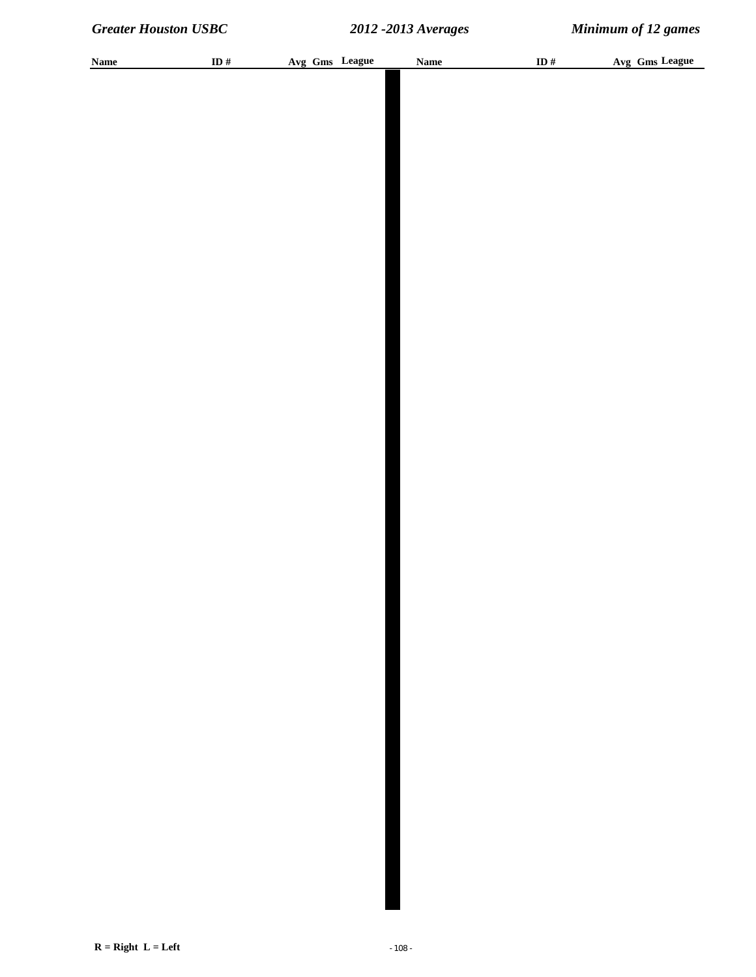| <b>Name</b> | ID $#$ | Avg Gms League | <b>Name</b> | ID# | Avg Gms League |
|-------------|--------|----------------|-------------|-----|----------------|
|             |        |                |             |     |                |
|             |        |                |             |     |                |
|             |        |                |             |     |                |
|             |        |                |             |     |                |
|             |        |                |             |     |                |
|             |        |                |             |     |                |
|             |        |                |             |     |                |
|             |        |                |             |     |                |
|             |        |                |             |     |                |
|             |        |                |             |     |                |
|             |        |                |             |     |                |
|             |        |                |             |     |                |
|             |        |                |             |     |                |
|             |        |                |             |     |                |
|             |        |                |             |     |                |
|             |        |                |             |     |                |
|             |        |                |             |     |                |
|             |        |                |             |     |                |
|             |        |                |             |     |                |
|             |        |                |             |     |                |
|             |        |                |             |     |                |
|             |        |                |             |     |                |
|             |        |                |             |     |                |
|             |        |                |             |     |                |
|             |        |                |             |     |                |
|             |        |                |             |     |                |
|             |        |                |             |     |                |
|             |        |                |             |     |                |
|             |        |                |             |     |                |
|             |        |                |             |     |                |
|             |        |                |             |     |                |
|             |        |                |             |     |                |
|             |        |                |             |     |                |
|             |        |                |             |     |                |
|             |        |                |             |     |                |
|             |        |                |             |     |                |
|             |        |                |             |     |                |
|             |        |                |             |     |                |
|             |        |                |             |     |                |
|             |        |                |             |     |                |
|             |        |                |             |     |                |
|             |        |                |             |     |                |
|             |        |                |             |     |                |
|             |        |                |             |     |                |
|             |        |                |             |     |                |
|             |        |                |             |     |                |
|             |        |                |             |     |                |
|             |        |                |             |     |                |
|             |        |                |             |     |                |
|             |        |                |             |     |                |
|             |        |                |             |     |                |
|             |        |                |             |     |                |
|             |        |                |             |     |                |
|             |        |                |             |     |                |
|             |        |                |             |     |                |
|             |        |                |             |     |                |
|             |        |                |             |     |                |
|             |        |                |             |     |                |
|             |        |                |             |     |                |
|             |        |                |             |     |                |
|             |        |                |             |     |                |
|             |        |                |             |     |                |
|             |        |                |             |     |                |
|             |        |                |             |     |                |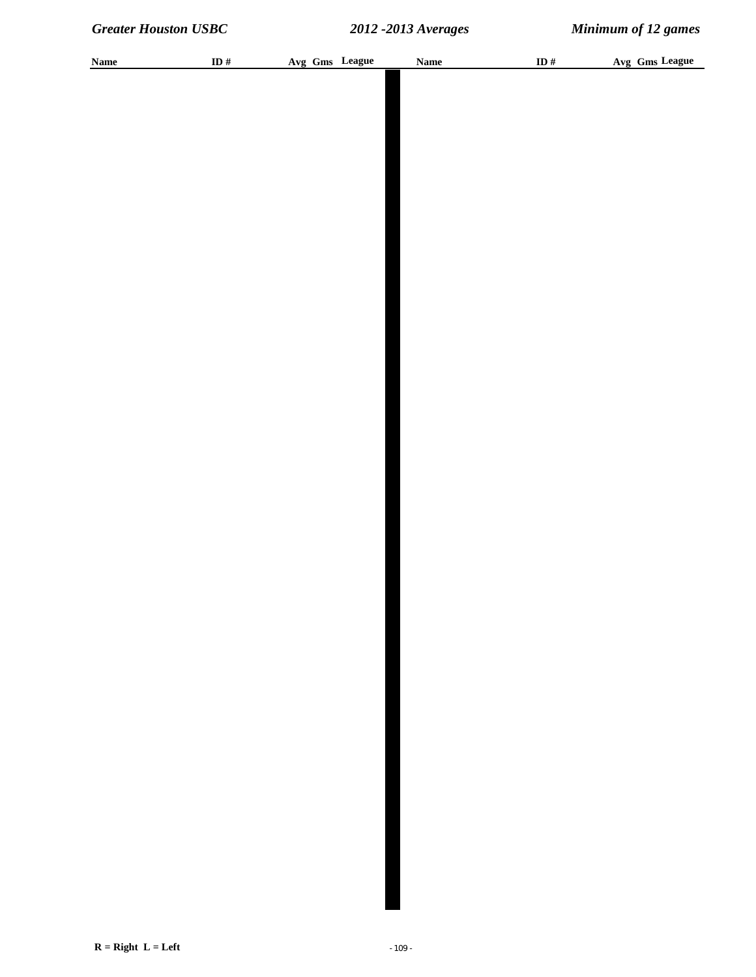| <b>Name</b> | ID $\#$ | Avg Gms League | <b>Name</b> | ID # | Avg Gms League |
|-------------|---------|----------------|-------------|------|----------------|
|             |         |                |             |      |                |
|             |         |                |             |      |                |
|             |         |                |             |      |                |
|             |         |                |             |      |                |
|             |         |                |             |      |                |
|             |         |                |             |      |                |
|             |         |                |             |      |                |
|             |         |                |             |      |                |
|             |         |                |             |      |                |
|             |         |                |             |      |                |
|             |         |                |             |      |                |
|             |         |                |             |      |                |
|             |         |                |             |      |                |
|             |         |                |             |      |                |
|             |         |                |             |      |                |
|             |         |                |             |      |                |
|             |         |                |             |      |                |
|             |         |                |             |      |                |
|             |         |                |             |      |                |
|             |         |                |             |      |                |
|             |         |                |             |      |                |
|             |         |                |             |      |                |
|             |         |                |             |      |                |
|             |         |                |             |      |                |
|             |         |                |             |      |                |
|             |         |                |             |      |                |
|             |         |                |             |      |                |
|             |         |                |             |      |                |
|             |         |                |             |      |                |
|             |         |                |             |      |                |
|             |         |                |             |      |                |
|             |         |                |             |      |                |
|             |         |                |             |      |                |
|             |         |                |             |      |                |
|             |         |                |             |      |                |
|             |         |                |             |      |                |
|             |         |                |             |      |                |
|             |         |                |             |      |                |
|             |         |                |             |      |                |
|             |         |                |             |      |                |
|             |         |                |             |      |                |
|             |         |                |             |      |                |
|             |         |                |             |      |                |
|             |         |                |             |      |                |
|             |         |                |             |      |                |
|             |         |                |             |      |                |
|             |         |                |             |      |                |
|             |         |                |             |      |                |
|             |         |                |             |      |                |
|             |         |                |             |      |                |
|             |         |                |             |      |                |
|             |         |                |             |      |                |
|             |         |                |             |      |                |
|             |         |                |             |      |                |
|             |         |                |             |      |                |
|             |         |                |             |      |                |
|             |         |                |             |      |                |
|             |         |                |             |      |                |
|             |         |                |             |      |                |
|             |         |                |             |      |                |
|             |         |                |             |      |                |
|             |         |                |             |      |                |
|             |         |                |             |      |                |
|             |         |                |             |      |                |
|             |         |                |             |      |                |
|             |         |                |             |      |                |
|             |         |                |             |      |                |
|             |         |                |             |      |                |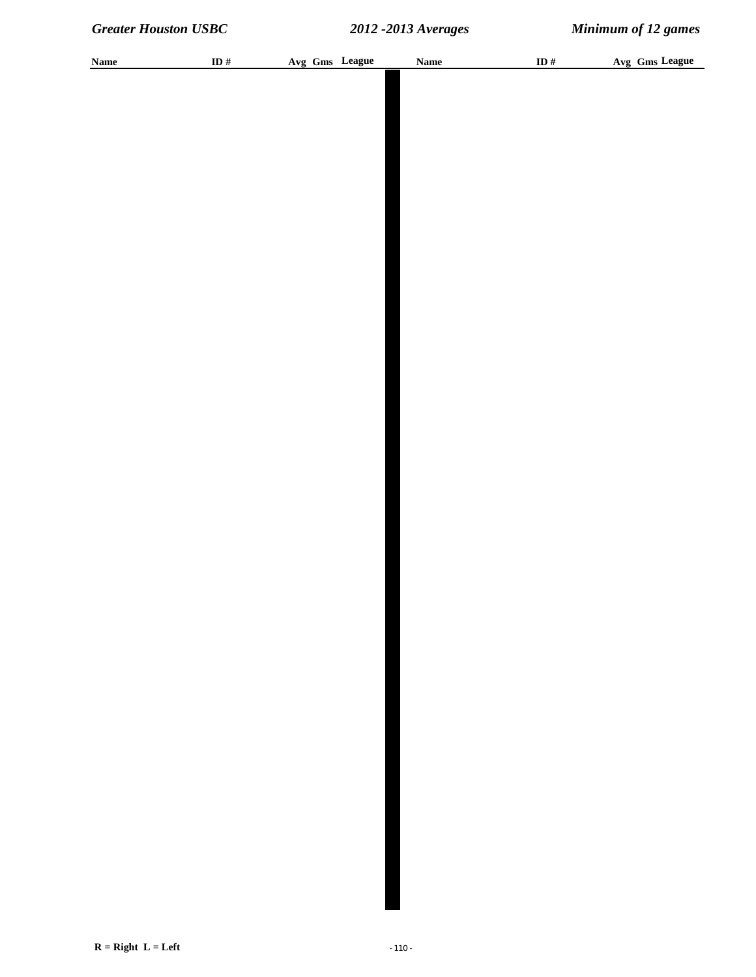| <b>Name</b> | ID $\#$ | Avg Gms League | <b>Name</b> | ID $\#$ | Avg Gms League |
|-------------|---------|----------------|-------------|---------|----------------|
|             |         |                |             |         |                |
|             |         |                |             |         |                |
|             |         |                |             |         |                |
|             |         |                |             |         |                |
|             |         |                |             |         |                |
|             |         |                |             |         |                |
|             |         |                |             |         |                |
|             |         |                |             |         |                |
|             |         |                |             |         |                |
|             |         |                |             |         |                |
|             |         |                |             |         |                |
|             |         |                |             |         |                |
|             |         |                |             |         |                |
|             |         |                |             |         |                |
|             |         |                |             |         |                |
|             |         |                |             |         |                |
|             |         |                |             |         |                |
|             |         |                |             |         |                |
|             |         |                |             |         |                |
|             |         |                |             |         |                |
|             |         |                |             |         |                |
|             |         |                |             |         |                |
|             |         |                |             |         |                |
|             |         |                |             |         |                |
|             |         |                |             |         |                |
|             |         |                |             |         |                |
|             |         |                |             |         |                |
|             |         |                |             |         |                |
|             |         |                |             |         |                |
|             |         |                |             |         |                |
|             |         |                |             |         |                |
|             |         |                |             |         |                |
|             |         |                |             |         |                |
|             |         |                |             |         |                |
|             |         |                |             |         |                |
|             |         |                |             |         |                |
|             |         |                |             |         |                |
|             |         |                |             |         |                |
|             |         |                |             |         |                |
|             |         |                |             |         |                |
|             |         |                |             |         |                |
|             |         |                |             |         |                |
|             |         |                |             |         |                |
|             |         |                |             |         |                |
|             |         |                |             |         |                |
|             |         |                |             |         |                |
|             |         |                |             |         |                |
|             |         |                |             |         |                |
|             |         |                |             |         |                |
|             |         |                |             |         |                |
|             |         |                |             |         |                |
|             |         |                |             |         |                |
|             |         |                |             |         |                |
|             |         |                |             |         |                |
|             |         |                |             |         |                |
|             |         |                |             |         |                |
|             |         |                |             |         |                |
|             |         |                |             |         |                |
|             |         |                |             |         |                |
|             |         |                |             |         |                |
|             |         |                |             |         |                |
|             |         |                |             |         |                |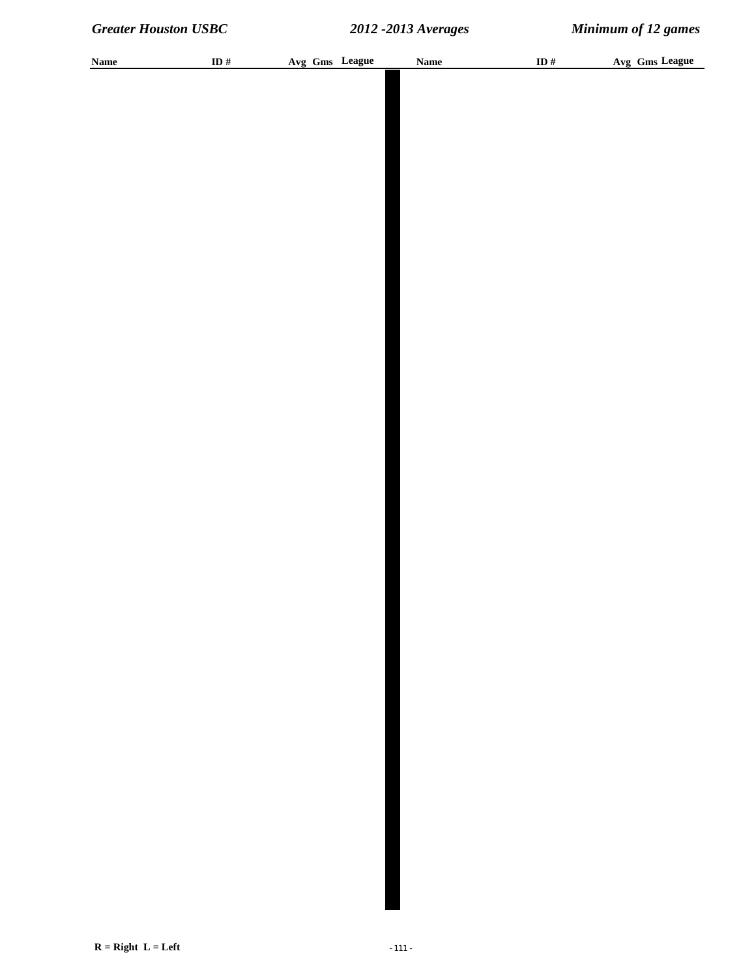| <b>Name</b> | ID# | Avg Gms League | <b>Name</b> | ID # | Avg Gms League |
|-------------|-----|----------------|-------------|------|----------------|
|             |     |                |             |      |                |
|             |     |                |             |      |                |
|             |     |                |             |      |                |
|             |     |                |             |      |                |
|             |     |                |             |      |                |
|             |     |                |             |      |                |
|             |     |                |             |      |                |
|             |     |                |             |      |                |
|             |     |                |             |      |                |
|             |     |                |             |      |                |
|             |     |                |             |      |                |
|             |     |                |             |      |                |
|             |     |                |             |      |                |
|             |     |                |             |      |                |
|             |     |                |             |      |                |
|             |     |                |             |      |                |
|             |     |                |             |      |                |
|             |     |                |             |      |                |
|             |     |                |             |      |                |
|             |     |                |             |      |                |
|             |     |                |             |      |                |
|             |     |                |             |      |                |
|             |     |                |             |      |                |
|             |     |                |             |      |                |
|             |     |                |             |      |                |
|             |     |                |             |      |                |
|             |     |                |             |      |                |
|             |     |                |             |      |                |
|             |     |                |             |      |                |
|             |     |                |             |      |                |
|             |     |                |             |      |                |
|             |     |                |             |      |                |
|             |     |                |             |      |                |
|             |     |                |             |      |                |
|             |     |                |             |      |                |
|             |     |                |             |      |                |
|             |     |                |             |      |                |
|             |     |                |             |      |                |
|             |     |                |             |      |                |
|             |     |                |             |      |                |
|             |     |                |             |      |                |
|             |     |                |             |      |                |
|             |     |                |             |      |                |
|             |     |                |             |      |                |
|             |     |                |             |      |                |
|             |     |                |             |      |                |
|             |     |                |             |      |                |
|             |     |                |             |      |                |
|             |     |                |             |      |                |
|             |     |                |             |      |                |
|             |     |                |             |      |                |
|             |     |                |             |      |                |
|             |     |                |             |      |                |
|             |     |                |             |      |                |
|             |     |                |             |      |                |
|             |     |                |             |      |                |
|             |     |                |             |      |                |
|             |     |                |             |      |                |
|             |     |                |             |      |                |
|             |     |                |             |      |                |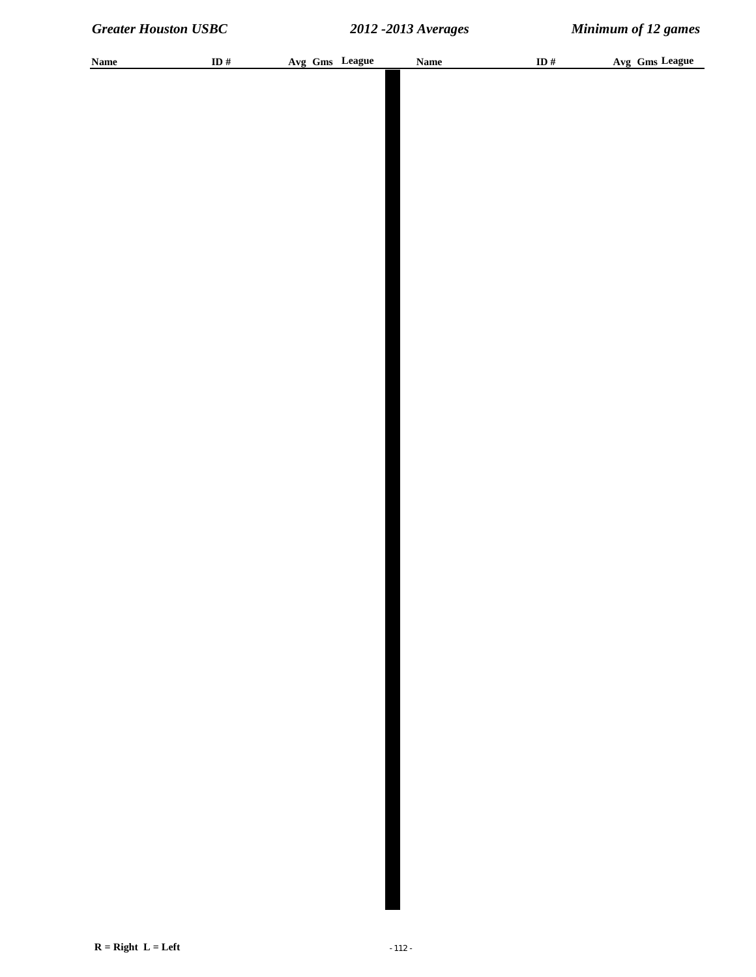| <b>Name</b> | ID $#$ | Avg Gms League | <b>Name</b> | ID $#$ | Avg Gms League |
|-------------|--------|----------------|-------------|--------|----------------|
|             |        |                |             |        |                |
|             |        |                |             |        |                |
|             |        |                |             |        |                |
|             |        |                |             |        |                |
|             |        |                |             |        |                |
|             |        |                |             |        |                |
|             |        |                |             |        |                |
|             |        |                |             |        |                |
|             |        |                |             |        |                |
|             |        |                |             |        |                |
|             |        |                |             |        |                |
|             |        |                |             |        |                |
|             |        |                |             |        |                |
|             |        |                |             |        |                |
|             |        |                |             |        |                |
|             |        |                |             |        |                |
|             |        |                |             |        |                |
|             |        |                |             |        |                |
|             |        |                |             |        |                |
|             |        |                |             |        |                |
|             |        |                |             |        |                |
|             |        |                |             |        |                |
|             |        |                |             |        |                |
|             |        |                |             |        |                |
|             |        |                |             |        |                |
|             |        |                |             |        |                |
|             |        |                |             |        |                |
|             |        |                |             |        |                |
|             |        |                |             |        |                |
|             |        |                |             |        |                |
|             |        |                |             |        |                |
|             |        |                |             |        |                |
|             |        |                |             |        |                |
|             |        |                |             |        |                |
|             |        |                |             |        |                |
|             |        |                |             |        |                |
|             |        |                |             |        |                |
|             |        |                |             |        |                |
|             |        |                |             |        |                |
|             |        |                |             |        |                |
|             |        |                |             |        |                |
|             |        |                |             |        |                |
|             |        |                |             |        |                |
|             |        |                |             |        |                |
|             |        |                |             |        |                |
|             |        |                |             |        |                |
|             |        |                |             |        |                |
|             |        |                |             |        |                |
|             |        |                |             |        |                |
|             |        |                |             |        |                |
|             |        |                |             |        |                |
|             |        |                |             |        |                |
|             |        |                |             |        |                |
|             |        |                |             |        |                |
|             |        |                |             |        |                |
|             |        |                |             |        |                |
|             |        |                |             |        |                |
|             |        |                |             |        |                |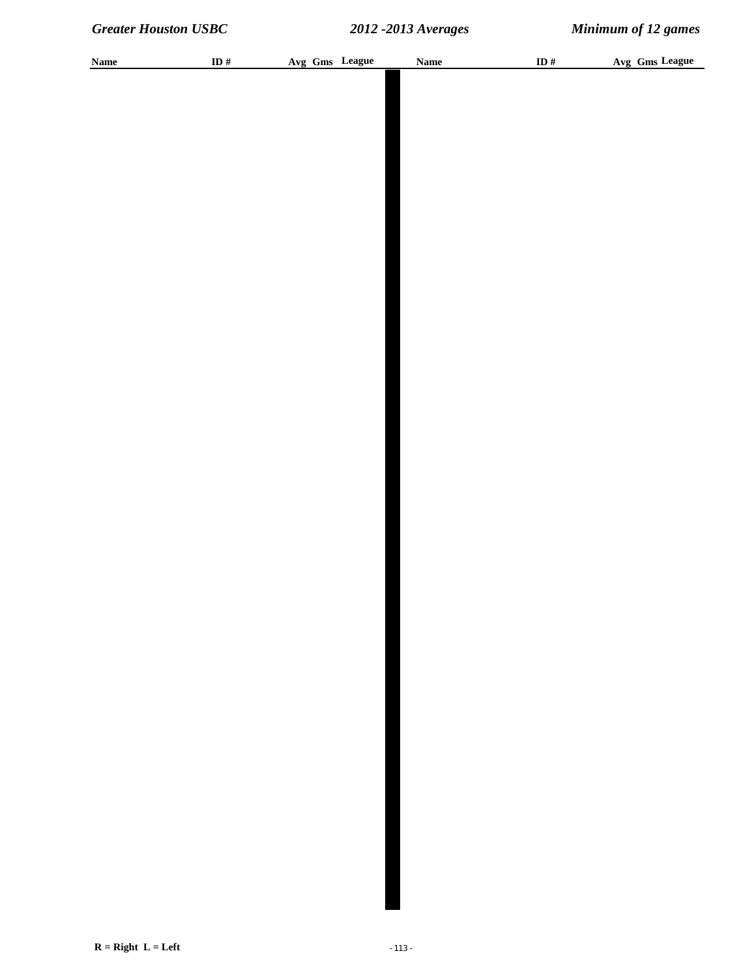| <b>Name</b> | ID# | Avg Gms League | <b>Name</b> | ID # | Avg Gms League |
|-------------|-----|----------------|-------------|------|----------------|
|             |     |                |             |      |                |
|             |     |                |             |      |                |
|             |     |                |             |      |                |
|             |     |                |             |      |                |
|             |     |                |             |      |                |
|             |     |                |             |      |                |
|             |     |                |             |      |                |
|             |     |                |             |      |                |
|             |     |                |             |      |                |
|             |     |                |             |      |                |
|             |     |                |             |      |                |
|             |     |                |             |      |                |
|             |     |                |             |      |                |
|             |     |                |             |      |                |
|             |     |                |             |      |                |
|             |     |                |             |      |                |
|             |     |                |             |      |                |
|             |     |                |             |      |                |
|             |     |                |             |      |                |
|             |     |                |             |      |                |
|             |     |                |             |      |                |
|             |     |                |             |      |                |
|             |     |                |             |      |                |
|             |     |                |             |      |                |
|             |     |                |             |      |                |
|             |     |                |             |      |                |
|             |     |                |             |      |                |
|             |     |                |             |      |                |
|             |     |                |             |      |                |
|             |     |                |             |      |                |
|             |     |                |             |      |                |
|             |     |                |             |      |                |
|             |     |                |             |      |                |
|             |     |                |             |      |                |
|             |     |                |             |      |                |
|             |     |                |             |      |                |
|             |     |                |             |      |                |
|             |     |                |             |      |                |
|             |     |                |             |      |                |
|             |     |                |             |      |                |
|             |     |                |             |      |                |
|             |     |                |             |      |                |
|             |     |                |             |      |                |
|             |     |                |             |      |                |
|             |     |                |             |      |                |
|             |     |                |             |      |                |
|             |     |                |             |      |                |
|             |     |                |             |      |                |
|             |     |                |             |      |                |
|             |     |                |             |      |                |
|             |     |                |             |      |                |
|             |     |                |             |      |                |
|             |     |                |             |      |                |
|             |     |                |             |      |                |
|             |     |                |             |      |                |
|             |     |                |             |      |                |
|             |     |                |             |      |                |
|             |     |                |             |      |                |
|             |     |                |             |      |                |
|             |     |                |             |      |                |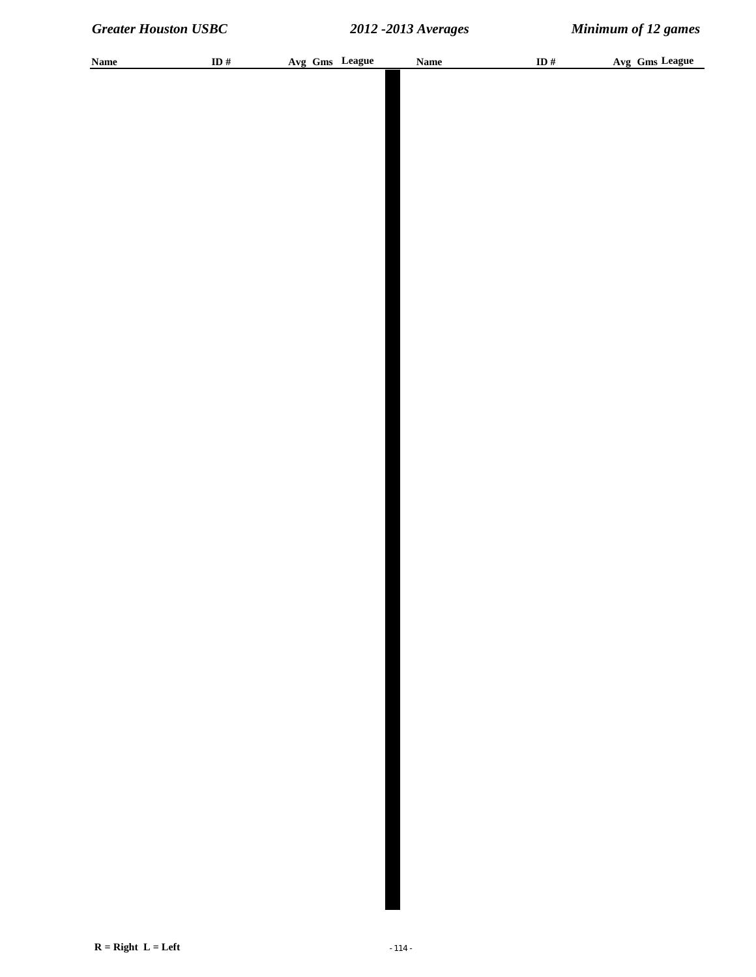| <b>Name</b> | ID # | Avg Gms League | <b>Name</b> | ID # | Avg Gms League |
|-------------|------|----------------|-------------|------|----------------|
|             |      |                |             |      |                |
|             |      |                |             |      |                |
|             |      |                |             |      |                |
|             |      |                |             |      |                |
|             |      |                |             |      |                |
|             |      |                |             |      |                |
|             |      |                |             |      |                |
|             |      |                |             |      |                |
|             |      |                |             |      |                |
|             |      |                |             |      |                |
|             |      |                |             |      |                |
|             |      |                |             |      |                |
|             |      |                |             |      |                |
|             |      |                |             |      |                |
|             |      |                |             |      |                |
|             |      |                |             |      |                |
|             |      |                |             |      |                |
|             |      |                |             |      |                |
|             |      |                |             |      |                |
|             |      |                |             |      |                |
|             |      |                |             |      |                |
|             |      |                |             |      |                |
|             |      |                |             |      |                |
|             |      |                |             |      |                |
|             |      |                |             |      |                |
|             |      |                |             |      |                |
|             |      |                |             |      |                |
|             |      |                |             |      |                |
|             |      |                |             |      |                |
|             |      |                |             |      |                |
|             |      |                |             |      |                |
|             |      |                |             |      |                |
|             |      |                |             |      |                |
|             |      |                |             |      |                |
|             |      |                |             |      |                |
|             |      |                |             |      |                |
|             |      |                |             |      |                |
|             |      |                |             |      |                |
|             |      |                |             |      |                |
|             |      |                |             |      |                |
|             |      |                |             |      |                |
|             |      |                |             |      |                |
|             |      |                |             |      |                |
|             |      |                |             |      |                |
|             |      |                |             |      |                |
|             |      |                |             |      |                |
|             |      |                |             |      |                |
|             |      |                |             |      |                |
|             |      |                |             |      |                |
|             |      |                |             |      |                |
|             |      |                |             |      |                |
|             |      |                |             |      |                |
|             |      |                |             |      |                |
|             |      |                |             |      |                |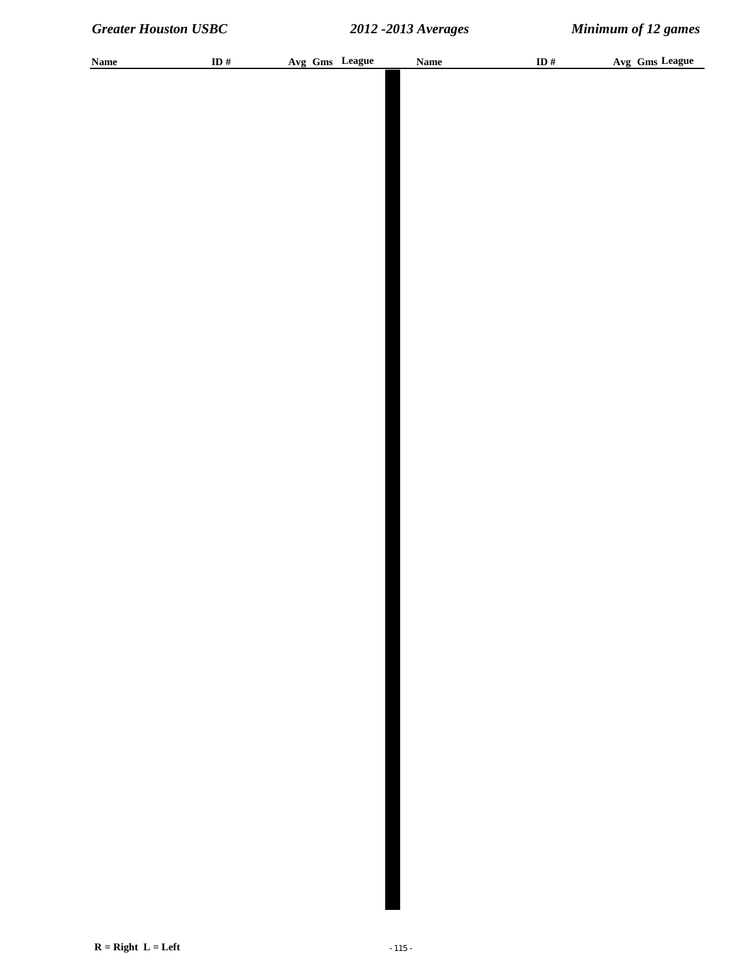| <b>Name</b> | ID# | Avg Gms League | <b>Name</b> | ID # | Avg Gms League |
|-------------|-----|----------------|-------------|------|----------------|
|             |     |                |             |      |                |
|             |     |                |             |      |                |
|             |     |                |             |      |                |
|             |     |                |             |      |                |
|             |     |                |             |      |                |
|             |     |                |             |      |                |
|             |     |                |             |      |                |
|             |     |                |             |      |                |
|             |     |                |             |      |                |
|             |     |                |             |      |                |
|             |     |                |             |      |                |
|             |     |                |             |      |                |
|             |     |                |             |      |                |
|             |     |                |             |      |                |
|             |     |                |             |      |                |
|             |     |                |             |      |                |
|             |     |                |             |      |                |
|             |     |                |             |      |                |
|             |     |                |             |      |                |
|             |     |                |             |      |                |
|             |     |                |             |      |                |
|             |     |                |             |      |                |
|             |     |                |             |      |                |
|             |     |                |             |      |                |
|             |     |                |             |      |                |
|             |     |                |             |      |                |
|             |     |                |             |      |                |
|             |     |                |             |      |                |
|             |     |                |             |      |                |
|             |     |                |             |      |                |
|             |     |                |             |      |                |
|             |     |                |             |      |                |
|             |     |                |             |      |                |
|             |     |                |             |      |                |
|             |     |                |             |      |                |
|             |     |                |             |      |                |
|             |     |                |             |      |                |
|             |     |                |             |      |                |
|             |     |                |             |      |                |
|             |     |                |             |      |                |
|             |     |                |             |      |                |
|             |     |                |             |      |                |
|             |     |                |             |      |                |
|             |     |                |             |      |                |
|             |     |                |             |      |                |
|             |     |                |             |      |                |
|             |     |                |             |      |                |
|             |     |                |             |      |                |
|             |     |                |             |      |                |
|             |     |                |             |      |                |
|             |     |                |             |      |                |
|             |     |                |             |      |                |
|             |     |                |             |      |                |
|             |     |                |             |      |                |
|             |     |                |             |      |                |
|             |     |                |             |      |                |
|             |     |                |             |      |                |
|             |     |                |             |      |                |
|             |     |                |             |      |                |
|             |     |                |             |      |                |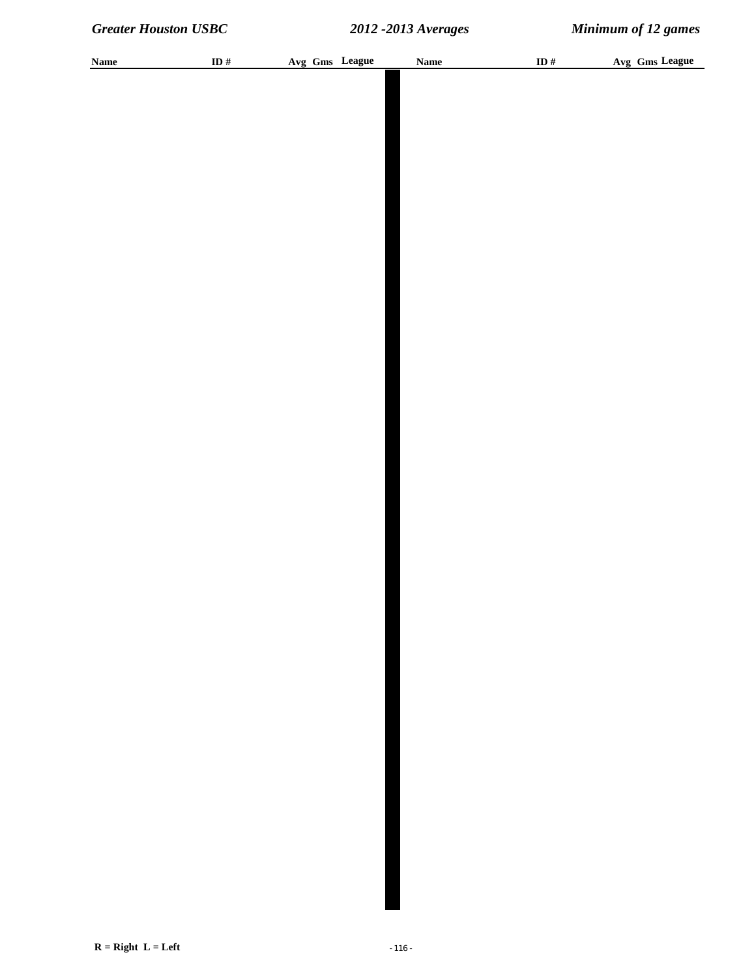| <b>Name</b> | ID # | Avg Gms League | Name | ID $\#$ | Avg Gms League |
|-------------|------|----------------|------|---------|----------------|
|             |      |                |      |         |                |
|             |      |                |      |         |                |
|             |      |                |      |         |                |
|             |      |                |      |         |                |
|             |      |                |      |         |                |
|             |      |                |      |         |                |
|             |      |                |      |         |                |
|             |      |                |      |         |                |
|             |      |                |      |         |                |
|             |      |                |      |         |                |
|             |      |                |      |         |                |
|             |      |                |      |         |                |
|             |      |                |      |         |                |
|             |      |                |      |         |                |
|             |      |                |      |         |                |
|             |      |                |      |         |                |
|             |      |                |      |         |                |
|             |      |                |      |         |                |
|             |      |                |      |         |                |
|             |      |                |      |         |                |
|             |      |                |      |         |                |
|             |      |                |      |         |                |
|             |      |                |      |         |                |
|             |      |                |      |         |                |
|             |      |                |      |         |                |
|             |      |                |      |         |                |
|             |      |                |      |         |                |
|             |      |                |      |         |                |
|             |      |                |      |         |                |
|             |      |                |      |         |                |
|             |      |                |      |         |                |
|             |      |                |      |         |                |
|             |      |                |      |         |                |
|             |      |                |      |         |                |
|             |      |                |      |         |                |
|             |      |                |      |         |                |
|             |      |                |      |         |                |
|             |      |                |      |         |                |
|             |      |                |      |         |                |
|             |      |                |      |         |                |
|             |      |                |      |         |                |
|             |      |                |      |         |                |
|             |      |                |      |         |                |
|             |      |                |      |         |                |
|             |      |                |      |         |                |
|             |      |                |      |         |                |
|             |      |                |      |         |                |
|             |      |                |      |         |                |
|             |      |                |      |         |                |
|             |      |                |      |         |                |
|             |      |                |      |         |                |
|             |      |                |      |         |                |
|             |      |                |      |         |                |
|             |      |                |      |         |                |
|             |      |                |      |         |                |
|             |      |                |      |         |                |
|             |      |                |      |         |                |
|             |      |                |      |         |                |
|             |      |                |      |         |                |
|             |      |                |      |         |                |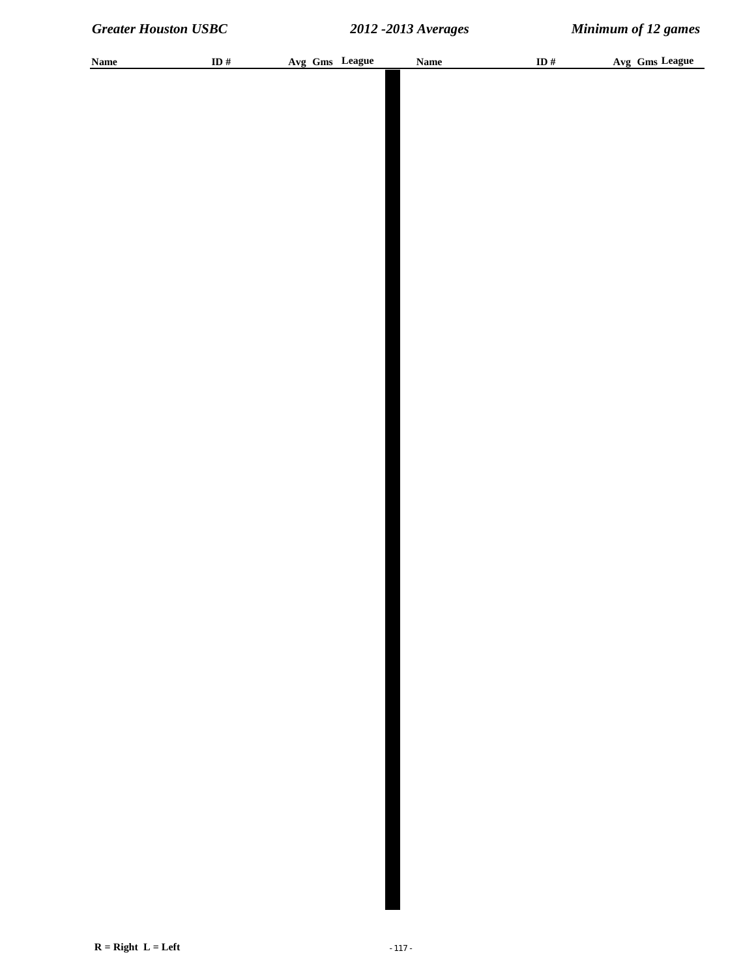| <b>Name</b> | ID # | Avg Gms League | Name | ID $\#$ | Avg Gms League |
|-------------|------|----------------|------|---------|----------------|
|             |      |                |      |         |                |
|             |      |                |      |         |                |
|             |      |                |      |         |                |
|             |      |                |      |         |                |
|             |      |                |      |         |                |
|             |      |                |      |         |                |
|             |      |                |      |         |                |
|             |      |                |      |         |                |
|             |      |                |      |         |                |
|             |      |                |      |         |                |
|             |      |                |      |         |                |
|             |      |                |      |         |                |
|             |      |                |      |         |                |
|             |      |                |      |         |                |
|             |      |                |      |         |                |
|             |      |                |      |         |                |
|             |      |                |      |         |                |
|             |      |                |      |         |                |
|             |      |                |      |         |                |
|             |      |                |      |         |                |
|             |      |                |      |         |                |
|             |      |                |      |         |                |
|             |      |                |      |         |                |
|             |      |                |      |         |                |
|             |      |                |      |         |                |
|             |      |                |      |         |                |
|             |      |                |      |         |                |
|             |      |                |      |         |                |
|             |      |                |      |         |                |
|             |      |                |      |         |                |
|             |      |                |      |         |                |
|             |      |                |      |         |                |
|             |      |                |      |         |                |
|             |      |                |      |         |                |
|             |      |                |      |         |                |
|             |      |                |      |         |                |
|             |      |                |      |         |                |
|             |      |                |      |         |                |
|             |      |                |      |         |                |
|             |      |                |      |         |                |
|             |      |                |      |         |                |
|             |      |                |      |         |                |
|             |      |                |      |         |                |
|             |      |                |      |         |                |
|             |      |                |      |         |                |
|             |      |                |      |         |                |
|             |      |                |      |         |                |
|             |      |                |      |         |                |
|             |      |                |      |         |                |
|             |      |                |      |         |                |
|             |      |                |      |         |                |
|             |      |                |      |         |                |
|             |      |                |      |         |                |
|             |      |                |      |         |                |
|             |      |                |      |         |                |
|             |      |                |      |         |                |
|             |      |                |      |         |                |
|             |      |                |      |         |                |
|             |      |                |      |         |                |
|             |      |                |      |         |                |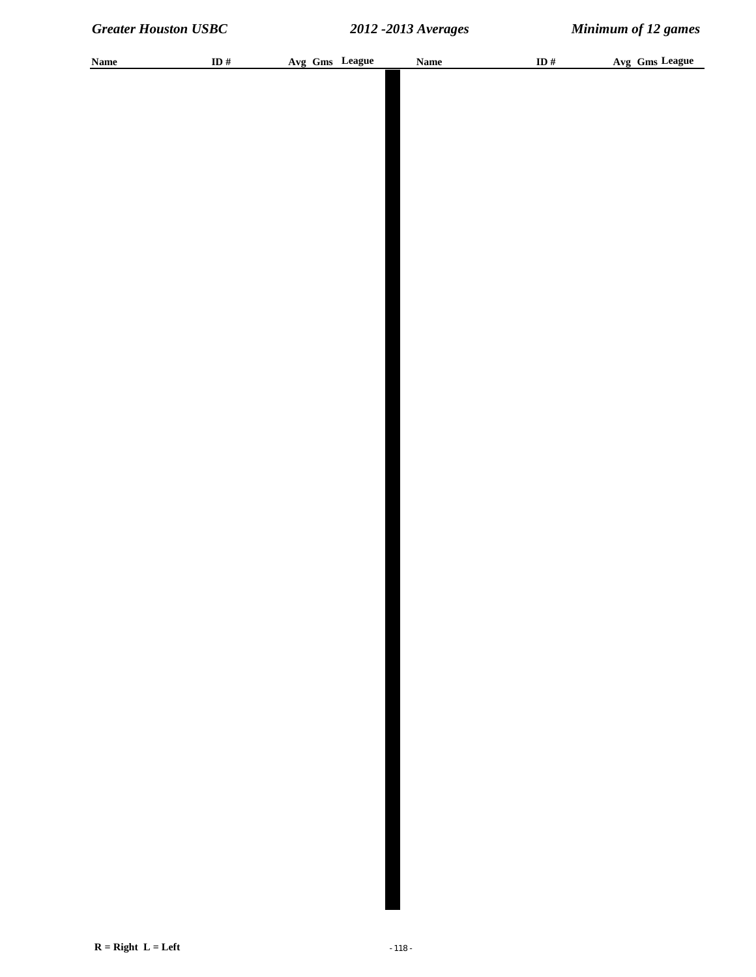| <b>Name</b> | ID # | Avg Gms League | <b>Name</b> | ID $#$ | Avg Gms League |
|-------------|------|----------------|-------------|--------|----------------|
|             |      |                |             |        |                |
|             |      |                |             |        |                |
|             |      |                |             |        |                |
|             |      |                |             |        |                |
|             |      |                |             |        |                |
|             |      |                |             |        |                |
|             |      |                |             |        |                |
|             |      |                |             |        |                |
|             |      |                |             |        |                |
|             |      |                |             |        |                |
|             |      |                |             |        |                |
|             |      |                |             |        |                |
|             |      |                |             |        |                |
|             |      |                |             |        |                |
|             |      |                |             |        |                |
|             |      |                |             |        |                |
|             |      |                |             |        |                |
|             |      |                |             |        |                |
|             |      |                |             |        |                |
|             |      |                |             |        |                |
|             |      |                |             |        |                |
|             |      |                |             |        |                |
|             |      |                |             |        |                |
|             |      |                |             |        |                |
|             |      |                |             |        |                |
|             |      |                |             |        |                |
|             |      |                |             |        |                |
|             |      |                |             |        |                |
|             |      |                |             |        |                |
|             |      |                |             |        |                |
|             |      |                |             |        |                |
|             |      |                |             |        |                |
|             |      |                |             |        |                |
|             |      |                |             |        |                |
|             |      |                |             |        |                |
|             |      |                |             |        |                |
|             |      |                |             |        |                |
|             |      |                |             |        |                |
|             |      |                |             |        |                |
|             |      |                |             |        |                |
|             |      |                |             |        |                |
|             |      |                |             |        |                |
|             |      |                |             |        |                |
|             |      |                |             |        |                |
|             |      |                |             |        |                |
|             |      |                |             |        |                |
|             |      |                |             |        |                |
|             |      |                |             |        |                |
|             |      |                |             |        |                |
|             |      |                |             |        |                |
|             |      |                |             |        |                |
|             |      |                |             |        |                |
|             |      |                |             |        |                |
|             |      |                |             |        |                |
|             |      |                |             |        |                |
|             |      |                |             |        |                |
|             |      |                |             |        |                |
|             |      |                |             |        |                |
|             |      |                |             |        |                |
|             |      |                |             |        |                |
|             |      |                |             |        |                |
|             |      |                |             |        |                |
|             |      |                |             |        |                |
|             |      |                |             |        |                |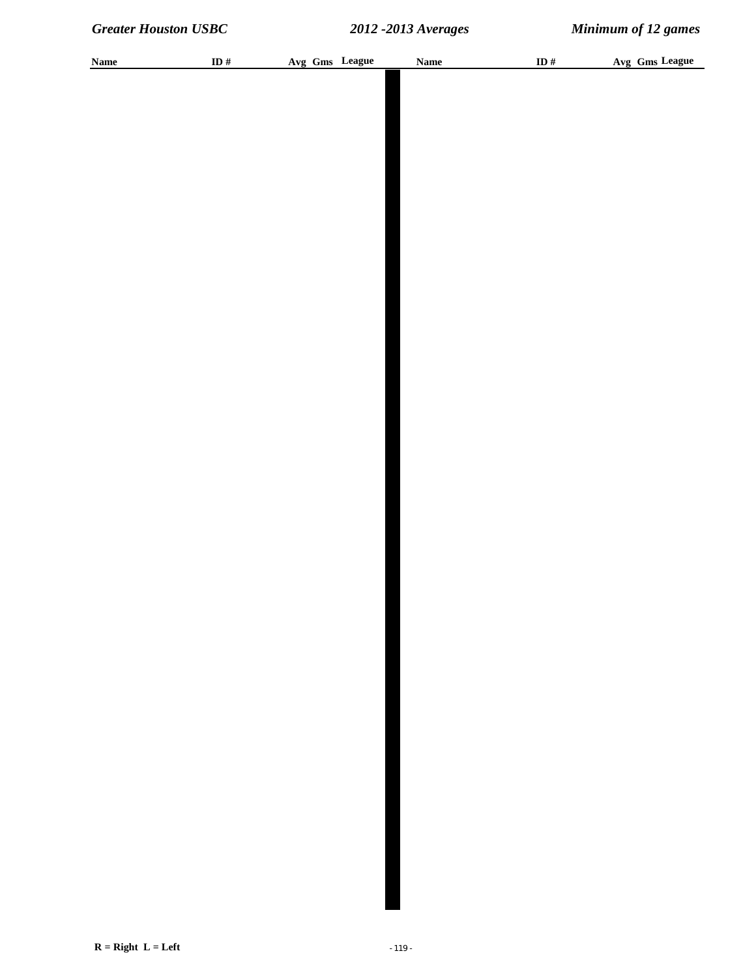| <b>Name</b> | ID# | Avg Gms League | <b>Name</b> | ID # | Avg Gms League |
|-------------|-----|----------------|-------------|------|----------------|
|             |     |                |             |      |                |
|             |     |                |             |      |                |
|             |     |                |             |      |                |
|             |     |                |             |      |                |
|             |     |                |             |      |                |
|             |     |                |             |      |                |
|             |     |                |             |      |                |
|             |     |                |             |      |                |
|             |     |                |             |      |                |
|             |     |                |             |      |                |
|             |     |                |             |      |                |
|             |     |                |             |      |                |
|             |     |                |             |      |                |
|             |     |                |             |      |                |
|             |     |                |             |      |                |
|             |     |                |             |      |                |
|             |     |                |             |      |                |
|             |     |                |             |      |                |
|             |     |                |             |      |                |
|             |     |                |             |      |                |
|             |     |                |             |      |                |
|             |     |                |             |      |                |
|             |     |                |             |      |                |
|             |     |                |             |      |                |
|             |     |                |             |      |                |
|             |     |                |             |      |                |
|             |     |                |             |      |                |
|             |     |                |             |      |                |
|             |     |                |             |      |                |
|             |     |                |             |      |                |
|             |     |                |             |      |                |
|             |     |                |             |      |                |
|             |     |                |             |      |                |
|             |     |                |             |      |                |
|             |     |                |             |      |                |
|             |     |                |             |      |                |
|             |     |                |             |      |                |
|             |     |                |             |      |                |
|             |     |                |             |      |                |
|             |     |                |             |      |                |
|             |     |                |             |      |                |
|             |     |                |             |      |                |
|             |     |                |             |      |                |
|             |     |                |             |      |                |
|             |     |                |             |      |                |
|             |     |                |             |      |                |
|             |     |                |             |      |                |
|             |     |                |             |      |                |
|             |     |                |             |      |                |
|             |     |                |             |      |                |
|             |     |                |             |      |                |
|             |     |                |             |      |                |
|             |     |                |             |      |                |
|             |     |                |             |      |                |
|             |     |                |             |      |                |
|             |     |                |             |      |                |
|             |     |                |             |      |                |
|             |     |                |             |      |                |
|             |     |                |             |      |                |
|             |     |                |             |      |                |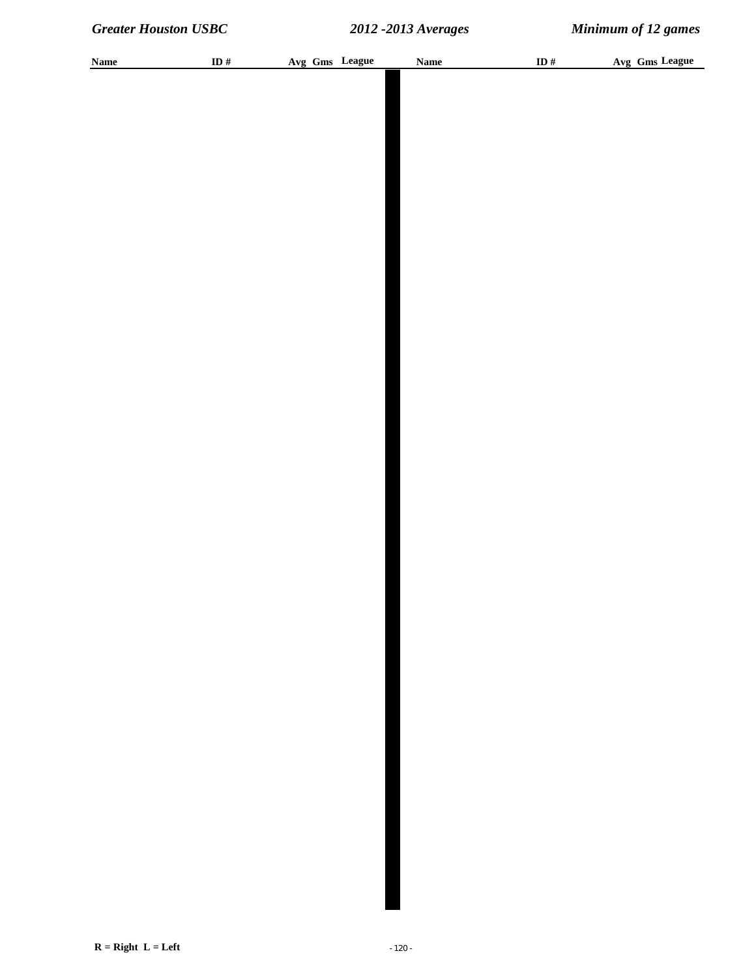| <b>Name</b> | ID $#$ | Avg Gms League | <b>Name</b> | ID# | Avg Gms League |
|-------------|--------|----------------|-------------|-----|----------------|
|             |        |                |             |     |                |
|             |        |                |             |     |                |
|             |        |                |             |     |                |
|             |        |                |             |     |                |
|             |        |                |             |     |                |
|             |        |                |             |     |                |
|             |        |                |             |     |                |
|             |        |                |             |     |                |
|             |        |                |             |     |                |
|             |        |                |             |     |                |
|             |        |                |             |     |                |
|             |        |                |             |     |                |
|             |        |                |             |     |                |
|             |        |                |             |     |                |
|             |        |                |             |     |                |
|             |        |                |             |     |                |
|             |        |                |             |     |                |
|             |        |                |             |     |                |
|             |        |                |             |     |                |
|             |        |                |             |     |                |
|             |        |                |             |     |                |
|             |        |                |             |     |                |
|             |        |                |             |     |                |
|             |        |                |             |     |                |
|             |        |                |             |     |                |
|             |        |                |             |     |                |
|             |        |                |             |     |                |
|             |        |                |             |     |                |
|             |        |                |             |     |                |
|             |        |                |             |     |                |
|             |        |                |             |     |                |
|             |        |                |             |     |                |
|             |        |                |             |     |                |
|             |        |                |             |     |                |
|             |        |                |             |     |                |
|             |        |                |             |     |                |
|             |        |                |             |     |                |
|             |        |                |             |     |                |
|             |        |                |             |     |                |
|             |        |                |             |     |                |
|             |        |                |             |     |                |
|             |        |                |             |     |                |
|             |        |                |             |     |                |
|             |        |                |             |     |                |
|             |        |                |             |     |                |
|             |        |                |             |     |                |
|             |        |                |             |     |                |
|             |        |                |             |     |                |
|             |        |                |             |     |                |
|             |        |                |             |     |                |
|             |        |                |             |     |                |
|             |        |                |             |     |                |
|             |        |                |             |     |                |
|             |        |                |             |     |                |
|             |        |                |             |     |                |
|             |        |                |             |     |                |
|             |        |                |             |     |                |
|             |        |                |             |     |                |
|             |        |                |             |     |                |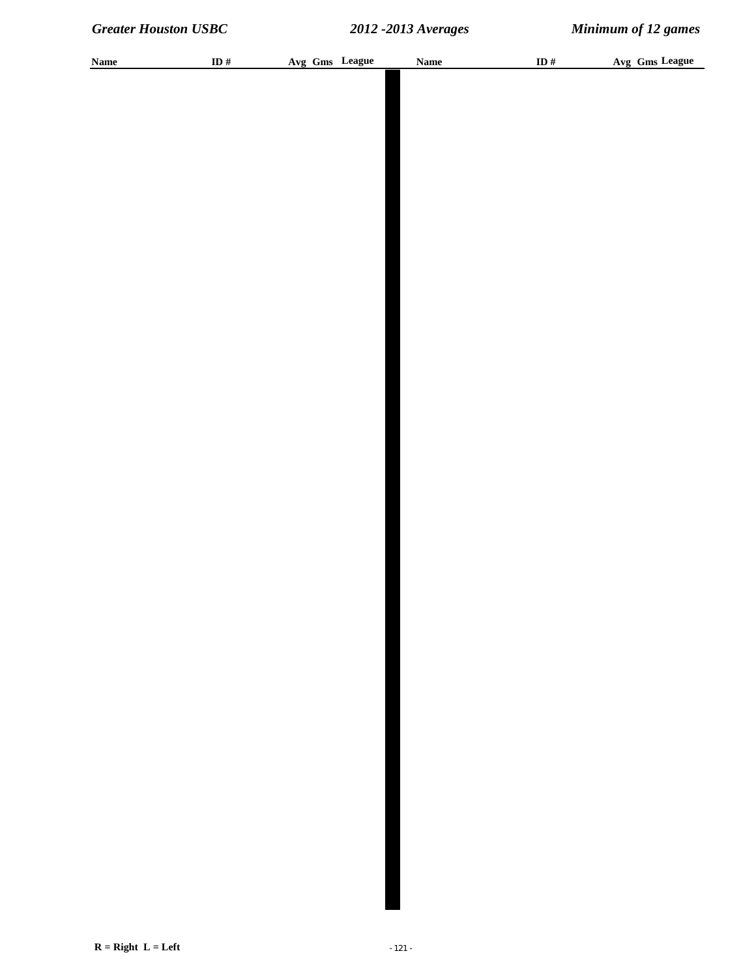| <b>Name</b> | ID # | Avg Gms League | <b>Name</b> | ID # | Avg Gms League |
|-------------|------|----------------|-------------|------|----------------|
|             |      |                |             |      |                |
|             |      |                |             |      |                |
|             |      |                |             |      |                |
|             |      |                |             |      |                |
|             |      |                |             |      |                |
|             |      |                |             |      |                |
|             |      |                |             |      |                |
|             |      |                |             |      |                |
|             |      |                |             |      |                |
|             |      |                |             |      |                |
|             |      |                |             |      |                |
|             |      |                |             |      |                |
|             |      |                |             |      |                |
|             |      |                |             |      |                |
|             |      |                |             |      |                |
|             |      |                |             |      |                |
|             |      |                |             |      |                |
|             |      |                |             |      |                |
|             |      |                |             |      |                |
|             |      |                |             |      |                |
|             |      |                |             |      |                |
|             |      |                |             |      |                |
|             |      |                |             |      |                |
|             |      |                |             |      |                |
|             |      |                |             |      |                |
|             |      |                |             |      |                |
|             |      |                |             |      |                |
|             |      |                |             |      |                |
|             |      |                |             |      |                |
|             |      |                |             |      |                |
|             |      |                |             |      |                |
|             |      |                |             |      |                |
|             |      |                |             |      |                |
|             |      |                |             |      |                |
|             |      |                |             |      |                |
|             |      |                |             |      |                |
|             |      |                |             |      |                |
|             |      |                |             |      |                |
|             |      |                |             |      |                |
|             |      |                |             |      |                |
|             |      |                |             |      |                |
|             |      |                |             |      |                |
|             |      |                |             |      |                |
|             |      |                |             |      |                |
|             |      |                |             |      |                |
|             |      |                |             |      |                |
|             |      |                |             |      |                |
|             |      |                |             |      |                |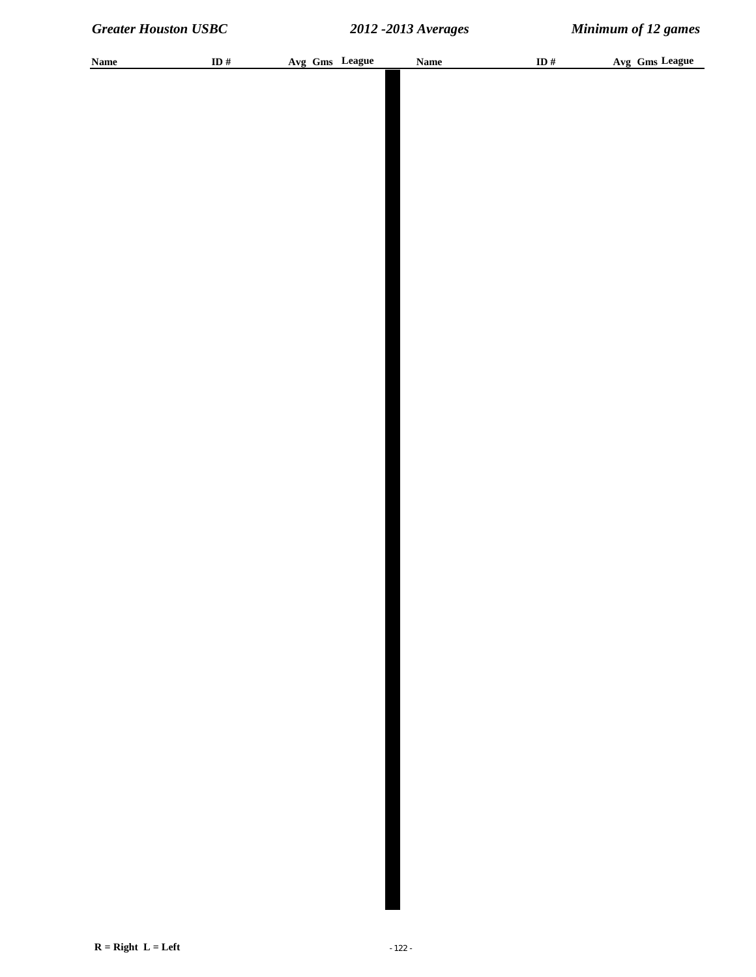| <b>Name</b> | ID # | Avg Gms League | <b>Name</b> | ID $#$ | Avg Gms League |
|-------------|------|----------------|-------------|--------|----------------|
|             |      |                |             |        |                |
|             |      |                |             |        |                |
|             |      |                |             |        |                |
|             |      |                |             |        |                |
|             |      |                |             |        |                |
|             |      |                |             |        |                |
|             |      |                |             |        |                |
|             |      |                |             |        |                |
|             |      |                |             |        |                |
|             |      |                |             |        |                |
|             |      |                |             |        |                |
|             |      |                |             |        |                |
|             |      |                |             |        |                |
|             |      |                |             |        |                |
|             |      |                |             |        |                |
|             |      |                |             |        |                |
|             |      |                |             |        |                |
|             |      |                |             |        |                |
|             |      |                |             |        |                |
|             |      |                |             |        |                |
|             |      |                |             |        |                |
|             |      |                |             |        |                |
|             |      |                |             |        |                |
|             |      |                |             |        |                |
|             |      |                |             |        |                |
|             |      |                |             |        |                |
|             |      |                |             |        |                |
|             |      |                |             |        |                |
|             |      |                |             |        |                |
|             |      |                |             |        |                |
|             |      |                |             |        |                |
|             |      |                |             |        |                |
|             |      |                |             |        |                |
|             |      |                |             |        |                |
|             |      |                |             |        |                |
|             |      |                |             |        |                |
|             |      |                |             |        |                |
|             |      |                |             |        |                |
|             |      |                |             |        |                |
|             |      |                |             |        |                |
|             |      |                |             |        |                |
|             |      |                |             |        |                |
|             |      |                |             |        |                |
|             |      |                |             |        |                |
|             |      |                |             |        |                |
|             |      |                |             |        |                |
|             |      |                |             |        |                |
|             |      |                |             |        |                |
|             |      |                |             |        |                |
|             |      |                |             |        |                |
|             |      |                |             |        |                |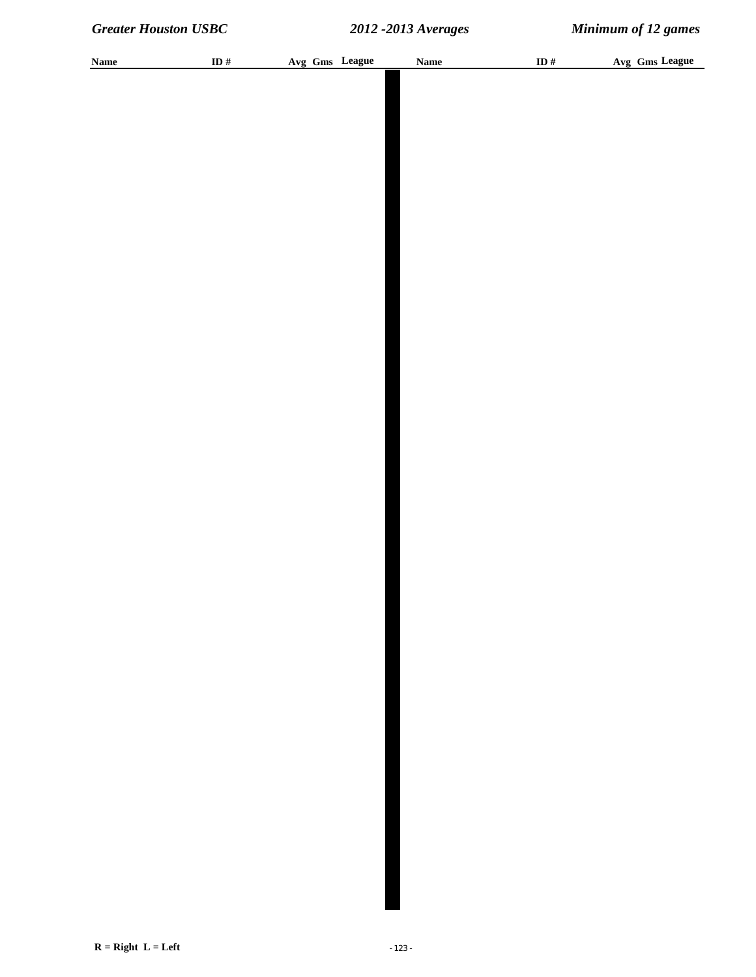| <b>Name</b> | ID $#$ | Avg Gms League | <b>Name</b> | ID# | Avg Gms League |
|-------------|--------|----------------|-------------|-----|----------------|
|             |        |                |             |     |                |
|             |        |                |             |     |                |
|             |        |                |             |     |                |
|             |        |                |             |     |                |
|             |        |                |             |     |                |
|             |        |                |             |     |                |
|             |        |                |             |     |                |
|             |        |                |             |     |                |
|             |        |                |             |     |                |
|             |        |                |             |     |                |
|             |        |                |             |     |                |
|             |        |                |             |     |                |
|             |        |                |             |     |                |
|             |        |                |             |     |                |
|             |        |                |             |     |                |
|             |        |                |             |     |                |
|             |        |                |             |     |                |
|             |        |                |             |     |                |
|             |        |                |             |     |                |
|             |        |                |             |     |                |
|             |        |                |             |     |                |
|             |        |                |             |     |                |
|             |        |                |             |     |                |
|             |        |                |             |     |                |
|             |        |                |             |     |                |
|             |        |                |             |     |                |
|             |        |                |             |     |                |
|             |        |                |             |     |                |
|             |        |                |             |     |                |
|             |        |                |             |     |                |
|             |        |                |             |     |                |
|             |        |                |             |     |                |
|             |        |                |             |     |                |
|             |        |                |             |     |                |
|             |        |                |             |     |                |
|             |        |                |             |     |                |
|             |        |                |             |     |                |
|             |        |                |             |     |                |
|             |        |                |             |     |                |
|             |        |                |             |     |                |
|             |        |                |             |     |                |
|             |        |                |             |     |                |
|             |        |                |             |     |                |
|             |        |                |             |     |                |
|             |        |                |             |     |                |
|             |        |                |             |     |                |
|             |        |                |             |     |                |
|             |        |                |             |     |                |
|             |        |                |             |     |                |
|             |        |                |             |     |                |
|             |        |                |             |     |                |
|             |        |                |             |     |                |
|             |        |                |             |     |                |
|             |        |                |             |     |                |
|             |        |                |             |     |                |
|             |        |                |             |     |                |
|             |        |                |             |     |                |
|             |        |                |             |     |                |
|             |        |                |             |     |                |
|             |        |                |             |     |                |
|             |        |                |             |     |                |
|             |        |                |             |     |                |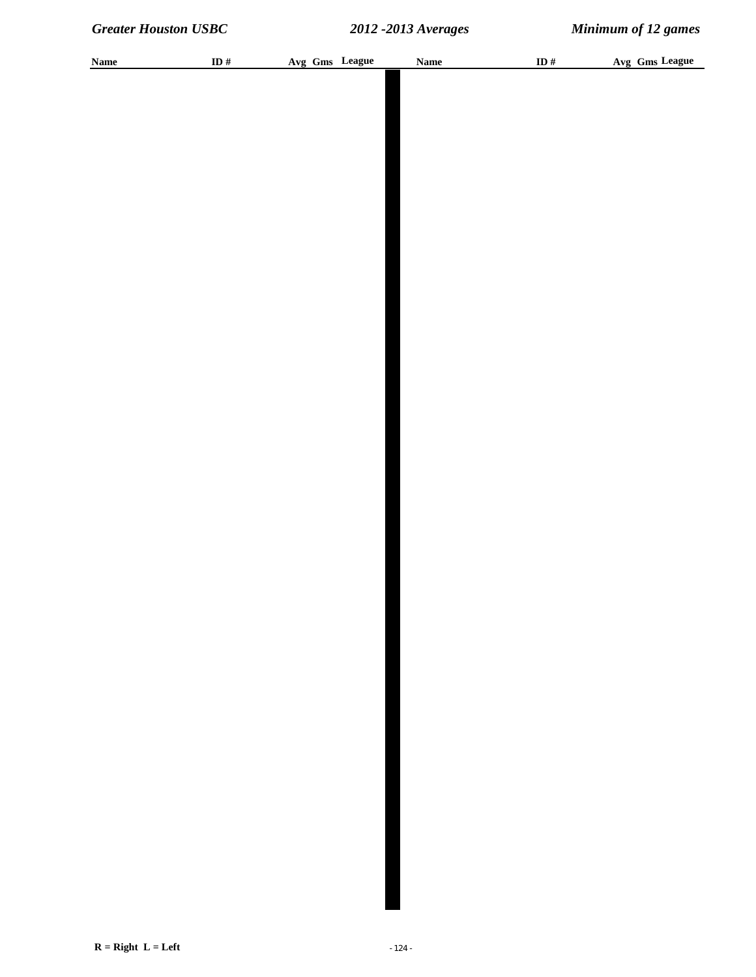| <b>Name</b> | ID $#$ | Avg Gms League | <b>Name</b> | ID# | Avg Gms League |
|-------------|--------|----------------|-------------|-----|----------------|
|             |        |                |             |     |                |
|             |        |                |             |     |                |
|             |        |                |             |     |                |
|             |        |                |             |     |                |
|             |        |                |             |     |                |
|             |        |                |             |     |                |
|             |        |                |             |     |                |
|             |        |                |             |     |                |
|             |        |                |             |     |                |
|             |        |                |             |     |                |
|             |        |                |             |     |                |
|             |        |                |             |     |                |
|             |        |                |             |     |                |
|             |        |                |             |     |                |
|             |        |                |             |     |                |
|             |        |                |             |     |                |
|             |        |                |             |     |                |
|             |        |                |             |     |                |
|             |        |                |             |     |                |
|             |        |                |             |     |                |
|             |        |                |             |     |                |
|             |        |                |             |     |                |
|             |        |                |             |     |                |
|             |        |                |             |     |                |
|             |        |                |             |     |                |
|             |        |                |             |     |                |
|             |        |                |             |     |                |
|             |        |                |             |     |                |
|             |        |                |             |     |                |
|             |        |                |             |     |                |
|             |        |                |             |     |                |
|             |        |                |             |     |                |
|             |        |                |             |     |                |
|             |        |                |             |     |                |
|             |        |                |             |     |                |
|             |        |                |             |     |                |
|             |        |                |             |     |                |
|             |        |                |             |     |                |
|             |        |                |             |     |                |
|             |        |                |             |     |                |
|             |        |                |             |     |                |
|             |        |                |             |     |                |
|             |        |                |             |     |                |
|             |        |                |             |     |                |
|             |        |                |             |     |                |
|             |        |                |             |     |                |
|             |        |                |             |     |                |
|             |        |                |             |     |                |
|             |        |                |             |     |                |
|             |        |                |             |     |                |
|             |        |                |             |     |                |
|             |        |                |             |     |                |
|             |        |                |             |     |                |
|             |        |                |             |     |                |
|             |        |                |             |     |                |
|             |        |                |             |     |                |
|             |        |                |             |     |                |
|             |        |                |             |     |                |
|             |        |                |             |     |                |
|             |        |                |             |     |                |
|             |        |                |             |     |                |
|             |        |                |             |     |                |
|             |        |                |             |     |                |
|             |        |                |             |     |                |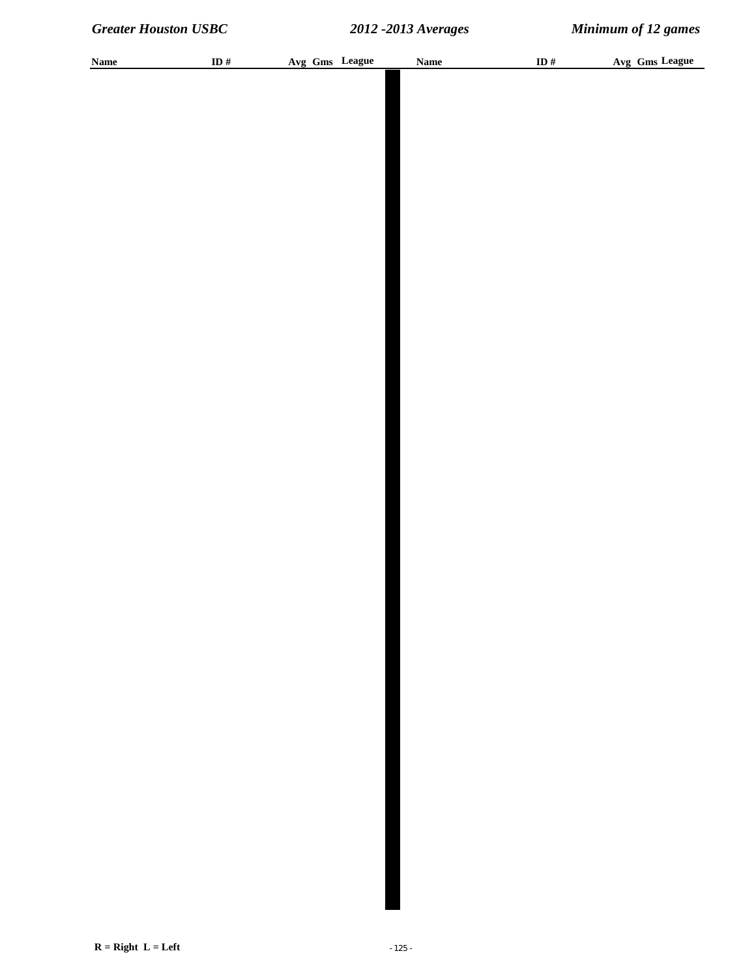| <b>Name</b> | ID $#$ | Avg Gms League | <b>Name</b> | ID# | Avg Gms League |
|-------------|--------|----------------|-------------|-----|----------------|
|             |        |                |             |     |                |
|             |        |                |             |     |                |
|             |        |                |             |     |                |
|             |        |                |             |     |                |
|             |        |                |             |     |                |
|             |        |                |             |     |                |
|             |        |                |             |     |                |
|             |        |                |             |     |                |
|             |        |                |             |     |                |
|             |        |                |             |     |                |
|             |        |                |             |     |                |
|             |        |                |             |     |                |
|             |        |                |             |     |                |
|             |        |                |             |     |                |
|             |        |                |             |     |                |
|             |        |                |             |     |                |
|             |        |                |             |     |                |
|             |        |                |             |     |                |
|             |        |                |             |     |                |
|             |        |                |             |     |                |
|             |        |                |             |     |                |
|             |        |                |             |     |                |
|             |        |                |             |     |                |
|             |        |                |             |     |                |
|             |        |                |             |     |                |
|             |        |                |             |     |                |
|             |        |                |             |     |                |
|             |        |                |             |     |                |
|             |        |                |             |     |                |
|             |        |                |             |     |                |
|             |        |                |             |     |                |
|             |        |                |             |     |                |
|             |        |                |             |     |                |
|             |        |                |             |     |                |
|             |        |                |             |     |                |
|             |        |                |             |     |                |
|             |        |                |             |     |                |
|             |        |                |             |     |                |
|             |        |                |             |     |                |
|             |        |                |             |     |                |
|             |        |                |             |     |                |
|             |        |                |             |     |                |
|             |        |                |             |     |                |
|             |        |                |             |     |                |
|             |        |                |             |     |                |
|             |        |                |             |     |                |
|             |        |                |             |     |                |
|             |        |                |             |     |                |
|             |        |                |             |     |                |
|             |        |                |             |     |                |
|             |        |                |             |     |                |
|             |        |                |             |     |                |
|             |        |                |             |     |                |
|             |        |                |             |     |                |
|             |        |                |             |     |                |
|             |        |                |             |     |                |
|             |        |                |             |     |                |
|             |        |                |             |     |                |
|             |        |                |             |     |                |
|             |        |                |             |     |                |
|             |        |                |             |     |                |
|             |        |                |             |     |                |
|             |        |                |             |     |                |
|             |        |                |             |     |                |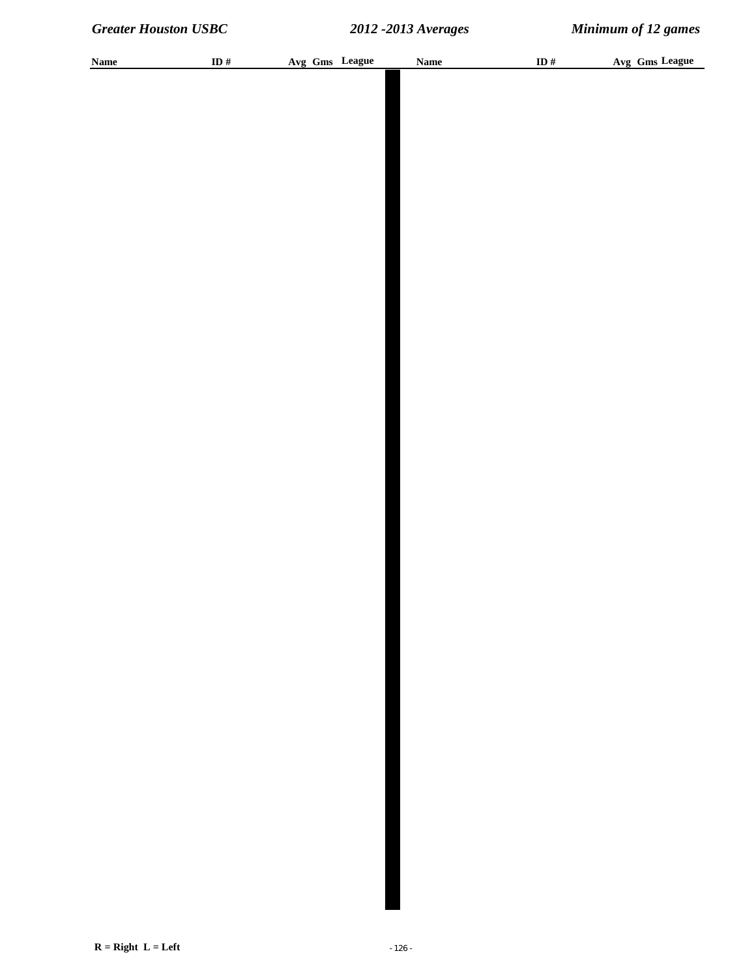| <b>Name</b> | ID $#$ | Avg Gms League | <b>Name</b> | ID# | Avg Gms League |
|-------------|--------|----------------|-------------|-----|----------------|
|             |        |                |             |     |                |
|             |        |                |             |     |                |
|             |        |                |             |     |                |
|             |        |                |             |     |                |
|             |        |                |             |     |                |
|             |        |                |             |     |                |
|             |        |                |             |     |                |
|             |        |                |             |     |                |
|             |        |                |             |     |                |
|             |        |                |             |     |                |
|             |        |                |             |     |                |
|             |        |                |             |     |                |
|             |        |                |             |     |                |
|             |        |                |             |     |                |
|             |        |                |             |     |                |
|             |        |                |             |     |                |
|             |        |                |             |     |                |
|             |        |                |             |     |                |
|             |        |                |             |     |                |
|             |        |                |             |     |                |
|             |        |                |             |     |                |
|             |        |                |             |     |                |
|             |        |                |             |     |                |
|             |        |                |             |     |                |
|             |        |                |             |     |                |
|             |        |                |             |     |                |
|             |        |                |             |     |                |
|             |        |                |             |     |                |
|             |        |                |             |     |                |
|             |        |                |             |     |                |
|             |        |                |             |     |                |
|             |        |                |             |     |                |
|             |        |                |             |     |                |
|             |        |                |             |     |                |
|             |        |                |             |     |                |
|             |        |                |             |     |                |
|             |        |                |             |     |                |
|             |        |                |             |     |                |
|             |        |                |             |     |                |
|             |        |                |             |     |                |
|             |        |                |             |     |                |
|             |        |                |             |     |                |
|             |        |                |             |     |                |
|             |        |                |             |     |                |
|             |        |                |             |     |                |
|             |        |                |             |     |                |
|             |        |                |             |     |                |
|             |        |                |             |     |                |
|             |        |                |             |     |                |
|             |        |                |             |     |                |
|             |        |                |             |     |                |
|             |        |                |             |     |                |
|             |        |                |             |     |                |
|             |        |                |             |     |                |
|             |        |                |             |     |                |
|             |        |                |             |     |                |
|             |        |                |             |     |                |
|             |        |                |             |     |                |
|             |        |                |             |     |                |
|             |        |                |             |     |                |
|             |        |                |             |     |                |
|             |        |                |             |     |                |
|             |        |                |             |     |                |
|             |        |                |             |     |                |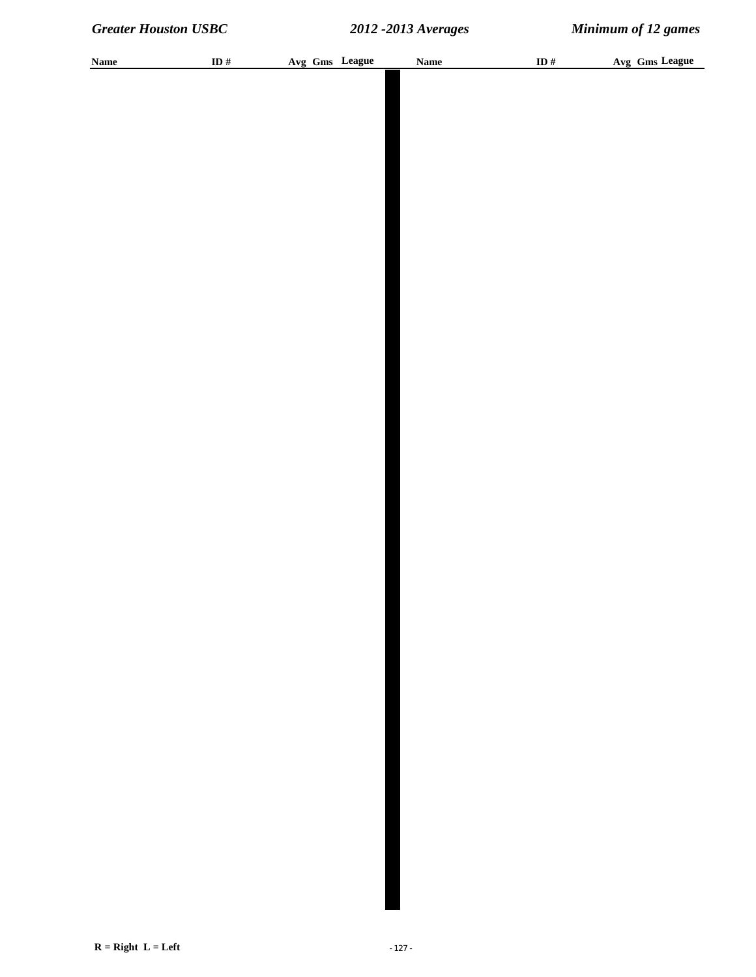| <b>Name</b> | ID $#$ | Avg Gms League | <b>Name</b> | ID# | Avg Gms League |
|-------------|--------|----------------|-------------|-----|----------------|
|             |        |                |             |     |                |
|             |        |                |             |     |                |
|             |        |                |             |     |                |
|             |        |                |             |     |                |
|             |        |                |             |     |                |
|             |        |                |             |     |                |
|             |        |                |             |     |                |
|             |        |                |             |     |                |
|             |        |                |             |     |                |
|             |        |                |             |     |                |
|             |        |                |             |     |                |
|             |        |                |             |     |                |
|             |        |                |             |     |                |
|             |        |                |             |     |                |
|             |        |                |             |     |                |
|             |        |                |             |     |                |
|             |        |                |             |     |                |
|             |        |                |             |     |                |
|             |        |                |             |     |                |
|             |        |                |             |     |                |
|             |        |                |             |     |                |
|             |        |                |             |     |                |
|             |        |                |             |     |                |
|             |        |                |             |     |                |
|             |        |                |             |     |                |
|             |        |                |             |     |                |
|             |        |                |             |     |                |
|             |        |                |             |     |                |
|             |        |                |             |     |                |
|             |        |                |             |     |                |
|             |        |                |             |     |                |
|             |        |                |             |     |                |
|             |        |                |             |     |                |
|             |        |                |             |     |                |
|             |        |                |             |     |                |
|             |        |                |             |     |                |
|             |        |                |             |     |                |
|             |        |                |             |     |                |
|             |        |                |             |     |                |
|             |        |                |             |     |                |
|             |        |                |             |     |                |
|             |        |                |             |     |                |
|             |        |                |             |     |                |
|             |        |                |             |     |                |
|             |        |                |             |     |                |
|             |        |                |             |     |                |
|             |        |                |             |     |                |
|             |        |                |             |     |                |
|             |        |                |             |     |                |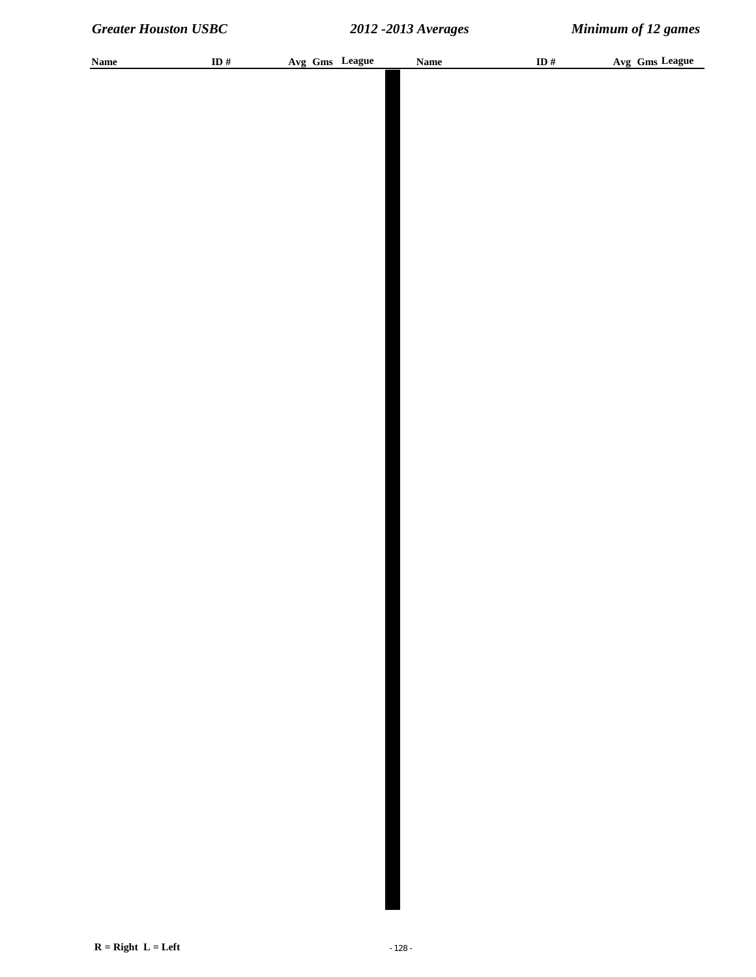| <b>Name</b> | ID $#$ | Avg Gms League | <b>Name</b> | ID $#$ | Avg Gms League |
|-------------|--------|----------------|-------------|--------|----------------|
|             |        |                |             |        |                |
|             |        |                |             |        |                |
|             |        |                |             |        |                |
|             |        |                |             |        |                |
|             |        |                |             |        |                |
|             |        |                |             |        |                |
|             |        |                |             |        |                |
|             |        |                |             |        |                |
|             |        |                |             |        |                |
|             |        |                |             |        |                |
|             |        |                |             |        |                |
|             |        |                |             |        |                |
|             |        |                |             |        |                |
|             |        |                |             |        |                |
|             |        |                |             |        |                |
|             |        |                |             |        |                |
|             |        |                |             |        |                |
|             |        |                |             |        |                |
|             |        |                |             |        |                |
|             |        |                |             |        |                |
|             |        |                |             |        |                |
|             |        |                |             |        |                |
|             |        |                |             |        |                |
|             |        |                |             |        |                |
|             |        |                |             |        |                |
|             |        |                |             |        |                |
|             |        |                |             |        |                |
|             |        |                |             |        |                |
|             |        |                |             |        |                |
|             |        |                |             |        |                |
|             |        |                |             |        |                |
|             |        |                |             |        |                |
|             |        |                |             |        |                |
|             |        |                |             |        |                |
|             |        |                |             |        |                |
|             |        |                |             |        |                |
|             |        |                |             |        |                |
|             |        |                |             |        |                |
|             |        |                |             |        |                |
|             |        |                |             |        |                |
|             |        |                |             |        |                |
|             |        |                |             |        |                |
|             |        |                |             |        |                |
|             |        |                |             |        |                |
|             |        |                |             |        |                |
|             |        |                |             |        |                |
|             |        |                |             |        |                |
|             |        |                |             |        |                |
|             |        |                |             |        |                |
|             |        |                |             |        |                |
|             |        |                |             |        |                |
|             |        |                |             |        |                |
|             |        |                |             |        |                |
|             |        |                |             |        |                |
|             |        |                |             |        |                |
|             |        |                |             |        |                |
|             |        |                |             |        |                |
|             |        |                |             |        |                |
|             |        |                |             |        |                |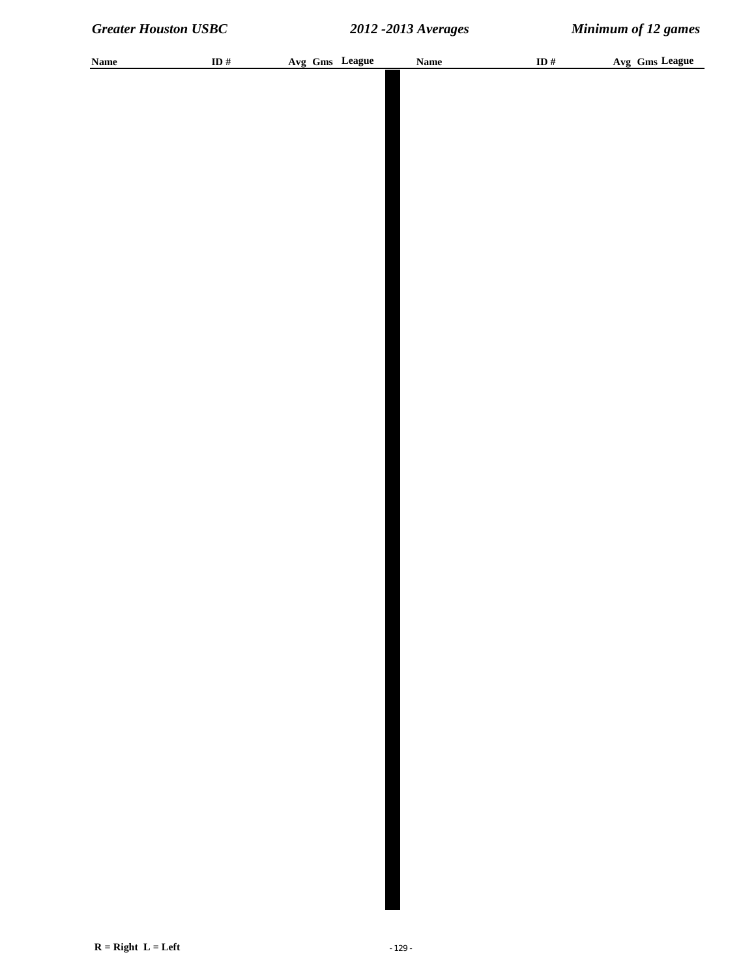| <b>Name</b> | ID # | Avg Gms League | <b>Name</b> | ID $#$ | Avg Gms League |
|-------------|------|----------------|-------------|--------|----------------|
|             |      |                |             |        |                |
|             |      |                |             |        |                |
|             |      |                |             |        |                |
|             |      |                |             |        |                |
|             |      |                |             |        |                |
|             |      |                |             |        |                |
|             |      |                |             |        |                |
|             |      |                |             |        |                |
|             |      |                |             |        |                |
|             |      |                |             |        |                |
|             |      |                |             |        |                |
|             |      |                |             |        |                |
|             |      |                |             |        |                |
|             |      |                |             |        |                |
|             |      |                |             |        |                |
|             |      |                |             |        |                |
|             |      |                |             |        |                |
|             |      |                |             |        |                |
|             |      |                |             |        |                |
|             |      |                |             |        |                |
|             |      |                |             |        |                |
|             |      |                |             |        |                |
|             |      |                |             |        |                |
|             |      |                |             |        |                |
|             |      |                |             |        |                |
|             |      |                |             |        |                |
|             |      |                |             |        |                |
|             |      |                |             |        |                |
|             |      |                |             |        |                |
|             |      |                |             |        |                |
|             |      |                |             |        |                |
|             |      |                |             |        |                |
|             |      |                |             |        |                |
|             |      |                |             |        |                |
|             |      |                |             |        |                |
|             |      |                |             |        |                |
|             |      |                |             |        |                |
|             |      |                |             |        |                |
|             |      |                |             |        |                |
|             |      |                |             |        |                |
|             |      |                |             |        |                |
|             |      |                |             |        |                |
|             |      |                |             |        |                |
|             |      |                |             |        |                |
|             |      |                |             |        |                |
|             |      |                |             |        |                |
|             |      |                |             |        |                |
|             |      |                |             |        |                |
|             |      |                |             |        |                |
|             |      |                |             |        |                |